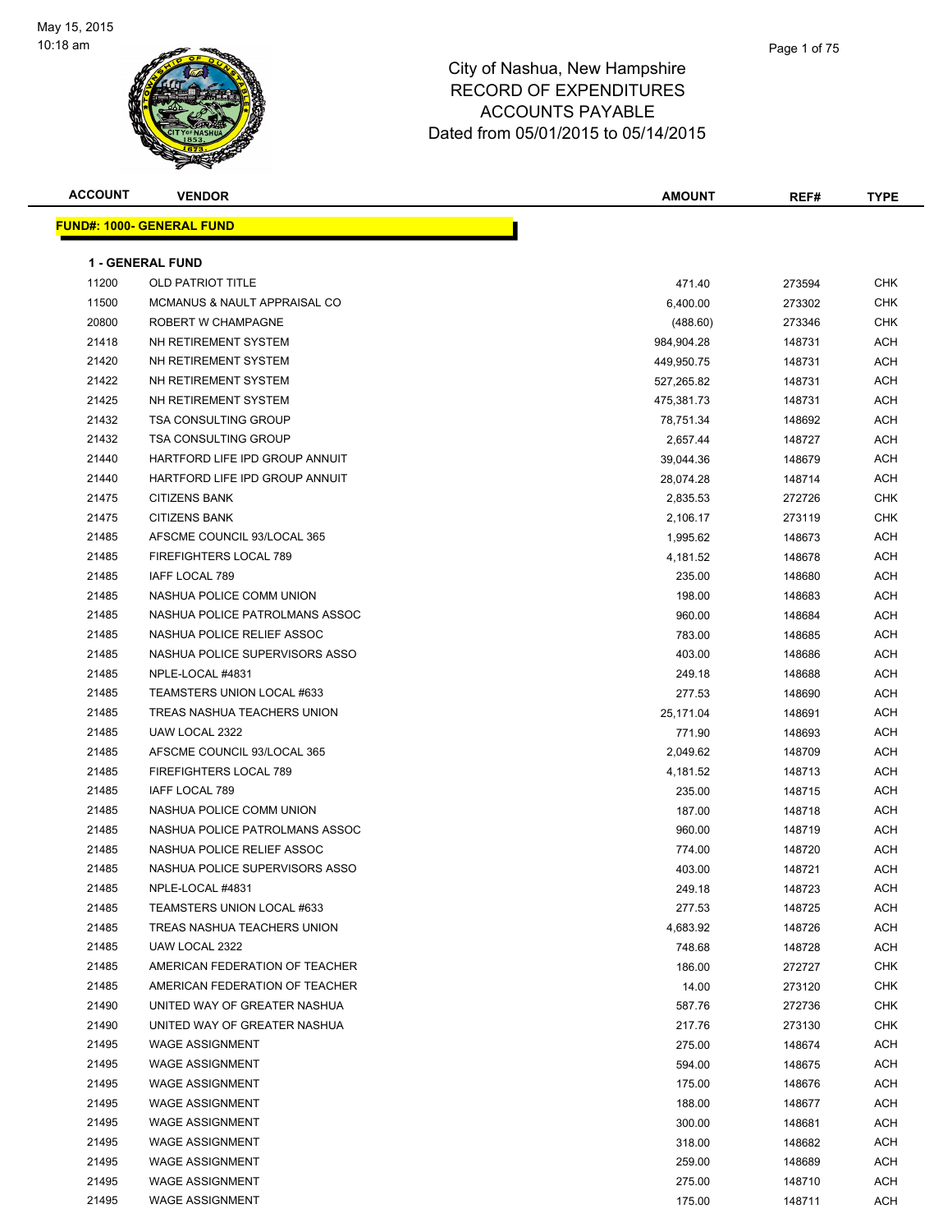

| <b>ACCOUNT</b> | <b>VENDOR</b>                           | <b>AMOUNT</b> | REF#   | <b>TYPE</b> |
|----------------|-----------------------------------------|---------------|--------|-------------|
|                | <u> FUND#: 1000- GENERAL FUND</u>       |               |        |             |
|                |                                         |               |        |             |
|                | <b>1 - GENERAL FUND</b>                 |               |        |             |
| 11200          | <b>OLD PATRIOT TITLE</b>                | 471.40        | 273594 | <b>CHK</b>  |
| 11500          | <b>MCMANUS &amp; NAULT APPRAISAL CO</b> | 6,400.00      | 273302 | CHK         |
| 20800          | ROBERT W CHAMPAGNE                      | (488.60)      | 273346 | CHK         |
| 21418          | NH RETIREMENT SYSTEM                    | 984,904.28    | 148731 | ACH         |
| 21420          | NH RETIREMENT SYSTEM                    | 449,950.75    | 148731 | ACH         |
| 21422          | NH RETIREMENT SYSTEM                    | 527,265.82    | 148731 | ACH         |
| 21425          | NH RETIREMENT SYSTEM                    | 475,381.73    | 148731 | ACH         |
| 21432          | <b>TSA CONSULTING GROUP</b>             | 78,751.34     | 148692 | ACH         |
| 21432          | <b>TSA CONSULTING GROUP</b>             | 2,657.44      | 148727 | ACH         |
| 21440          | HARTFORD LIFE IPD GROUP ANNUIT          | 39,044.36     | 148679 | ACH         |
| 21440          | HARTFORD LIFE IPD GROUP ANNUIT          | 28,074.28     | 148714 | ACH         |
| 21475          | <b>CITIZENS BANK</b>                    | 2,835.53      | 272726 | CHK         |
| 21475          | <b>CITIZENS BANK</b>                    | 2,106.17      | 273119 | <b>CHK</b>  |
| 21485          | AFSCME COUNCIL 93/LOCAL 365             | 1,995.62      | 148673 | ACH         |
| 21485          | FIREFIGHTERS LOCAL 789                  | 4,181.52      | 148678 | ACH         |
| 21485          | IAFF LOCAL 789                          | 235.00        | 148680 | ACH         |
| 21485          | NASHUA POLICE COMM UNION                | 198.00        | 148683 | ACH         |
| 21485          | NASHUA POLICE PATROLMANS ASSOC          | 960.00        | 148684 | ACH         |
| 21485          | NASHUA POLICE RELIEF ASSOC              | 783.00        | 148685 | ACH         |
| 21485          | NASHUA POLICE SUPERVISORS ASSO          | 403.00        | 148686 | ACH         |
| 21485          | NPLE-LOCAL #4831                        | 249.18        | 148688 | ACH         |
| 21485          | TEAMSTERS UNION LOCAL #633              | 277.53        | 148690 | ACH         |
| 21485          | TREAS NASHUA TEACHERS UNION             | 25,171.04     | 148691 | ACH         |
| 21485          | UAW LOCAL 2322                          | 771.90        | 148693 | ACH         |
| 21485          | AFSCME COUNCIL 93/LOCAL 365             | 2,049.62      | 148709 | ACH         |
| 21485          | FIREFIGHTERS LOCAL 789                  | 4,181.52      | 148713 | ACH         |
| 21485          | IAFF LOCAL 789                          | 235.00        | 148715 | ACH         |
| 21485          | NASHUA POLICE COMM UNION                | 187.00        | 148718 | ACH         |
| 21485          | NASHUA POLICE PATROLMANS ASSOC          | 960.00        | 148719 | ACH         |
| 21485          | NASHUA POLICE RELIEF ASSOC              | 774.00        | 148720 | ACH         |
| 21485          | NASHUA POLICE SUPERVISORS ASSO          | 403.00        | 148721 | ACH         |
| 21485          | NPLE-LOCAL #4831                        | 249.18        | 148723 | <b>ACH</b>  |
| 21485          | TEAMSTERS UNION LOCAL #633              | 277.53        | 148725 | ACH         |
| 21485          | TREAS NASHUA TEACHERS UNION             | 4,683.92      | 148726 | ACH         |
| 21485          | UAW LOCAL 2322                          | 748.68        | 148728 | ACH         |
| 21485          | AMERICAN FEDERATION OF TEACHER          | 186.00        | 272727 | <b>CHK</b>  |
| 21485          | AMERICAN FEDERATION OF TEACHER          | 14.00         | 273120 | CHK         |
| 21490          | UNITED WAY OF GREATER NASHUA            | 587.76        | 272736 | CHK         |
| 21490          | UNITED WAY OF GREATER NASHUA            | 217.76        | 273130 | CHK         |
| 21495          | <b>WAGE ASSIGNMENT</b>                  | 275.00        | 148674 | ACH         |
| 21495          | <b>WAGE ASSIGNMENT</b>                  | 594.00        | 148675 | ACH         |
| 21495          | <b>WAGE ASSIGNMENT</b>                  | 175.00        | 148676 | ACH         |
| 21495          | <b>WAGE ASSIGNMENT</b>                  | 188.00        | 148677 | ACH         |
| 21495          | <b>WAGE ASSIGNMENT</b>                  | 300.00        | 148681 | ACH         |
| 21495          | <b>WAGE ASSIGNMENT</b>                  | 318.00        | 148682 | ACH         |
| 21495          | <b>WAGE ASSIGNMENT</b>                  | 259.00        | 148689 | ACH         |
| 21495          | <b>WAGE ASSIGNMENT</b>                  | 275.00        | 148710 | ACH         |
| 21495          | <b>WAGE ASSIGNMENT</b>                  | 175.00        | 148711 | ACH         |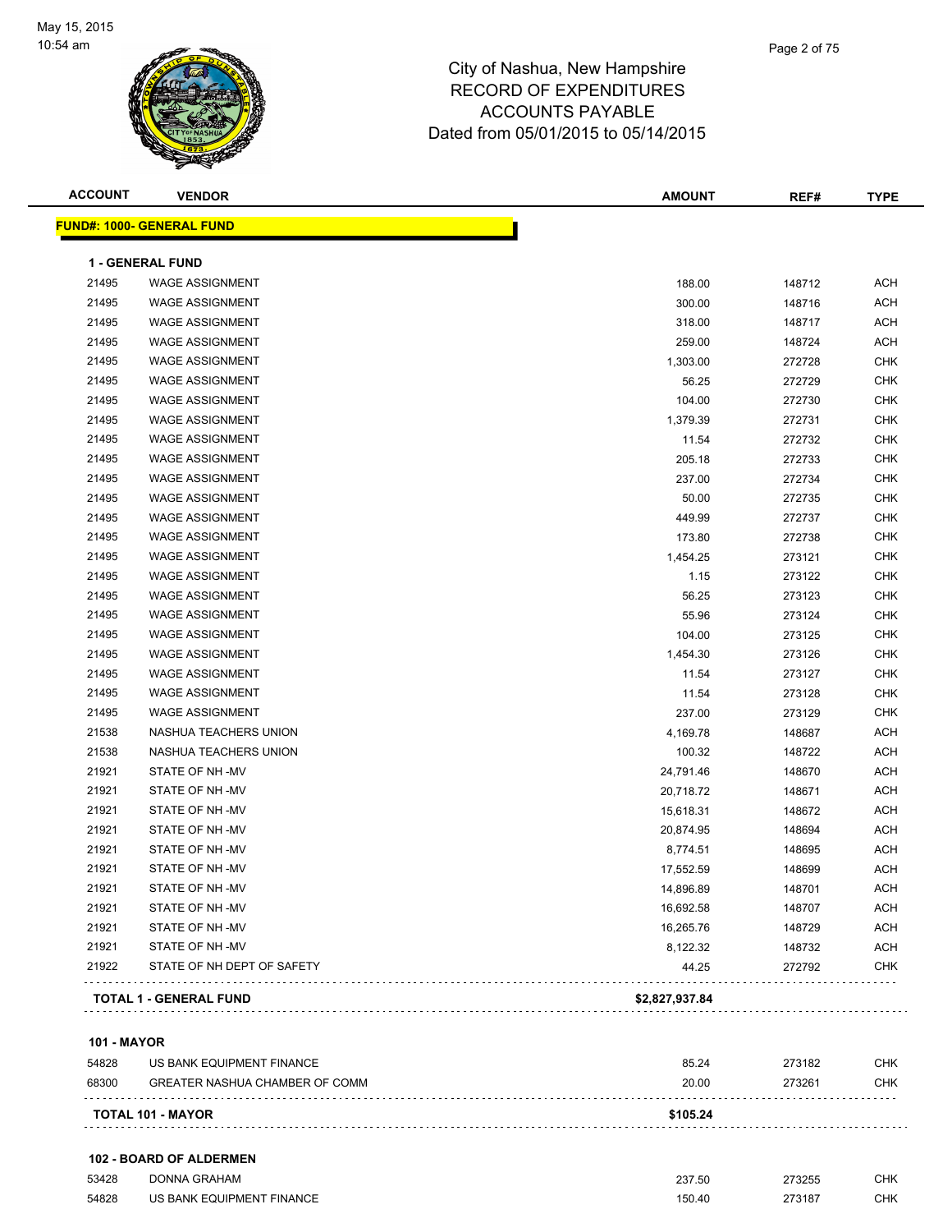

| <b>ACCOUNT</b>     | <b>VENDOR</b>                                    | <b>AMOUNT</b>    | REF#             | <b>TYPE</b>              |
|--------------------|--------------------------------------------------|------------------|------------------|--------------------------|
|                    | <b>FUND#: 1000- GENERAL FUND</b>                 |                  |                  |                          |
|                    |                                                  |                  |                  |                          |
|                    | <b>1 - GENERAL FUND</b>                          |                  |                  |                          |
| 21495<br>21495     | <b>WAGE ASSIGNMENT</b><br><b>WAGE ASSIGNMENT</b> | 188.00           | 148712           | <b>ACH</b><br><b>ACH</b> |
| 21495              | <b>WAGE ASSIGNMENT</b>                           | 300.00<br>318.00 | 148716<br>148717 | <b>ACH</b>               |
| 21495              | <b>WAGE ASSIGNMENT</b>                           | 259.00           | 148724           | <b>ACH</b>               |
| 21495              | <b>WAGE ASSIGNMENT</b>                           | 1,303.00         | 272728           | <b>CHK</b>               |
| 21495              | <b>WAGE ASSIGNMENT</b>                           | 56.25            | 272729           | <b>CHK</b>               |
| 21495              | <b>WAGE ASSIGNMENT</b>                           | 104.00           | 272730           | <b>CHK</b>               |
| 21495              | <b>WAGE ASSIGNMENT</b>                           | 1,379.39         | 272731           | <b>CHK</b>               |
| 21495              | <b>WAGE ASSIGNMENT</b>                           | 11.54            | 272732           | <b>CHK</b>               |
| 21495              | <b>WAGE ASSIGNMENT</b>                           | 205.18           | 272733           | <b>CHK</b>               |
| 21495              | <b>WAGE ASSIGNMENT</b>                           | 237.00           | 272734           | <b>CHK</b>               |
| 21495              | <b>WAGE ASSIGNMENT</b>                           | 50.00            | 272735           | <b>CHK</b>               |
| 21495              | <b>WAGE ASSIGNMENT</b>                           | 449.99           | 272737           | <b>CHK</b>               |
| 21495              | <b>WAGE ASSIGNMENT</b>                           | 173.80           | 272738           | <b>CHK</b>               |
| 21495              | <b>WAGE ASSIGNMENT</b>                           | 1,454.25         | 273121           | <b>CHK</b>               |
| 21495              | <b>WAGE ASSIGNMENT</b>                           | 1.15             | 273122           | <b>CHK</b>               |
| 21495              | <b>WAGE ASSIGNMENT</b>                           | 56.25            | 273123           | <b>CHK</b>               |
| 21495              | <b>WAGE ASSIGNMENT</b>                           | 55.96            | 273124           | <b>CHK</b>               |
| 21495              | <b>WAGE ASSIGNMENT</b>                           | 104.00           | 273125           | <b>CHK</b>               |
| 21495              | <b>WAGE ASSIGNMENT</b>                           | 1,454.30         | 273126           | <b>CHK</b>               |
| 21495              | <b>WAGE ASSIGNMENT</b>                           | 11.54            | 273127           | <b>CHK</b>               |
| 21495              | <b>WAGE ASSIGNMENT</b>                           | 11.54            | 273128           | <b>CHK</b>               |
| 21495              | <b>WAGE ASSIGNMENT</b>                           | 237.00           | 273129           | <b>CHK</b>               |
| 21538              | NASHUA TEACHERS UNION                            | 4,169.78         | 148687           | <b>ACH</b>               |
| 21538              | NASHUA TEACHERS UNION                            | 100.32           | 148722           | <b>ACH</b>               |
| 21921              | STATE OF NH-MV                                   | 24,791.46        | 148670           | <b>ACH</b>               |
| 21921              | STATE OF NH-MV                                   | 20,718.72        | 148671           | <b>ACH</b>               |
| 21921              | STATE OF NH-MV                                   | 15,618.31        | 148672           | <b>ACH</b>               |
| 21921              | STATE OF NH-MV                                   | 20,874.95        | 148694           | <b>ACH</b>               |
| 21921              | STATE OF NH-MV                                   | 8,774.51         | 148695           | <b>ACH</b>               |
| 21921              | STATE OF NH-MV                                   | 17,552.59        | 148699           | <b>ACH</b>               |
| 21921              | STATE OF NH -MV                                  | 14,896.89        | 148701           | ACH                      |
| 21921              | STATE OF NH-MV                                   | 16,692.58        | 148707           | <b>ACH</b>               |
| 21921              | STATE OF NH-MV                                   | 16,265.76        | 148729           | ACH                      |
| 21921              | STATE OF NH-MV                                   | 8,122.32         | 148732           | <b>ACH</b>               |
| 21922              | STATE OF NH DEPT OF SAFETY                       | 44.25            | 272792           | CHK                      |
|                    | <b>TOTAL 1 - GENERAL FUND</b>                    | \$2,827,937.84   |                  |                          |
| <b>101 - MAYOR</b> |                                                  |                  |                  |                          |
| 54828              | US BANK EQUIPMENT FINANCE                        | 85.24            | 273182           | <b>CHK</b>               |
| 68300              | <b>GREATER NASHUA CHAMBER OF COMM</b>            | 20.00            | 273261           | CHK                      |
|                    |                                                  |                  |                  |                          |

**TOTAL 101 - MAYOR \$105.24**

| 53428 | <b>DONNA GRAHAM</b>       | 237.50<br>. | 273255<br>. | <b>CHK</b> |
|-------|---------------------------|-------------|-------------|------------|
| 54828 | US BANK EQUIPMENT FINANCE | 150.40      | 273187      | СНК        |

. . . . . . . . . . . . . . . . . . .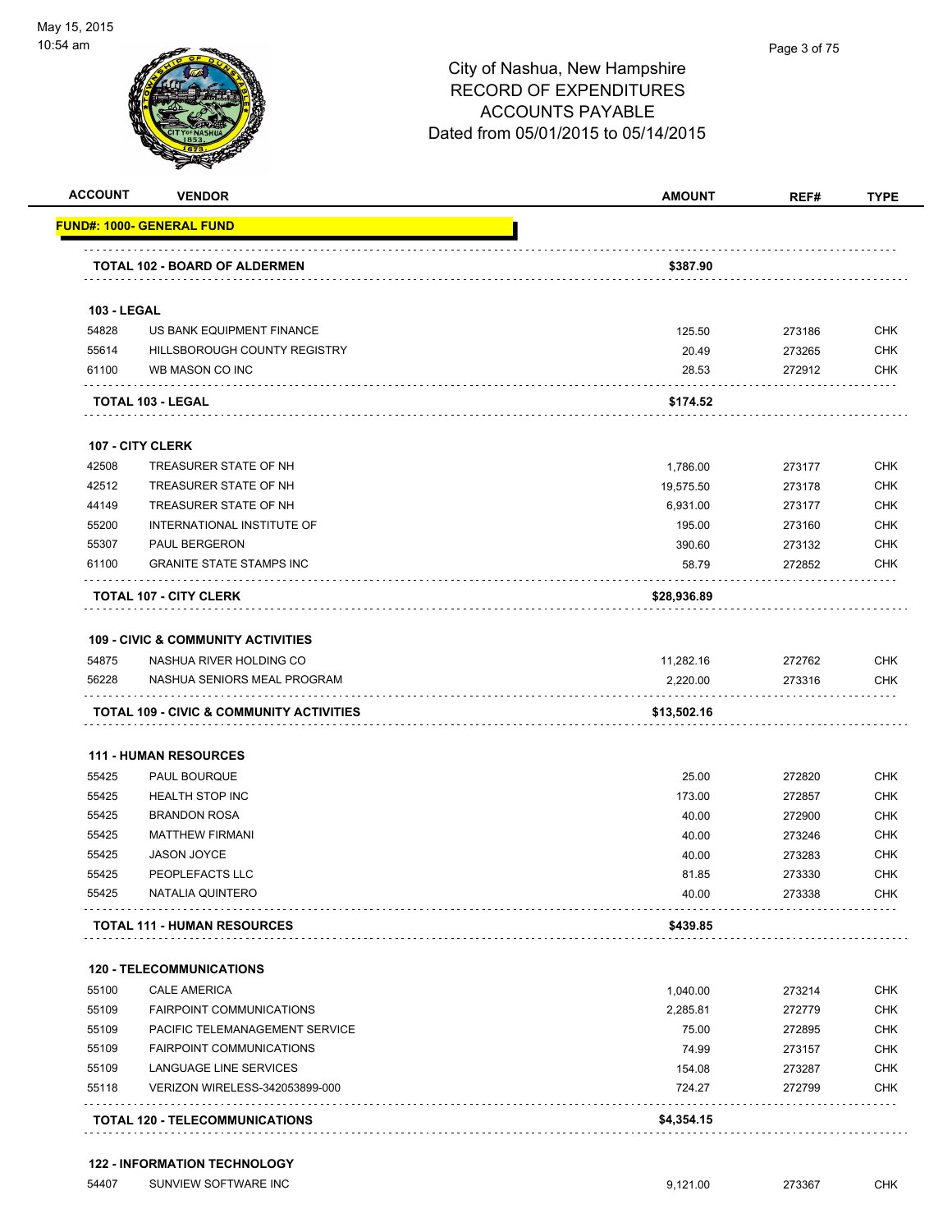

| <b>ACCOUNT</b>     | <b>VENDOR</b>                                 | <b>AMOUNT</b>   | REF#             | <b>TYPE</b>       |
|--------------------|-----------------------------------------------|-----------------|------------------|-------------------|
|                    | FUND#: 1000- GENERAL FUND                     |                 |                  |                   |
|                    | TOTAL 102 - BOARD OF ALDERMEN                 | \$387.90        |                  |                   |
| <b>103 - LEGAL</b> |                                               |                 |                  |                   |
| 54828              | US BANK EQUIPMENT FINANCE                     | 125.50          | 273186           | <b>CHK</b>        |
| 55614              | HILLSBOROUGH COUNTY REGISTRY                  | 20.49           | 273265           | CHK               |
| 61100              | WB MASON CO INC                               | 28.53           | 272912           | CHK               |
|                    | <b>TOTAL 103 - LEGAL</b>                      | \$174.52        |                  |                   |
|                    | <b>107 - CITY CLERK</b>                       |                 |                  |                   |
| 42508              | TREASURER STATE OF NH                         | 1,786.00        | 273177           | <b>CHK</b>        |
| 42512              | TREASURER STATE OF NH                         | 19,575.50       | 273178           | CHK               |
| 44149              | TREASURER STATE OF NH                         | 6,931.00        | 273177           | <b>CHK</b>        |
| 55200              | INTERNATIONAL INSTITUTE OF                    | 195.00          | 273160           | CHK               |
| 55307              | PAUL BERGERON                                 | 390.60          | 273132           | CHK               |
| 61100              | <b>GRANITE STATE STAMPS INC</b>               | 58.79           | 272852           | CHK               |
|                    | <b>TOTAL 107 - CITY CLERK</b>                 | \$28,936.89     |                  |                   |
|                    | <b>109 - CIVIC &amp; COMMUNITY ACTIVITIES</b> |                 |                  |                   |
| 54875              | NASHUA RIVER HOLDING CO                       | 11,282.16       | 272762           | <b>CHK</b>        |
| 56228              | NASHUA SENIORS MEAL PROGRAM                   | 2,220.00        | 273316           | CHK               |
|                    | TOTAL 109 - CIVIC & COMMUNITY ACTIVITIES      | \$13,502.16     |                  |                   |
|                    |                                               |                 |                  |                   |
| 55425              | <b>111 - HUMAN RESOURCES</b><br>PAUL BOURQUE  |                 |                  | <b>CHK</b>        |
|                    |                                               | 25.00<br>173.00 | 272820<br>272857 |                   |
| 55425<br>55425     | <b>HEALTH STOP INC</b><br><b>BRANDON ROSA</b> | 40.00           | 272900           | <b>CHK</b><br>CHK |
| 55425              | <b>MATTHEW FIRMANI</b>                        | 40.00           | 273246           | CHK               |
| 55425              | <b>JASON JOYCE</b>                            | 40.00           | 273283           | <b>CHK</b>        |
| 55425              | PEOPLEFACTS LLC                               | 81.85           | 273330           | <b>CHK</b>        |
| 55425              | NATALIA QUINTERO                              | 40.00           | 273338           | CHK               |
|                    | <b>TOTAL 111 - HUMAN RESOURCES</b>            | \$439.85        |                  |                   |
|                    | <b>120 - TELECOMMUNICATIONS</b>               |                 |                  |                   |
| 55100              | <b>CALE AMERICA</b>                           | 1,040.00        | 273214           | CHK               |
| 55109              | <b>FAIRPOINT COMMUNICATIONS</b>               | 2,285.81        | 272779           | CHK               |
| 55109              | PACIFIC TELEMANAGEMENT SERVICE                | 75.00           | 272895           | <b>CHK</b>        |
| 55109              | <b>FAIRPOINT COMMUNICATIONS</b>               | 74.99           | 273157           | CHK               |
| 55109              | LANGUAGE LINE SERVICES                        | 154.08          | 273287           | <b>CHK</b>        |
| 55118              | VERIZON WIRELESS-342053899-000                | 724.27          | 272799           | CHK               |
|                    |                                               |                 |                  |                   |
|                    | TOTAL 120 - TELECOMMUNICATIONS                | \$4,354.15      |                  |                   |

#### **122 - INFORMATION TECHNOLOGY**

| 54407 | SUNVIEW SOFTWARE INC |  |
|-------|----------------------|--|
|       |                      |  |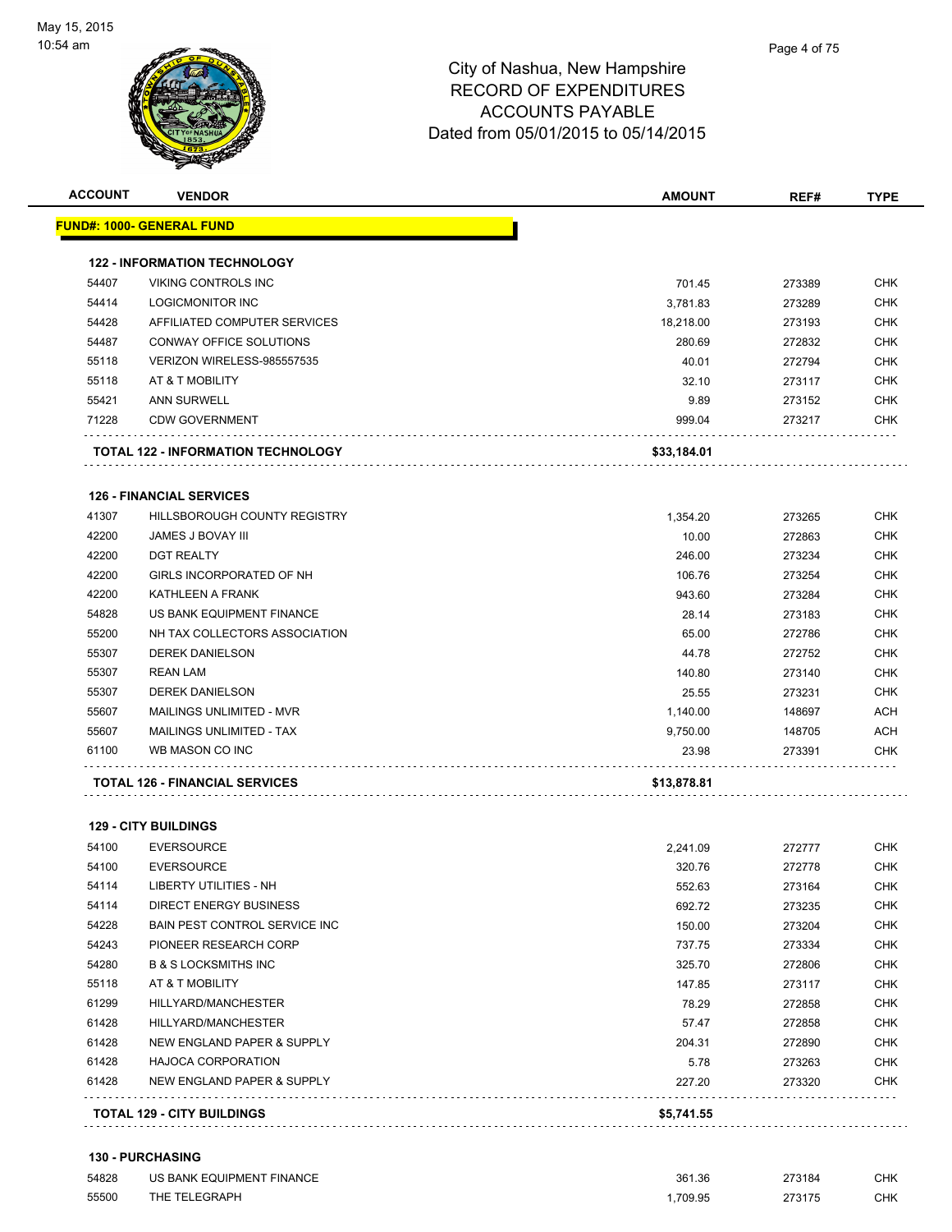

|       | <b>122 - INFORMATION TECHNOLOGY</b>   |             |        |            |
|-------|---------------------------------------|-------------|--------|------------|
| 54407 | <b>VIKING CONTROLS INC</b>            | 701.45      | 273389 | <b>CHK</b> |
| 54414 | LOGICMONITOR INC                      | 3,781.83    | 273289 | <b>CHK</b> |
| 54428 | AFFILIATED COMPUTER SERVICES          | 18,218.00   | 273193 | <b>CHK</b> |
| 54487 | CONWAY OFFICE SOLUTIONS               | 280.69      | 272832 | <b>CHK</b> |
| 55118 | VERIZON WIRELESS-985557535            | 40.01       | 272794 | <b>CHK</b> |
| 55118 | AT & T MOBILITY                       | 32.10       | 273117 | <b>CHK</b> |
| 55421 | ANN SURWELL                           | 9.89        | 273152 | <b>CHK</b> |
| 71228 | <b>CDW GOVERNMENT</b>                 | 999.04      | 273217 | <b>CHK</b> |
|       | TOTAL 122 - INFORMATION TECHNOLOGY    | \$33,184.01 |        |            |
|       | <b>126 - FINANCIAL SERVICES</b>       |             |        |            |
| 41307 | HILLSBOROUGH COUNTY REGISTRY          | 1,354.20    | 273265 | <b>CHK</b> |
| 42200 | JAMES J BOVAY III                     | 10.00       | 272863 | <b>CHK</b> |
| 42200 | <b>DGT REALTY</b>                     | 246.00      | 273234 | <b>CHK</b> |
| 42200 | GIRLS INCORPORATED OF NH              | 106.76      | 273254 | <b>CHK</b> |
| 42200 | KATHLEEN A FRANK                      | 943.60      | 273284 | <b>CHK</b> |
| 54828 | US BANK EQUIPMENT FINANCE             | 28.14       | 273183 | <b>CHK</b> |
| 55200 | NH TAX COLLECTORS ASSOCIATION         | 65.00       | 272786 | <b>CHK</b> |
| 55307 | <b>DEREK DANIELSON</b>                | 44.78       | 272752 | <b>CHK</b> |
| 55307 | <b>REAN LAM</b>                       | 140.80      | 273140 | <b>CHK</b> |
| 55307 | <b>DEREK DANIELSON</b>                | 25.55       | 273231 | <b>CHK</b> |
| 55607 | MAILINGS UNLIMITED - MVR              | 1,140.00    | 148697 | ACH        |
| 55607 | MAILINGS UNLIMITED - TAX              | 9,750.00    | 148705 | <b>ACH</b> |
| 61100 | WB MASON CO INC                       | 23.98       | 273391 | <b>CHK</b> |
|       | <b>TOTAL 126 - FINANCIAL SERVICES</b> | \$13,878.81 |        |            |
|       | <b>129 - CITY BUILDINGS</b>           |             |        |            |
| 54100 | <b>EVERSOURCE</b>                     | 2,241.09    | 272777 | <b>CHK</b> |
| 54100 | <b>EVERSOURCE</b>                     | 320.76      | 272778 | CHK        |
| 54114 | LIBERTY UTILITIES - NH                | 552.63      | 273164 | CHK        |
| 54114 | DIRECT ENERGY BUSINESS                | 692.72      | 273235 | <b>CHK</b> |
| 54228 | <b>BAIN PEST CONTROL SERVICE INC</b>  | 150.00      | 273204 | CHK        |
| 54243 | PIONEER RESEARCH CORP                 | 737.75      | 273334 | <b>CHK</b> |
| 54280 | <b>B &amp; S LOCKSMITHS INC</b>       | 325.70      | 272806 | <b>CHK</b> |
| 55118 | AT & T MOBILITY                       | 147.85      | 273117 | CHK        |
| 61299 | HILLYARD/MANCHESTER                   | 78.29       | 272858 | <b>CHK</b> |
| 61428 | HILLYARD/MANCHESTER                   | 57.47       | 272858 | <b>CHK</b> |
| 61428 | NEW ENGLAND PAPER & SUPPLY            | 204.31      | 272890 | <b>CHK</b> |
| 61428 | <b>HAJOCA CORPORATION</b>             | 5.78        | 273263 | <b>CHK</b> |
| 61428 | NEW ENGLAND PAPER & SUPPLY            | 227.20      | 273320 | <b>CHK</b> |

**ACCOUNT VENDOR AMOUNT REF# TYPE**

#### **130 - PURCHASING**

| 54828 | US BANK EQUIPMENT FINANCE | 361.36  | 273184 | CHK |
|-------|---------------------------|---------|--------|-----|
| 55500 | THE TELEGRAPH             | .709.95 | 273175 | CHK |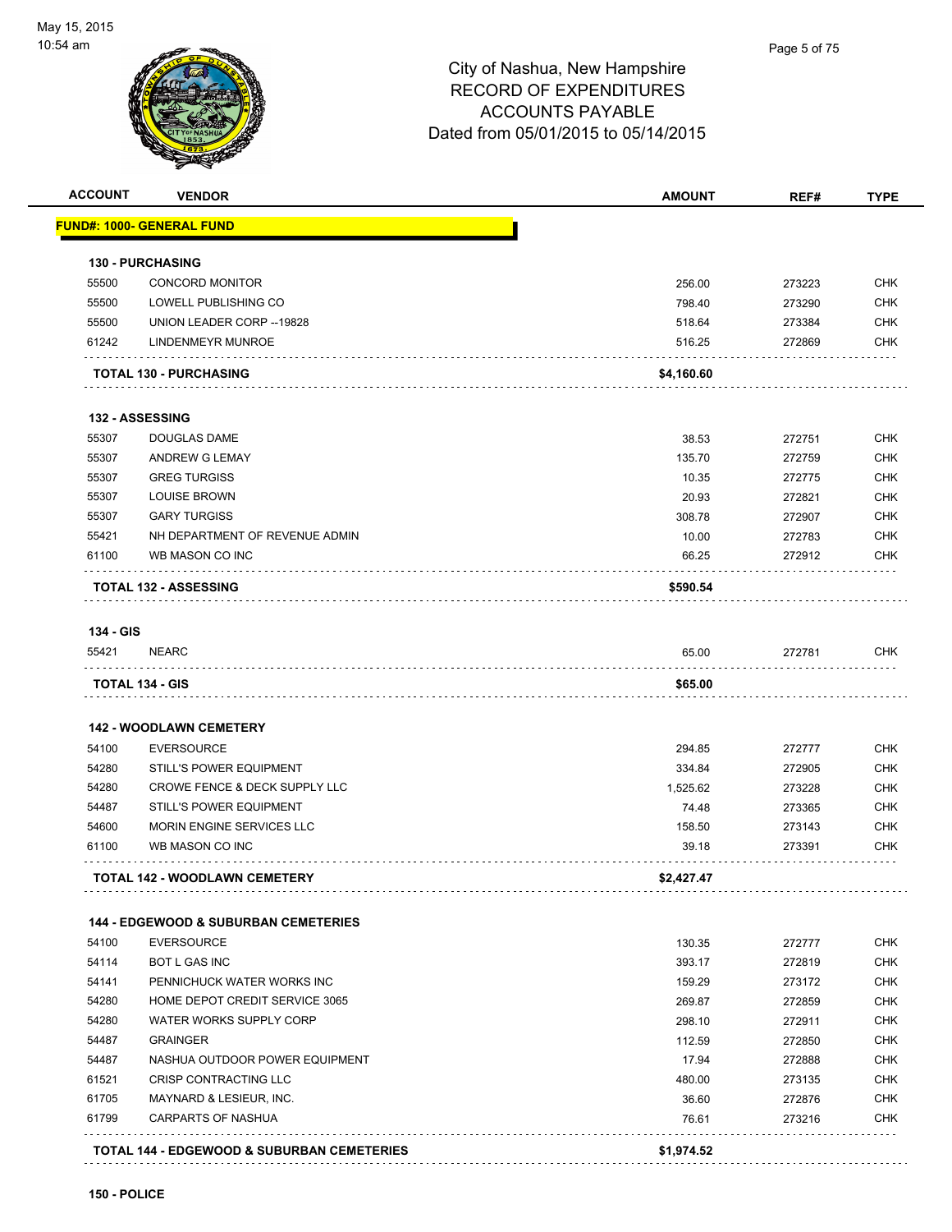**150 - POLICE**



| <b>ACCOUNT</b>          | <b>VENDOR</b>                                                  | <b>AMOUNT</b>  | REF#             | <b>TYPE</b>                                                                                                                              |
|-------------------------|----------------------------------------------------------------|----------------|------------------|------------------------------------------------------------------------------------------------------------------------------------------|
|                         | FUND#: 1000- GENERAL FUND                                      |                |                  |                                                                                                                                          |
|                         | <b>130 - PURCHASING</b>                                        |                |                  |                                                                                                                                          |
| 55500                   | <b>CONCORD MONITOR</b>                                         | 256.00         | 273223           | <b>CHK</b>                                                                                                                               |
| 55500                   | LOWELL PUBLISHING CO                                           | 798.40         | 273290           | <b>CHK</b>                                                                                                                               |
| 55500                   | UNION LEADER CORP -- 19828                                     | 518.64         | 273384           | <b>CHK</b>                                                                                                                               |
| 61242                   | LINDENMEYR MUNROE                                              | 516.25         | 272869           | <b>CHK</b>                                                                                                                               |
|                         | <b>TOTAL 130 - PURCHASING</b>                                  | \$4,160.60     |                  |                                                                                                                                          |
|                         | 132 - ASSESSING                                                |                |                  |                                                                                                                                          |
| 55307                   | <b>DOUGLAS DAME</b>                                            | 38.53          | 272751           | <b>CHK</b>                                                                                                                               |
| 55307                   | ANDREW G LEMAY                                                 | 135.70         | 272759           | <b>CHK</b>                                                                                                                               |
| 55307                   | <b>GREG TURGISS</b>                                            | 10.35          | 272775           | <b>CHK</b>                                                                                                                               |
| 55307                   | <b>LOUISE BROWN</b>                                            | 20.93          | 272821           | <b>CHK</b>                                                                                                                               |
| 55307                   | <b>GARY TURGISS</b>                                            | 308.78         | 272907           | <b>CHK</b>                                                                                                                               |
| 55421                   | NH DEPARTMENT OF REVENUE ADMIN                                 | 10.00          | 272783           | <b>CHK</b>                                                                                                                               |
| 61100                   | WB MASON CO INC                                                | 66.25          | 272912           | CHK                                                                                                                                      |
|                         | <b>TOTAL 132 - ASSESSING</b>                                   | \$590.54       |                  |                                                                                                                                          |
| 134 - GIS               |                                                                |                |                  |                                                                                                                                          |
| 55421                   | <b>NEARC</b>                                                   | 65.00          | 272781           | CHK                                                                                                                                      |
|                         | TOTAL 134 - GIS                                                | \$65.00        |                  |                                                                                                                                          |
|                         |                                                                |                |                  |                                                                                                                                          |
|                         | <b>142 - WOODLAWN CEMETERY</b>                                 |                |                  |                                                                                                                                          |
| 54100                   | <b>EVERSOURCE</b>                                              | 294.85         | 272777           | <b>CHK</b>                                                                                                                               |
| 54280                   | STILL'S POWER EQUIPMENT                                        | 334.84         | 272905           | <b>CHK</b>                                                                                                                               |
| 54280                   | <b>CROWE FENCE &amp; DECK SUPPLY LLC</b>                       | 1,525.62       | 273228           | <b>CHK</b>                                                                                                                               |
| 54487                   | STILL'S POWER EQUIPMENT                                        | 74.48          | 273365           | <b>CHK</b>                                                                                                                               |
| 54600                   | MORIN ENGINE SERVICES LLC                                      | 158.50         | 273143           | <b>CHK</b>                                                                                                                               |
|                         | WB MASON CO INC                                                |                |                  |                                                                                                                                          |
| 61100                   |                                                                | 39.18          | 273391           | <b>CHK</b>                                                                                                                               |
|                         | <b>TOTAL 142 - WOODLAWN CEMETERY</b>                           | \$2,427.47     |                  |                                                                                                                                          |
|                         | <b>144 - EDGEWOOD &amp; SUBURBAN CEMETERIES</b>                |                |                  |                                                                                                                                          |
| 54100                   | <b>EVERSOURCE</b>                                              | 130.35         |                  |                                                                                                                                          |
| 54114                   | <b>BOT L GAS INC</b>                                           | 393.17         | 272777<br>272819 |                                                                                                                                          |
| 54141                   | PENNICHUCK WATER WORKS INC                                     | 159.29         | 273172           |                                                                                                                                          |
| 54280                   | HOME DEPOT CREDIT SERVICE 3065                                 | 269.87         | 272859           |                                                                                                                                          |
| 54280                   | WATER WORKS SUPPLY CORP                                        | 298.10         | 272911           |                                                                                                                                          |
|                         | <b>GRAINGER</b>                                                | 112.59         | 272850           |                                                                                                                                          |
| 54487                   |                                                                |                |                  |                                                                                                                                          |
| 54487                   | NASHUA OUTDOOR POWER EQUIPMENT<br><b>CRISP CONTRACTING LLC</b> | 17.94          | 272888           |                                                                                                                                          |
|                         |                                                                | 480.00         | 273135           |                                                                                                                                          |
|                         | MAYNARD & LESIEUR, INC.<br><b>CARPARTS OF NASHUA</b>           | 36.60<br>76.61 | 272876<br>273216 | <b>CHK</b><br><b>CHK</b><br><b>CHK</b><br><b>CHK</b><br><b>CHK</b><br><b>CHK</b><br><b>CHK</b><br><b>CHK</b><br><b>CHK</b><br><b>CHK</b> |
| 61521<br>61705<br>61799 | <b>TOTAL 144 - EDGEWOOD &amp; SUBURBAN CEMETERIES</b>          | \$1,974.52     |                  |                                                                                                                                          |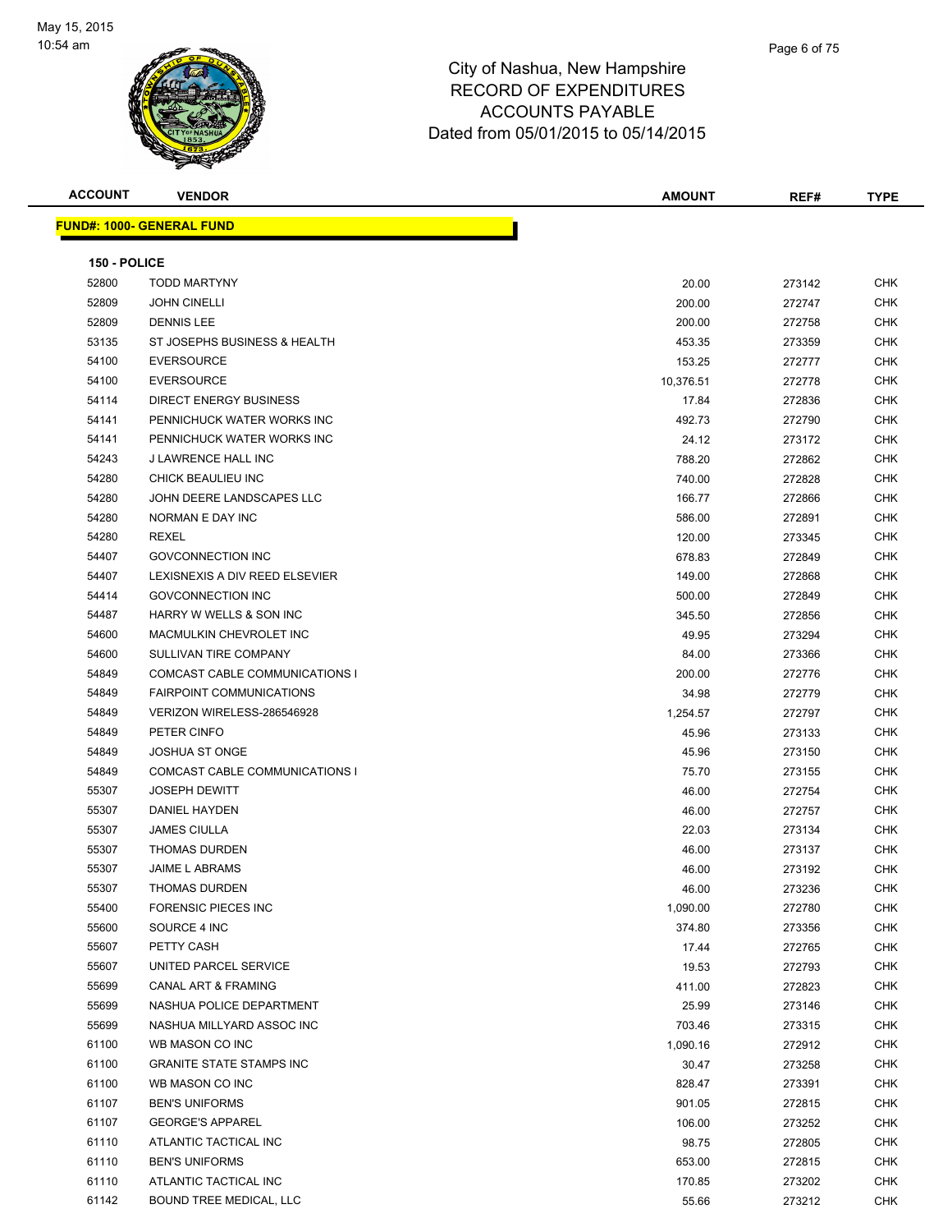

| <b>ACCOUNT</b> | <b>VENDOR</b>                            | <b>AMOUNT</b> | REF#             | <b>TYPE</b>              |
|----------------|------------------------------------------|---------------|------------------|--------------------------|
|                | <u> FUND#: 1000- GENERAL FUND</u>        |               |                  |                          |
|                |                                          |               |                  |                          |
| 150 - POLICE   |                                          |               |                  |                          |
| 52800          | <b>TODD MARTYNY</b>                      | 20.00         | 273142           | CHK                      |
| 52809          | <b>JOHN CINELLI</b>                      | 200.00        | 272747           | <b>CHK</b>               |
| 52809          | <b>DENNIS LEE</b>                        | 200.00        | 272758           | CHK                      |
| 53135          | ST JOSEPHS BUSINESS & HEALTH             | 453.35        | 273359           | CHK                      |
| 54100          | <b>EVERSOURCE</b>                        | 153.25        | 272777           | <b>CHK</b>               |
| 54100          | <b>EVERSOURCE</b>                        | 10,376.51     | 272778           | <b>CHK</b>               |
| 54114          | <b>DIRECT ENERGY BUSINESS</b>            | 17.84         | 272836           | <b>CHK</b>               |
| 54141          | PENNICHUCK WATER WORKS INC               | 492.73        | 272790           | CHK                      |
| 54141          | PENNICHUCK WATER WORKS INC               | 24.12         | 273172           | <b>CHK</b>               |
| 54243          | J LAWRENCE HALL INC                      | 788.20        | 272862           | CHK                      |
| 54280          | CHICK BEAULIEU INC                       | 740.00        | 272828           | CHK                      |
| 54280          | JOHN DEERE LANDSCAPES LLC                | 166.77        | 272866           | CHK                      |
| 54280          | NORMAN E DAY INC                         | 586.00        | 272891           | CHK                      |
| 54280          | <b>REXEL</b>                             | 120.00        | 273345           | CHK                      |
| 54407          | <b>GOVCONNECTION INC</b>                 | 678.83        | 272849           | CHK                      |
| 54407          | LEXISNEXIS A DIV REED ELSEVIER           | 149.00        | 272868           | CHK                      |
| 54414          | <b>GOVCONNECTION INC</b>                 | 500.00        | 272849           | <b>CHK</b>               |
| 54487          | HARRY W WELLS & SON INC                  | 345.50        | 272856           | <b>CHK</b>               |
| 54600          | MACMULKIN CHEVROLET INC                  | 49.95         | 273294           | <b>CHK</b>               |
| 54600          | SULLIVAN TIRE COMPANY                    | 84.00         | 273366           | <b>CHK</b>               |
| 54849          | COMCAST CABLE COMMUNICATIONS I           | 200.00        | 272776           | CHK                      |
| 54849          | <b>FAIRPOINT COMMUNICATIONS</b>          | 34.98         | 272779           | <b>CHK</b>               |
| 54849          | VERIZON WIRELESS-286546928               | 1,254.57      | 272797           | CHK                      |
| 54849          | PETER CINFO                              | 45.96         | 273133           | <b>CHK</b>               |
| 54849          | <b>JOSHUA ST ONGE</b>                    | 45.96         | 273150           | CHK                      |
| 54849          | COMCAST CABLE COMMUNICATIONS I           | 75.70         | 273155           | CHK                      |
| 55307          | <b>JOSEPH DEWITT</b>                     | 46.00         | 272754           | <b>CHK</b>               |
| 55307          | <b>DANIEL HAYDEN</b>                     | 46.00         | 272757           | <b>CHK</b>               |
| 55307          | <b>JAMES CIULLA</b>                      | 22.03         | 273134           | <b>CHK</b>               |
| 55307          | <b>THOMAS DURDEN</b>                     | 46.00         | 273137           | <b>CHK</b>               |
| 55307          | JAIME L ABRAMS                           | 46.00         | 273192           | <b>CHK</b>               |
| 55307          | <b>THOMAS DURDEN</b>                     | 46.00         | 273236           | CHK                      |
| 55400          | FORENSIC PIECES INC                      | 1,090.00      | 272780           | CHK                      |
| 55600          | SOURCE 4 INC                             | 374.80        | 273356           | CHK                      |
| 55607          | PETTY CASH                               | 17.44         | 272765           | <b>CHK</b>               |
| 55607          | UNITED PARCEL SERVICE                    | 19.53         | 272793           | <b>CHK</b>               |
| 55699          | CANAL ART & FRAMING                      | 411.00        | 272823           | <b>CHK</b>               |
| 55699          | NASHUA POLICE DEPARTMENT                 | 25.99         | 273146           | <b>CHK</b>               |
| 55699          | NASHUA MILLYARD ASSOC INC                | 703.46        | 273315           | <b>CHK</b>               |
| 61100          | WB MASON CO INC                          |               |                  | <b>CHK</b>               |
| 61100          | <b>GRANITE STATE STAMPS INC</b>          | 1,090.16      | 272912<br>273258 | <b>CHK</b>               |
|                |                                          | 30.47         |                  |                          |
| 61100<br>61107 | WB MASON CO INC<br><b>BEN'S UNIFORMS</b> | 828.47        | 273391           | <b>CHK</b><br><b>CHK</b> |
|                |                                          | 901.05        | 272815           |                          |
| 61107          | <b>GEORGE'S APPAREL</b>                  | 106.00        | 273252           | CHK                      |
| 61110          | ATLANTIC TACTICAL INC                    | 98.75         | 272805           | CHK                      |
| 61110          | <b>BEN'S UNIFORMS</b>                    | 653.00        | 272815           | CHK                      |
| 61110          | ATLANTIC TACTICAL INC                    | 170.85        | 273202           | CHK                      |
| 61142          | BOUND TREE MEDICAL, LLC                  | 55.66         | 273212           | <b>CHK</b>               |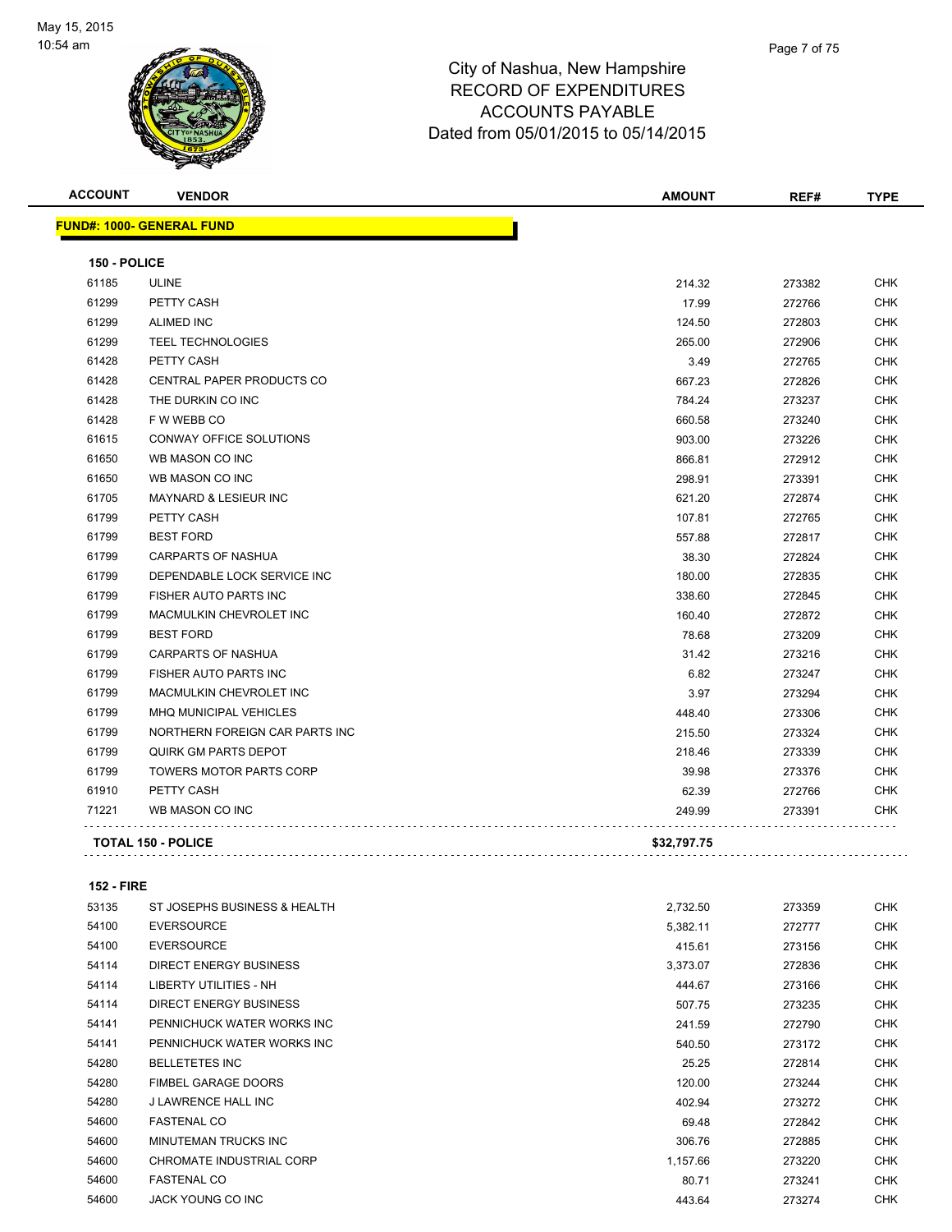

|                     | <b>VENDOR</b>                    | <b>AMOUNT</b> | REF#   | <b>TYPE</b> |
|---------------------|----------------------------------|---------------|--------|-------------|
|                     | <b>FUND#: 1000- GENERAL FUND</b> |               |        |             |
| <b>150 - POLICE</b> |                                  |               |        |             |
| 61185               | <b>ULINE</b>                     | 214.32        | 273382 | <b>CHK</b>  |
| 61299               | PETTY CASH                       | 17.99         | 272766 | <b>CHK</b>  |
| 61299               | <b>ALIMED INC</b>                | 124.50        | 272803 | <b>CHK</b>  |
| 61299               | <b>TEEL TECHNOLOGIES</b>         | 265.00        | 272906 | <b>CHK</b>  |
| 61428               | PETTY CASH                       | 3.49          | 272765 | <b>CHK</b>  |
| 61428               | <b>CENTRAL PAPER PRODUCTS CO</b> | 667.23        | 272826 | <b>CHK</b>  |
| 61428               | THE DURKIN CO INC                | 784.24        | 273237 | <b>CHK</b>  |
| 61428               | F W WEBB CO                      | 660.58        | 273240 | <b>CHK</b>  |
| 61615               | CONWAY OFFICE SOLUTIONS          | 903.00        | 273226 | <b>CHK</b>  |
| 61650               | WB MASON CO INC                  | 866.81        | 272912 | <b>CHK</b>  |
| 61650               | WB MASON CO INC                  | 298.91        | 273391 | <b>CHK</b>  |
| 61705               | <b>MAYNARD &amp; LESIEUR INC</b> | 621.20        | 272874 | <b>CHK</b>  |
| 61799               | PETTY CASH                       | 107.81        | 272765 | <b>CHK</b>  |
| 61799               | <b>BEST FORD</b>                 | 557.88        | 272817 | <b>CHK</b>  |
| 61799               | <b>CARPARTS OF NASHUA</b>        | 38.30         | 272824 | <b>CHK</b>  |
| 61799               | DEPENDABLE LOCK SERVICE INC      | 180.00        | 272835 | <b>CHK</b>  |
| 61799               | FISHER AUTO PARTS INC            | 338.60        | 272845 | <b>CHK</b>  |
| 61799               | MACMULKIN CHEVROLET INC          | 160.40        | 272872 | <b>CHK</b>  |
| 61799               | <b>BEST FORD</b>                 | 78.68         | 273209 | <b>CHK</b>  |
| 61799               | <b>CARPARTS OF NASHUA</b>        | 31.42         | 273216 | <b>CHK</b>  |
| 61799               | <b>FISHER AUTO PARTS INC</b>     | 6.82          | 273247 | <b>CHK</b>  |
| 61799               | MACMULKIN CHEVROLET INC          | 3.97          | 273294 | <b>CHK</b>  |
| 61799               | <b>MHQ MUNICIPAL VEHICLES</b>    | 448.40        | 273306 | <b>CHK</b>  |
| 61799               | NORTHERN FOREIGN CAR PARTS INC   | 215.50        | 273324 | <b>CHK</b>  |
| 61799               | QUIRK GM PARTS DEPOT             | 218.46        | 273339 | <b>CHK</b>  |
| 61799               | <b>TOWERS MOTOR PARTS CORP</b>   | 39.98         | 273376 | <b>CHK</b>  |
| 61910               | PETTY CASH                       | 62.39         | 272766 | <b>CHK</b>  |
| 71221               | WB MASON CO INC                  | 249.99        | 273391 | <b>CHK</b>  |
|                     | <b>TOTAL 150 - POLICE</b>        | \$32,797.75   |        |             |

#### **152 - FIRE**

| 53135 | ST JOSEPHS BUSINESS & HEALTH | 2,732.50 | 273359 | <b>CHK</b> |
|-------|------------------------------|----------|--------|------------|
| 54100 | <b>EVERSOURCE</b>            | 5,382.11 | 272777 | <b>CHK</b> |
| 54100 | <b>EVERSOURCE</b>            | 415.61   | 273156 | <b>CHK</b> |
| 54114 | DIRECT ENERGY BUSINESS       | 3,373.07 | 272836 | <b>CHK</b> |
| 54114 | LIBERTY UTILITIES - NH       | 444.67   | 273166 | <b>CHK</b> |
| 54114 | DIRECT ENERGY BUSINESS       | 507.75   | 273235 | <b>CHK</b> |
| 54141 | PENNICHUCK WATER WORKS INC   | 241.59   | 272790 | <b>CHK</b> |
| 54141 | PENNICHUCK WATER WORKS INC   | 540.50   | 273172 | <b>CHK</b> |
| 54280 | <b>BELLETETES INC</b>        | 25.25    | 272814 | <b>CHK</b> |
| 54280 | <b>FIMBEL GARAGE DOORS</b>   | 120.00   | 273244 | <b>CHK</b> |
| 54280 | J LAWRENCE HALL INC          | 402.94   | 273272 | <b>CHK</b> |
| 54600 | <b>FASTENAL CO</b>           | 69.48    | 272842 | <b>CHK</b> |
| 54600 | MINUTEMAN TRUCKS INC         | 306.76   | 272885 | <b>CHK</b> |
| 54600 | CHROMATE INDUSTRIAL CORP     | 1,157.66 | 273220 | <b>CHK</b> |
| 54600 | <b>FASTENAL CO</b>           | 80.71    | 273241 | <b>CHK</b> |
| 54600 | JACK YOUNG CO INC            | 443.64   | 273274 | <b>CHK</b> |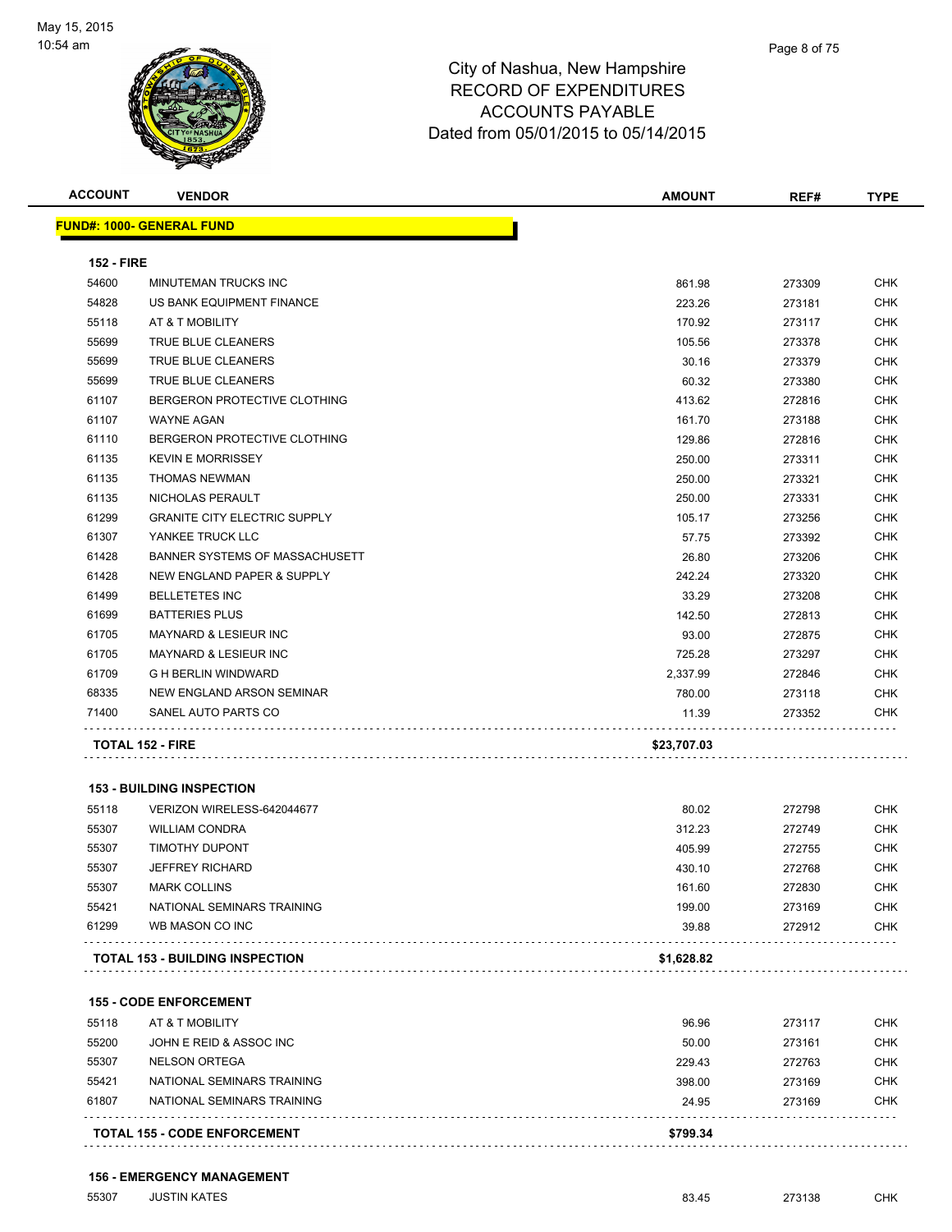

| <b>ACCOUNT</b>    | <b>VENDOR</b>                       | <b>AMOUNT</b> | REF#   | <b>TYPE</b> |
|-------------------|-------------------------------------|---------------|--------|-------------|
|                   | <b>FUND#: 1000- GENERAL FUND</b>    |               |        |             |
| <b>152 - FIRE</b> |                                     |               |        |             |
| 54600             | <b>MINUTEMAN TRUCKS INC</b>         | 861.98        | 273309 | <b>CHK</b>  |
| 54828             | US BANK EQUIPMENT FINANCE           | 223.26        | 273181 | <b>CHK</b>  |
| 55118             | AT & T MOBILITY                     | 170.92        | 273117 | <b>CHK</b>  |
| 55699             | TRUE BLUE CLEANERS                  | 105.56        | 273378 | <b>CHK</b>  |
| 55699             | TRUE BLUE CLEANERS                  | 30.16         | 273379 | <b>CHK</b>  |
| 55699             | TRUE BLUE CLEANERS                  | 60.32         | 273380 | <b>CHK</b>  |
| 61107             | BERGERON PROTECTIVE CLOTHING        | 413.62        | 272816 | <b>CHK</b>  |
| 61107             | <b>WAYNE AGAN</b>                   | 161.70        | 273188 | <b>CHK</b>  |
| 61110             | BERGERON PROTECTIVE CLOTHING        | 129.86        | 272816 | <b>CHK</b>  |
| 61135             | <b>KEVIN E MORRISSEY</b>            | 250.00        | 273311 | <b>CHK</b>  |
| 61135             | <b>THOMAS NEWMAN</b>                | 250.00        | 273321 | <b>CHK</b>  |
| 61135             | NICHOLAS PERAULT                    | 250.00        | 273331 | <b>CHK</b>  |
| 61299             | <b>GRANITE CITY ELECTRIC SUPPLY</b> | 105.17        | 273256 | <b>CHK</b>  |
| 61307             | YANKEE TRUCK LLC                    | 57.75         | 273392 | <b>CHK</b>  |
| 61428             | BANNER SYSTEMS OF MASSACHUSETT      | 26.80         | 273206 | <b>CHK</b>  |
| 61428             | NEW ENGLAND PAPER & SUPPLY          | 242.24        | 273320 | <b>CHK</b>  |
| 61499             | <b>BELLETETES INC</b>               | 33.29         | 273208 | <b>CHK</b>  |
| 61699             | <b>BATTERIES PLUS</b>               | 142.50        | 272813 | <b>CHK</b>  |
| 61705             | <b>MAYNARD &amp; LESIEUR INC</b>    | 93.00         | 272875 | <b>CHK</b>  |
| 61705             | <b>MAYNARD &amp; LESIEUR INC</b>    | 725.28        | 273297 | <b>CHK</b>  |
| 61709             | <b>G H BERLIN WINDWARD</b>          | 2,337.99      | 272846 | <b>CHK</b>  |
| 68335             | NEW ENGLAND ARSON SEMINAR           | 780.00        | 273118 | <b>CHK</b>  |
| 71400             | SANEL AUTO PARTS CO                 | 11.39         | 273352 | <b>CHK</b>  |
|                   | <b>TOTAL 152 - FIRE</b>             | \$23,707.03   |        |             |
|                   | <b>153 - BUILDING INSPECTION</b>    |               |        |             |
| 55118             | VERIZON WIRELESS-642044677          | 80.02         | 272798 | CHK         |
| 55307             | <b>WILLIAM CONDRA</b>               | 312.23        | 272749 | CHK         |
| 55307             | <b>TIMOTHY DUPONT</b>               | 405.99        | 272755 | <b>CHK</b>  |
| 55307             | <b>JEFFREY RICHARD</b>              | 430.10        | 272768 | <b>CHK</b>  |
| 55307             | <b>MARK COLLINS</b>                 | 161.60        | 272830 | <b>CHK</b>  |
| 55421             | NATIONAL SEMINARS TRAINING          | 199.00        | 273169 | <b>CHK</b>  |
| 61299             | WB MASON CO INC                     | 39.88         | 272912 | <b>CHK</b>  |
|                   | TOTAL 153 - BUILDING INSPECTION     | \$1,628.82    |        |             |
|                   | <b>155 - CODE ENFORCEMENT</b>       |               |        |             |
| 55118             | AT & T MOBILITY                     | 96.96         | 273117 | <b>CHK</b>  |
| 55200             | JOHN E REID & ASSOC INC             | 50.00         | 273161 | CHK         |
| 55307             | <b>NELSON ORTEGA</b>                | 229.43        | 272763 | <b>CHK</b>  |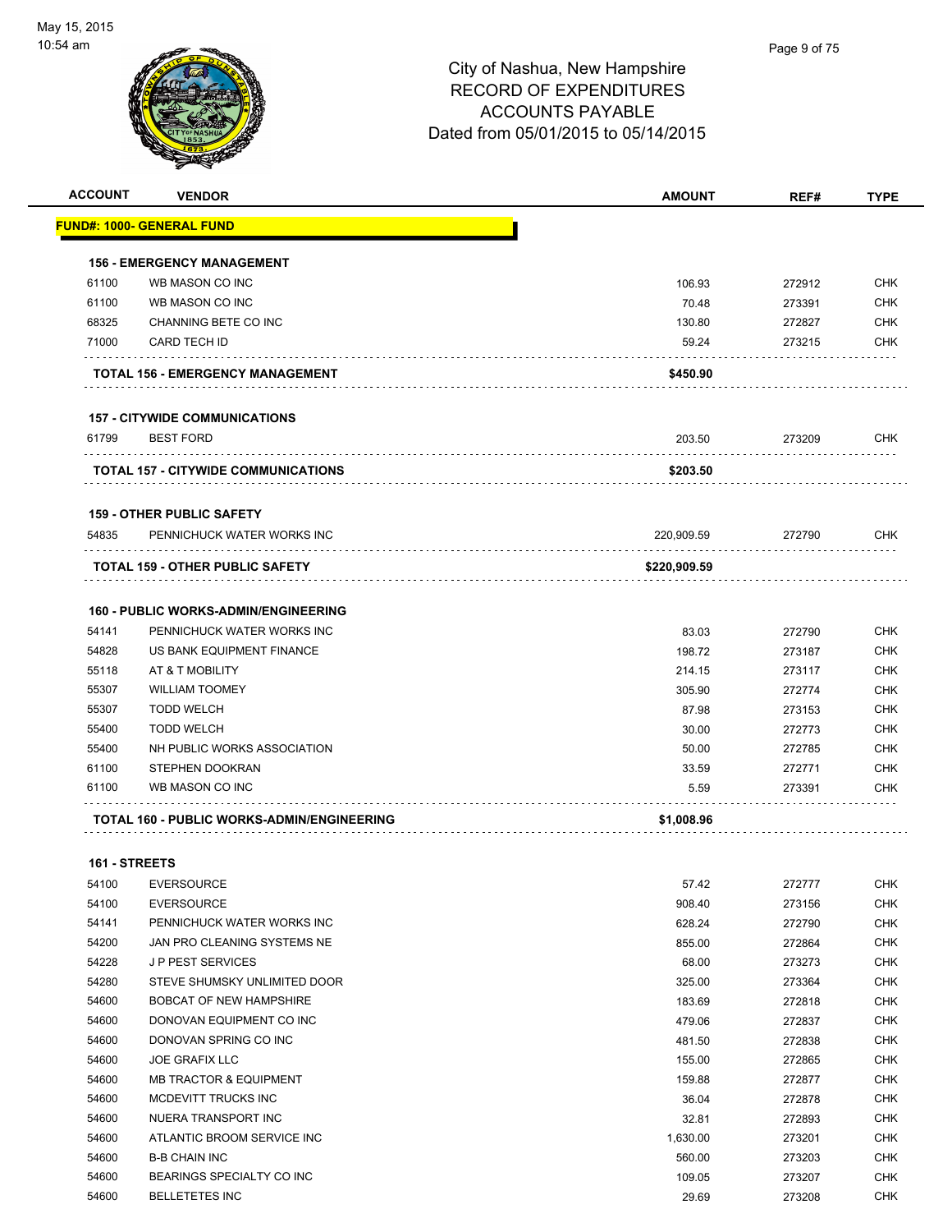

| <b>ACCOUNT</b> | <b>VENDOR</b>                                     | <b>AMOUNT</b> | REF#             | <b>TYPE</b>              |
|----------------|---------------------------------------------------|---------------|------------------|--------------------------|
|                | <u> FUND#: 1000- GENERAL FUND</u>                 |               |                  |                          |
|                | <b>156 - EMERGENCY MANAGEMENT</b>                 |               |                  |                          |
| 61100          | WB MASON CO INC                                   | 106.93        | 272912           | <b>CHK</b>               |
| 61100          | WB MASON CO INC                                   | 70.48         | 273391           | <b>CHK</b>               |
| 68325          | CHANNING BETE CO INC                              | 130.80        | 272827           | <b>CHK</b>               |
| 71000          | <b>CARD TECH ID</b>                               | 59.24         | 273215           | <b>CHK</b>               |
|                | <b>TOTAL 156 - EMERGENCY MANAGEMENT</b>           | \$450.90      |                  |                          |
|                | <b>157 - CITYWIDE COMMUNICATIONS</b>              |               |                  |                          |
| 61799          | <b>BEST FORD</b>                                  | 203.50        | 273209           | <b>CHK</b>               |
|                | <b>TOTAL 157 - CITYWIDE COMMUNICATIONS</b>        | \$203.50      |                  |                          |
|                | <b>159 - OTHER PUBLIC SAFETY</b>                  |               |                  |                          |
| 54835          | PENNICHUCK WATER WORKS INC                        | 220,909.59    | 272790           | <b>CHK</b>               |
|                | <b>TOTAL 159 - OTHER PUBLIC SAFETY</b>            | \$220,909.59  |                  |                          |
|                |                                                   |               |                  |                          |
|                | <b>160 - PUBLIC WORKS-ADMIN/ENGINEERING</b>       |               |                  |                          |
| 54141          | PENNICHUCK WATER WORKS INC                        | 83.03         | 272790           | <b>CHK</b>               |
| 54828          | US BANK EQUIPMENT FINANCE                         | 198.72        | 273187           | <b>CHK</b>               |
| 55118          | AT & T MOBILITY                                   | 214.15        | 273117           | <b>CHK</b>               |
| 55307          | <b>WILLIAM TOOMEY</b>                             | 305.90        | 272774           | <b>CHK</b>               |
| 55307          | <b>TODD WELCH</b>                                 | 87.98         | 273153           | <b>CHK</b>               |
| 55400          | <b>TODD WELCH</b>                                 | 30.00         | 272773           | <b>CHK</b><br><b>CHK</b> |
| 55400          | NH PUBLIC WORKS ASSOCIATION                       | 50.00         | 272785           |                          |
| 61100<br>61100 | STEPHEN DOOKRAN<br>WB MASON CO INC                | 33.59<br>5.59 | 272771<br>273391 | <b>CHK</b><br><b>CHK</b> |
|                |                                                   |               |                  |                          |
|                | <b>TOTAL 160 - PUBLIC WORKS-ADMIN/ENGINEERING</b> | \$1,008.96    |                  |                          |
| 161 - STREETS  |                                                   |               |                  |                          |
| 54100          | <b>EVERSOURCE</b>                                 | 57.42         | 272777           | CHK                      |
| 54100          | <b>EVERSOURCE</b>                                 | 908.40        | 273156           | <b>CHK</b>               |
| 54141          | PENNICHUCK WATER WORKS INC                        | 628.24        | 272790           | <b>CHK</b>               |
| 54200          | JAN PRO CLEANING SYSTEMS NE                       | 855.00        | 272864           | <b>CHK</b>               |
| 54228          | <b>JP PEST SERVICES</b>                           | 68.00         | 273273           | <b>CHK</b>               |
| 54280          | STEVE SHUMSKY UNLIMITED DOOR                      | 325.00        | 273364           | <b>CHK</b>               |
| 54600          | BOBCAT OF NEW HAMPSHIRE                           | 183.69        | 272818           | <b>CHK</b>               |
| 54600          | DONOVAN EQUIPMENT CO INC                          | 479.06        | 272837           | <b>CHK</b>               |
| 54600          | DONOVAN SPRING CO INC                             | 481.50        | 272838           | <b>CHK</b>               |
| 54600          | <b>JOE GRAFIX LLC</b>                             | 155.00        | 272865           | <b>CHK</b>               |
| 54600          | <b>MB TRACTOR &amp; EQUIPMENT</b>                 | 159.88        | 272877           | <b>CHK</b>               |
| 54600          | MCDEVITT TRUCKS INC                               | 36.04         | 272878           | <b>CHK</b>               |
| 54600          | NUERA TRANSPORT INC                               | 32.81         | 272893           | <b>CHK</b>               |
| 54600          | ATLANTIC BROOM SERVICE INC                        | 1,630.00      | 273201           | <b>CHK</b>               |
| 54600          | <b>B-B CHAIN INC</b>                              | 560.00        | 273203           | <b>CHK</b>               |
| 54600          | BEARINGS SPECIALTY CO INC                         | 109.05        | 273207           | <b>CHK</b>               |

BELLETETES INC 29.69 273208 CHK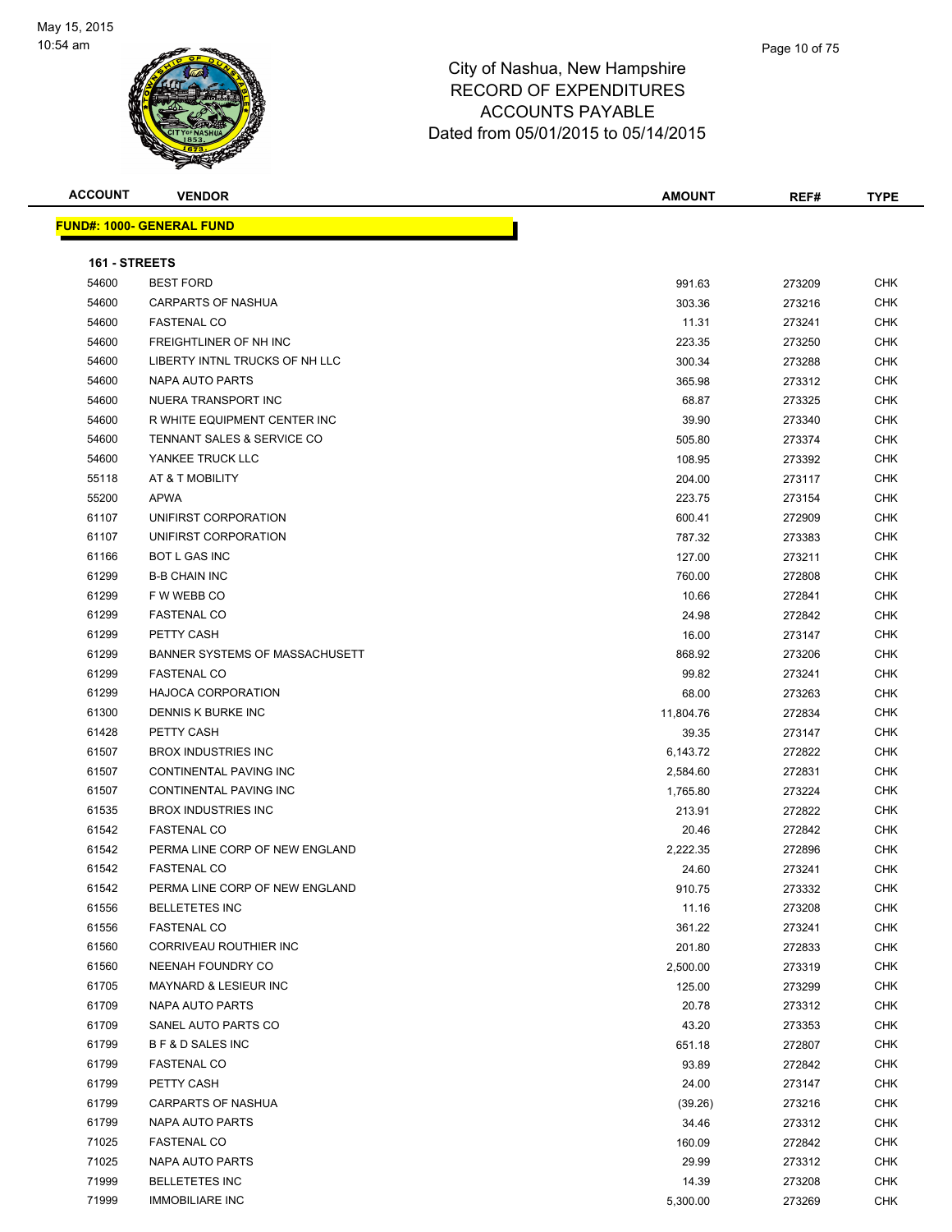

| <b>ACCOUNT</b> | <b>VENDOR</b>                         | <b>AMOUNT</b> | REF#   | <b>TYPE</b> |
|----------------|---------------------------------------|---------------|--------|-------------|
|                | <u> FUND#: 1000- GENERAL FUND</u>     |               |        |             |
|                |                                       |               |        |             |
| 161 - STREETS  |                                       |               |        |             |
| 54600          | <b>BEST FORD</b>                      | 991.63        | 273209 | <b>CHK</b>  |
| 54600          | <b>CARPARTS OF NASHUA</b>             | 303.36        | 273216 | <b>CHK</b>  |
| 54600          | <b>FASTENAL CO</b>                    | 11.31         | 273241 | <b>CHK</b>  |
| 54600          | FREIGHTLINER OF NH INC                | 223.35        | 273250 | <b>CHK</b>  |
| 54600          | LIBERTY INTNL TRUCKS OF NH LLC        | 300.34        | 273288 | CHK         |
| 54600          | NAPA AUTO PARTS                       | 365.98        | 273312 | <b>CHK</b>  |
| 54600          | NUERA TRANSPORT INC                   | 68.87         | 273325 | CHK         |
| 54600          | R WHITE EQUIPMENT CENTER INC          | 39.90         | 273340 | <b>CHK</b>  |
| 54600          | <b>TENNANT SALES &amp; SERVICE CO</b> | 505.80        | 273374 | <b>CHK</b>  |
| 54600          | YANKEE TRUCK LLC                      | 108.95        | 273392 | CHK         |
| 55118          | AT & T MOBILITY                       | 204.00        | 273117 | CHK         |
| 55200          | <b>APWA</b>                           | 223.75        | 273154 | CHK         |
| 61107          | UNIFIRST CORPORATION                  | 600.41        | 272909 | CHK         |
| 61107          | UNIFIRST CORPORATION                  | 787.32        | 273383 | CHK         |
| 61166          | BOT L GAS INC                         | 127.00        | 273211 | <b>CHK</b>  |
| 61299          | <b>B-B CHAIN INC</b>                  | 760.00        | 272808 | CHK         |
| 61299          | F W WEBB CO                           | 10.66         | 272841 | CHK         |
| 61299          | <b>FASTENAL CO</b>                    | 24.98         | 272842 | <b>CHK</b>  |
| 61299          | PETTY CASH                            | 16.00         | 273147 | CHK         |
| 61299          | <b>BANNER SYSTEMS OF MASSACHUSETT</b> | 868.92        | 273206 | <b>CHK</b>  |
| 61299          | <b>FASTENAL CO</b>                    | 99.82         | 273241 | CHK         |
| 61299          | <b>HAJOCA CORPORATION</b>             | 68.00         | 273263 | <b>CHK</b>  |
| 61300          | DENNIS K BURKE INC                    | 11,804.76     | 272834 | <b>CHK</b>  |
| 61428          | PETTY CASH                            | 39.35         | 273147 | <b>CHK</b>  |
| 61507          | <b>BROX INDUSTRIES INC</b>            | 6,143.72      | 272822 | <b>CHK</b>  |
| 61507          | CONTINENTAL PAVING INC                | 2,584.60      | 272831 | CHK         |
| 61507          | CONTINENTAL PAVING INC                | 1,765.80      | 273224 | CHK         |
| 61535          | <b>BROX INDUSTRIES INC</b>            | 213.91        | 272822 | CHK         |
| 61542          | <b>FASTENAL CO</b>                    | 20.46         | 272842 | CHK         |
| 61542          | PERMA LINE CORP OF NEW ENGLAND        | 2,222.35      | 272896 | CHK         |
| 61542          | <b>FASTENAL CO</b>                    | 24.60         | 273241 | <b>CHK</b>  |
| 61542          | PERMA LINE CORP OF NEW ENGLAND        | 910.75        | 273332 | <b>CHK</b>  |
| 61556          | <b>BELLETETES INC</b>                 | 11.16         | 273208 | <b>CHK</b>  |
| 61556          | <b>FASTENAL CO</b>                    | 361.22        | 273241 | <b>CHK</b>  |
| 61560          | CORRIVEAU ROUTHIER INC                | 201.80        | 272833 | <b>CHK</b>  |
| 61560          | NEENAH FOUNDRY CO                     | 2,500.00      | 273319 | <b>CHK</b>  |
| 61705          | MAYNARD & LESIEUR INC                 | 125.00        | 273299 | CHK         |
| 61709          | NAPA AUTO PARTS                       | 20.78         | 273312 | CHK         |
| 61709          | SANEL AUTO PARTS CO                   | 43.20         | 273353 | CHK         |
| 61799          | <b>BF&amp;D SALES INC</b>             | 651.18        | 272807 | CHK         |
| 61799          | <b>FASTENAL CO</b>                    | 93.89         | 272842 | CHK         |
| 61799          | PETTY CASH                            | 24.00         | 273147 | CHK         |
| 61799          | CARPARTS OF NASHUA                    | (39.26)       | 273216 | CHK         |
| 61799          | <b>NAPA AUTO PARTS</b>                | 34.46         | 273312 | <b>CHK</b>  |
| 71025          | <b>FASTENAL CO</b>                    | 160.09        | 272842 | CHK         |
| 71025          | NAPA AUTO PARTS                       | 29.99         | 273312 | <b>CHK</b>  |
| 71999          | <b>BELLETETES INC</b>                 | 14.39         | 273208 | <b>CHK</b>  |
| 71999          | <b>IMMOBILIARE INC</b>                | 5,300.00      | 273269 | <b>CHK</b>  |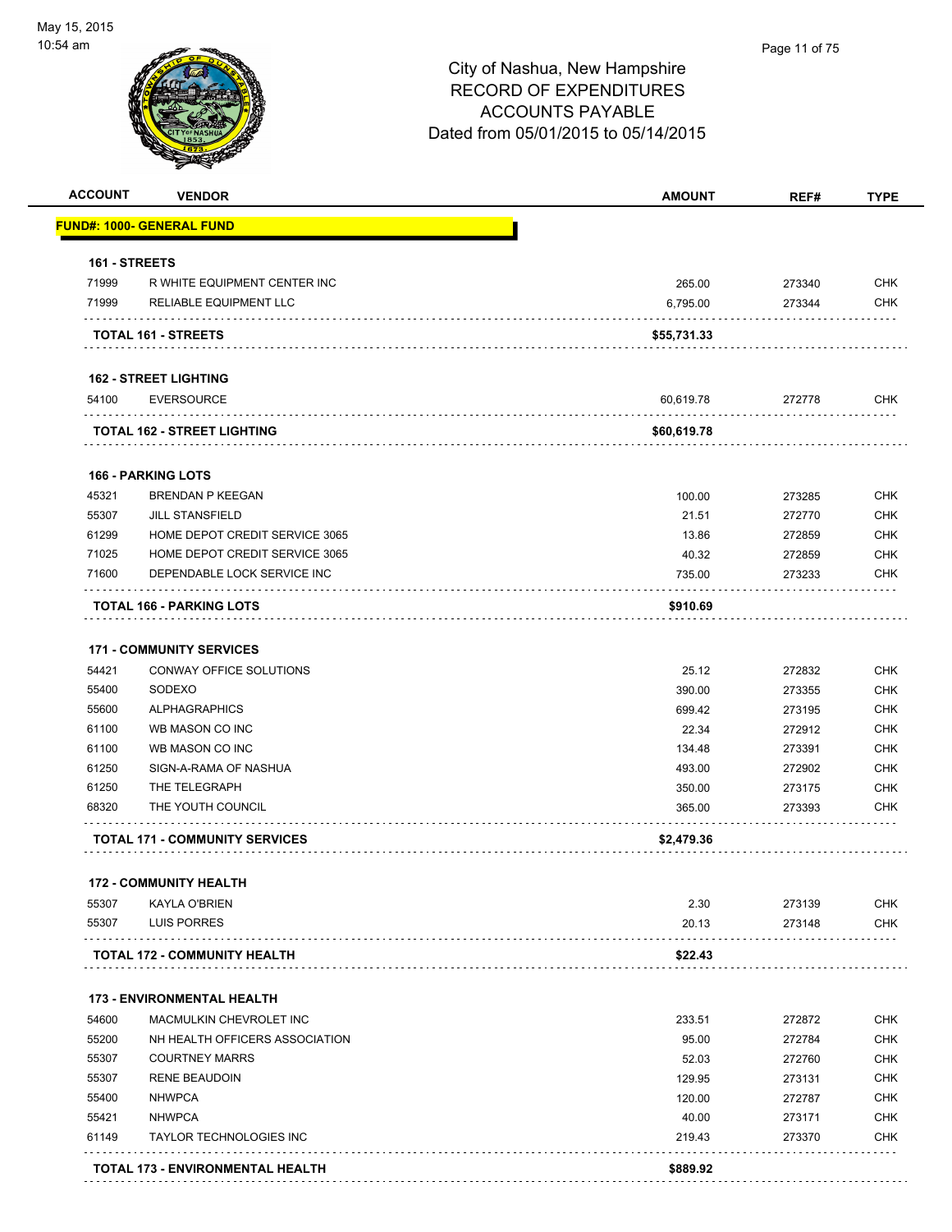

## Page 11 of 75

| <b>ACCOUNT</b> | <b>VENDOR</b>                           | <b>AMOUNT</b> | REF#                                                                                                                                                                                                                                     | <b>TYPE</b> |
|----------------|-----------------------------------------|---------------|------------------------------------------------------------------------------------------------------------------------------------------------------------------------------------------------------------------------------------------|-------------|
|                | <b>FUND#: 1000- GENERAL FUND</b>        |               |                                                                                                                                                                                                                                          |             |
| 161 - STREETS  |                                         |               |                                                                                                                                                                                                                                          |             |
| 71999          | R WHITE EQUIPMENT CENTER INC            | 265.00        | 273340                                                                                                                                                                                                                                   | <b>CHK</b>  |
| 71999          | RELIABLE EQUIPMENT LLC                  | 6,795.00      | 273344                                                                                                                                                                                                                                   | <b>CHK</b>  |
|                | TOTAL 161 - STREETS                     | \$55,731.33   |                                                                                                                                                                                                                                          |             |
|                | <b>162 - STREET LIGHTING</b>            |               |                                                                                                                                                                                                                                          |             |
| 54100          | <b>EVERSOURCE</b>                       | 60,619.78     | 272778                                                                                                                                                                                                                                   | <b>CHK</b>  |
|                | <b>TOTAL 162 - STREET LIGHTING</b>      | \$60,619.78   |                                                                                                                                                                                                                                          |             |
|                | <b>166 - PARKING LOTS</b>               |               |                                                                                                                                                                                                                                          |             |
| 45321          | <b>BRENDAN P KEEGAN</b>                 | 100.00        | 273285                                                                                                                                                                                                                                   | <b>CHK</b>  |
| 55307          | <b>JILL STANSFIELD</b>                  | 21.51         | 272770                                                                                                                                                                                                                                   | <b>CHK</b>  |
| 61299          | HOME DEPOT CREDIT SERVICE 3065          | 13.86         | 272859                                                                                                                                                                                                                                   | <b>CHK</b>  |
| 71025          | HOME DEPOT CREDIT SERVICE 3065          | 40.32         | 272859                                                                                                                                                                                                                                   | <b>CHK</b>  |
| 71600          | DEPENDABLE LOCK SERVICE INC             | 735.00        | 273233                                                                                                                                                                                                                                   | <b>CHK</b>  |
|                | <b>TOTAL 166 - PARKING LOTS</b>         | \$910.69      |                                                                                                                                                                                                                                          |             |
|                | <b>171 - COMMUNITY SERVICES</b>         |               |                                                                                                                                                                                                                                          |             |
| 54421          | CONWAY OFFICE SOLUTIONS                 | 25.12         | 272832                                                                                                                                                                                                                                   | <b>CHK</b>  |
| 55400          | SODEXO                                  | 390.00        | 273355                                                                                                                                                                                                                                   | <b>CHK</b>  |
| 55600          | <b>ALPHAGRAPHICS</b>                    | 699.42        | 273195                                                                                                                                                                                                                                   | <b>CHK</b>  |
| 61100          | WB MASON CO INC                         | 22.34         | 272912                                                                                                                                                                                                                                   | <b>CHK</b>  |
| 61100          | WB MASON CO INC                         | 134.48        | 273391                                                                                                                                                                                                                                   | <b>CHK</b>  |
| 61250          | SIGN-A-RAMA OF NASHUA                   | 493.00        | 272902                                                                                                                                                                                                                                   | <b>CHK</b>  |
| 61250          | THE TELEGRAPH                           | 350.00        | 273175                                                                                                                                                                                                                                   | <b>CHK</b>  |
| 68320          | THE YOUTH COUNCIL                       | 365.00        | 273393                                                                                                                                                                                                                                   | <b>CHK</b>  |
|                | <b>TOTAL 171 - COMMUNITY SERVICES</b>   | \$2,479.36    |                                                                                                                                                                                                                                          |             |
|                |                                         |               |                                                                                                                                                                                                                                          |             |
|                | <b>172 - COMMUNITY HEALTH</b>           |               |                                                                                                                                                                                                                                          |             |
| 55307<br>55307 | KAYLA O'BRIEN                           | 2.30          | 273139                                                                                                                                                                                                                                   | <b>CHK</b>  |
|                | LUIS PORRES                             | 20.13         | 273148<br>distribution of the control of the control of the control of the control of the control of the control of the control of the control of the control of the control of the control of the control of the control of the control | <b>CHK</b>  |
|                | <b>TOTAL 172 - COMMUNITY HEALTH</b>     | \$22.43       |                                                                                                                                                                                                                                          |             |
|                | <b>173 - ENVIRONMENTAL HEALTH</b>       |               |                                                                                                                                                                                                                                          |             |
| 54600          | MACMULKIN CHEVROLET INC                 | 233.51        | 272872                                                                                                                                                                                                                                   | <b>CHK</b>  |
| 55200          | NH HEALTH OFFICERS ASSOCIATION          | 95.00         | 272784                                                                                                                                                                                                                                   | <b>CHK</b>  |
| 55307          | <b>COURTNEY MARRS</b>                   | 52.03         | 272760                                                                                                                                                                                                                                   | <b>CHK</b>  |
| 55307          | <b>RENE BEAUDOIN</b>                    | 129.95        | 273131                                                                                                                                                                                                                                   | <b>CHK</b>  |
| 55400          | <b>NHWPCA</b>                           | 120.00        | 272787                                                                                                                                                                                                                                   | <b>CHK</b>  |
| 55421          | <b>NHWPCA</b>                           | 40.00         | 273171                                                                                                                                                                                                                                   | <b>CHK</b>  |
| 61149          | <b>TAYLOR TECHNOLOGIES INC</b>          | 219.43        | 273370                                                                                                                                                                                                                                   | <b>CHK</b>  |
|                | <b>TOTAL 173 - ENVIRONMENTAL HEALTH</b> | \$889.92      |                                                                                                                                                                                                                                          |             |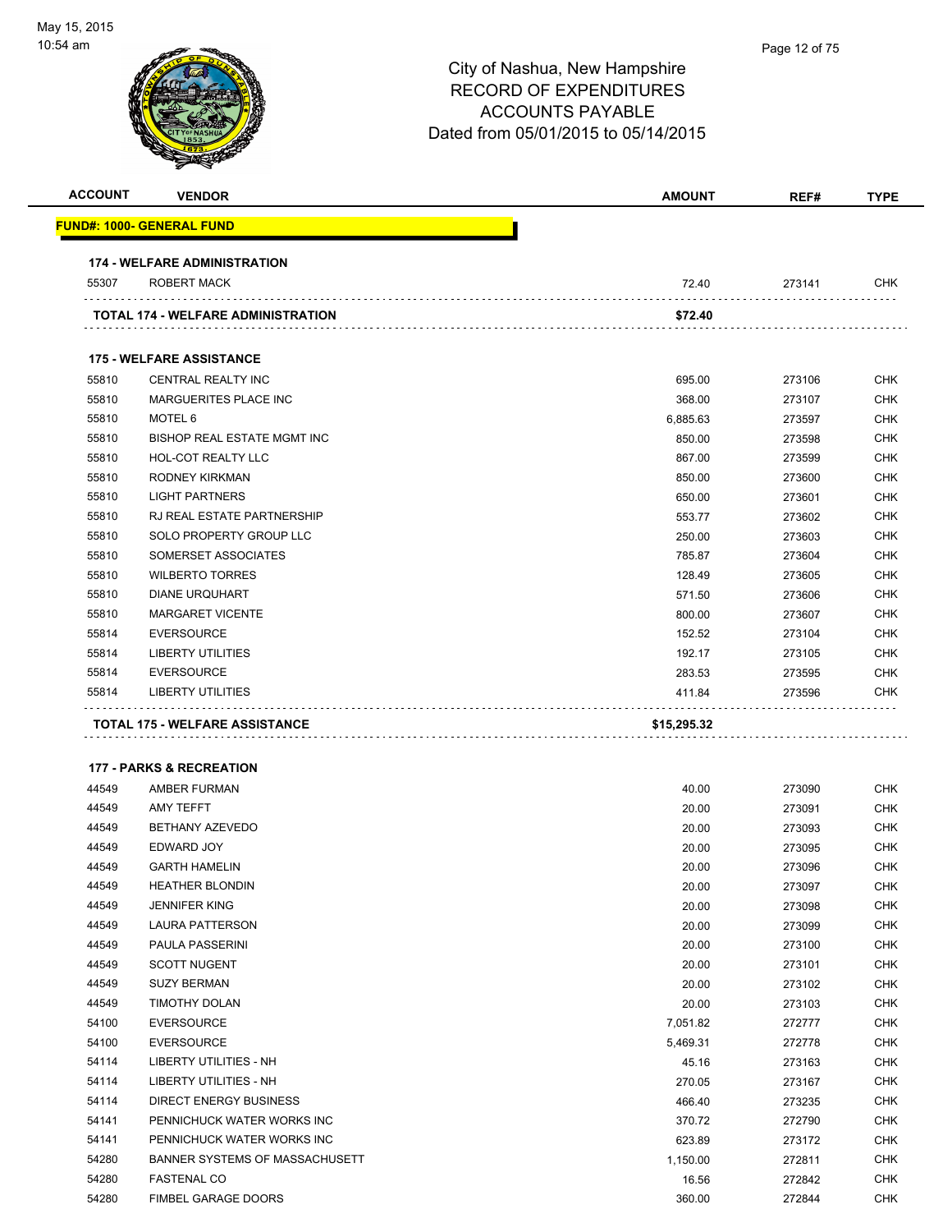| <b>ACCOUNT</b> | <b>VENDOR</b>                                       | <b>AMOUNT</b>         | REF#             | <b>TYPE</b>              |
|----------------|-----------------------------------------------------|-----------------------|------------------|--------------------------|
|                | <u> FUND#: 1000- GENERAL FUND</u>                   |                       |                  |                          |
|                | <b>174 - WELFARE ADMINISTRATION</b>                 |                       |                  |                          |
| 55307          | <b>ROBERT MACK</b>                                  | 72.40                 | 273141           | CHK                      |
|                | <b>TOTAL 174 - WELFARE ADMINISTRATION</b>           | \$72.40               |                  |                          |
|                | <b>175 - WELFARE ASSISTANCE</b>                     |                       |                  |                          |
| 55810          | CENTRAL REALTY INC                                  | 695.00                | 273106           | <b>CHK</b>               |
| 55810          | <b>MARGUERITES PLACE INC</b>                        | 368.00                | 273107           | <b>CHK</b>               |
| 55810          | MOTEL 6                                             | 6,885.63              | 273597           | <b>CHK</b>               |
| 55810          | BISHOP REAL ESTATE MGMT INC                         | 850.00                | 273598           | <b>CHK</b>               |
| 55810          | HOL-COT REALTY LLC                                  | 867.00                | 273599           | CHK                      |
| 55810          | RODNEY KIRKMAN                                      | 850.00                | 273600           | <b>CHK</b>               |
| 55810          | <b>LIGHT PARTNERS</b>                               | 650.00                | 273601           | <b>CHK</b>               |
| 55810          | RJ REAL ESTATE PARTNERSHIP                          | 553.77                | 273602           | CHK                      |
| 55810          | SOLO PROPERTY GROUP LLC                             | 250.00                | 273603           | CHK                      |
| 55810          | SOMERSET ASSOCIATES                                 | 785.87                | 273604           | <b>CHK</b>               |
| 55810          | <b>WILBERTO TORRES</b>                              | 128.49                | 273605           | CHK                      |
| 55810          | <b>DIANE URQUHART</b>                               | 571.50                | 273606           | <b>CHK</b>               |
|                | <b>MARGARET VICENTE</b>                             | 800.00                | 273607           | <b>CHK</b>               |
| 55810          |                                                     |                       | 273104           | <b>CHK</b>               |
| 55814          | <b>EVERSOURCE</b>                                   | 152.52                |                  |                          |
| 55814          | <b>LIBERTY UTILITIES</b>                            | 192.17                | 273105           | <b>CHK</b>               |
| 55814          | <b>EVERSOURCE</b>                                   | 283.53                |                  | CHK                      |
| 55814          | LIBERTY UTILITIES<br>TOTAL 175 - WELFARE ASSISTANCE | 411.84<br>\$15,295.32 | 273595<br>273596 | CHK                      |
|                |                                                     |                       |                  |                          |
|                | <b>177 - PARKS &amp; RECREATION</b>                 |                       |                  |                          |
| 44549          | AMBER FURMAN                                        | 40.00                 | 273090           | <b>CHK</b>               |
| 44549          | AMY TEFFT                                           | 20.00                 | 273091           | <b>CHK</b>               |
| 44549          | BETHANY AZEVEDO                                     | 20.00                 | 273093           | <b>CHK</b>               |
| 44549          | EDWARD JOY                                          | 20.00                 | 273095           | CHK                      |
| 44549          | <b>GARTH HAMELIN</b>                                | 20.00                 | 273096           | CHK                      |
| 44549          | <b>HEATHER BLONDIN</b>                              | 20.00                 | 273097           | <b>CHK</b>               |
| 44549          | <b>JENNIFER KING</b>                                | 20.00                 | 273098           | <b>CHK</b>               |
| 44549          | LAURA PATTERSON                                     | 20.00                 | 273099           | CHK                      |
| 44549          | PAULA PASSERINI                                     | 20.00                 | 273100           | <b>CHK</b>               |
| 44549          | <b>SCOTT NUGENT</b>                                 | 20.00                 | 273101           | <b>CHK</b>               |
| 44549          | <b>SUZY BERMAN</b>                                  | 20.00                 | 273102           | <b>CHK</b>               |
| 44549          | <b>TIMOTHY DOLAN</b>                                | 20.00                 | 273103           | <b>CHK</b>               |
| 54100          | <b>EVERSOURCE</b>                                   | 7,051.82              | 272777           | <b>CHK</b>               |
| 54100<br>54114 | <b>EVERSOURCE</b><br>LIBERTY UTILITIES - NH         | 5,469.31<br>45.16     | 272778           | <b>CHK</b><br><b>CHK</b> |
| 54114          | <b>LIBERTY UTILITIES - NH</b>                       | 270.05                | 273163           | <b>CHK</b>               |
| 54114          | <b>DIRECT ENERGY BUSINESS</b>                       | 466.40                | 273167           | <b>CHK</b>               |
| 54141          | PENNICHUCK WATER WORKS INC                          | 370.72                | 273235           | CHK                      |
| 54141          | PENNICHUCK WATER WORKS INC                          | 623.89                | 272790<br>273172 | <b>CHK</b>               |
| 54280          | BANNER SYSTEMS OF MASSACHUSETT                      |                       |                  | <b>CHK</b>               |
| 54280          | <b>FASTENAL CO</b>                                  | 1,150.00<br>16.56     | 272811<br>272842 | CHK                      |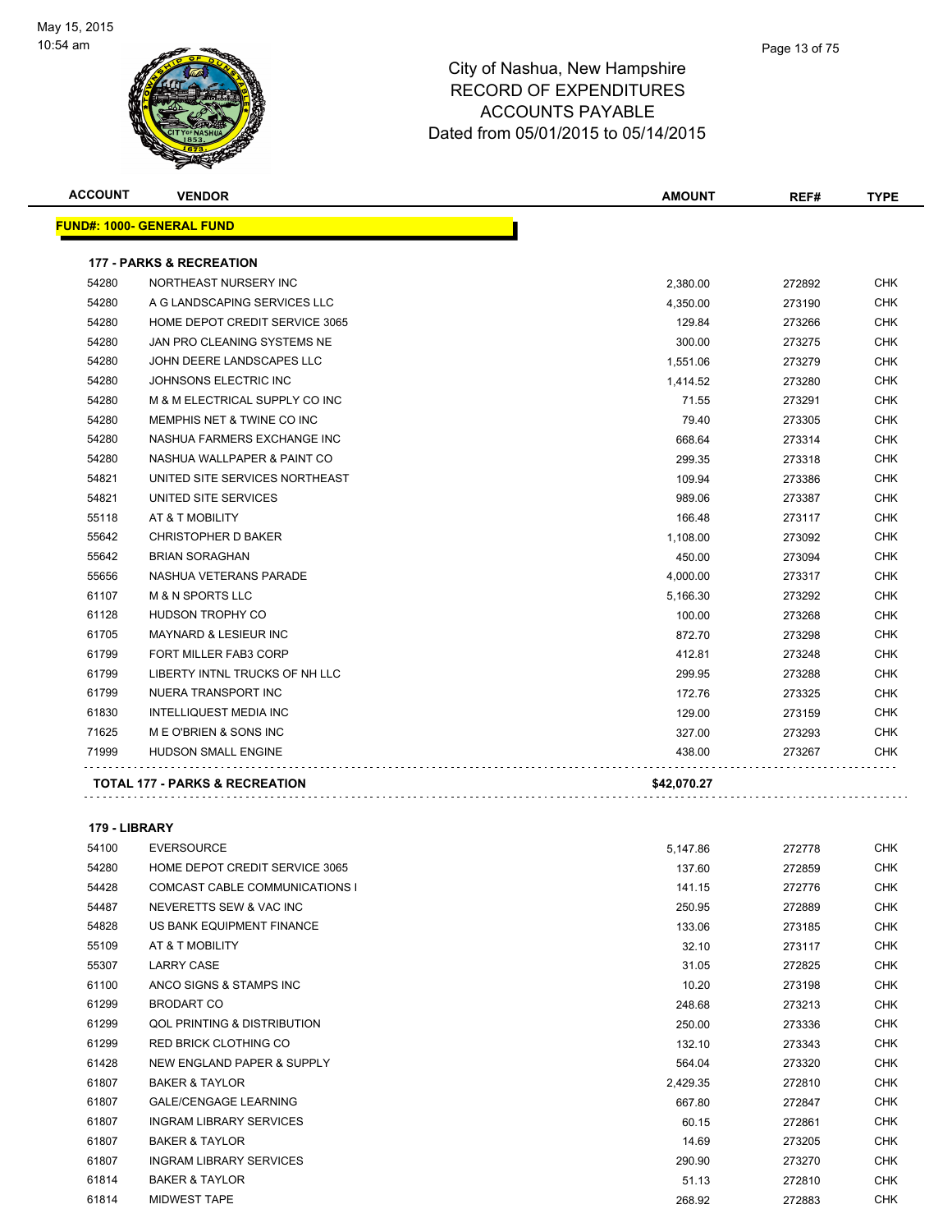

| <b>ACCOUNT</b> | <b>VENDOR</b>                             | <b>AMOUNT</b> | REF#   | <b>TYPE</b> |
|----------------|-------------------------------------------|---------------|--------|-------------|
|                | <b>FUND#: 1000- GENERAL FUND</b>          |               |        |             |
|                | <b>177 - PARKS &amp; RECREATION</b>       |               |        |             |
| 54280          | NORTHEAST NURSERY INC                     | 2,380.00      | 272892 | <b>CHK</b>  |
| 54280          | A G LANDSCAPING SERVICES LLC              | 4,350.00      | 273190 | <b>CHK</b>  |
| 54280          | HOME DEPOT CREDIT SERVICE 3065            | 129.84        | 273266 | <b>CHK</b>  |
| 54280          | JAN PRO CLEANING SYSTEMS NE               | 300.00        | 273275 | <b>CHK</b>  |
| 54280          | JOHN DEERE LANDSCAPES LLC                 | 1,551.06      | 273279 | <b>CHK</b>  |
| 54280          | JOHNSONS ELECTRIC INC                     | 1,414.52      | 273280 | <b>CHK</b>  |
| 54280          | M & M ELECTRICAL SUPPLY CO INC            | 71.55         | 273291 | <b>CHK</b>  |
| 54280          | MEMPHIS NET & TWINE CO INC                | 79.40         | 273305 | <b>CHK</b>  |
| 54280          | NASHUA FARMERS EXCHANGE INC               | 668.64        | 273314 | <b>CHK</b>  |
| 54280          | NASHUA WALLPAPER & PAINT CO               | 299.35        | 273318 | <b>CHK</b>  |
| 54821          | UNITED SITE SERVICES NORTHEAST            | 109.94        | 273386 | <b>CHK</b>  |
| 54821          | UNITED SITE SERVICES                      | 989.06        | 273387 | <b>CHK</b>  |
| 55118          | AT & T MOBILITY                           | 166.48        | 273117 | <b>CHK</b>  |
| 55642          | <b>CHRISTOPHER D BAKER</b>                | 1,108.00      | 273092 | <b>CHK</b>  |
| 55642          | <b>BRIAN SORAGHAN</b>                     | 450.00        | 273094 | <b>CHK</b>  |
| 55656          | NASHUA VETERANS PARADE                    | 4,000.00      | 273317 | <b>CHK</b>  |
| 61107          | <b>M &amp; N SPORTS LLC</b>               | 5,166.30      | 273292 | <b>CHK</b>  |
| 61128          | <b>HUDSON TROPHY CO</b>                   | 100.00        | 273268 | <b>CHK</b>  |
| 61705          | <b>MAYNARD &amp; LESIEUR INC</b>          | 872.70        | 273298 | <b>CHK</b>  |
| 61799          | FORT MILLER FAB3 CORP                     | 412.81        | 273248 | <b>CHK</b>  |
| 61799          | LIBERTY INTNL TRUCKS OF NH LLC            | 299.95        | 273288 | <b>CHK</b>  |
| 61799          | NUERA TRANSPORT INC                       | 172.76        | 273325 | <b>CHK</b>  |
| 61830          | <b>INTELLIQUEST MEDIA INC</b>             | 129.00        | 273159 | CHK         |
| 71625          | M E O'BRIEN & SONS INC                    | 327.00        | 273293 | <b>CHK</b>  |
| 71999          | HUDSON SMALL ENGINE                       | 438.00        | 273267 | CHK         |
|                | <b>TOTAL 177 - PARKS &amp; RECREATION</b> | \$42,070.27   |        |             |

#### **179 - LIBRARY**

| 54100 | <b>EVERSOURCE</b>                      | 5,147.86 | 272778 | <b>CHK</b> |
|-------|----------------------------------------|----------|--------|------------|
| 54280 | HOME DEPOT CREDIT SERVICE 3065         | 137.60   | 272859 | <b>CHK</b> |
| 54428 | <b>COMCAST CABLE COMMUNICATIONS I</b>  | 141.15   | 272776 | <b>CHK</b> |
| 54487 | NEVERETTS SEW & VAC INC                | 250.95   | 272889 | <b>CHK</b> |
| 54828 | US BANK EQUIPMENT FINANCE              | 133.06   | 273185 | <b>CHK</b> |
| 55109 | AT & T MOBILITY                        | 32.10    | 273117 | <b>CHK</b> |
| 55307 | <b>LARRY CASE</b>                      | 31.05    | 272825 | <b>CHK</b> |
| 61100 | ANCO SIGNS & STAMPS INC                | 10.20    | 273198 | <b>CHK</b> |
| 61299 | <b>BRODART CO</b>                      | 248.68   | 273213 | CHK        |
| 61299 | <b>QOL PRINTING &amp; DISTRIBUTION</b> | 250.00   | 273336 | <b>CHK</b> |
| 61299 | <b>RED BRICK CLOTHING CO</b>           | 132.10   | 273343 | <b>CHK</b> |
| 61428 | NEW ENGLAND PAPER & SUPPLY             | 564.04   | 273320 | <b>CHK</b> |
| 61807 | <b>BAKER &amp; TAYLOR</b>              | 2,429.35 | 272810 | <b>CHK</b> |
| 61807 | <b>GALE/CENGAGE LEARNING</b>           | 667.80   | 272847 | <b>CHK</b> |
| 61807 | <b>INGRAM LIBRARY SERVICES</b>         | 60.15    | 272861 | <b>CHK</b> |
| 61807 | <b>BAKER &amp; TAYLOR</b>              | 14.69    | 273205 | <b>CHK</b> |
| 61807 | <b>INGRAM LIBRARY SERVICES</b>         | 290.90   | 273270 | <b>CHK</b> |
| 61814 | <b>BAKER &amp; TAYLOR</b>              | 51.13    | 272810 | <b>CHK</b> |
| 61814 | <b>MIDWEST TAPE</b>                    | 268.92   | 272883 | <b>CHK</b> |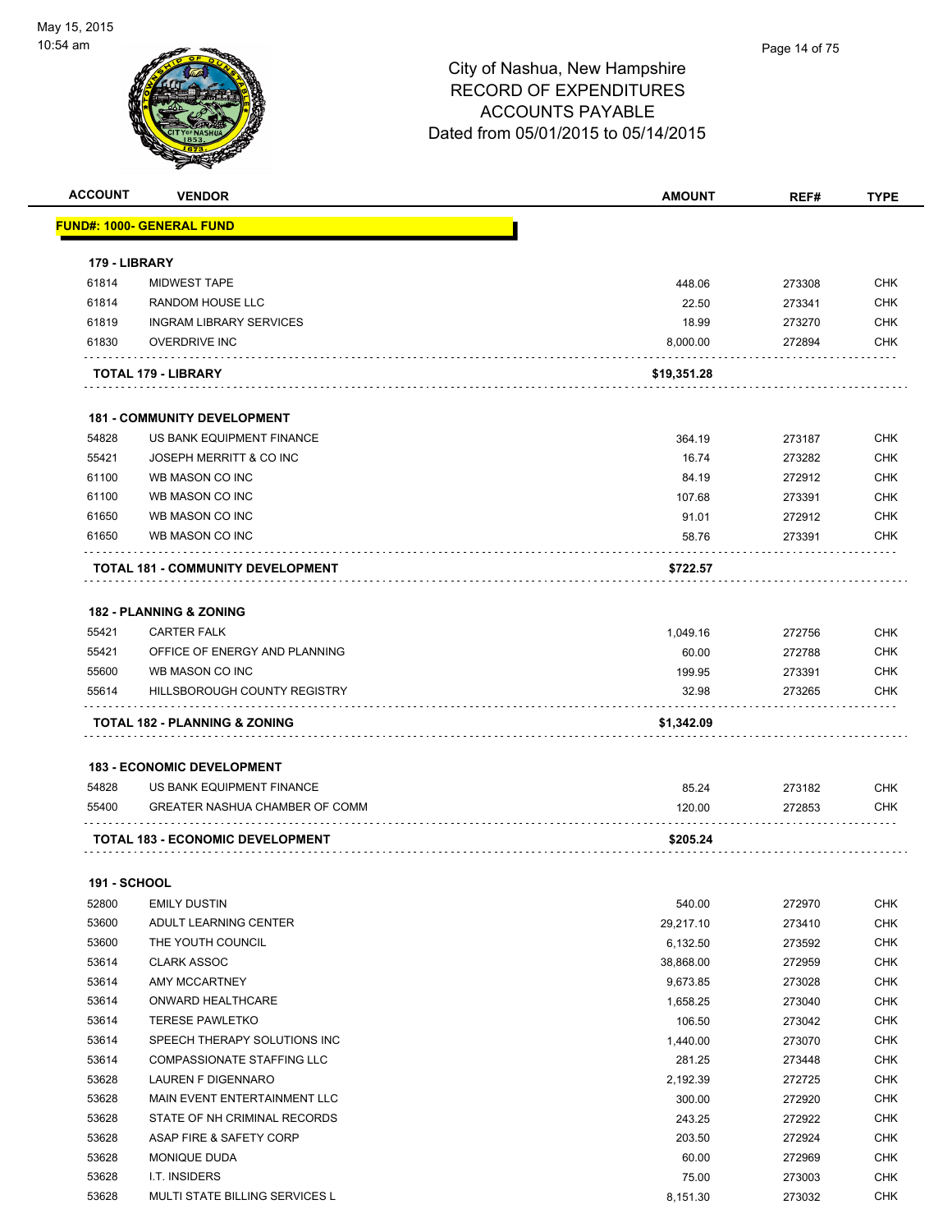| <b>ACCOUNT</b>      | <b>VENDOR</b>                            | <b>AMOUNT</b> | REF#   | <b>TYPE</b>       |
|---------------------|------------------------------------------|---------------|--------|-------------------|
|                     | <u> FUND#: 1000- GENERAL FUND</u>        |               |        |                   |
| 179 - LIBRARY       |                                          |               |        |                   |
| 61814               | <b>MIDWEST TAPE</b>                      | 448.06        | 273308 | <b>CHK</b>        |
| 61814               | <b>RANDOM HOUSE LLC</b>                  | 22.50         | 273341 | <b>CHK</b>        |
| 61819               | <b>INGRAM LIBRARY SERVICES</b>           | 18.99         | 273270 | CHK               |
| 61830               | <b>OVERDRIVE INC</b>                     | 8,000.00      | 272894 | CHK               |
|                     | TOTAL 179 - LIBRARY                      | \$19,351.28   |        |                   |
|                     | <b>181 - COMMUNITY DEVELOPMENT</b>       |               |        |                   |
| 54828               | US BANK EQUIPMENT FINANCE                | 364.19        | 273187 | <b>CHK</b>        |
| 55421               | JOSEPH MERRITT & CO INC                  | 16.74         | 273282 | <b>CHK</b>        |
| 61100               | WB MASON CO INC                          | 84.19         | 272912 | <b>CHK</b>        |
| 61100               | WB MASON CO INC                          | 107.68        | 273391 | CHK               |
| 61650               | WB MASON CO INC                          | 91.01         | 272912 | <b>CHK</b>        |
| 61650               | WB MASON CO INC                          | 58.76         | 273391 | <b>CHK</b>        |
|                     | <b>TOTAL 181 - COMMUNITY DEVELOPMENT</b> | \$722.57      |        |                   |
|                     | <b>182 - PLANNING &amp; ZONING</b>       |               |        |                   |
| 55421               | <b>CARTER FALK</b>                       | 1,049.16      | 272756 | <b>CHK</b>        |
| 55421               | OFFICE OF ENERGY AND PLANNING            | 60.00         | 272788 | <b>CHK</b>        |
| 55600               | WB MASON CO INC                          | 199.95        | 273391 | <b>CHK</b>        |
| 55614               | HILLSBOROUGH COUNTY REGISTRY             | 32.98         | 273265 | <b>CHK</b>        |
|                     |                                          |               |        |                   |
|                     | TOTAL 182 - PLANNING & ZONING            | \$1,342.09    |        |                   |
|                     | <b>183 - ECONOMIC DEVELOPMENT</b>        |               |        |                   |
| 54828               | US BANK EQUIPMENT FINANCE                | 85.24         | 273182 | CHK               |
| 55400               | GREATER NASHUA CHAMBER OF COMM           | 120.00        | 272853 | CHK               |
|                     | <b>TOTAL 183 - ECONOMIC DEVELOPMENT</b>  | \$205.24      |        |                   |
| <b>191 - SCHOOL</b> |                                          |               |        |                   |
| 52800               | <b>EMILY DUSTIN</b>                      | 540.00        | 272970 | <b>CHK</b>        |
| 53600               | ADULT LEARNING CENTER                    | 29,217.10     | 273410 | <b>CHK</b>        |
| 53600               | THE YOUTH COUNCIL                        | 6,132.50      | 273592 | <b>CHK</b>        |
| 53614               | <b>CLARK ASSOC</b>                       | 38,868.00     | 272959 | <b>CHK</b>        |
| 53614               | AMY MCCARTNEY                            |               |        | <b>CHK</b>        |
| 53614               | ONWARD HEALTHCARE                        | 9,673.85      | 273028 |                   |
|                     | <b>TERESE PAWLETKO</b>                   | 1,658.25      | 273040 | CHK               |
| 53614<br>53614      | SPEECH THERAPY SOLUTIONS INC             | 106.50        | 273042 | CHK<br><b>CHK</b> |
|                     | COMPASSIONATE STAFFING LLC               | 1,440.00      | 273070 |                   |
| 53614<br>53628      | <b>LAUREN F DIGENNARO</b>                | 281.25        | 273448 | CHK<br><b>CHK</b> |
|                     | MAIN EVENT ENTERTAINMENT LLC             | 2,192.39      | 272725 |                   |
| 53628               | STATE OF NH CRIMINAL RECORDS             | 300.00        | 272920 | CHK<br><b>CHK</b> |
| 53628               |                                          | 243.25        | 272922 |                   |
| 53628               | ASAP FIRE & SAFETY CORP                  | 203.50        | 272924 | <b>CHK</b>        |
| 53628               | MONIQUE DUDA                             | 60.00         | 272969 | <b>CHK</b>        |
| 53628               | I.T. INSIDERS                            | 75.00         | 273003 | <b>CHK</b>        |
| 53628               | MULTI STATE BILLING SERVICES L           | 8,151.30      | 273032 | <b>CHK</b>        |
|                     |                                          |               |        |                   |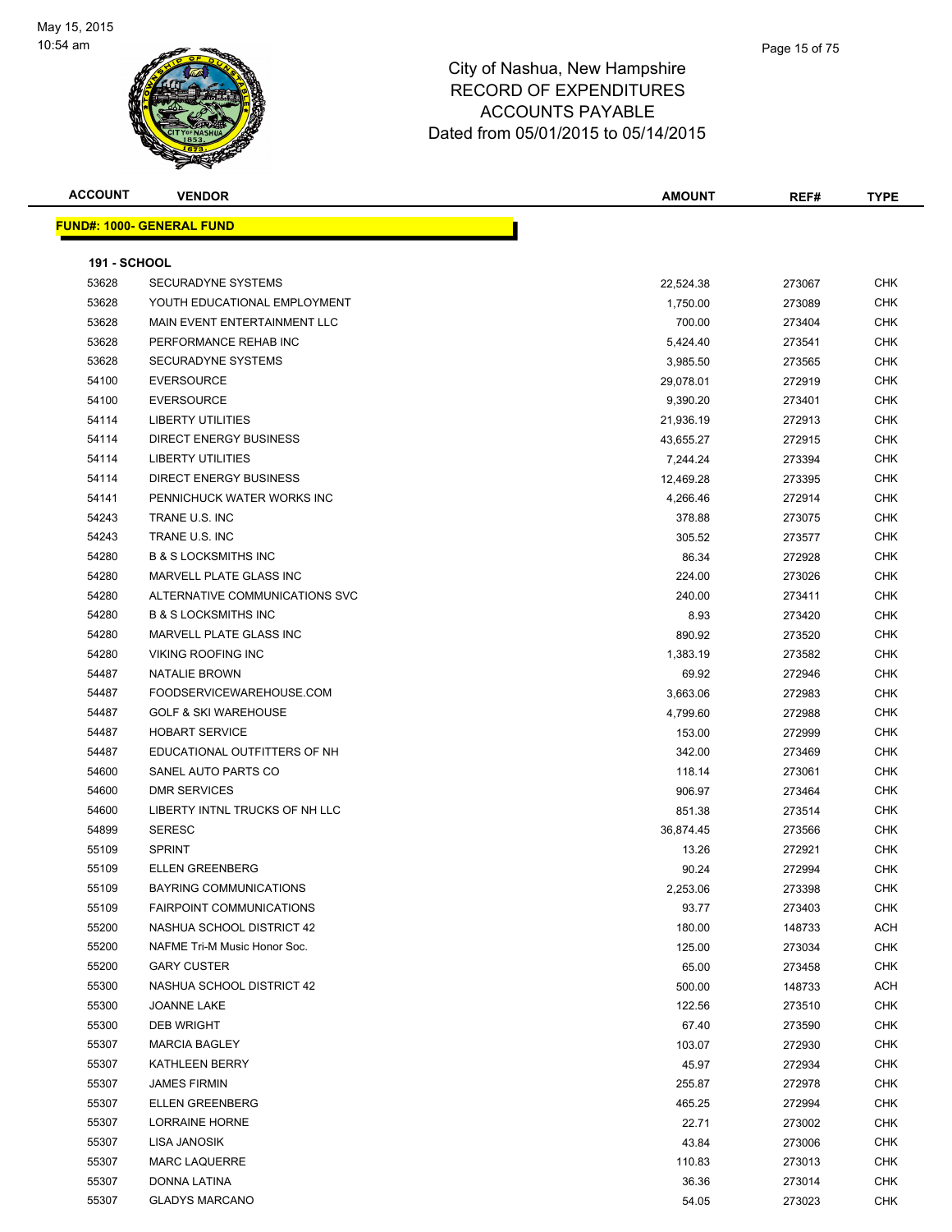

| <b>ACCOUNT</b>      | <b>VENDOR</b>                     | AMOUNT    | REF#   | <b>TYPE</b> |
|---------------------|-----------------------------------|-----------|--------|-------------|
|                     | <u> FUND#: 1000- GENERAL FUND</u> |           |        |             |
|                     |                                   |           |        |             |
| <b>191 - SCHOOL</b> |                                   |           |        |             |
| 53628               | <b>SECURADYNE SYSTEMS</b>         | 22,524.38 | 273067 | <b>CHK</b>  |
| 53628               | YOUTH EDUCATIONAL EMPLOYMENT      | 1,750.00  | 273089 | CHK         |
| 53628               | MAIN EVENT ENTERTAINMENT LLC      | 700.00    | 273404 | <b>CHK</b>  |
| 53628               | PERFORMANCE REHAB INC             | 5,424.40  | 273541 | CHK         |
| 53628               | SECURADYNE SYSTEMS                | 3,985.50  | 273565 | <b>CHK</b>  |
| 54100               | <b>EVERSOURCE</b>                 | 29,078.01 | 272919 | CHK         |
| 54100               | <b>EVERSOURCE</b>                 | 9,390.20  | 273401 | CHK         |
| 54114               | <b>LIBERTY UTILITIES</b>          | 21,936.19 | 272913 | CHK         |
| 54114               | <b>DIRECT ENERGY BUSINESS</b>     | 43,655.27 | 272915 | CHK         |
| 54114               | <b>LIBERTY UTILITIES</b>          | 7,244.24  | 273394 | <b>CHK</b>  |
| 54114               | <b>DIRECT ENERGY BUSINESS</b>     | 12,469.28 | 273395 | CHK         |
| 54141               | PENNICHUCK WATER WORKS INC        | 4,266.46  | 272914 | CHK         |
| 54243               | TRANE U.S. INC                    | 378.88    | 273075 | CHK         |
| 54243               | TRANE U.S. INC                    | 305.52    | 273577 | CHK         |
| 54280               | <b>B &amp; S LOCKSMITHS INC</b>   | 86.34     | 272928 | CHK         |
| 54280               | <b>MARVELL PLATE GLASS INC</b>    | 224.00    | 273026 | CHK         |
| 54280               | ALTERNATIVE COMMUNICATIONS SVC    | 240.00    | 273411 | CHK         |
| 54280               | <b>B &amp; S LOCKSMITHS INC</b>   | 8.93      | 273420 | CHK         |
| 54280               | MARVELL PLATE GLASS INC           | 890.92    | 273520 | CHK         |
| 54280               | <b>VIKING ROOFING INC</b>         | 1,383.19  | 273582 | CHK         |
| 54487               | <b>NATALIE BROWN</b>              | 69.92     | 272946 | CHK         |
| 54487               | FOODSERVICEWAREHOUSE.COM          | 3,663.06  | 272983 | <b>CHK</b>  |
| 54487               | <b>GOLF &amp; SKI WAREHOUSE</b>   | 4,799.60  | 272988 | <b>CHK</b>  |
| 54487               | <b>HOBART SERVICE</b>             | 153.00    | 272999 | <b>CHK</b>  |
| 54487               | EDUCATIONAL OUTFITTERS OF NH      | 342.00    | 273469 | <b>CHK</b>  |
| 54600               | SANEL AUTO PARTS CO               | 118.14    | 273061 | <b>CHK</b>  |
| 54600               | <b>DMR SERVICES</b>               | 906.97    | 273464 | <b>CHK</b>  |
| 54600               | LIBERTY INTNL TRUCKS OF NH LLC    | 851.38    | 273514 | <b>CHK</b>  |
| 54899               | <b>SERESC</b>                     | 36,874.45 | 273566 | CHK         |
| 55109               | <b>SPRINT</b>                     | 13.26     | 272921 | CHK         |
| 55109               | <b>ELLEN GREENBERG</b>            | 90.24     | 272994 | <b>CHK</b>  |
| 55109               | <b>BAYRING COMMUNICATIONS</b>     | 2,253.06  | 273398 | СНК         |
| 55109               | <b>FAIRPOINT COMMUNICATIONS</b>   | 93.77     | 273403 | <b>CHK</b>  |
| 55200               | NASHUA SCHOOL DISTRICT 42         | 180.00    | 148733 | <b>ACH</b>  |
| 55200               | NAFME Tri-M Music Honor Soc.      | 125.00    | 273034 | <b>CHK</b>  |
| 55200               | <b>GARY CUSTER</b>                | 65.00     | 273458 | <b>CHK</b>  |
| 55300               | NASHUA SCHOOL DISTRICT 42         | 500.00    | 148733 | ACH         |
| 55300               | <b>JOANNE LAKE</b>                | 122.56    | 273510 | <b>CHK</b>  |
| 55300               | <b>DEB WRIGHT</b>                 | 67.40     | 273590 | CHK         |
| 55307               | <b>MARCIA BAGLEY</b>              | 103.07    | 272930 | CHK         |
| 55307               | KATHLEEN BERRY                    | 45.97     | 272934 | CHK         |
| 55307               | <b>JAMES FIRMIN</b>               | 255.87    | 272978 | <b>CHK</b>  |
| 55307               | <b>ELLEN GREENBERG</b>            | 465.25    | 272994 | <b>CHK</b>  |
| 55307               | LORRAINE HORNE                    | 22.71     | 273002 | <b>CHK</b>  |
| 55307               | LISA JANOSIK                      | 43.84     | 273006 | CHK         |
| 55307               | <b>MARC LAQUERRE</b>              | 110.83    | 273013 | <b>CHK</b>  |
| 55307               | DONNA LATINA                      | 36.36     | 273014 | CHK         |
| 55307               | <b>GLADYS MARCANO</b>             | 54.05     | 273023 | <b>CHK</b>  |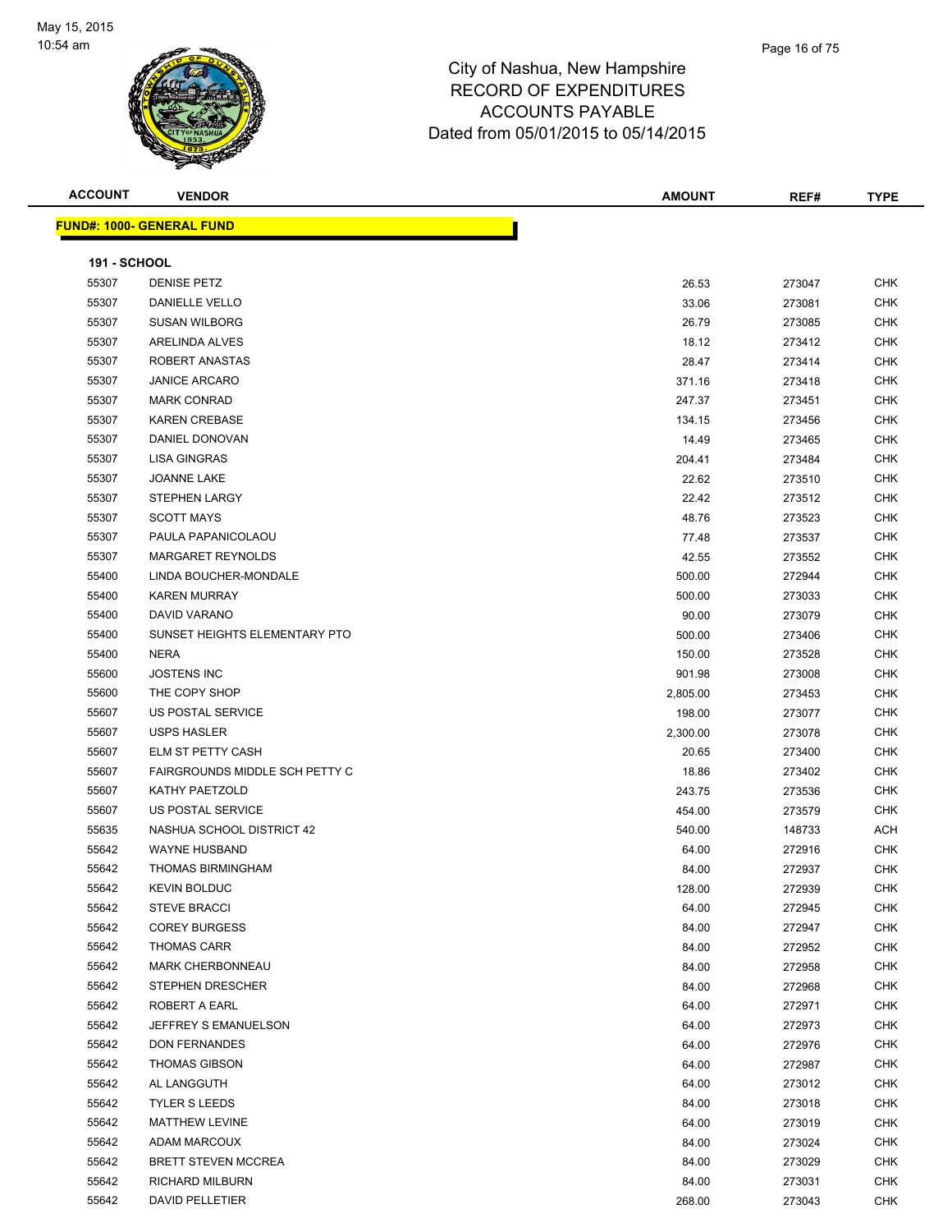

| <b>ACCOUNT</b>      | <b>VENDOR</b>                     | <b>AMOUNT</b> | REF#   | <b>TYPE</b> |
|---------------------|-----------------------------------|---------------|--------|-------------|
|                     | <u> FUND#: 1000- GENERAL FUND</u> |               |        |             |
|                     |                                   |               |        |             |
| <b>191 - SCHOOL</b> |                                   |               |        |             |
| 55307               | <b>DENISE PETZ</b>                | 26.53         | 273047 | <b>CHK</b>  |
| 55307               | DANIELLE VELLO                    | 33.06         | 273081 | <b>CHK</b>  |
| 55307               | <b>SUSAN WILBORG</b>              | 26.79         | 273085 | <b>CHK</b>  |
| 55307               | ARELINDA ALVES                    | 18.12         | 273412 | <b>CHK</b>  |
| 55307               | ROBERT ANASTAS                    | 28.47         | 273414 | <b>CHK</b>  |
| 55307               | <b>JANICE ARCARO</b>              | 371.16        | 273418 | <b>CHK</b>  |
| 55307               | <b>MARK CONRAD</b>                | 247.37        | 273451 | <b>CHK</b>  |
| 55307               | <b>KAREN CREBASE</b>              | 134.15        | 273456 | <b>CHK</b>  |
| 55307               | DANIEL DONOVAN                    | 14.49         | 273465 | <b>CHK</b>  |
| 55307               | <b>LISA GINGRAS</b>               | 204.41        | 273484 | <b>CHK</b>  |
| 55307               | <b>JOANNE LAKE</b>                | 22.62         | 273510 | <b>CHK</b>  |
| 55307               | <b>STEPHEN LARGY</b>              | 22.42         | 273512 | <b>CHK</b>  |
| 55307               | <b>SCOTT MAYS</b>                 | 48.76         | 273523 | CHK         |
| 55307               | PAULA PAPANICOLAOU                | 77.48         | 273537 | <b>CHK</b>  |
| 55307               | MARGARET REYNOLDS                 | 42.55         | 273552 | <b>CHK</b>  |
| 55400               | LINDA BOUCHER-MONDALE             | 500.00        | 272944 | <b>CHK</b>  |
| 55400               | <b>KAREN MURRAY</b>               | 500.00        | 273033 | <b>CHK</b>  |
| 55400               | DAVID VARANO                      | 90.00         | 273079 | <b>CHK</b>  |
| 55400               | SUNSET HEIGHTS ELEMENTARY PTO     | 500.00        | 273406 | <b>CHK</b>  |
| 55400               | <b>NERA</b>                       | 150.00        | 273528 | <b>CHK</b>  |
| 55600               | <b>JOSTENS INC</b>                | 901.98        | 273008 | <b>CHK</b>  |
| 55600               | THE COPY SHOP                     | 2,805.00      | 273453 | <b>CHK</b>  |
| 55607               | US POSTAL SERVICE                 | 198.00        | 273077 | <b>CHK</b>  |
| 55607               | <b>USPS HASLER</b>                | 2,300.00      | 273078 | <b>CHK</b>  |
| 55607               | ELM ST PETTY CASH                 | 20.65         | 273400 | <b>CHK</b>  |
| 55607               | FAIRGROUNDS MIDDLE SCH PETTY C    | 18.86         | 273402 | <b>CHK</b>  |
| 55607               | KATHY PAETZOLD                    | 243.75        | 273536 | <b>CHK</b>  |
| 55607               | US POSTAL SERVICE                 | 454.00        | 273579 | <b>CHK</b>  |
| 55635               | NASHUA SCHOOL DISTRICT 42         | 540.00        | 148733 | ACH         |
| 55642               | <b>WAYNE HUSBAND</b>              | 64.00         | 272916 | <b>CHK</b>  |
| 55642               | THOMAS BIRMINGHAM                 | 84.00         | 272937 | <b>CHK</b>  |
| 55642               | <b>KEVIN BOLDUC</b>               | 128.00        | 272939 | CHK         |
| 55642               | <b>STEVE BRACCI</b>               | 64.00         | 272945 | <b>CHK</b>  |
| 55642               | <b>COREY BURGESS</b>              | 84.00         | 272947 | <b>CHK</b>  |
| 55642               | <b>THOMAS CARR</b>                | 84.00         | 272952 | CHK         |
| 55642               | <b>MARK CHERBONNEAU</b>           | 84.00         | 272958 | CHK         |
| 55642               | STEPHEN DRESCHER                  | 84.00         | 272968 | CHK         |
| 55642               | ROBERT A EARL                     | 64.00         | 272971 | CHK         |
| 55642               | JEFFREY S EMANUELSON              | 64.00         | 272973 | <b>CHK</b>  |
| 55642               | <b>DON FERNANDES</b>              | 64.00         | 272976 | CHK         |
| 55642               | <b>THOMAS GIBSON</b>              | 64.00         | 272987 | CHK         |
| 55642               | AL LANGGUTH                       | 64.00         | 273012 | <b>CHK</b>  |
| 55642               | <b>TYLER S LEEDS</b>              | 84.00         | 273018 | CHK         |
| 55642               | MATTHEW LEVINE                    | 64.00         | 273019 | CHK         |
| 55642               | ADAM MARCOUX                      | 84.00         | 273024 | <b>CHK</b>  |
| 55642               | <b>BRETT STEVEN MCCREA</b>        | 84.00         | 273029 | CHK         |
| 55642               | RICHARD MILBURN                   | 84.00         | 273031 | CHK         |
| 55642               | DAVID PELLETIER                   | 268.00        | 273043 | CHK         |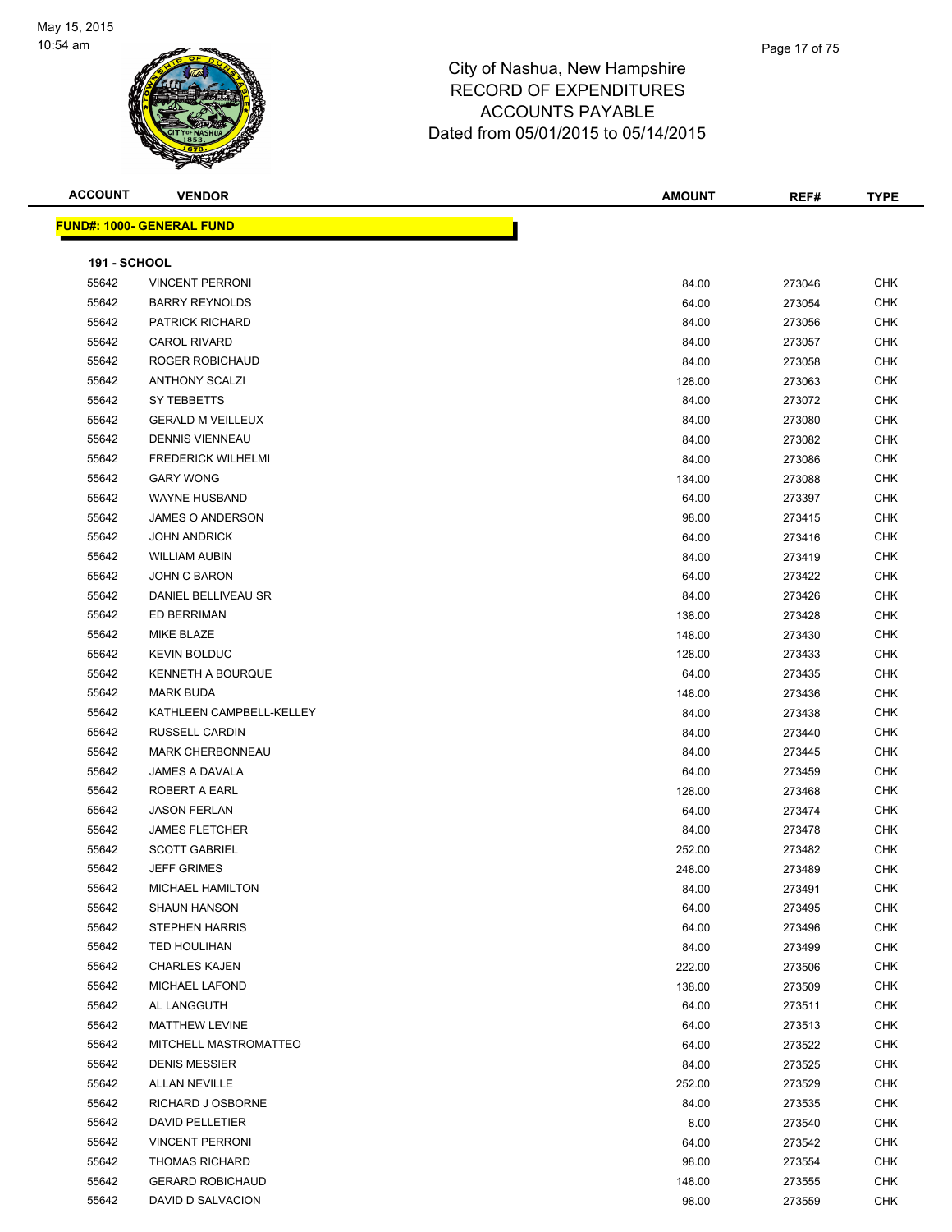

| <b>ACCOUNT</b>      | <b>VENDOR</b>                    | <b>AMOUNT</b> | REF#   | <b>TYPE</b> |
|---------------------|----------------------------------|---------------|--------|-------------|
|                     | <b>FUND#: 1000- GENERAL FUND</b> |               |        |             |
|                     |                                  |               |        |             |
| <b>191 - SCHOOL</b> |                                  |               |        |             |
| 55642               | <b>VINCENT PERRONI</b>           | 84.00         | 273046 | <b>CHK</b>  |
| 55642               | <b>BARRY REYNOLDS</b>            | 64.00         | 273054 | <b>CHK</b>  |
| 55642               | <b>PATRICK RICHARD</b>           | 84.00         | 273056 | <b>CHK</b>  |
| 55642               | <b>CAROL RIVARD</b>              | 84.00         | 273057 | <b>CHK</b>  |
| 55642               | ROGER ROBICHAUD                  | 84.00         | 273058 | <b>CHK</b>  |
| 55642               | <b>ANTHONY SCALZI</b>            | 128.00        | 273063 | <b>CHK</b>  |
| 55642               | SY TEBBETTS                      | 84.00         | 273072 | <b>CHK</b>  |
| 55642               | <b>GERALD M VEILLEUX</b>         | 84.00         | 273080 | <b>CHK</b>  |
| 55642               | <b>DENNIS VIENNEAU</b>           | 84.00         | 273082 | <b>CHK</b>  |
| 55642               | <b>FREDERICK WILHELMI</b>        | 84.00         | 273086 | <b>CHK</b>  |
| 55642               | <b>GARY WONG</b>                 | 134.00        | 273088 | <b>CHK</b>  |
| 55642               | WAYNE HUSBAND                    | 64.00         | 273397 | <b>CHK</b>  |
| 55642               | JAMES O ANDERSON                 | 98.00         | 273415 | <b>CHK</b>  |
| 55642               | <b>JOHN ANDRICK</b>              | 64.00         | 273416 | <b>CHK</b>  |
| 55642               | <b>WILLIAM AUBIN</b>             | 84.00         | 273419 | <b>CHK</b>  |
| 55642               | JOHN C BARON                     | 64.00         | 273422 | CHK         |
| 55642               | DANIEL BELLIVEAU SR              | 84.00         | 273426 | <b>CHK</b>  |
| 55642               | ED BERRIMAN                      | 138.00        | 273428 | <b>CHK</b>  |
| 55642               | <b>MIKE BLAZE</b>                | 148.00        | 273430 | <b>CHK</b>  |
| 55642               | <b>KEVIN BOLDUC</b>              | 128.00        | 273433 | <b>CHK</b>  |
| 55642               | KENNETH A BOURQUE                | 64.00         | 273435 | <b>CHK</b>  |
| 55642               | <b>MARK BUDA</b>                 | 148.00        | 273436 | <b>CHK</b>  |
| 55642               | KATHLEEN CAMPBELL-KELLEY         | 84.00         | 273438 | <b>CHK</b>  |
| 55642               | <b>RUSSELL CARDIN</b>            | 84.00         | 273440 | <b>CHK</b>  |
| 55642               | <b>MARK CHERBONNEAU</b>          | 84.00         | 273445 | <b>CHK</b>  |
| 55642               | JAMES A DAVALA                   | 64.00         | 273459 | <b>CHK</b>  |
| 55642               | ROBERT A EARL                    | 128.00        | 273468 | <b>CHK</b>  |
| 55642               | <b>JASON FERLAN</b>              | 64.00         | 273474 | <b>CHK</b>  |
| 55642               | <b>JAMES FLETCHER</b>            | 84.00         | 273478 | <b>CHK</b>  |
| 55642               | <b>SCOTT GABRIEL</b>             | 252.00        | 273482 | <b>CHK</b>  |
| 55642               | <b>JEFF GRIMES</b>               | 248.00        | 273489 | <b>CHK</b>  |
| 55642               | MICHAEL HAMILTON                 | 84.00         | 273491 | CHK         |
| 55642               | <b>SHAUN HANSON</b>              | 64.00         | 273495 | CHK         |
| 55642               | <b>STEPHEN HARRIS</b>            | 64.00         | 273496 | CHK         |
| 55642               | TED HOULIHAN                     | 84.00         | 273499 | <b>CHK</b>  |
| 55642               | <b>CHARLES KAJEN</b>             | 222.00        | 273506 | <b>CHK</b>  |
| 55642               | <b>MICHAEL LAFOND</b>            | 138.00        | 273509 | CHK         |
| 55642               | AL LANGGUTH                      | 64.00         | 273511 | CHK         |
| 55642               | <b>MATTHEW LEVINE</b>            | 64.00         | 273513 | CHK         |
| 55642               | MITCHELL MASTROMATTEO            | 64.00         | 273522 | CHK         |
| 55642               | <b>DENIS MESSIER</b>             | 84.00         | 273525 | CHK         |
| 55642               | <b>ALLAN NEVILLE</b>             | 252.00        | 273529 | CHK         |
| 55642               | RICHARD J OSBORNE                | 84.00         | 273535 | CHK         |
| 55642               | DAVID PELLETIER                  | 8.00          | 273540 | CHK         |
| 55642               | <b>VINCENT PERRONI</b>           | 64.00         | 273542 | CHK         |
| 55642               | <b>THOMAS RICHARD</b>            | 98.00         | 273554 | CHK         |
| 55642               | <b>GERARD ROBICHAUD</b>          | 148.00        | 273555 | CHK         |
| 55642               | DAVID D SALVACION                | 98.00         | 273559 | <b>CHK</b>  |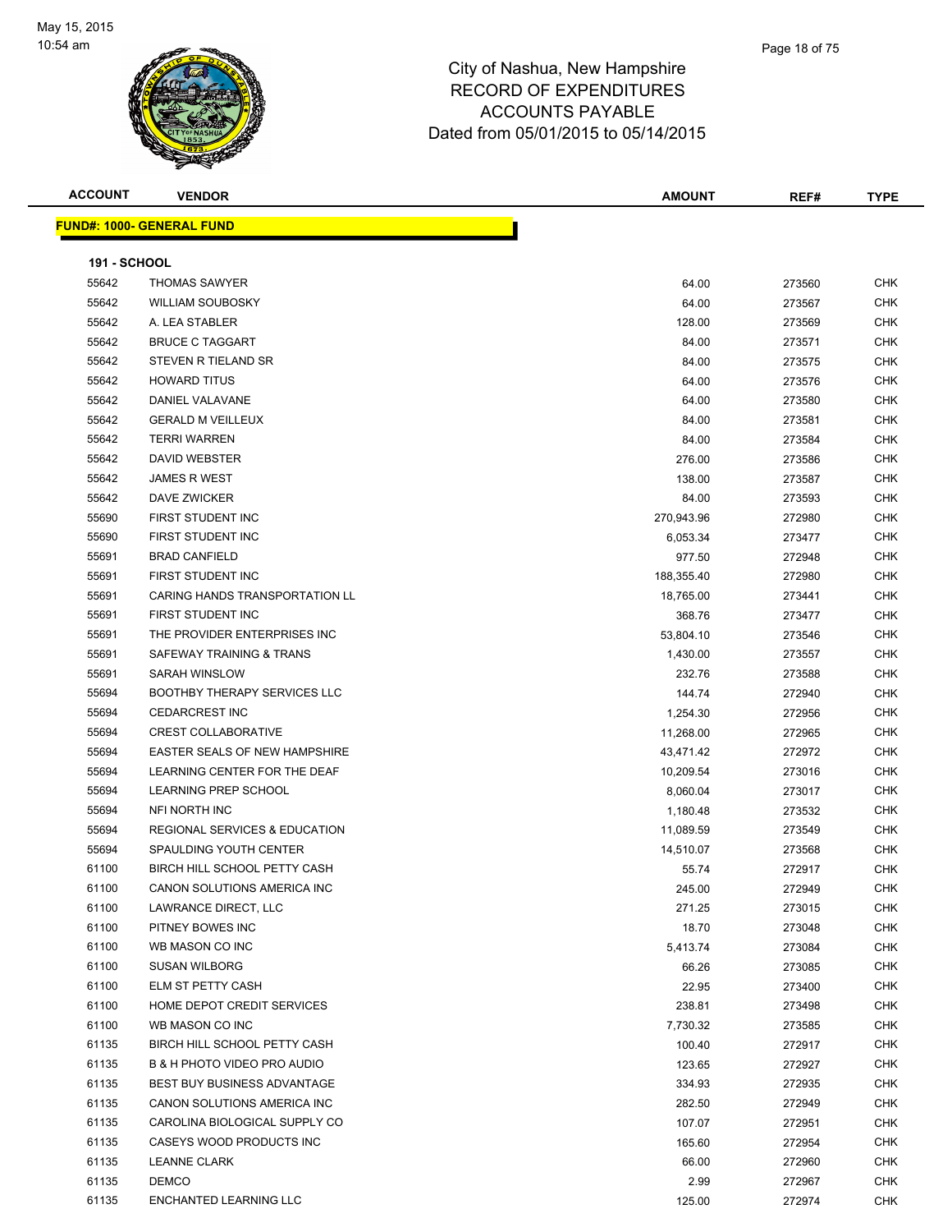

| <b>ACCOUNT</b>      | <b>VENDOR</b>                            | AMOUNT     | REF#   | <b>TYPE</b> |
|---------------------|------------------------------------------|------------|--------|-------------|
|                     | <u> FUND#: 1000- GENERAL FUND</u>        |            |        |             |
|                     |                                          |            |        |             |
| <b>191 - SCHOOL</b> |                                          |            |        |             |
| 55642               | <b>THOMAS SAWYER</b>                     | 64.00      | 273560 | <b>CHK</b>  |
| 55642               | <b>WILLIAM SOUBOSKY</b>                  | 64.00      | 273567 | CHK         |
| 55642               | A. LEA STABLER                           | 128.00     | 273569 | CHK         |
| 55642               | <b>BRUCE C TAGGART</b>                   | 84.00      | 273571 | <b>CHK</b>  |
| 55642               | STEVEN R TIELAND SR                      | 84.00      | 273575 | CHK         |
| 55642               | <b>HOWARD TITUS</b>                      | 64.00      | 273576 | <b>CHK</b>  |
| 55642               | DANIEL VALAVANE                          | 64.00      | 273580 | CHK         |
| 55642               | <b>GERALD M VEILLEUX</b>                 | 84.00      | 273581 | CHK         |
| 55642               | <b>TERRI WARREN</b>                      | 84.00      | 273584 | CHK         |
| 55642               | DAVID WEBSTER                            | 276.00     | 273586 | CHK         |
| 55642               | <b>JAMES R WEST</b>                      | 138.00     | 273587 | <b>CHK</b>  |
| 55642               | DAVE ZWICKER                             | 84.00      | 273593 | CHK         |
| 55690               | FIRST STUDENT INC                        | 270,943.96 | 272980 | CHK         |
| 55690               | FIRST STUDENT INC                        | 6,053.34   | 273477 | CHK         |
| 55691               | <b>BRAD CANFIELD</b>                     | 977.50     | 272948 | CHK         |
| 55691               | FIRST STUDENT INC                        | 188,355.40 | 272980 | CHK         |
| 55691               | CARING HANDS TRANSPORTATION LL           | 18,765.00  | 273441 | CHK         |
| 55691               | FIRST STUDENT INC                        | 368.76     | 273477 | CHK         |
| 55691               | THE PROVIDER ENTERPRISES INC             | 53,804.10  | 273546 | CHK         |
| 55691               | SAFEWAY TRAINING & TRANS                 | 1,430.00   | 273557 | CHK         |
| 55691               | SARAH WINSLOW                            | 232.76     | 273588 | CHK         |
| 55694               | <b>BOOTHBY THERAPY SERVICES LLC</b>      | 144.74     | 272940 | <b>CHK</b>  |
| 55694               | <b>CEDARCREST INC</b>                    | 1,254.30   | 272956 | <b>CHK</b>  |
| 55694               | <b>CREST COLLABORATIVE</b>               | 11,268.00  | 272965 | CHK         |
| 55694               | EASTER SEALS OF NEW HAMPSHIRE            | 43,471.42  | 272972 | <b>CHK</b>  |
| 55694               | LEARNING CENTER FOR THE DEAF             | 10,209.54  | 273016 | CHK         |
| 55694               | LEARNING PREP SCHOOL                     | 8,060.04   | 273017 | CHK         |
| 55694               | <b>NFI NORTH INC</b>                     | 1,180.48   | 273532 | CHK         |
| 55694               | <b>REGIONAL SERVICES &amp; EDUCATION</b> | 11,089.59  | 273549 | CHK         |
| 55694               | SPAULDING YOUTH CENTER                   | 14,510.07  | 273568 | CHK         |
| 61100               | BIRCH HILL SCHOOL PETTY CASH             | 55.74      | 272917 | <b>CHK</b>  |
| 61100               | CANON SOLUTIONS AMERICA INC              | 245.00     | 272949 | CHK.        |
| 61100               | LAWRANCE DIRECT, LLC                     | 271.25     | 273015 | <b>CHK</b>  |
| 61100               | PITNEY BOWES INC                         | 18.70      | 273048 | <b>CHK</b>  |
| 61100               | WB MASON CO INC                          | 5,413.74   | 273084 | CHK         |
| 61100               | <b>SUSAN WILBORG</b>                     | 66.26      | 273085 | <b>CHK</b>  |
| 61100               | ELM ST PETTY CASH                        | 22.95      | 273400 | <b>CHK</b>  |
| 61100               | HOME DEPOT CREDIT SERVICES               | 238.81     | 273498 | <b>CHK</b>  |
| 61100               | WB MASON CO INC                          | 7,730.32   | 273585 | <b>CHK</b>  |
| 61135               | BIRCH HILL SCHOOL PETTY CASH             | 100.40     | 272917 | CHK         |
| 61135               | B & H PHOTO VIDEO PRO AUDIO              | 123.65     | 272927 | CHK         |
| 61135               | <b>BEST BUY BUSINESS ADVANTAGE</b>       | 334.93     | 272935 | <b>CHK</b>  |
| 61135               | CANON SOLUTIONS AMERICA INC              | 282.50     | 272949 | CHK         |
| 61135               | CAROLINA BIOLOGICAL SUPPLY CO            | 107.07     | 272951 | <b>CHK</b>  |
| 61135               | CASEYS WOOD PRODUCTS INC                 | 165.60     | 272954 | <b>CHK</b>  |
| 61135               | <b>LEANNE CLARK</b>                      | 66.00      | 272960 | CHK         |
| 61135               | DEMCO                                    | 2.99       | 272967 | <b>CHK</b>  |
| 61135               | ENCHANTED LEARNING LLC                   | 125.00     | 272974 | <b>CHK</b>  |
|                     |                                          |            |        |             |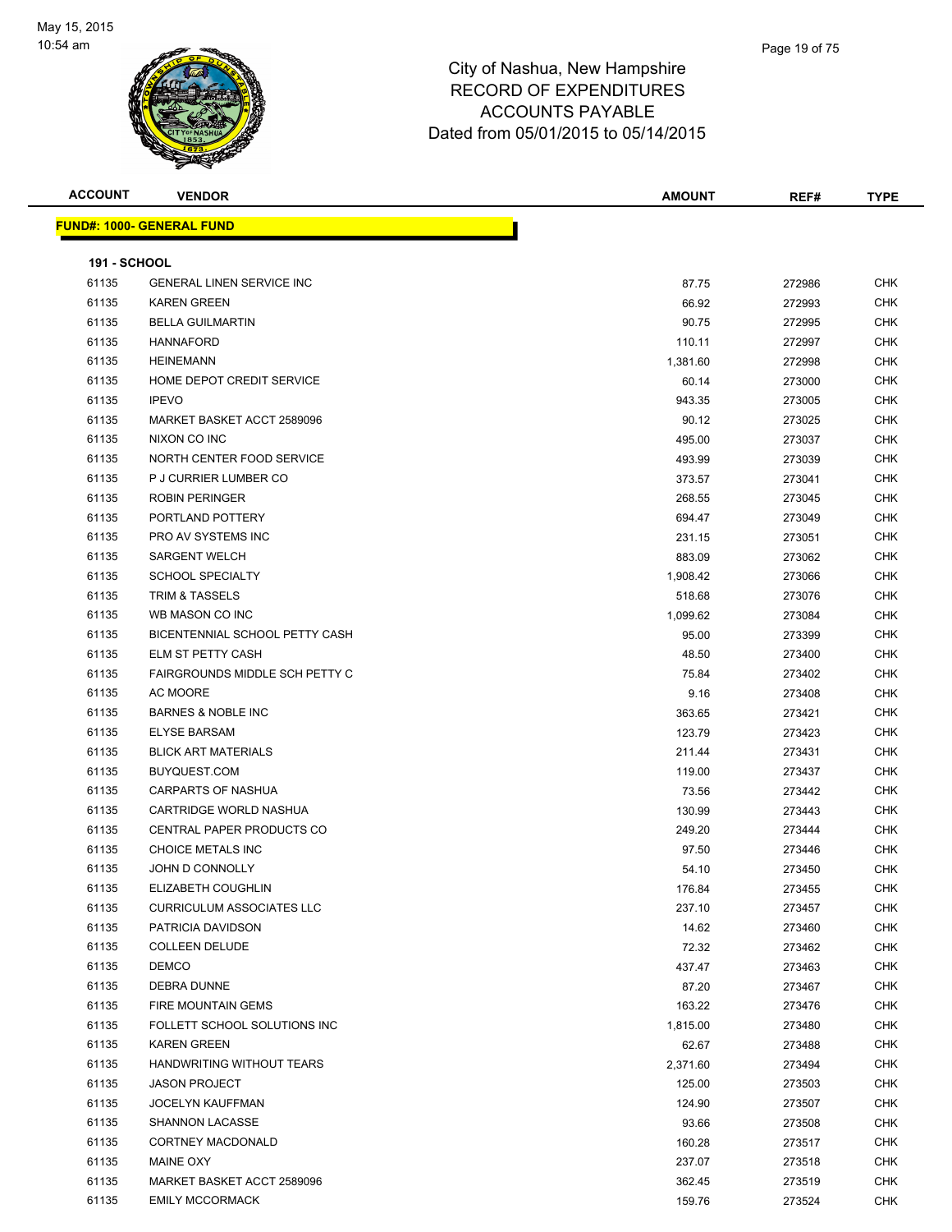

| <b>ACCOUNT</b>      | <b>VENDOR</b>                         | <b>AMOUNT</b> | REF#   | <b>TYPE</b> |
|---------------------|---------------------------------------|---------------|--------|-------------|
|                     | <u> FUND#: 1000- GENERAL FUND</u>     |               |        |             |
|                     |                                       |               |        |             |
| <b>191 - SCHOOL</b> |                                       |               |        |             |
| 61135               | <b>GENERAL LINEN SERVICE INC</b>      | 87.75         | 272986 | <b>CHK</b>  |
| 61135               | <b>KAREN GREEN</b>                    | 66.92         | 272993 | <b>CHK</b>  |
| 61135               | <b>BELLA GUILMARTIN</b>               | 90.75         | 272995 | CHK         |
| 61135               | <b>HANNAFORD</b>                      | 110.11        | 272997 | <b>CHK</b>  |
| 61135               | <b>HEINEMANN</b>                      | 1,381.60      | 272998 | <b>CHK</b>  |
| 61135               | HOME DEPOT CREDIT SERVICE             | 60.14         | 273000 | <b>CHK</b>  |
| 61135               | <b>IPEVO</b>                          | 943.35        | 273005 | <b>CHK</b>  |
| 61135               | MARKET BASKET ACCT 2589096            | 90.12         | 273025 | <b>CHK</b>  |
| 61135               | NIXON CO INC                          | 495.00        | 273037 | <b>CHK</b>  |
| 61135               | NORTH CENTER FOOD SERVICE             | 493.99        | 273039 | <b>CHK</b>  |
| 61135               | P J CURRIER LUMBER CO                 | 373.57        | 273041 | CHK         |
| 61135               | <b>ROBIN PERINGER</b>                 | 268.55        | 273045 | <b>CHK</b>  |
| 61135               | PORTLAND POTTERY                      | 694.47        | 273049 | <b>CHK</b>  |
| 61135               | PRO AV SYSTEMS INC                    | 231.15        | 273051 | CHK         |
| 61135               | <b>SARGENT WELCH</b>                  | 883.09        | 273062 | <b>CHK</b>  |
| 61135               | <b>SCHOOL SPECIALTY</b>               | 1,908.42      | 273066 | <b>CHK</b>  |
| 61135               | <b>TRIM &amp; TASSELS</b>             | 518.68        | 273076 | <b>CHK</b>  |
| 61135               | WB MASON CO INC                       | 1,099.62      | 273084 | <b>CHK</b>  |
| 61135               | BICENTENNIAL SCHOOL PETTY CASH        | 95.00         | 273399 | <b>CHK</b>  |
| 61135               | ELM ST PETTY CASH                     | 48.50         | 273400 | <b>CHK</b>  |
| 61135               | <b>FAIRGROUNDS MIDDLE SCH PETTY C</b> | 75.84         | 273402 | <b>CHK</b>  |
| 61135               | AC MOORE                              | 9.16          | 273408 | CHK         |
| 61135               | <b>BARNES &amp; NOBLE INC</b>         | 363.65        | 273421 | <b>CHK</b>  |
| 61135               | <b>ELYSE BARSAM</b>                   | 123.79        | 273423 | <b>CHK</b>  |
| 61135               | <b>BLICK ART MATERIALS</b>            | 211.44        | 273431 | CHK         |
| 61135               | BUYQUEST.COM                          | 119.00        | 273437 | <b>CHK</b>  |
| 61135               | <b>CARPARTS OF NASHUA</b>             | 73.56         | 273442 | <b>CHK</b>  |
| 61135               | CARTRIDGE WORLD NASHUA                | 130.99        | 273443 | <b>CHK</b>  |
| 61135               | CENTRAL PAPER PRODUCTS CO             | 249.20        |        | <b>CHK</b>  |
|                     |                                       |               | 273444 |             |
| 61135               | CHOICE METALS INC                     | 97.50         | 273446 | CHK         |
| 61135               | JOHN D CONNOLLY                       | 54.10         | 273450 | <b>CHK</b>  |
| 61135               | ELIZABETH COUGHLIN                    | 176.84        | 273455 | <b>CHK</b>  |
| 61135               | <b>CURRICULUM ASSOCIATES LLC</b>      | 237.10        | 273457 | CHK         |
| 61135               | PATRICIA DAVIDSON                     | 14.62         | 273460 | <b>CHK</b>  |
| 61135               | <b>COLLEEN DELUDE</b>                 | 72.32         | 273462 | <b>CHK</b>  |
| 61135               | <b>DEMCO</b>                          | 437.47        | 273463 | <b>CHK</b>  |
| 61135               | DEBRA DUNNE                           | 87.20         | 273467 | <b>CHK</b>  |
| 61135               | FIRE MOUNTAIN GEMS                    | 163.22        | 273476 | CHK         |
| 61135               | FOLLETT SCHOOL SOLUTIONS INC          | 1,815.00      | 273480 | <b>CHK</b>  |
| 61135               | <b>KAREN GREEN</b>                    | 62.67         | 273488 | <b>CHK</b>  |
| 61135               | HANDWRITING WITHOUT TEARS             | 2,371.60      | 273494 | <b>CHK</b>  |
| 61135               | <b>JASON PROJECT</b>                  | 125.00        | 273503 | <b>CHK</b>  |
| 61135               | <b>JOCELYN KAUFFMAN</b>               | 124.90        | 273507 | <b>CHK</b>  |
| 61135               | SHANNON LACASSE                       | 93.66         | 273508 | CHK         |
| 61135               | CORTNEY MACDONALD                     | 160.28        | 273517 | CHK         |
| 61135               | MAINE OXY                             | 237.07        | 273518 | CHK         |
| 61135               | MARKET BASKET ACCT 2589096            | 362.45        | 273519 | CHK         |
| 61135               | <b>EMILY MCCORMACK</b>                | 159.76        | 273524 | <b>CHK</b>  |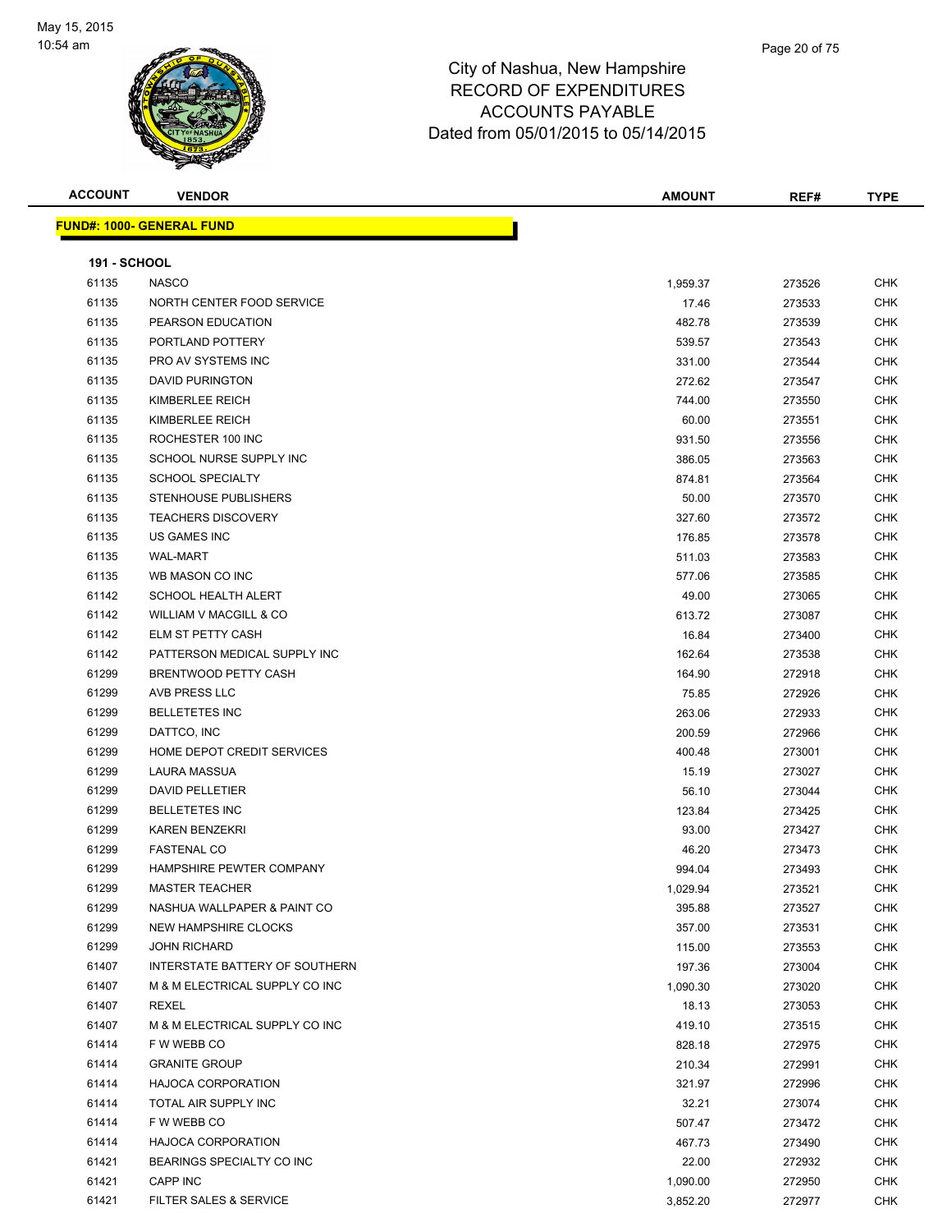

| <b>ACCOUNT</b>      | <b>VENDOR</b>                     | <b>AMOUNT</b> | REF#   | <b>TYPE</b> |
|---------------------|-----------------------------------|---------------|--------|-------------|
|                     | <u> FUND#: 1000- GENERAL FUND</u> |               |        |             |
|                     |                                   |               |        |             |
| <b>191 - SCHOOL</b> |                                   |               |        |             |
| 61135               | <b>NASCO</b>                      | 1,959.37      | 273526 | <b>CHK</b>  |
| 61135               | NORTH CENTER FOOD SERVICE         | 17.46         | 273533 | <b>CHK</b>  |
| 61135               | PEARSON EDUCATION                 | 482.78        | 273539 | <b>CHK</b>  |
| 61135               | PORTLAND POTTERY                  | 539.57        | 273543 | <b>CHK</b>  |
| 61135               | PRO AV SYSTEMS INC                | 331.00        | 273544 | <b>CHK</b>  |
| 61135               | <b>DAVID PURINGTON</b>            | 272.62        | 273547 | <b>CHK</b>  |
| 61135               | KIMBERLEE REICH                   | 744.00        | 273550 | <b>CHK</b>  |
| 61135               | KIMBERLEE REICH                   | 60.00         | 273551 | <b>CHK</b>  |
| 61135               | ROCHESTER 100 INC                 | 931.50        | 273556 | <b>CHK</b>  |
| 61135               | SCHOOL NURSE SUPPLY INC           | 386.05        | 273563 | <b>CHK</b>  |
| 61135               | <b>SCHOOL SPECIALTY</b>           | 874.81        | 273564 | <b>CHK</b>  |
| 61135               | STENHOUSE PUBLISHERS              | 50.00         | 273570 | <b>CHK</b>  |
| 61135               | <b>TEACHERS DISCOVERY</b>         | 327.60        | 273572 | <b>CHK</b>  |
| 61135               | <b>US GAMES INC</b>               | 176.85        | 273578 | <b>CHK</b>  |
| 61135               | <b>WAL-MART</b>                   | 511.03        | 273583 | <b>CHK</b>  |
| 61135               | WB MASON CO INC                   | 577.06        | 273585 | <b>CHK</b>  |
| 61142               | SCHOOL HEALTH ALERT               | 49.00         | 273065 | <b>CHK</b>  |
| 61142               | WILLIAM V MACGILL & CO            | 613.72        | 273087 | <b>CHK</b>  |
| 61142               | ELM ST PETTY CASH                 | 16.84         | 273400 | <b>CHK</b>  |
| 61142               | PATTERSON MEDICAL SUPPLY INC      | 162.64        | 273538 | <b>CHK</b>  |
| 61299               | BRENTWOOD PETTY CASH              | 164.90        | 272918 | <b>CHK</b>  |
| 61299               | AVB PRESS LLC                     | 75.85         | 272926 | <b>CHK</b>  |
| 61299               | <b>BELLETETES INC</b>             | 263.06        | 272933 | <b>CHK</b>  |
| 61299               | DATTCO, INC                       | 200.59        | 272966 | <b>CHK</b>  |
| 61299               | HOME DEPOT CREDIT SERVICES        | 400.48        | 273001 | <b>CHK</b>  |
| 61299               | LAURA MASSUA                      | 15.19         | 273027 | <b>CHK</b>  |
| 61299               | <b>DAVID PELLETIER</b>            | 56.10         | 273044 | <b>CHK</b>  |
| 61299               | <b>BELLETETES INC</b>             | 123.84        | 273425 | <b>CHK</b>  |
| 61299               | <b>KAREN BENZEKRI</b>             | 93.00         | 273427 | <b>CHK</b>  |
| 61299               | <b>FASTENAL CO</b>                | 46.20         | 273473 | <b>CHK</b>  |
| 61299               | HAMPSHIRE PEWTER COMPANY          | 994.04        | 273493 | <b>CHK</b>  |
| 61299               | <b>MASTER TEACHER</b>             | 1,029.94      | 273521 | CHK         |
| 61299               | NASHUA WALLPAPER & PAINT CO       | 395.88        | 273527 | <b>CHK</b>  |
| 61299               | NEW HAMPSHIRE CLOCKS              | 357.00        | 273531 | <b>CHK</b>  |
| 61299               | <b>JOHN RICHARD</b>               | 115.00        | 273553 | <b>CHK</b>  |
| 61407               | INTERSTATE BATTERY OF SOUTHERN    | 197.36        | 273004 | <b>CHK</b>  |
| 61407               | M & M ELECTRICAL SUPPLY CO INC    | 1,090.30      | 273020 | <b>CHK</b>  |
| 61407               | <b>REXEL</b>                      | 18.13         | 273053 | <b>CHK</b>  |
| 61407               | M & M ELECTRICAL SUPPLY CO INC    | 419.10        | 273515 | <b>CHK</b>  |
| 61414               | F W WEBB CO                       | 828.18        | 272975 | <b>CHK</b>  |
| 61414               | <b>GRANITE GROUP</b>              | 210.34        | 272991 | <b>CHK</b>  |
| 61414               | <b>HAJOCA CORPORATION</b>         | 321.97        | 272996 | <b>CHK</b>  |
| 61414               | TOTAL AIR SUPPLY INC              | 32.21         | 273074 | <b>CHK</b>  |
| 61414               | F W WEBB CO                       | 507.47        | 273472 | <b>CHK</b>  |
| 61414               | <b>HAJOCA CORPORATION</b>         | 467.73        | 273490 | <b>CHK</b>  |
| 61421               | BEARINGS SPECIALTY CO INC         | 22.00         | 272932 | <b>CHK</b>  |
| 61421               | CAPP INC                          | 1,090.00      | 272950 | CHK         |
| 61421               | FILTER SALES & SERVICE            | 3,852.20      | 272977 | <b>CHK</b>  |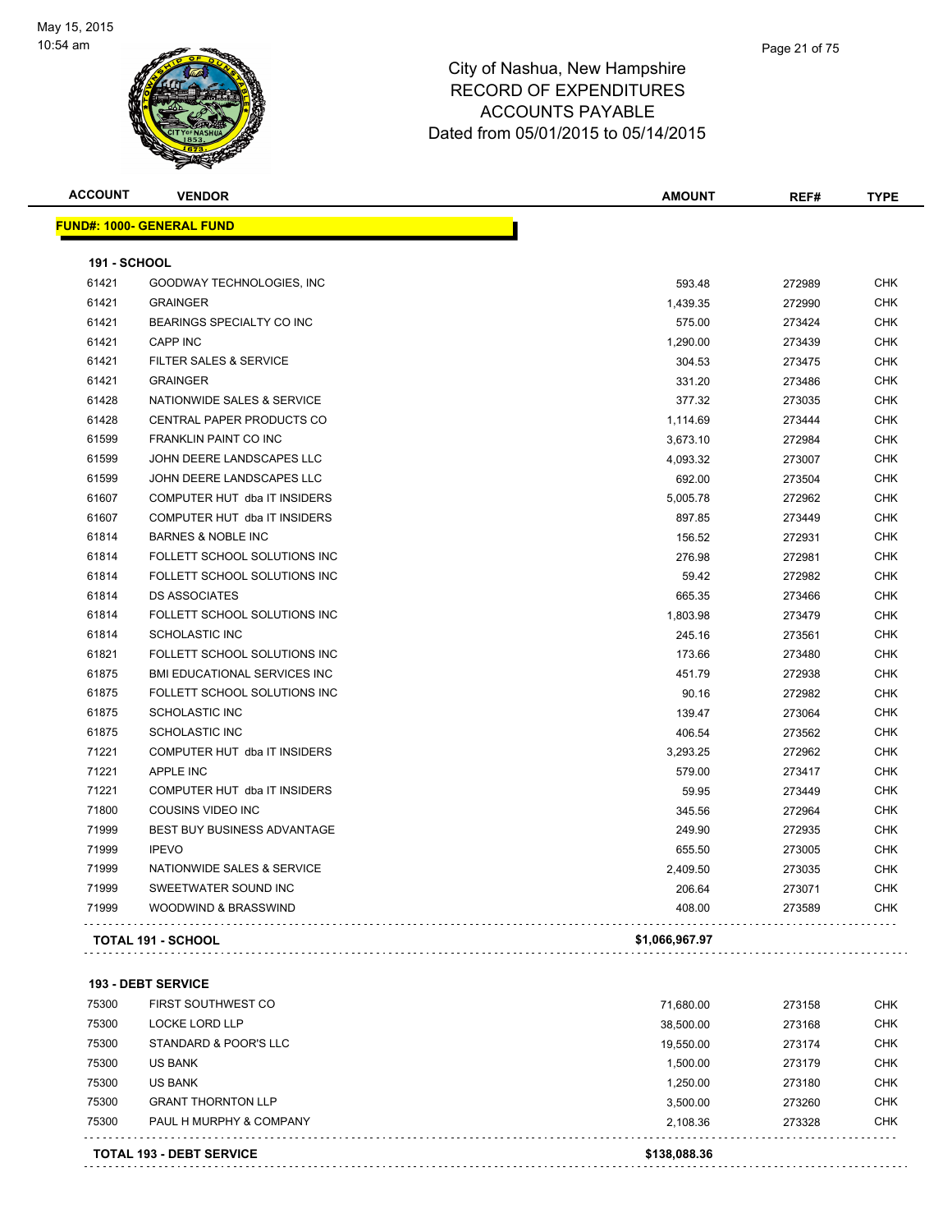

| <b>ACCOUNT</b>      | <b>VENDOR</b>                       | <b>AMOUNT</b>  | REF#   | <b>TYPE</b> |
|---------------------|-------------------------------------|----------------|--------|-------------|
|                     | <b>FUND#: 1000- GENERAL FUND</b>    |                |        |             |
| <b>191 - SCHOOL</b> |                                     |                |        |             |
| 61421               | GOODWAY TECHNOLOGIES, INC           | 593.48         | 272989 | <b>CHK</b>  |
| 61421               | <b>GRAINGER</b>                     | 1,439.35       | 272990 | <b>CHK</b>  |
| 61421               | BEARINGS SPECIALTY CO INC           | 575.00         | 273424 | <b>CHK</b>  |
| 61421               | <b>CAPP INC</b>                     | 1,290.00       | 273439 | <b>CHK</b>  |
| 61421               | <b>FILTER SALES &amp; SERVICE</b>   | 304.53         | 273475 | <b>CHK</b>  |
| 61421               | <b>GRAINGER</b>                     | 331.20         | 273486 | <b>CHK</b>  |
| 61428               | NATIONWIDE SALES & SERVICE          | 377.32         | 273035 | <b>CHK</b>  |
| 61428               | CENTRAL PAPER PRODUCTS CO           | 1,114.69       | 273444 | <b>CHK</b>  |
| 61599               | FRANKLIN PAINT CO INC               | 3,673.10       | 272984 | <b>CHK</b>  |
| 61599               | JOHN DEERE LANDSCAPES LLC           | 4,093.32       | 273007 | <b>CHK</b>  |
| 61599               | JOHN DEERE LANDSCAPES LLC           | 692.00         | 273504 | <b>CHK</b>  |
| 61607               | COMPUTER HUT dba IT INSIDERS        | 5,005.78       | 272962 | <b>CHK</b>  |
| 61607               | COMPUTER HUT dba IT INSIDERS        | 897.85         | 273449 | <b>CHK</b>  |
| 61814               | <b>BARNES &amp; NOBLE INC</b>       | 156.52         | 272931 | <b>CHK</b>  |
| 61814               | FOLLETT SCHOOL SOLUTIONS INC        | 276.98         | 272981 | <b>CHK</b>  |
| 61814               | FOLLETT SCHOOL SOLUTIONS INC        | 59.42          | 272982 | <b>CHK</b>  |
| 61814               | <b>DS ASSOCIATES</b>                | 665.35         | 273466 | <b>CHK</b>  |
| 61814               | FOLLETT SCHOOL SOLUTIONS INC        | 1,803.98       | 273479 | <b>CHK</b>  |
| 61814               | <b>SCHOLASTIC INC</b>               | 245.16         | 273561 | <b>CHK</b>  |
| 61821               | FOLLETT SCHOOL SOLUTIONS INC        | 173.66         | 273480 | <b>CHK</b>  |
| 61875               | <b>BMI EDUCATIONAL SERVICES INC</b> | 451.79         | 272938 | <b>CHK</b>  |
| 61875               | FOLLETT SCHOOL SOLUTIONS INC        | 90.16          | 272982 | <b>CHK</b>  |
| 61875               | <b>SCHOLASTIC INC</b>               | 139.47         | 273064 | <b>CHK</b>  |
| 61875               | <b>SCHOLASTIC INC</b>               | 406.54         | 273562 | <b>CHK</b>  |
| 71221               | COMPUTER HUT dba IT INSIDERS        | 3,293.25       | 272962 | <b>CHK</b>  |
| 71221               | <b>APPLE INC</b>                    | 579.00         | 273417 | <b>CHK</b>  |
| 71221               | COMPUTER HUT dba IT INSIDERS        | 59.95          | 273449 | <b>CHK</b>  |
| 71800               | <b>COUSINS VIDEO INC</b>            | 345.56         | 272964 | <b>CHK</b>  |
| 71999               | BEST BUY BUSINESS ADVANTAGE         | 249.90         | 272935 | <b>CHK</b>  |
| 71999               | <b>IPEVO</b>                        | 655.50         | 273005 | <b>CHK</b>  |
| 71999               | NATIONWIDE SALES & SERVICE          | 2,409.50       | 273035 | <b>CHK</b>  |
| 71999               | SWEETWATER SOUND INC                | 206.64         | 273071 | <b>CHK</b>  |
| 71999               | WOODWIND & BRASSWIND                | 408.00         | 273589 | <b>CHK</b>  |
|                     | TOTAL 191 - SCHOOL                  | \$1,066,967.97 |        |             |

#### **193 - DEBT SERVICE** TRIST SOUTHWEST CO AND THE SOUTHWEST CO CHANGE TO A SAMPLE TO A SAMPLE TO A SAMPLE TO A SAMPLE TO A SAMPLE TO A LOCKE LORD LLP 38,500.00 273168 CHK STANDARD & POOR'S LLC 19,550.00 273174 CHK US BANK 1,500.00 273179 CHK US BANK 1,250.00 273180 CHK 75300 GRANT THORNTON LLP 3,500.00 273260 CHK PAUL H MURPHY & COMPANY 2,108.36 273328 CHK . . . . . . . . . . . . . . . . . . . . . . . . . . . . . . . . . . . . . . . . . . . . . . . . . . . . **TOTAL 193 - DEBT SERVICE \$138,088.36**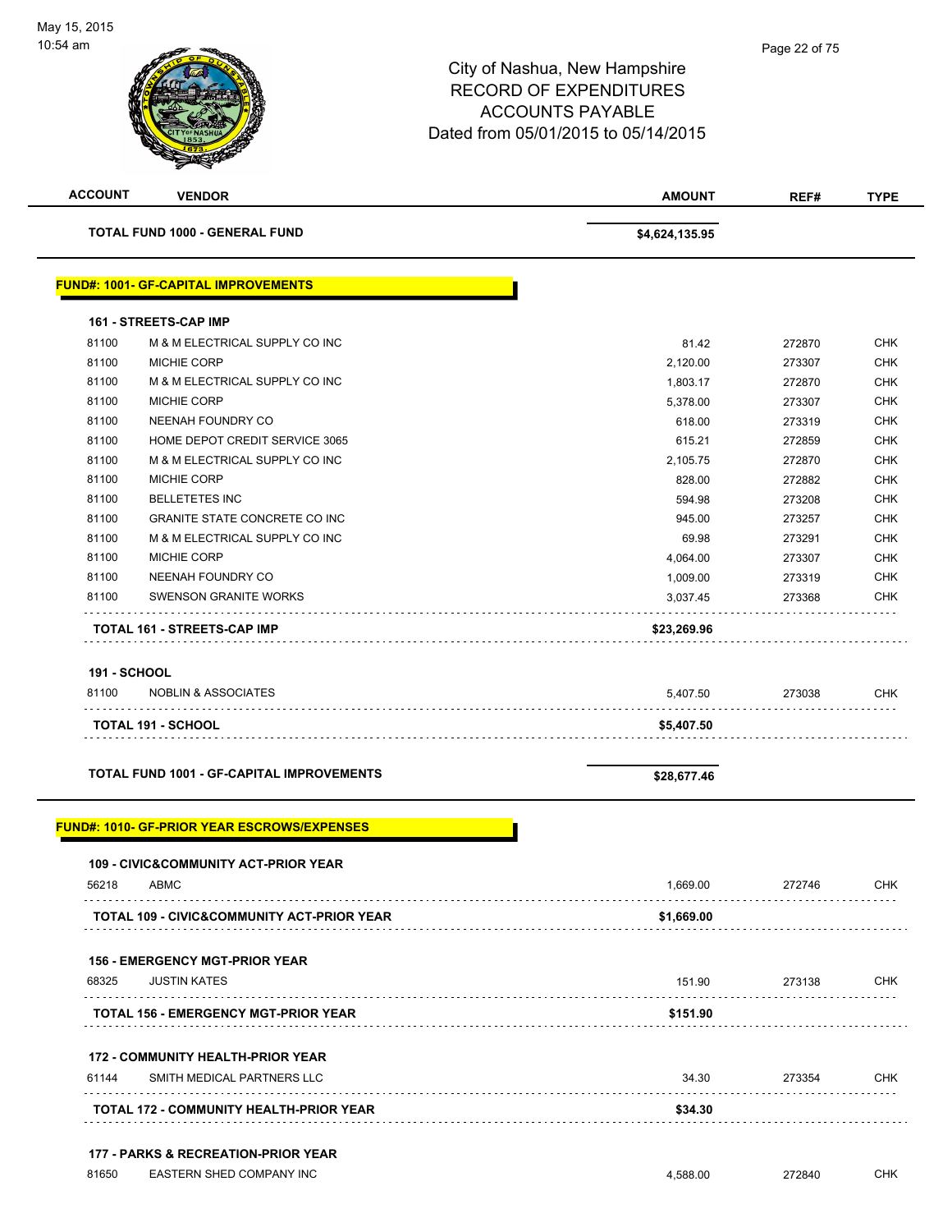| <b>ACCOUNT</b>      | <b>VENDOR</b>                                                   | <b>AMOUNT</b>  | REF#   | <b>TYPE</b> |
|---------------------|-----------------------------------------------------------------|----------------|--------|-------------|
|                     | <b>TOTAL FUND 1000 - GENERAL FUND</b>                           | \$4,624,135.95 |        |             |
|                     | <b>FUND#: 1001- GF-CAPITAL IMPROVEMENTS</b>                     |                |        |             |
|                     | 161 - STREETS-CAP IMP                                           |                |        |             |
| 81100               | M & M ELECTRICAL SUPPLY CO INC                                  | 81.42          | 272870 | <b>CHK</b>  |
| 81100               | <b>MICHIE CORP</b>                                              | 2,120.00       | 273307 | <b>CHK</b>  |
| 81100               | M & M ELECTRICAL SUPPLY CO INC                                  | 1,803.17       | 272870 | <b>CHK</b>  |
| 81100               | <b>MICHIE CORP</b>                                              | 5,378.00       | 273307 | <b>CHK</b>  |
| 81100               | NEENAH FOUNDRY CO                                               | 618.00         | 273319 | <b>CHK</b>  |
| 81100               | HOME DEPOT CREDIT SERVICE 3065                                  | 615.21         | 272859 | <b>CHK</b>  |
| 81100               | M & M ELECTRICAL SUPPLY CO INC                                  | 2,105.75       | 272870 | <b>CHK</b>  |
| 81100               | MICHIE CORP                                                     | 828.00         | 272882 | <b>CHK</b>  |
| 81100               | <b>BELLETETES INC</b>                                           | 594.98         | 273208 | <b>CHK</b>  |
| 81100               | <b>GRANITE STATE CONCRETE CO INC</b>                            | 945.00         | 273257 | CHK         |
| 81100               | M & M ELECTRICAL SUPPLY CO INC                                  | 69.98          | 273291 | <b>CHK</b>  |
| 81100               | <b>MICHIE CORP</b>                                              | 4,064.00       | 273307 | CHK         |
| 81100               | NEENAH FOUNDRY CO                                               | 1,009.00       | 273319 | <b>CHK</b>  |
| 81100               | <b>SWENSON GRANITE WORKS</b>                                    | 3,037.45       | 273368 | CHK         |
|                     | TOTAL 161 - STREETS-CAP IMP                                     | \$23,269.96    |        |             |
|                     |                                                                 |                |        |             |
| <b>191 - SCHOOL</b> |                                                                 |                |        |             |
| 81100               | <b>NOBLIN &amp; ASSOCIATES</b>                                  | 5,407.50       | 273038 | CHK         |
|                     | <b>TOTAL 191 - SCHOOL</b>                                       | \$5,407.50     |        |             |
|                     | <b>TOTAL FUND 1001 - GF-CAPITAL IMPROVEMENTS</b>                | \$28,677.46    |        |             |
|                     | <b>FUND#: 1010- GF-PRIOR YEAR ESCROWS/EXPENSES</b>              |                |        |             |
|                     | <b>109 - CIVIC&amp;COMMUNITY ACT-PRIOR YEAR</b>                 |                |        |             |
| 56218               | <b>ABMC</b>                                                     | 1,669.00       | 272746 | CHK         |
|                     | TOTAL 109 - CIVIC&COMMUNITY ACT-PRIOR YEAR                      | \$1,669.00     |        |             |
|                     | <b>156 - EMERGENCY MGT-PRIOR YEAR</b>                           |                |        |             |
| 68325               | <b>JUSTIN KATES</b>                                             | 151.90         | 273138 | CHK         |
|                     | TOTAL 156 - EMERGENCY MGT-PRIOR YEAR                            | \$151.90       |        |             |
|                     | <b>172 - COMMUNITY HEALTH-PRIOR YEAR</b>                        |                |        |             |
| 61144               | SMITH MEDICAL PARTNERS LLC                                      | 34.30          | 273354 | CHK         |
|                     | TOTAL 172 - COMMUNITY HEALTH-PRIOR YEAR                         | \$34.30        |        |             |
|                     |                                                                 |                |        |             |
| 81650               | 177 - PARKS & RECREATION-PRIOR YEAR<br>EASTERN SHED COMPANY INC | 4,588.00       | 272840 | CHK         |
|                     |                                                                 |                |        |             |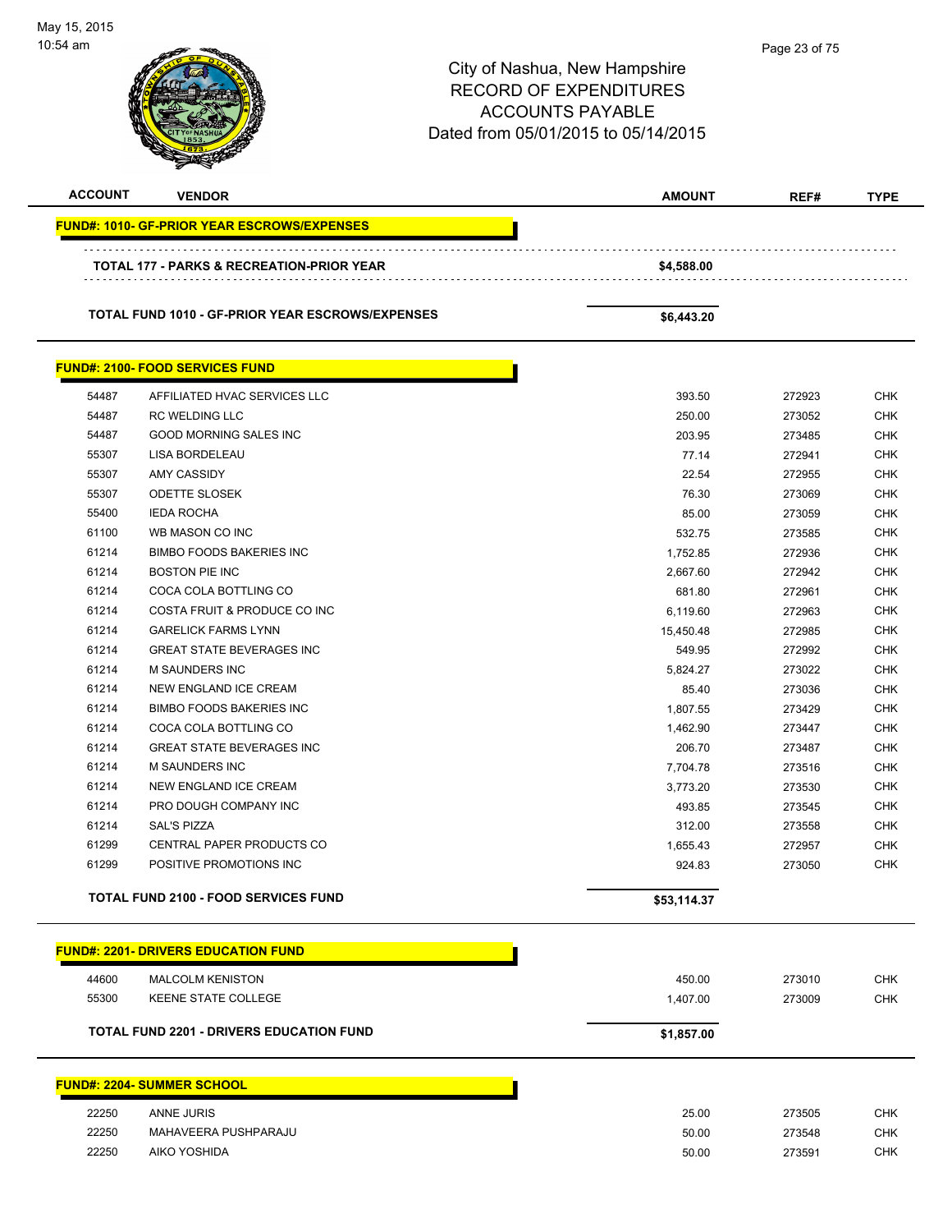| May 15, 2015<br>10:54 am |                                                    | City of Nashua, New Hampshire<br><b>RECORD OF EXPENDITURES</b><br><b>ACCOUNTS PAYABLE</b><br>Dated from 05/01/2015 to 05/14/2015 |        |             |
|--------------------------|----------------------------------------------------|----------------------------------------------------------------------------------------------------------------------------------|--------|-------------|
| <b>ACCOUNT</b>           | <b>VENDOR</b>                                      | <b>AMOUNT</b>                                                                                                                    | REF#   | <b>TYPE</b> |
|                          | <b>FUND#: 1010- GF-PRIOR YEAR ESCROWS/EXPENSES</b> |                                                                                                                                  |        |             |
|                          | TOTAL 177 - PARKS & RECREATION-PRIOR YEAR          | \$4,588.00                                                                                                                       |        |             |
|                          | TOTAL FUND 1010 - GF-PRIOR YEAR ESCROWS/EXPENSES   | \$6,443.20                                                                                                                       |        |             |
|                          | <b>FUND#: 2100- FOOD SERVICES FUND</b>             |                                                                                                                                  |        |             |
| 54487                    | AFFILIATED HVAC SERVICES LLC                       | 393.50                                                                                                                           | 272923 | <b>CHK</b>  |
| 54487                    | <b>RC WELDING LLC</b>                              | 250.00                                                                                                                           | 273052 | <b>CHK</b>  |
| 54487                    | <b>GOOD MORNING SALES INC</b>                      | 203.95                                                                                                                           | 273485 | <b>CHK</b>  |
| 55307                    | LISA BORDELEAU                                     | 77.14                                                                                                                            | 272941 | <b>CHK</b>  |
| 55307                    | <b>AMY CASSIDY</b>                                 | 22.54                                                                                                                            | 272955 | CHK         |
| 55307                    | <b>ODETTE SLOSEK</b>                               | 76.30                                                                                                                            | 273069 | <b>CHK</b>  |
| 55400                    | <b>IEDA ROCHA</b>                                  | 85.00                                                                                                                            | 273059 | <b>CHK</b>  |
| 61100                    | WB MASON CO INC                                    | 532.75                                                                                                                           | 273585 | <b>CHK</b>  |
| 61214                    | <b>BIMBO FOODS BAKERIES INC</b>                    | 1,752.85                                                                                                                         | 272936 | <b>CHK</b>  |
| 61214                    | <b>BOSTON PIE INC</b>                              | 2,667.60                                                                                                                         | 272942 | <b>CHK</b>  |
| 61214                    | COCA COLA BOTTLING CO                              | 681.80                                                                                                                           | 272961 | <b>CHK</b>  |
| 61214                    | COSTA FRUIT & PRODUCE CO INC                       | 6,119.60                                                                                                                         | 272963 | <b>CHK</b>  |
| 61214                    | <b>GARELICK FARMS LYNN</b>                         | 15,450.48                                                                                                                        | 272985 | <b>CHK</b>  |
| 61214                    | <b>GREAT STATE BEVERAGES INC</b>                   | 549.95                                                                                                                           | 272992 | <b>CHK</b>  |
| 61214                    | <b>M SAUNDERS INC</b>                              | 5,824.27                                                                                                                         | 273022 | <b>CHK</b>  |
| 61214                    | <b>NEW ENGLAND ICE CREAM</b>                       | 85.40                                                                                                                            | 273036 | <b>CHK</b>  |
| 61214                    | <b>BIMBO FOODS BAKERIES INC</b>                    | 1,807.55                                                                                                                         | 273429 | <b>CHK</b>  |
| 61214                    | COCA COLA BOTTLING CO                              | 1,462.90                                                                                                                         | 273447 | <b>CHK</b>  |
| 61214                    | <b>GREAT STATE BEVERAGES INC</b>                   | 206.70                                                                                                                           | 273487 | CHK         |
| 61214                    | M SAUNDERS INC                                     | 7,704.78                                                                                                                         | 273516 | CHK         |
| 61214                    | NEW ENGLAND ICE CREAM                              | 3,773.20                                                                                                                         | 273530 | CHK         |
| 61214                    | PRO DOUGH COMPANY INC                              | 493.85                                                                                                                           | 273545 | <b>CHK</b>  |
| 61214                    | SAL'S PIZZA                                        | 312.00                                                                                                                           | 273558 | <b>CHK</b>  |
| 61299                    | CENTRAL PAPER PRODUCTS CO                          | 1,655.43                                                                                                                         | 272957 | <b>CHK</b>  |
| 61299                    | POSITIVE PROMOTIONS INC                            | 924.83                                                                                                                           | 273050 | <b>CHK</b>  |
|                          | <b>TOTAL FUND 2100 - FOOD SERVICES FUND</b>        | \$53,114.37                                                                                                                      |        |             |
|                          | <b>FUND#: 2201- DRIVERS EDUCATION FUND</b>         |                                                                                                                                  |        |             |
|                          |                                                    |                                                                                                                                  |        |             |
| 44600                    | <b>MALCOLM KENISTON</b>                            | 450.00                                                                                                                           | 273010 | <b>CHK</b>  |
| 55300                    | KEENE STATE COLLEGE                                | 1,407.00                                                                                                                         | 273009 | <b>CHK</b>  |
|                          | <b>TOTAL FUND 2201 - DRIVERS EDUCATION FUND</b>    | \$1,857.00                                                                                                                       |        |             |
|                          | <b>FUND#: 2204- SUMMER SCHOOL</b>                  |                                                                                                                                  |        |             |
| 22250                    | ANNE JURIS                                         | 25.00                                                                                                                            | 273505 | <b>CHK</b>  |
| 22250                    | MAHAVEERA PUSHPARAJU                               | 50.00                                                                                                                            | 273548 | CHK         |
| 22250                    | AIKO YOSHIDA                                       | 50.00                                                                                                                            | 273591 | <b>CHK</b>  |

-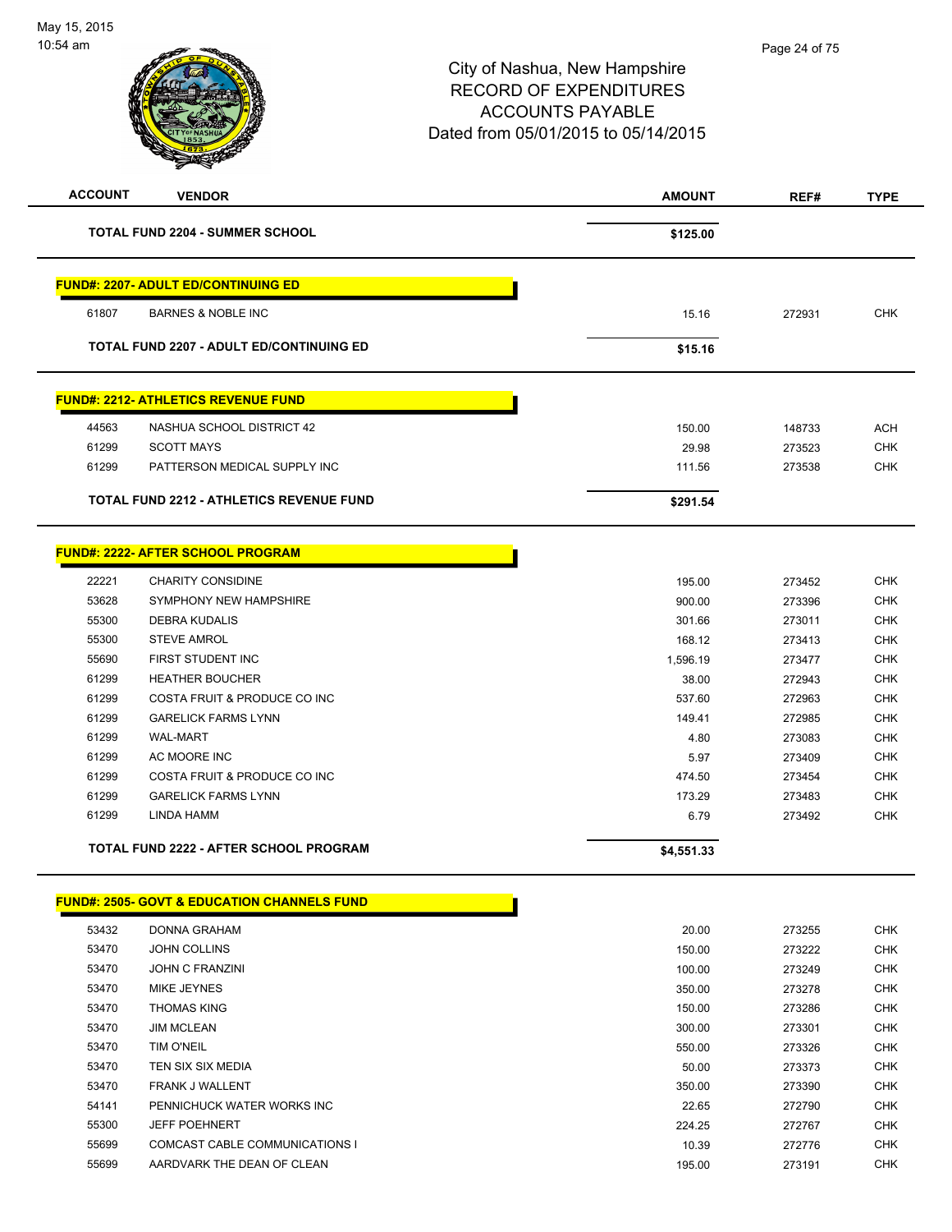

| <b>ACCOUNT</b> | <b>VENDOR</b>                                   | <b>AMOUNT</b> | REF#   | <b>TYPE</b> |
|----------------|-------------------------------------------------|---------------|--------|-------------|
|                | <b>TOTAL FUND 2204 - SUMMER SCHOOL</b>          | \$125.00      |        |             |
|                | <b>FUND#: 2207- ADULT ED/CONTINUING ED</b>      |               |        |             |
| 61807          | <b>BARNES &amp; NOBLE INC</b>                   | 15.16         | 272931 | <b>CHK</b>  |
|                | <b>TOTAL FUND 2207 - ADULT ED/CONTINUING ED</b> | \$15.16       |        |             |
|                | <b>FUND#: 2212- ATHLETICS REVENUE FUND</b>      |               |        |             |
| 44563          | NASHUA SCHOOL DISTRICT 42                       | 150.00        | 148733 | <b>ACH</b>  |
| 61299          | <b>SCOTT MAYS</b>                               | 29.98         | 273523 | <b>CHK</b>  |
| 61299          | PATTERSON MEDICAL SUPPLY INC                    | 111.56        | 273538 | <b>CHK</b>  |
|                | <b>TOTAL FUND 2212 - ATHLETICS REVENUE FUND</b> | \$291.54      |        |             |
|                | FUND#: 2222- AFTER SCHOOL PROGRAM               |               |        |             |
| 22221          | <b>CHARITY CONSIDINE</b>                        | 195.00        | 273452 | <b>CHK</b>  |
| 53628          | SYMPHONY NEW HAMPSHIRE                          | 900.00        | 273396 | <b>CHK</b>  |
| 55300          | <b>DEBRA KUDALIS</b>                            | 301.66        | 273011 | <b>CHK</b>  |
| 55300          | <b>STEVE AMROL</b>                              | 168.12        | 273413 | <b>CHK</b>  |
| 55690          | FIRST STUDENT INC                               | 1,596.19      | 273477 | <b>CHK</b>  |
| 61299          | <b>HEATHER BOUCHER</b>                          | 38.00         | 272943 | <b>CHK</b>  |
| 61299          | COSTA FRUIT & PRODUCE CO INC                    | 537.60        | 272963 | <b>CHK</b>  |
| 61299          | <b>GARELICK FARMS LYNN</b>                      | 149.41        | 272985 | <b>CHK</b>  |
| 61299          | <b>WAL-MART</b>                                 | 4.80          | 273083 | <b>CHK</b>  |
| 61299          | AC MOORE INC                                    | 5.97          | 273409 | <b>CHK</b>  |
| 61299          | COSTA FRUIT & PRODUCE CO INC                    | 474.50        | 273454 | <b>CHK</b>  |
| 61299          | <b>GARELICK FARMS LYNN</b>                      | 173.29        | 273483 | <b>CHK</b>  |
| 61299          | LINDA HAMM                                      | 6.79          | 273492 | <b>CHK</b>  |
|                | <b>TOTAL FUND 2222 - AFTER SCHOOL PROGRAM</b>   | \$4,551.33    |        |             |

#### **FUND#: 2505- GOVT & EDUCATION CHANNELS FUND**

| 53432 | DONNA GRAHAM                          | 20.00  | 273255 | <b>CHK</b> |
|-------|---------------------------------------|--------|--------|------------|
| 53470 | <b>JOHN COLLINS</b>                   | 150.00 | 273222 | <b>CHK</b> |
| 53470 | <b>JOHN C FRANZINI</b>                | 100.00 | 273249 | <b>CHK</b> |
| 53470 | <b>MIKE JEYNES</b>                    | 350.00 | 273278 | <b>CHK</b> |
| 53470 | <b>THOMAS KING</b>                    | 150.00 | 273286 | <b>CHK</b> |
| 53470 | <b>JIM MCLEAN</b>                     | 300.00 | 273301 | <b>CHK</b> |
| 53470 | <b>TIM O'NEIL</b>                     | 550.00 | 273326 | <b>CHK</b> |
| 53470 | TEN SIX SIX MEDIA                     | 50.00  | 273373 | <b>CHK</b> |
| 53470 | <b>FRANK J WALLENT</b>                | 350.00 | 273390 | <b>CHK</b> |
| 54141 | PENNICHUCK WATER WORKS INC            | 22.65  | 272790 | <b>CHK</b> |
| 55300 | <b>JEFF POEHNERT</b>                  | 224.25 | 272767 | <b>CHK</b> |
| 55699 | <b>COMCAST CABLE COMMUNICATIONS I</b> | 10.39  | 272776 | <b>CHK</b> |
| 55699 | AARDVARK THE DEAN OF CLEAN            | 195.00 | 273191 | <b>CHK</b> |
|       |                                       |        |        |            |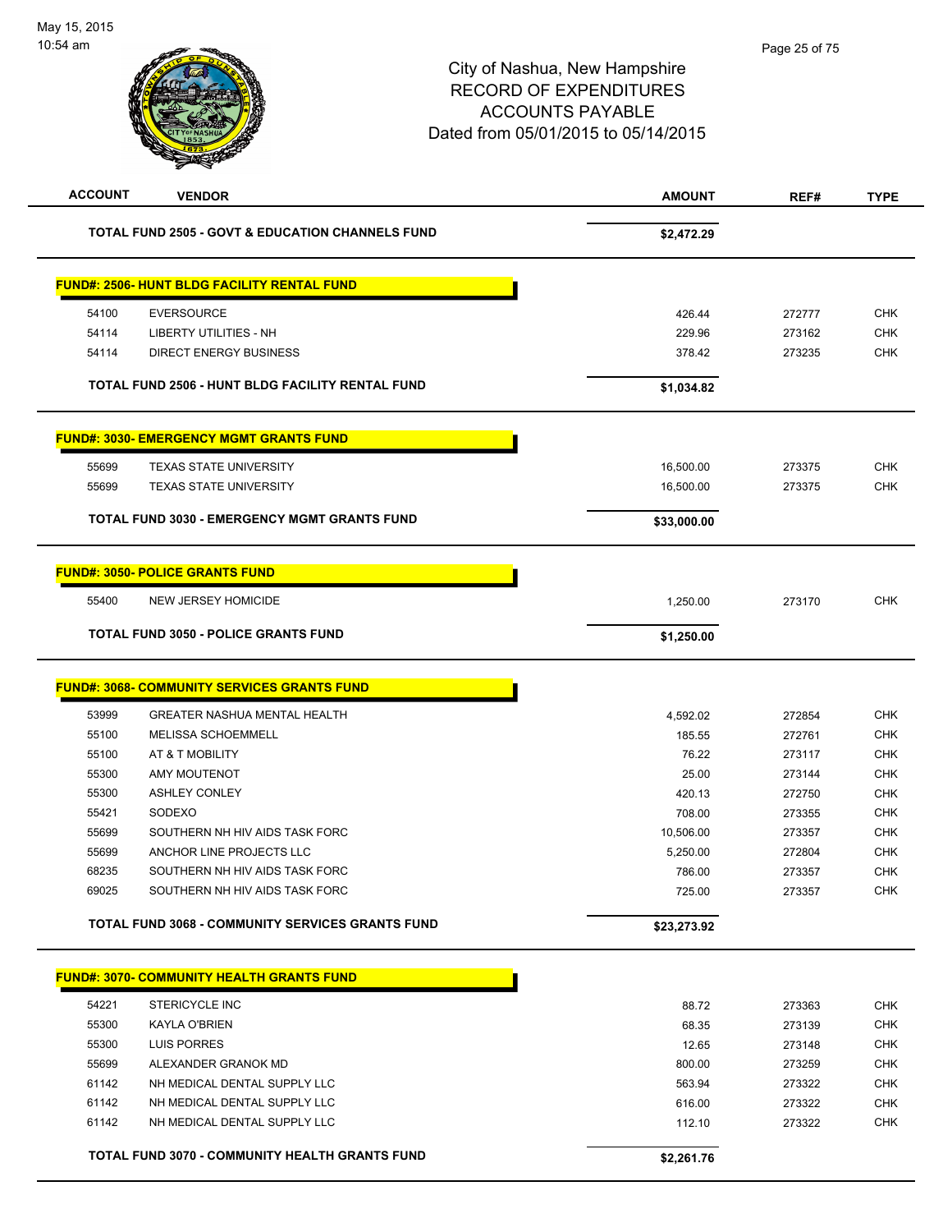| <b>ACCOUNT</b> | <b>VENDOR</b>                                               | <b>AMOUNT</b> | REF#   | <b>TYPE</b> |
|----------------|-------------------------------------------------------------|---------------|--------|-------------|
|                | <b>TOTAL FUND 2505 - GOVT &amp; EDUCATION CHANNELS FUND</b> | \$2,472.29    |        |             |
|                | <b>FUND#: 2506- HUNT BLDG FACILITY RENTAL FUND</b>          |               |        |             |
| 54100          | <b>EVERSOURCE</b>                                           | 426.44        | 272777 | <b>CHK</b>  |
| 54114          | LIBERTY UTILITIES - NH                                      | 229.96        | 273162 | <b>CHK</b>  |
| 54114          | <b>DIRECT ENERGY BUSINESS</b>                               | 378.42        | 273235 | <b>CHK</b>  |
|                | TOTAL FUND 2506 - HUNT BLDG FACILITY RENTAL FUND            | \$1,034.82    |        |             |
|                | <b>FUND#: 3030- EMERGENCY MGMT GRANTS FUND</b>              |               |        |             |
| 55699          | <b>TEXAS STATE UNIVERSITY</b>                               | 16,500.00     | 273375 | <b>CHK</b>  |
| 55699          | <b>TEXAS STATE UNIVERSITY</b>                               | 16,500.00     | 273375 | <b>CHK</b>  |
|                | TOTAL FUND 3030 - EMERGENCY MGMT GRANTS FUND                | \$33,000.00   |        |             |
|                | <b>FUND#: 3050- POLICE GRANTS FUND</b>                      |               |        |             |
| 55400          | <b>NEW JERSEY HOMICIDE</b>                                  | 1,250.00      | 273170 | <b>CHK</b>  |
|                | <b>TOTAL FUND 3050 - POLICE GRANTS FUND</b>                 | \$1,250.00    |        |             |
|                | <b>FUND#: 3068- COMMUNITY SERVICES GRANTS FUND</b>          |               |        |             |
| 53999          | <b>GREATER NASHUA MENTAL HEALTH</b>                         | 4,592.02      | 272854 | <b>CHK</b>  |
| 55100          | MELISSA SCHOEMMELL                                          | 185.55        | 272761 | <b>CHK</b>  |
| 55100          | AT & T MOBILITY                                             | 76.22         | 273117 | <b>CHK</b>  |
| 55300          | <b>AMY MOUTENOT</b>                                         | 25.00         | 273144 | <b>CHK</b>  |
| 55300          | <b>ASHLEY CONLEY</b>                                        | 420.13        | 272750 | <b>CHK</b>  |
| 55421          | SODEXO                                                      | 708.00        | 273355 | <b>CHK</b>  |
| 55699          | SOUTHERN NH HIV AIDS TASK FORC                              | 10,506.00     | 273357 | <b>CHK</b>  |
| 55699          | ANCHOR LINE PROJECTS LLC                                    | 5,250.00      | 272804 | <b>CHK</b>  |
| 68235          | SOUTHERN NH HIV AIDS TASK FORC                              | 786.00        | 273357 | <b>CHK</b>  |
| 69025          | SOUTHERN NH HIV AIDS TASK FORC                              | 725.00        | 273357 | <b>CHK</b>  |
|                | <b>TOTAL FUND 3068 - COMMUNITY SERVICES GRANTS FUND</b>     | \$23,273.92   |        |             |
|                | <b>FUND#: 3070- COMMUNITY HEALTH GRANTS FUND</b>            |               |        |             |
| 54221          | <b>STERICYCLE INC</b>                                       | 88.72         | 273363 | <b>CHK</b>  |
| 55300          | KAYLA O'BRIEN                                               | 68.35         | 273139 | <b>CHK</b>  |
| 55300          | LUIS PORRES                                                 | 12.65         | 273148 | <b>CHK</b>  |
| 55699          | ALEXANDER GRANOK MD                                         | 800.00        | 273259 | <b>CHK</b>  |
| 61142          | NH MEDICAL DENTAL SUPPLY LLC                                | 563.94        | 273322 | <b>CHK</b>  |
| 61142          | NH MEDICAL DENTAL SUPPLY LLC                                | 616.00        | 273322 | <b>CHK</b>  |
| 61142          | NH MEDICAL DENTAL SUPPLY LLC                                | 112.10        | 273322 | <b>CHK</b>  |
|                | TOTAL FUND 3070 - COMMUNITY HEALTH GRANTS FUND              | \$2,261.76    |        |             |
|                |                                                             |               |        |             |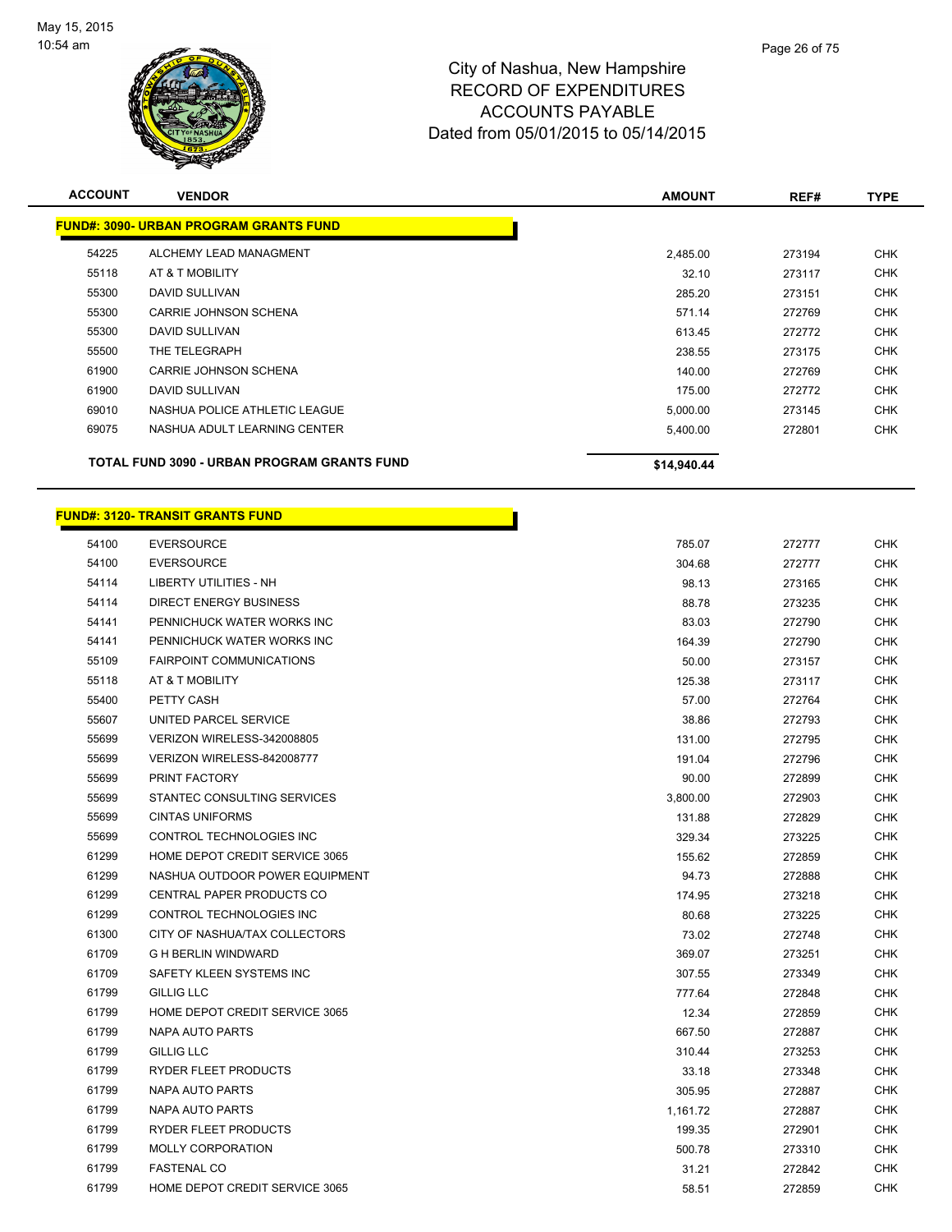

| <b>ACCOUNT</b> | <b>VENDOR</b>                                 | <b>AMOUNT</b> | REF#   | <b>TYPE</b> |
|----------------|-----------------------------------------------|---------------|--------|-------------|
|                | <b>FUND#: 3090- URBAN PROGRAM GRANTS FUND</b> |               |        |             |
| 54225          | ALCHEMY LEAD MANAGMENT                        | 2,485.00      | 273194 | <b>CHK</b>  |
| 55118          | AT & T MOBILITY                               | 32.10         | 273117 | <b>CHK</b>  |
| 55300          | DAVID SULLIVAN                                | 285.20        | 273151 | <b>CHK</b>  |
| 55300          | CARRIE JOHNSON SCHENA                         | 571.14        | 272769 | <b>CHK</b>  |
| 55300          | <b>DAVID SULLIVAN</b>                         | 613.45        | 272772 | <b>CHK</b>  |
| 55500          | THE TELEGRAPH                                 | 238.55        | 273175 | <b>CHK</b>  |
| 61900          | CARRIE JOHNSON SCHENA                         | 140.00        | 272769 | <b>CHK</b>  |
| 61900          | DAVID SULLIVAN                                | 175.00        | 272772 | <b>CHK</b>  |
| 69010          | NASHUA POLICE ATHLETIC LEAGUE                 | 5,000.00      | 273145 | <b>CHK</b>  |
| 69075          | NASHUA ADULT LEARNING CENTER                  | 5,400.00      | 272801 | <b>CHK</b>  |
|                | TOTAL FUND 3090 - URBAN PROGRAM GRANTS FUND   | \$14,940.44   |        |             |

# **FUND#: 3120- TRANSIT GRANTS FUND**

| 54100 | <b>EVERSOURCE</b>                     | 785.07   | 272777 | <b>CHK</b> |
|-------|---------------------------------------|----------|--------|------------|
| 54100 | <b>EVERSOURCE</b>                     | 304.68   | 272777 | <b>CHK</b> |
| 54114 | <b>LIBERTY UTILITIES - NH</b>         | 98.13    | 273165 | <b>CHK</b> |
| 54114 | <b>DIRECT ENERGY BUSINESS</b>         | 88.78    | 273235 | <b>CHK</b> |
| 54141 | PENNICHUCK WATER WORKS INC            | 83.03    | 272790 | <b>CHK</b> |
| 54141 | PENNICHUCK WATER WORKS INC            | 164.39   | 272790 | CHK        |
| 55109 | <b>FAIRPOINT COMMUNICATIONS</b>       | 50.00    | 273157 | <b>CHK</b> |
| 55118 | AT & T MOBILITY                       | 125.38   | 273117 | <b>CHK</b> |
| 55400 | PETTY CASH                            | 57.00    | 272764 | <b>CHK</b> |
| 55607 | UNITED PARCEL SERVICE                 | 38.86    | 272793 | <b>CHK</b> |
| 55699 | VERIZON WIRELESS-342008805            | 131.00   | 272795 | <b>CHK</b> |
| 55699 | VERIZON WIRELESS-842008777            | 191.04   | 272796 | <b>CHK</b> |
| 55699 | PRINT FACTORY                         | 90.00    | 272899 | CHK        |
| 55699 | STANTEC CONSULTING SERVICES           | 3,800.00 | 272903 | <b>CHK</b> |
| 55699 | <b>CINTAS UNIFORMS</b>                | 131.88   | 272829 | CHK        |
| 55699 | CONTROL TECHNOLOGIES INC              | 329.34   | 273225 | <b>CHK</b> |
| 61299 | <b>HOME DEPOT CREDIT SERVICE 3065</b> | 155.62   | 272859 | CHK        |
| 61299 | NASHUA OUTDOOR POWER EQUIPMENT        | 94.73    | 272888 | <b>CHK</b> |
| 61299 | CENTRAL PAPER PRODUCTS CO             | 174.95   | 273218 | CHK        |
| 61299 | CONTROL TECHNOLOGIES INC              | 80.68    | 273225 | <b>CHK</b> |
| 61300 | CITY OF NASHUA/TAX COLLECTORS         | 73.02    | 272748 | CHK        |
| 61709 | <b>G H BERLIN WINDWARD</b>            | 369.07   | 273251 | CHK        |
| 61709 | SAFETY KLEEN SYSTEMS INC              | 307.55   | 273349 | CHK        |
| 61799 | <b>GILLIG LLC</b>                     | 777.64   | 272848 | <b>CHK</b> |
| 61799 | HOME DEPOT CREDIT SERVICE 3065        | 12.34    | 272859 | <b>CHK</b> |
| 61799 | NAPA AUTO PARTS                       | 667.50   | 272887 | <b>CHK</b> |
| 61799 | <b>GILLIG LLC</b>                     | 310.44   | 273253 | CHK        |
| 61799 | RYDER FLEET PRODUCTS                  | 33.18    | 273348 | <b>CHK</b> |
| 61799 | NAPA AUTO PARTS                       | 305.95   | 272887 | CHK        |
| 61799 | NAPA AUTO PARTS                       | 1,161.72 | 272887 | <b>CHK</b> |
| 61799 | RYDER FLEET PRODUCTS                  | 199.35   | 272901 | <b>CHK</b> |
| 61799 | MOLLY CORPORATION                     | 500.78   | 273310 | <b>CHK</b> |
| 61799 | <b>FASTENAL CO</b>                    | 31.21    | 272842 | CHK        |
| 61799 | HOME DEPOT CREDIT SERVICE 3065        | 58.51    | 272859 | <b>CHK</b> |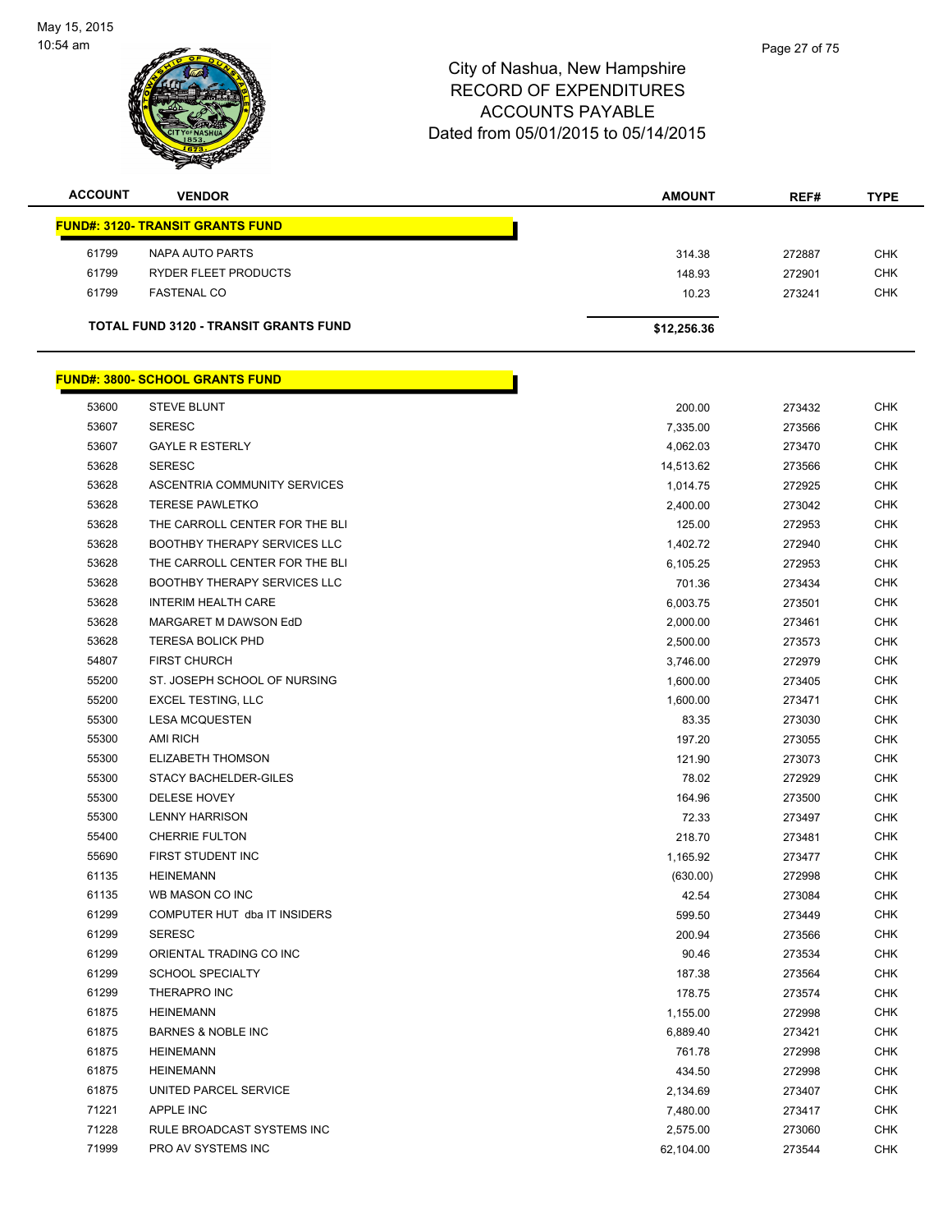

| <b>ACCOUNT</b> | <b>VENDOR</b>                                | <b>AMOUNT</b> | REF#   | <b>TYPE</b> |
|----------------|----------------------------------------------|---------------|--------|-------------|
|                | <b>FUND#: 3120- TRANSIT GRANTS FUND</b>      |               |        |             |
| 61799          | NAPA AUTO PARTS                              | 314.38        | 272887 | <b>CHK</b>  |
| 61799          | RYDER FLEET PRODUCTS                         | 148.93        | 272901 | <b>CHK</b>  |
| 61799          | <b>FASTENAL CO</b>                           | 10.23         | 273241 | <b>CHK</b>  |
|                | <b>TOTAL FUND 3120 - TRANSIT GRANTS FUND</b> | \$12,256.36   |        |             |

|       | <u> FUND#: 3800- SCHOOL GRANTS FUND</u> |           |        |            |
|-------|-----------------------------------------|-----------|--------|------------|
| 53600 | <b>STEVE BLUNT</b>                      | 200.00    | 273432 | <b>CHK</b> |
| 53607 | <b>SERESC</b>                           | 7,335.00  | 273566 | <b>CHK</b> |
| 53607 | <b>GAYLE R ESTERLY</b>                  | 4,062.03  | 273470 | <b>CHK</b> |
| 53628 | <b>SERESC</b>                           | 14,513.62 | 273566 | <b>CHK</b> |
| 53628 | ASCENTRIA COMMUNITY SERVICES            | 1,014.75  | 272925 | <b>CHK</b> |
| 53628 | <b>TERESE PAWLETKO</b>                  | 2,400.00  | 273042 | <b>CHK</b> |
| 53628 | THE CARROLL CENTER FOR THE BLI          | 125.00    | 272953 | <b>CHK</b> |
| 53628 | <b>BOOTHBY THERAPY SERVICES LLC</b>     | 1,402.72  | 272940 | <b>CHK</b> |
| 53628 | THE CARROLL CENTER FOR THE BLI          | 6,105.25  | 272953 | <b>CHK</b> |
| 53628 | <b>BOOTHBY THERAPY SERVICES LLC</b>     | 701.36    | 273434 | <b>CHK</b> |
| 53628 | <b>INTERIM HEALTH CARE</b>              | 6,003.75  | 273501 | <b>CHK</b> |
| 53628 | MARGARET M DAWSON EdD                   | 2,000.00  | 273461 | <b>CHK</b> |
| 53628 | <b>TERESA BOLICK PHD</b>                | 2,500.00  | 273573 | CHK        |
| 54807 | <b>FIRST CHURCH</b>                     | 3,746.00  | 272979 | <b>CHK</b> |
| 55200 | ST. JOSEPH SCHOOL OF NURSING            | 1,600.00  | 273405 | <b>CHK</b> |
| 55200 | <b>EXCEL TESTING, LLC</b>               | 1,600.00  | 273471 |            |
| 55300 | <b>LESA MCQUESTEN</b>                   | 83.35     | 273030 |            |
| 55300 | <b>AMI RICH</b>                         | 197.20    | 273055 |            |
| 55300 | ELIZABETH THOMSON                       | 121.90    | 273073 |            |
| 55300 | <b>STACY BACHELDER-GILES</b>            | 78.02     | 272929 |            |
| 55300 | DELESE HOVEY                            | 164.96    | 273500 |            |
| 55300 | <b>LENNY HARRISON</b>                   | 72.33     | 273497 |            |
| 55400 | <b>CHERRIE FULTON</b>                   | 218.70    | 273481 |            |
| 55690 | FIRST STUDENT INC                       | 1,165.92  | 273477 |            |
| 61135 | <b>HEINEMANN</b>                        | (630.00)  | 272998 |            |
| 61135 | WB MASON CO INC                         | 42.54     | 273084 |            |
| 61299 | COMPUTER HUT dba IT INSIDERS            | 599.50    | 273449 |            |
| 61299 | <b>SERESC</b>                           | 200.94    | 273566 |            |
| 61299 | ORIENTAL TRADING CO INC                 | 90.46     | 273534 |            |
| 61299 | <b>SCHOOL SPECIALTY</b>                 | 187.38    | 273564 |            |
| 61299 | THERAPRO INC                            | 178.75    | 273574 |            |
| 61875 | <b>HEINEMANN</b>                        | 1,155.00  | 272998 |            |
| 61875 | <b>BARNES &amp; NOBLE INC</b>           | 6,889.40  | 273421 |            |
| 61875 | <b>HEINEMANN</b>                        | 761.78    | 272998 |            |
| 61875 | <b>HEINEMANN</b>                        | 434.50    | 272998 |            |
| 61875 | UNITED PARCEL SERVICE                   | 2,134.69  | 273407 |            |
| 71221 | APPLE INC                               | 7,480.00  | 273417 |            |
| 71228 | RULE BROADCAST SYSTEMS INC              | 2,575.00  | 273060 |            |
| 71999 | PRO AV SYSTEMS INC                      | 62,104.00 | 273544 |            |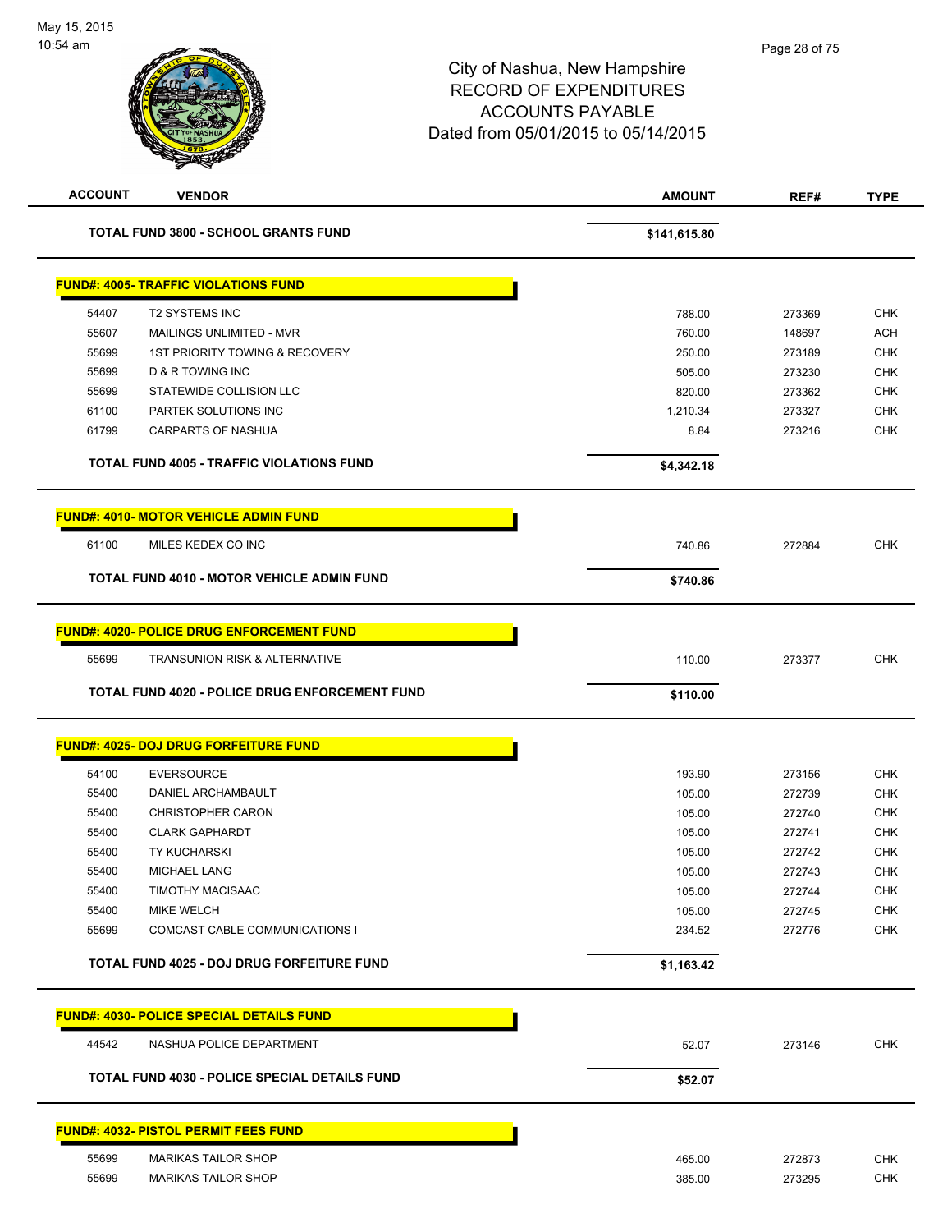| <b>ACCOUNT</b> | <b>VENDOR</b>                                     | <b>AMOUNT</b> | REF#   | <b>TYPE</b> |
|----------------|---------------------------------------------------|---------------|--------|-------------|
|                | <b>TOTAL FUND 3800 - SCHOOL GRANTS FUND</b>       | \$141,615.80  |        |             |
|                | <b>FUND#: 4005- TRAFFIC VIOLATIONS FUND</b>       |               |        |             |
| 54407          | <b>T2 SYSTEMS INC</b>                             | 788.00        | 273369 | <b>CHK</b>  |
| 55607          | MAILINGS UNLIMITED - MVR                          | 760.00        | 148697 | <b>ACH</b>  |
| 55699          | <b>1ST PRIORITY TOWING &amp; RECOVERY</b>         | 250.00        | 273189 | <b>CHK</b>  |
| 55699          | D & R TOWING INC                                  | 505.00        | 273230 | <b>CHK</b>  |
| 55699          | STATEWIDE COLLISION LLC                           | 820.00        | 273362 | <b>CHK</b>  |
| 61100          | PARTEK SOLUTIONS INC                              | 1,210.34      | 273327 | CHK         |
| 61799          | <b>CARPARTS OF NASHUA</b>                         | 8.84          | 273216 | <b>CHK</b>  |
|                | <b>TOTAL FUND 4005 - TRAFFIC VIOLATIONS FUND</b>  | \$4,342.18    |        |             |
|                | <b>FUND#: 4010- MOTOR VEHICLE ADMIN FUND</b>      |               |        |             |
| 61100          | MILES KEDEX CO INC                                | 740.86        | 272884 | <b>CHK</b>  |
|                | TOTAL FUND 4010 - MOTOR VEHICLE ADMIN FUND        | \$740.86      |        |             |
|                | <b>FUND#: 4020- POLICE DRUG ENFORCEMENT FUND</b>  |               |        |             |
|                |                                                   |               |        |             |
| 55699          | <b>TRANSUNION RISK &amp; ALTERNATIVE</b>          | 110.00        | 273377 | <b>CHK</b>  |
|                | TOTAL FUND 4020 - POLICE DRUG ENFORCEMENT FUND    | \$110.00      |        |             |
|                | <b>FUND#: 4025- DOJ DRUG FORFEITURE FUND</b>      |               |        |             |
| 54100          | <b>EVERSOURCE</b>                                 | 193.90        | 273156 | <b>CHK</b>  |
| 55400          | <b>DANIEL ARCHAMBAULT</b>                         | 105.00        | 272739 | <b>CHK</b>  |
| 55400          | <b>CHRISTOPHER CARON</b>                          | 105.00        | 272740 | <b>CHK</b>  |
| 55400          | <b>CLARK GAPHARDT</b>                             | 105.00        | 272741 | <b>CHK</b>  |
| 55400          | <b>TY KUCHARSKI</b>                               | 105.00        | 272742 | <b>CHK</b>  |
| 55400          | <b>MICHAEL LANG</b>                               | 105.00        | 272743 | <b>CHK</b>  |
| 55400          | <b>TIMOTHY MACISAAC</b>                           | 105.00        | 272744 | <b>CHK</b>  |
| 55400          | <b>MIKE WELCH</b>                                 | 105.00        | 272745 | <b>CHK</b>  |
| 55699          | COMCAST CABLE COMMUNICATIONS I                    | 234.52        | 272776 | <b>CHK</b>  |
|                | <b>TOTAL FUND 4025 - DOJ DRUG FORFEITURE FUND</b> | \$1,163.42    |        |             |
|                | <b>FUND#: 4030- POLICE SPECIAL DETAILS FUND</b>   |               |        |             |
| 44542          | NASHUA POLICE DEPARTMENT                          | 52.07         | 273146 | <b>CHK</b>  |
|                | TOTAL FUND 4030 - POLICE SPECIAL DETAILS FUND     | \$52.07       |        |             |
|                | <b>FUND#: 4032- PISTOL PERMIT FEES FUND</b>       |               |        |             |
|                |                                                   |               |        |             |
| 55699          | <b>MARIKAS TAILOR SHOP</b>                        | 465.00        | 272873 | <b>CHK</b>  |
| 55699          | <b>MARIKAS TAILOR SHOP</b>                        | 385.00        | 273295 | <b>CHK</b>  |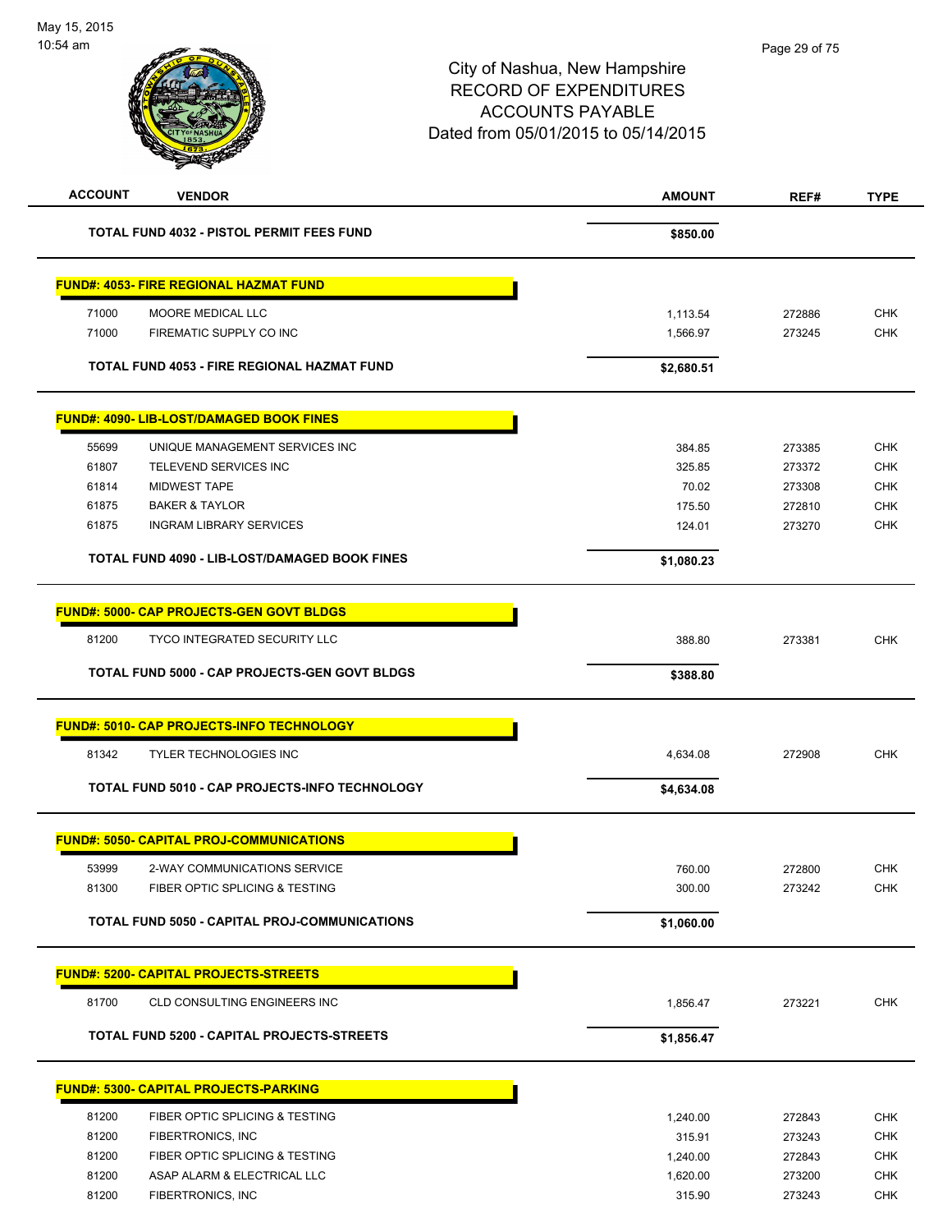| <b>ACCOUNT</b><br><b>VENDOR</b>                   | <b>AMOUNT</b> | REF#   | <b>TYPE</b> |
|---------------------------------------------------|---------------|--------|-------------|
| TOTAL FUND 4032 - PISTOL PERMIT FEES FUND         | \$850.00      |        |             |
| FUND#: 4053- FIRE REGIONAL HAZMAT FUND            |               |        |             |
| 71000<br>MOORE MEDICAL LLC                        | 1,113.54      | 272886 | <b>CHK</b>  |
| 71000<br>FIREMATIC SUPPLY CO INC                  | 1,566.97      | 273245 | <b>CHK</b>  |
| TOTAL FUND 4053 - FIRE REGIONAL HAZMAT FUND       | \$2,680.51    |        |             |
| FUND#: 4090- LIB-LOST/DAMAGED BOOK FINES          |               |        |             |
| 55699<br>UNIQUE MANAGEMENT SERVICES INC           | 384.85        | 273385 | <b>CHK</b>  |
| 61807<br>TELEVEND SERVICES INC                    | 325.85        | 273372 | <b>CHK</b>  |
| <b>MIDWEST TAPE</b><br>61814                      | 70.02         | 273308 | <b>CHK</b>  |
| 61875<br><b>BAKER &amp; TAYLOR</b>                | 175.50        | 272810 | <b>CHK</b>  |
| 61875<br><b>INGRAM LIBRARY SERVICES</b>           | 124.01        | 273270 | <b>CHK</b>  |
| TOTAL FUND 4090 - LIB-LOST/DAMAGED BOOK FINES     | \$1,080.23    |        |             |
| <u> FUND#: 5000- CAP PROJECTS-GEN GOVT BLDGS</u>  |               |        |             |
| 81200<br><b>TYCO INTEGRATED SECURITY LLC</b>      | 388.80        | 273381 | <b>CHK</b>  |
| TOTAL FUND 5000 - CAP PROJECTS-GEN GOVT BLDGS     | \$388.80      |        |             |
| <u> FUND#: 5010- CAP PROJECTS-INFO TECHNOLOGY</u> |               |        |             |
| 81342<br><b>TYLER TECHNOLOGIES INC</b>            | 4,634.08      | 272908 | <b>CHK</b>  |
| TOTAL FUND 5010 - CAP PROJECTS-INFO TECHNOLOGY    | \$4,634.08    |        |             |
|                                                   |               |        |             |
| <b>FUND#: 5050- CAPITAL PROJ-COMMUNICATIONS</b>   |               |        |             |
| 53999<br>2-WAY COMMUNICATIONS SERVICE             | 760.00        | 272800 | <b>CHK</b>  |
| FIBER OPTIC SPLICING & TESTING<br>81300           | 300.00        | 273242 | <b>CHK</b>  |
| TOTAL FUND 5050 - CAPITAL PROJ-COMMUNICATIONS     | \$1,060.00    |        |             |
| <b>FUND#: 5200- CAPITAL PROJECTS-STREETS</b>      |               |        |             |
| 81700<br>CLD CONSULTING ENGINEERS INC             | 1,856.47      | 273221 | <b>CHK</b>  |
| TOTAL FUND 5200 - CAPITAL PROJECTS-STREETS        | \$1,856.47    |        |             |
|                                                   |               |        |             |
| <u> FUND#: 5300- CAPITAL PROJECTS-PARKING</u>     |               |        |             |
| 81200<br>FIBER OPTIC SPLICING & TESTING           | 1,240.00      | 272843 | <b>CHK</b>  |
| 81200<br>FIBERTRONICS, INC                        | 315.91        | 273243 | CHK         |
| 81200<br>FIBER OPTIC SPLICING & TESTING           | 1,240.00      | 272843 | <b>CHK</b>  |
| 81200<br>ASAP ALARM & ELECTRICAL LLC              | 1,620.00      | 273200 | <b>CHK</b>  |
| 81200<br>FIBERTRONICS, INC                        | 315.90        | 273243 | CHK         |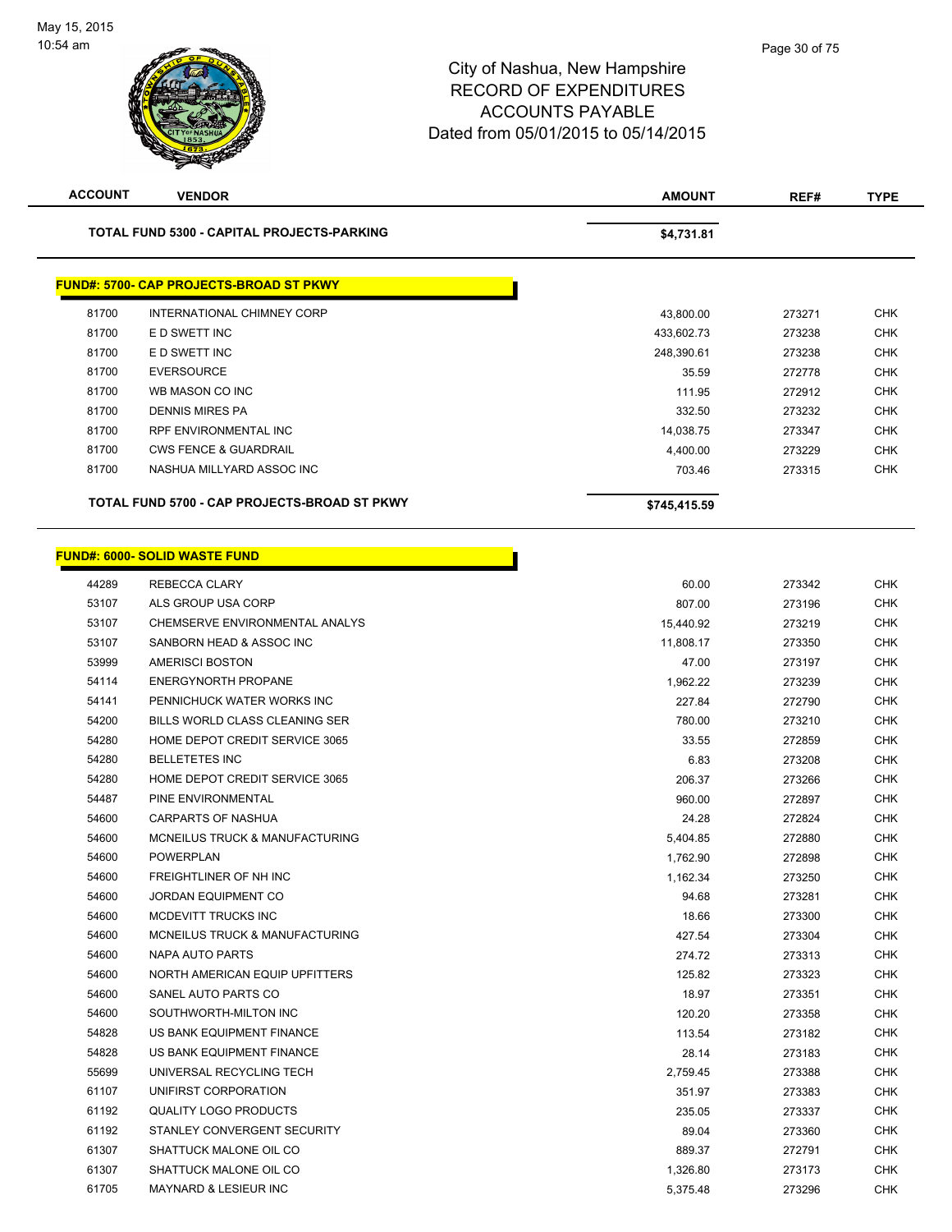| <b>ACCOUNT</b> | <b>VENDOR</b>                                  | <b>AMOUNT</b> | REF#   | <b>TYPE</b> |
|----------------|------------------------------------------------|---------------|--------|-------------|
|                | TOTAL FUND 5300 - CAPITAL PROJECTS-PARKING     | \$4,731.81    |        |             |
|                | <b>FUND#: 5700- CAP PROJECTS-BROAD ST PKWY</b> |               |        |             |
| 81700          | INTERNATIONAL CHIMNEY CORP                     | 43,800.00     | 273271 | <b>CHK</b>  |
| 81700          | E D SWETT INC                                  | 433,602.73    | 273238 | <b>CHK</b>  |
| 81700          | E D SWETT INC                                  | 248,390.61    | 273238 | <b>CHK</b>  |
| 81700          | <b>EVERSOURCE</b>                              | 35.59         | 272778 | <b>CHK</b>  |
| 81700          | WB MASON CO INC                                | 111.95        | 272912 | <b>CHK</b>  |
| 81700          | <b>DENNIS MIRES PA</b>                         | 332.50        | 273232 | <b>CHK</b>  |
| 81700          | RPF ENVIRONMENTAL INC                          | 14,038.75     | 273347 | CHK         |
| 81700          | <b>CWS FENCE &amp; GUARDRAIL</b>               | 4,400.00      | 273229 | <b>CHK</b>  |
| 81700          | NASHUA MILLYARD ASSOC INC                      | 703.46        | 273315 | <b>CHK</b>  |
|                | TOTAL FUND 5700 - CAP PROJECTS-BROAD ST PKWY   | \$745,415.59  |        |             |
|                |                                                |               |        |             |
|                | <b>FUND#: 6000- SOLID WASTE FUND</b>           |               |        |             |
| 44289          | <b>REBECCA CLARY</b>                           | 60.00         | 273342 | <b>CHK</b>  |
| 53107          | ALS GROUP USA CORP                             | 807.00        | 273196 | <b>CHK</b>  |
| 53107          | CHEMSERVE ENVIRONMENTAL ANALYS                 | 15,440.92     | 273219 | <b>CHK</b>  |
| 53107          | SANBORN HEAD & ASSOC INC                       | 11,808.17     | 273350 | <b>CHK</b>  |
| 53999          | <b>AMERISCI BOSTON</b>                         | 47.00         | 273197 | <b>CHK</b>  |
| 54114          | <b>ENERGYNORTH PROPANE</b>                     | 1,962.22      | 273239 | <b>CHK</b>  |
| 54141          | PENNICHUCK WATER WORKS INC                     | 227.84        | 272790 | <b>CHK</b>  |
| 54200          | BILLS WORLD CLASS CLEANING SER                 | 780.00        | 273210 | <b>CHK</b>  |
| 54280          | HOME DEPOT CREDIT SERVICE 3065                 | 33.55         | 272859 | <b>CHK</b>  |
| 54280          | <b>BELLETETES INC</b>                          | 6.83          | 273208 | <b>CHK</b>  |
| 54280          | HOME DEPOT CREDIT SERVICE 3065                 | 206.37        | 273266 | <b>CHK</b>  |
| 54487          | PINE ENVIRONMENTAL                             | 960.00        | 272897 | <b>CHK</b>  |
| 54600          | <b>CARPARTS OF NASHUA</b>                      | 24.28         | 272824 | <b>CHK</b>  |
| 54600          | MCNEILUS TRUCK & MANUFACTURING                 | 5,404.85      | 272880 | <b>CHK</b>  |
| 54600          | <b>POWERPLAN</b>                               | 1,762.90      | 272898 | <b>CHK</b>  |
| 54600          | FREIGHTLINER OF NH INC                         | 1,162.34      | 273250 | <b>CHK</b>  |
| 54600          | <b>JORDAN EQUIPMENT CO</b>                     | 94.68         | 273281 | <b>CHK</b>  |
| 54600          | MCDEVITT TRUCKS INC                            | 18.66         | 273300 | <b>CHK</b>  |
| 54600          | <b>MCNEILUS TRUCK &amp; MANUFACTURING</b>      | 427.54        | 273304 | <b>CHK</b>  |
| 54600          | NAPA AUTO PARTS                                | 274.72        | 273313 | <b>CHK</b>  |
| 54600          | NORTH AMERICAN EQUIP UPFITTERS                 | 125.82        | 273323 | <b>CHK</b>  |
| 54600          | SANEL AUTO PARTS CO                            | 18.97         | 273351 | <b>CHK</b>  |
| 54600          | SOUTHWORTH-MILTON INC                          | 120.20        | 273358 | <b>CHK</b>  |
| 54828          | US BANK EQUIPMENT FINANCE                      | 113.54        | 273182 | <b>CHK</b>  |
| 54828          | US BANK EQUIPMENT FINANCE                      | 28.14         | 273183 | <b>CHK</b>  |
| 55699          | UNIVERSAL RECYCLING TECH                       | 2,759.45      | 273388 | <b>CHK</b>  |
| 61107          | UNIFIRST CORPORATION                           | 351.97        | 273383 | <b>CHK</b>  |
| 61192          | <b>QUALITY LOGO PRODUCTS</b>                   | 235.05        | 273337 | <b>CHK</b>  |
| 61192          | STANLEY CONVERGENT SECURITY                    | 89.04         | 273360 | CHK         |
| 61307          | SHATTUCK MALONE OIL CO                         | 889.37        | 272791 | <b>CHK</b>  |
| 61307          | SHATTUCK MALONE OIL CO                         | 1,326.80      | 273173 | <b>CHK</b>  |
| 61705          | MAYNARD & LESIEUR INC                          | 5,375.48      | 273296 | <b>CHK</b>  |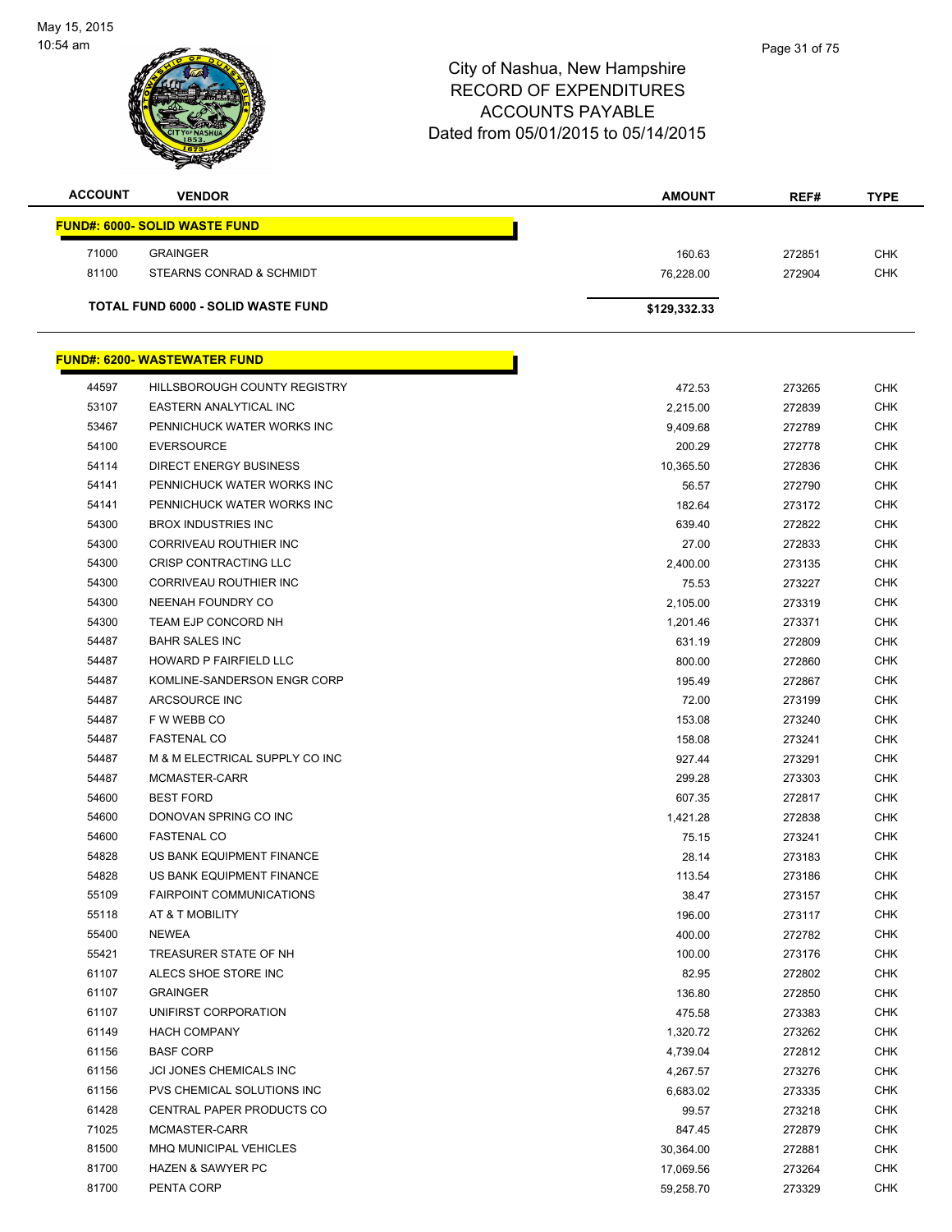

| <b>ACCOUNT</b> | <b>VENDOR</b>                             | AMOUNT           | REF#             | <b>TYPE</b>              |
|----------------|-------------------------------------------|------------------|------------------|--------------------------|
|                | <u> FUND#: 6000- SOLID WASTE FUND</u>     |                  |                  |                          |
| 71000          | <b>GRAINGER</b>                           | 160.63           | 272851           | <b>CHK</b>               |
| 81100          | STEARNS CONRAD & SCHMIDT                  | 76,228.00        | 272904           | <b>CHK</b>               |
|                |                                           |                  |                  |                          |
|                | <b>TOTAL FUND 6000 - SOLID WASTE FUND</b> | \$129,332.33     |                  |                          |
|                |                                           |                  |                  |                          |
|                | <u> FUND#: 6200- WASTEWATER FUND</u>      |                  |                  |                          |
| 44597          | <b>HILLSBOROUGH COUNTY REGISTRY</b>       | 472.53           | 273265           | CHK                      |
| 53107          | EASTERN ANALYTICAL INC                    | 2,215.00         | 272839           | <b>CHK</b>               |
| 53467          | PENNICHUCK WATER WORKS INC                | 9,409.68         | 272789           | <b>CHK</b>               |
| 54100          | <b>EVERSOURCE</b>                         | 200.29           | 272778           | <b>CHK</b>               |
| 54114          | DIRECT ENERGY BUSINESS                    | 10,365.50        | 272836           | <b>CHK</b>               |
| 54141          | PENNICHUCK WATER WORKS INC                | 56.57            | 272790           | <b>CHK</b>               |
| 54141          | PENNICHUCK WATER WORKS INC                | 182.64           | 273172           | <b>CHK</b>               |
| 54300          | <b>BROX INDUSTRIES INC.</b>               | 639.40           | 272822           | <b>CHK</b>               |
| 54300          | CORRIVEAU ROUTHIER INC                    | 27.00            | 272833           | <b>CHK</b>               |
| 54300          | CRISP CONTRACTING LLC                     | 2,400.00         | 273135           | <b>CHK</b>               |
| 54300          | CORRIVEAU ROUTHIER INC                    | 75.53            | 273227           | <b>CHK</b>               |
| 54300          | NEENAH FOUNDRY CO                         | 2,105.00         | 273319           | <b>CHK</b>               |
| 54300          | TEAM EJP CONCORD NH                       | 1,201.46         | 273371           | <b>CHK</b>               |
| 54487          | <b>BAHR SALES INC</b>                     | 631.19           | 272809           | <b>CHK</b>               |
| 54487          | HOWARD P FAIRFIELD LLC                    | 800.00           | 272860           | <b>CHK</b>               |
| 54487          | KOMLINE-SANDERSON ENGR CORP               | 195.49           | 272867           | <b>CHK</b>               |
| 54487          | ARCSOURCE INC                             | 72.00            | 273199           | <b>CHK</b>               |
| 54487<br>54487 | F W WEBB CO<br><b>FASTENAL CO</b>         | 153.08           | 273240           | <b>CHK</b><br><b>CHK</b> |
| 54487          | M & M ELECTRICAL SUPPLY CO INC            | 158.08<br>927.44 | 273241<br>273291 |                          |
| 54487          | MCMASTER-CARR                             | 299.28           | 273303           | <b>CHK</b><br><b>CHK</b> |
| 54600          | <b>BEST FORD</b>                          | 607.35           | 272817           | <b>CHK</b>               |
| 54600          | DONOVAN SPRING CO INC                     | 1,421.28         | 272838           | <b>CHK</b>               |
| 54600          | <b>FASTENAL CO</b>                        | 75.15            | 273241           | <b>CHK</b>               |
| 54828          | US BANK EQUIPMENT FINANCE                 | 28.14            | 273183           | <b>CHK</b>               |
| 54828          | US BANK EQUIPMENT FINANCE                 | 113.54           | 273186           | <b>CHK</b>               |
| 55109          | <b>FAIRPOINT COMMUNICATIONS</b>           | 38.47            | 273157           | <b>CHK</b>               |
| 55118          | AT & T MOBILITY                           | 196.00           | 273117           | <b>CHK</b>               |
| 55400          | <b>NEWEA</b>                              | 400.00           | 272782           | <b>CHK</b>               |
| 55421          | TREASURER STATE OF NH                     | 100.00           | 273176           | <b>CHK</b>               |
| 61107          | ALECS SHOE STORE INC                      | 82.95            | 272802           | <b>CHK</b>               |
| 61107          | <b>GRAINGER</b>                           | 136.80           | 272850           | <b>CHK</b>               |
| 61107          | UNIFIRST CORPORATION                      | 475.58           | 273383           | <b>CHK</b>               |
| 61149          | <b>HACH COMPANY</b>                       | 1,320.72         | 273262           | <b>CHK</b>               |
| 61156          | <b>BASF CORP</b>                          | 4,739.04         | 272812           | <b>CHK</b>               |
| 61156          | JCI JONES CHEMICALS INC                   | 4,267.57         | 273276           | <b>CHK</b>               |
| 61156          | PVS CHEMICAL SOLUTIONS INC                | 6,683.02         | 273335           | <b>CHK</b>               |
| 61428          | CENTRAL PAPER PRODUCTS CO                 | 99.57            | 273218           | <b>CHK</b>               |
| 71025          | MCMASTER-CARR                             | 847.45           | 272879           | <b>CHK</b>               |
| 81500          | MHQ MUNICIPAL VEHICLES                    | 30,364.00        | 272881           | <b>CHK</b>               |
| 81700          | <b>HAZEN &amp; SAWYER PC</b>              | 17,069.56        | 273264           | <b>CHK</b>               |
| 81700          | PENTA CORP                                | 59,258.70        | 273329           | <b>CHK</b>               |
|                |                                           |                  |                  |                          |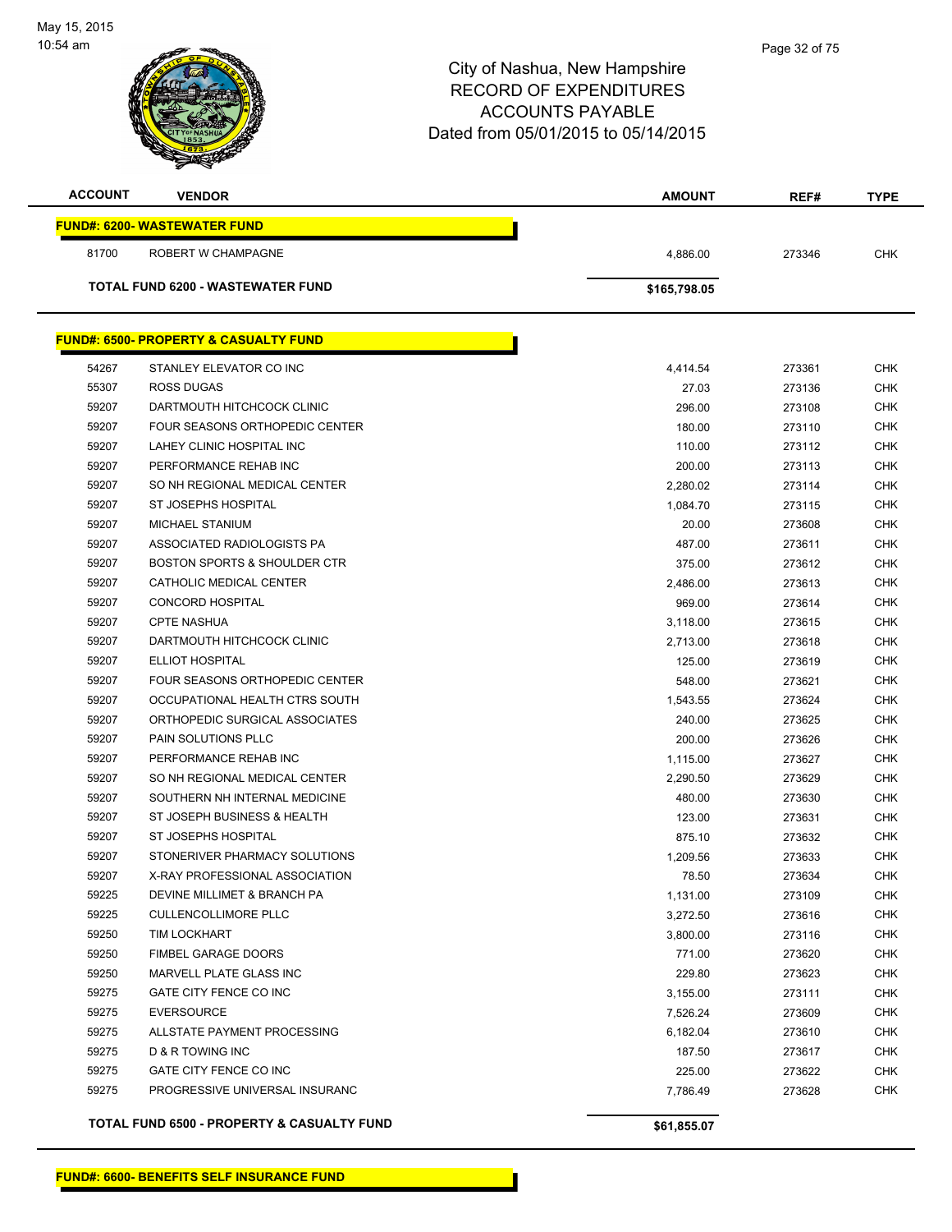| <b>ACCOUNT</b> | <b>VENDOR</b>                                    | <b>AMOUNT</b> | REF#   | <b>TYPE</b> |
|----------------|--------------------------------------------------|---------------|--------|-------------|
|                | <b>FUND#: 6200- WASTEWATER FUND</b>              |               |        |             |
| 81700          | ROBERT W CHAMPAGNE                               | 4,886.00      | 273346 | <b>CHK</b>  |
|                | <b>TOTAL FUND 6200 - WASTEWATER FUND</b>         | \$165,798.05  |        |             |
|                |                                                  |               |        |             |
|                | <b>FUND#: 6500- PROPERTY &amp; CASUALTY FUND</b> |               |        |             |
| 54267          | STANLEY ELEVATOR CO INC                          | 4,414.54      | 273361 | <b>CHK</b>  |
| 55307          | ROSS DUGAS                                       | 27.03         | 273136 | <b>CHK</b>  |
| 59207          | DARTMOUTH HITCHCOCK CLINIC                       | 296.00        | 273108 | <b>CHK</b>  |
| 59207          | FOUR SEASONS ORTHOPEDIC CENTER                   | 180.00        | 273110 | <b>CHK</b>  |
| 59207          | LAHEY CLINIC HOSPITAL INC                        | 110.00        | 273112 | <b>CHK</b>  |
| 59207          | PERFORMANCE REHAB INC                            | 200.00        | 273113 | <b>CHK</b>  |
| 59207          | SO NH REGIONAL MEDICAL CENTER                    | 2,280.02      | 273114 | <b>CHK</b>  |
| 59207          | <b>ST JOSEPHS HOSPITAL</b>                       | 1,084.70      | 273115 | <b>CHK</b>  |
| 59207          | MICHAEL STANIUM                                  | 20.00         | 273608 | <b>CHK</b>  |
| 59207          | ASSOCIATED RADIOLOGISTS PA                       | 487.00        | 273611 | <b>CHK</b>  |
| 59207          | <b>BOSTON SPORTS &amp; SHOULDER CTR</b>          | 375.00        | 273612 | <b>CHK</b>  |
| 59207          | CATHOLIC MEDICAL CENTER                          | 2,486.00      | 273613 | <b>CHK</b>  |
| 59207          | <b>CONCORD HOSPITAL</b>                          | 969.00        | 273614 | <b>CHK</b>  |
| 59207          | <b>CPTE NASHUA</b>                               | 3,118.00      | 273615 | <b>CHK</b>  |
| 59207          | DARTMOUTH HITCHCOCK CLINIC                       | 2,713.00      | 273618 | <b>CHK</b>  |
| 59207          | ELLIOT HOSPITAL                                  | 125.00        | 273619 | <b>CHK</b>  |
| 59207          | FOUR SEASONS ORTHOPEDIC CENTER                   | 548.00        | 273621 | <b>CHK</b>  |
| 59207          | OCCUPATIONAL HEALTH CTRS SOUTH                   | 1,543.55      | 273624 | <b>CHK</b>  |
| 59207          | ORTHOPEDIC SURGICAL ASSOCIATES                   | 240.00        | 273625 | <b>CHK</b>  |
| 59207          | PAIN SOLUTIONS PLLC                              | 200.00        | 273626 | <b>CHK</b>  |
| 59207          | PERFORMANCE REHAB INC                            | 1,115.00      | 273627 | <b>CHK</b>  |
| 59207          | SO NH REGIONAL MEDICAL CENTER                    |               |        | <b>CHK</b>  |
|                |                                                  | 2,290.50      | 273629 |             |
| 59207          | SOUTHERN NH INTERNAL MEDICINE                    | 480.00        | 273630 | <b>CHK</b>  |
| 59207          | ST JOSEPH BUSINESS & HEALTH                      | 123.00        | 273631 | <b>CHK</b>  |
| 59207          | <b>ST JOSEPHS HOSPITAL</b>                       | 875.10        | 273632 | <b>CHK</b>  |
| 59207          | STONERIVER PHARMACY SOLUTIONS                    | 1,209.56      | 273633 | <b>CHK</b>  |
| 59207          | X-RAY PROFESSIONAL ASSOCIATION                   | 78.50         | 273634 | CHK         |
| 59225          | DEVINE MILLIMET & BRANCH PA                      | 1,131.00      | 273109 | <b>CHK</b>  |
| 59225          | <b>CULLENCOLLIMORE PLLC</b>                      | 3,272.50      | 273616 | <b>CHK</b>  |
| 59250          | TIM LOCKHART                                     | 3,800.00      | 273116 | <b>CHK</b>  |
| 59250          | FIMBEL GARAGE DOORS                              | 771.00        | 273620 | <b>CHK</b>  |
| 59250          | MARVELL PLATE GLASS INC                          | 229.80        | 273623 | CHK         |
| 59275          | GATE CITY FENCE CO INC                           | 3,155.00      | 273111 | CHK         |
| 59275          | <b>EVERSOURCE</b>                                | 7,526.24      | 273609 | <b>CHK</b>  |
| 59275          | ALLSTATE PAYMENT PROCESSING                      | 6,182.04      | 273610 | CHK         |
| 59275          | <b>D &amp; R TOWING INC</b>                      | 187.50        | 273617 | <b>CHK</b>  |
| 59275          | GATE CITY FENCE CO INC                           | 225.00        | 273622 | <b>CHK</b>  |
| 59275          | PROGRESSIVE UNIVERSAL INSURANC                   | 7,786.49      | 273628 | <b>CHK</b>  |
|                |                                                  |               |        |             |

**TOTAL FUND 6500 - PROPERTY & CASUALTY FUND \$61,855.07**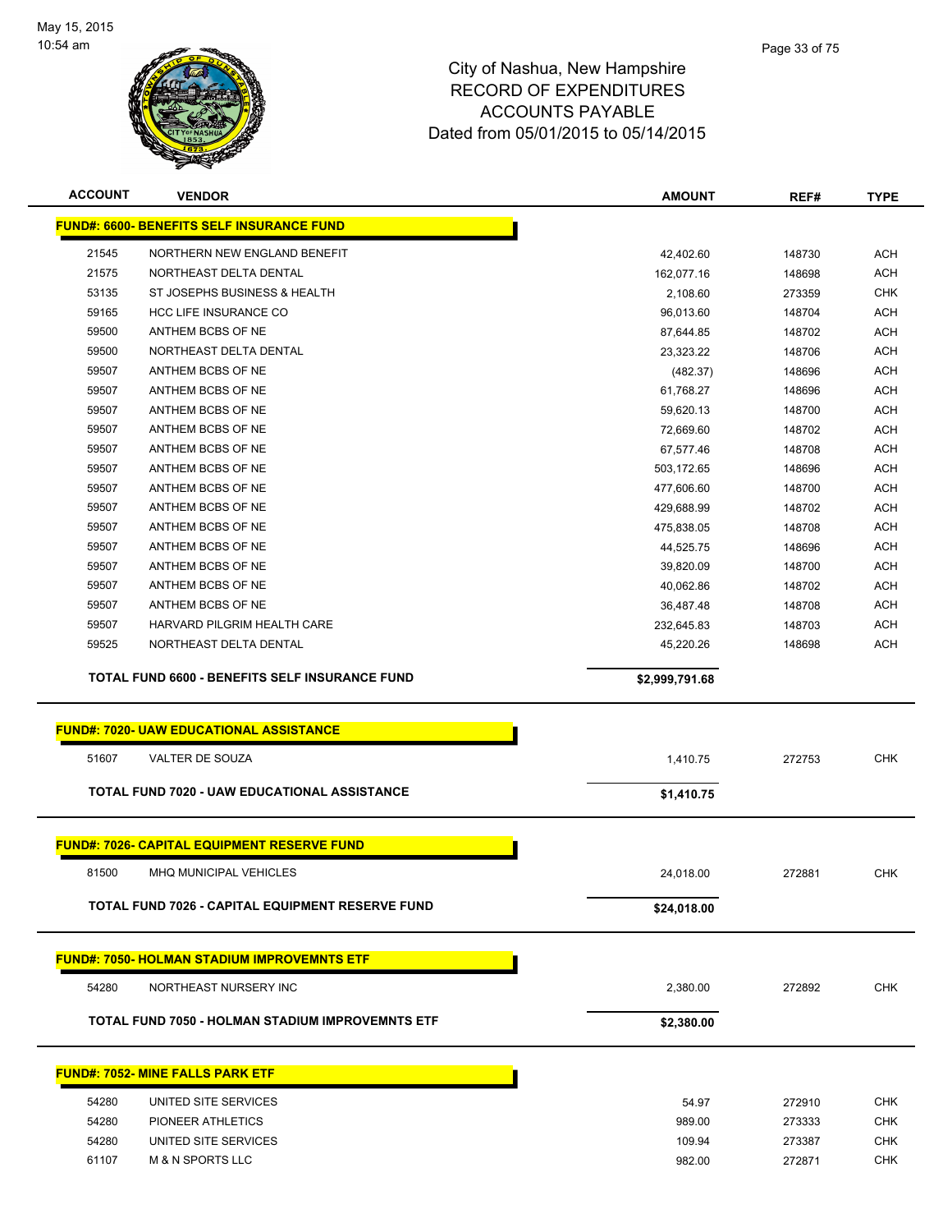

| <b>ACCOUNT</b> | <b>VENDOR</b>                                                                                    | <b>AMOUNT</b>  | REF#   | <b>TYPE</b> |
|----------------|--------------------------------------------------------------------------------------------------|----------------|--------|-------------|
|                | <b>FUND#: 6600- BENEFITS SELF INSURANCE FUND</b>                                                 |                |        |             |
| 21545          | NORTHERN NEW ENGLAND BENEFIT                                                                     | 42,402.60      | 148730 | <b>ACH</b>  |
| 21575          | NORTHEAST DELTA DENTAL                                                                           | 162,077.16     | 148698 | <b>ACH</b>  |
| 53135          | ST JOSEPHS BUSINESS & HEALTH                                                                     | 2,108.60       | 273359 | <b>CHK</b>  |
| 59165          | <b>HCC LIFE INSURANCE CO</b>                                                                     | 96,013.60      | 148704 | <b>ACH</b>  |
| 59500          | ANTHEM BCBS OF NE                                                                                | 87,644.85      | 148702 | <b>ACH</b>  |
| 59500          | NORTHEAST DELTA DENTAL                                                                           | 23,323.22      | 148706 | <b>ACH</b>  |
| 59507          | ANTHEM BCBS OF NE                                                                                | (482.37)       | 148696 | <b>ACH</b>  |
| 59507          | ANTHEM BCBS OF NE                                                                                | 61,768.27      | 148696 | <b>ACH</b>  |
| 59507          | ANTHEM BCBS OF NE                                                                                | 59,620.13      | 148700 | <b>ACH</b>  |
| 59507          | ANTHEM BCBS OF NE                                                                                | 72,669.60      | 148702 | <b>ACH</b>  |
| 59507          | ANTHEM BCBS OF NE                                                                                | 67,577.46      | 148708 | <b>ACH</b>  |
| 59507          | ANTHEM BCBS OF NE                                                                                | 503,172.65     | 148696 | <b>ACH</b>  |
| 59507          | ANTHEM BCBS OF NE                                                                                | 477,606.60     | 148700 | <b>ACH</b>  |
| 59507          | ANTHEM BCBS OF NE                                                                                | 429,688.99     | 148702 | <b>ACH</b>  |
| 59507          | ANTHEM BCBS OF NE                                                                                | 475,838.05     | 148708 | <b>ACH</b>  |
| 59507          | ANTHEM BCBS OF NE                                                                                | 44,525.75      | 148696 | <b>ACH</b>  |
| 59507          | ANTHEM BCBS OF NE                                                                                | 39,820.09      | 148700 | <b>ACH</b>  |
| 59507          | ANTHEM BCBS OF NE                                                                                | 40,062.86      | 148702 | <b>ACH</b>  |
| 59507          | ANTHEM BCBS OF NE                                                                                | 36,487.48      | 148708 | <b>ACH</b>  |
| 59507          | HARVARD PILGRIM HEALTH CARE                                                                      | 232,645.83     | 148703 | <b>ACH</b>  |
| 59525          | NORTHEAST DELTA DENTAL                                                                           | 45,220.26      | 148698 | <b>ACH</b>  |
|                | TOTAL FUND 6600 - BENEFITS SELF INSURANCE FUND<br><b>FUND#: 7020- UAW EDUCATIONAL ASSISTANCE</b> | \$2,999,791.68 |        |             |
| 51607          | VALTER DE SOUZA                                                                                  | 1,410.75       | 272753 | <b>CHK</b>  |
|                | TOTAL FUND 7020 - UAW EDUCATIONAL ASSISTANCE                                                     | \$1,410.75     |        |             |
|                |                                                                                                  |                |        |             |
|                | <b>FUND#: 7026- CAPITAL EQUIPMENT RESERVE FUND</b>                                               |                |        |             |
| 81500          | <b>MHQ MUNICIPAL VEHICLES</b>                                                                    | 24,018.00      | 272881 | <b>CHK</b>  |
|                | TOTAL FUND 7026 - CAPITAL EQUIPMENT RESERVE FUND                                                 | \$24,018.00    |        |             |
|                | <u> FUND#: 7050- HOLMAN STADIUM IMPROVEMNTS ETF</u>                                              |                |        |             |
| 54280          | NORTHEAST NURSERY INC                                                                            | 2,380.00       | 272892 | <b>CHK</b>  |
|                | TOTAL FUND 7050 - HOLMAN STADIUM IMPROVEMNTS ETF                                                 | \$2,380.00     |        |             |
|                |                                                                                                  |                |        |             |
|                | <b>FUND#: 7052- MINE FALLS PARK ETF</b>                                                          |                |        |             |
| 54280          | UNITED SITE SERVICES                                                                             | 54.97          | 272910 | <b>CHK</b>  |
| 54280          | PIONEER ATHLETICS                                                                                | 989.00         | 273333 | <b>CHK</b>  |
| 54280          | UNITED SITE SERVICES                                                                             | 109.94         | 273387 | <b>CHK</b>  |
| 61107          | <b>M &amp; N SPORTS LLC</b>                                                                      | 982.00         | 272871 | <b>CHK</b>  |
|                |                                                                                                  |                |        |             |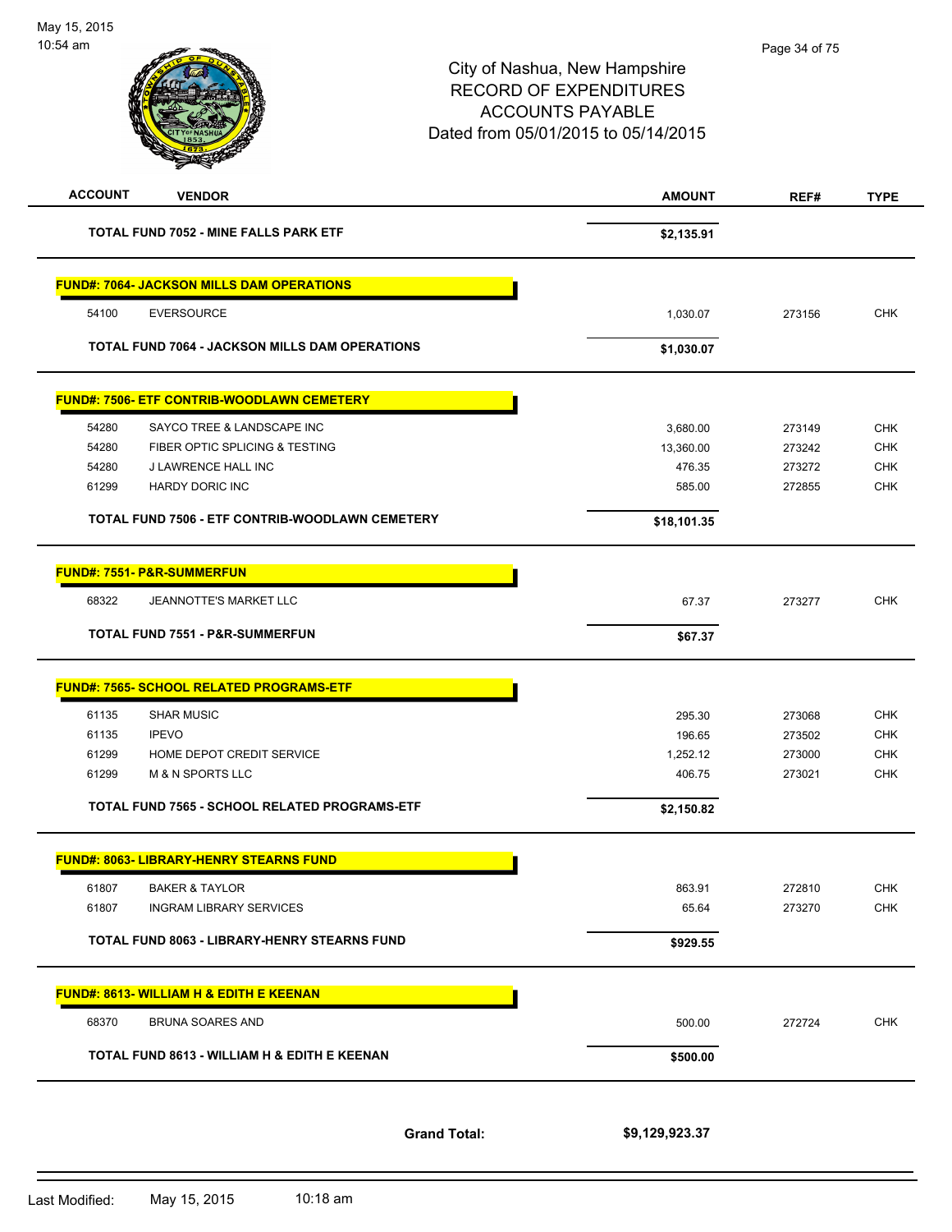| <b>ACCOUNT</b> | <b>VENDOR</b>                                         | <b>AMOUNT</b>  | REF#   | <b>TYPE</b> |
|----------------|-------------------------------------------------------|----------------|--------|-------------|
|                | TOTAL FUND 7052 - MINE FALLS PARK ETF                 | \$2,135.91     |        |             |
|                | <b>FUND#: 7064- JACKSON MILLS DAM OPERATIONS</b>      |                |        |             |
| 54100          | <b>EVERSOURCE</b>                                     | 1,030.07       | 273156 | <b>CHK</b>  |
|                | <b>TOTAL FUND 7064 - JACKSON MILLS DAM OPERATIONS</b> | \$1,030.07     |        |             |
|                | <b>FUND#: 7506- ETF CONTRIB-WOODLAWN CEMETERY</b>     |                |        |             |
| 54280          | SAYCO TREE & LANDSCAPE INC                            | 3,680.00       | 273149 | <b>CHK</b>  |
| 54280          | FIBER OPTIC SPLICING & TESTING                        | 13,360.00      | 273242 | <b>CHK</b>  |
| 54280          | J LAWRENCE HALL INC                                   | 476.35         | 273272 | CHK         |
| 61299          | HARDY DORIC INC                                       | 585.00         | 272855 | <b>CHK</b>  |
|                | TOTAL FUND 7506 - ETF CONTRIB-WOODLAWN CEMETERY       | \$18,101.35    |        |             |
|                | <u>FUND#: 7551- P&amp;R-SUMMERFUN</u>                 |                |        |             |
| 68322          | JEANNOTTE'S MARKET LLC                                | 67.37          | 273277 | <b>CHK</b>  |
|                | <b>TOTAL FUND 7551 - P&amp;R-SUMMERFUN</b>            | \$67.37        |        |             |
|                | <b>FUND#: 7565- SCHOOL RELATED PROGRAMS-ETF</b>       |                |        |             |
| 61135          | <b>SHAR MUSIC</b>                                     | 295.30         | 273068 | <b>CHK</b>  |
| 61135          | <b>IPEVO</b>                                          | 196.65         | 273502 | <b>CHK</b>  |
| 61299          | HOME DEPOT CREDIT SERVICE                             | 1,252.12       | 273000 | <b>CHK</b>  |
| 61299          | <b>M &amp; N SPORTS LLC</b>                           | 406.75         | 273021 | <b>CHK</b>  |
|                | TOTAL FUND 7565 - SCHOOL RELATED PROGRAMS-ETF         | \$2,150.82     |        |             |
|                | <b>FUND#: 8063- LIBRARY-HENRY STEARNS FUND</b>        |                |        |             |
| 61807          | <b>BAKER &amp; TAYLOR</b>                             | 863.91         | 272810 | CHK         |
| 61807          | <b>INGRAM LIBRARY SERVICES</b>                        | 65.64          | 273270 | <b>CHK</b>  |
|                | <b>TOTAL FUND 8063 - LIBRARY-HENRY STEARNS FUND</b>   | \$929.55       |        |             |
|                | <b>FUND#: 8613- WILLIAM H &amp; EDITH E KEENAN</b>    |                |        |             |
| 68370          | <b>BRUNA SOARES AND</b>                               | 500.00         | 272724 | <b>CHK</b>  |
|                | TOTAL FUND 8613 - WILLIAM H & EDITH E KEENAN          | \$500.00       |        |             |
|                | <b>Grand Total:</b>                                   | \$9,129,923.37 |        |             |

Last Modified: May 15, 2015 10:18 am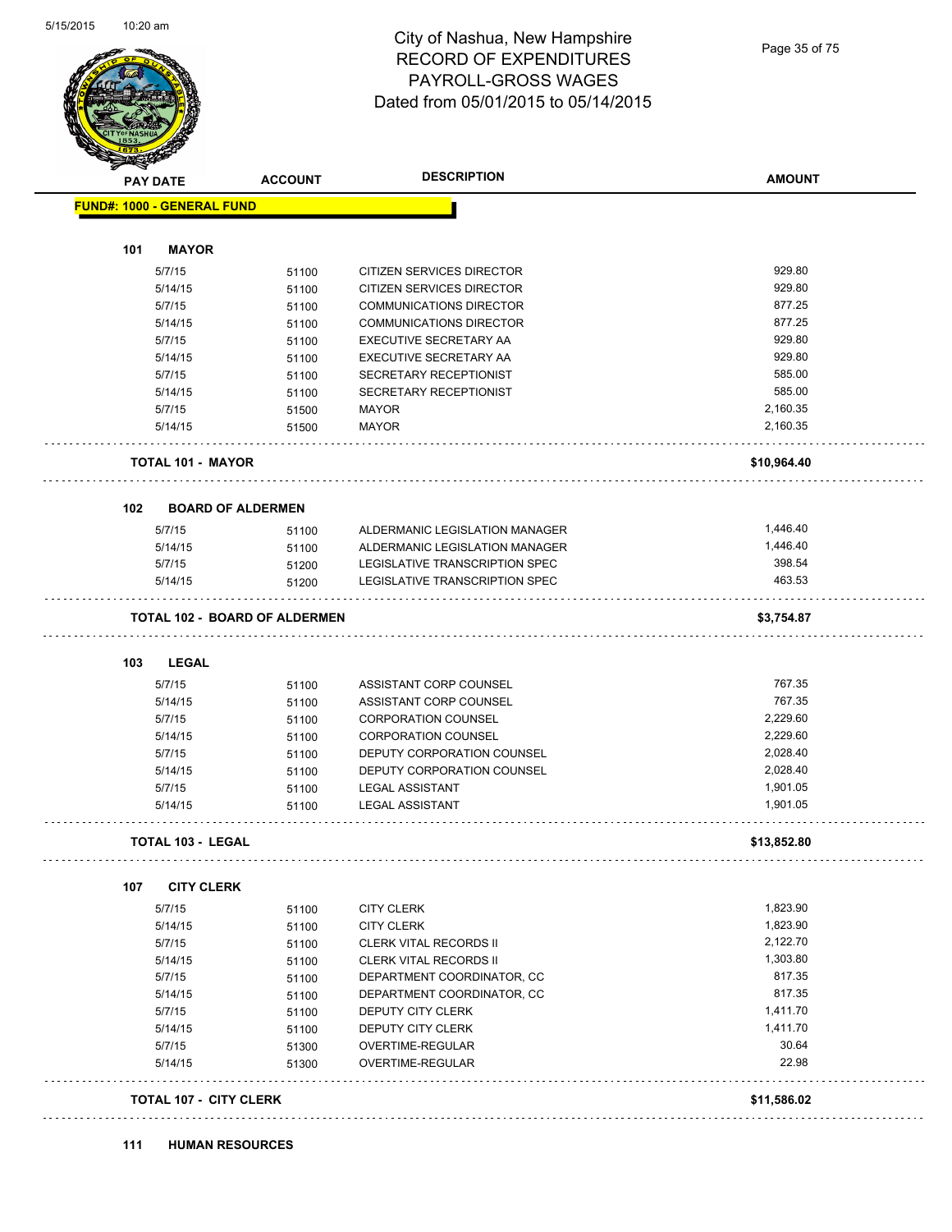

#### City of Nashua, New Hampshire RECORD OF EXPENDITURES PAYROLL-GROSS WAGES Dated from 05/01/2015 to 05/14/2015

|     | <b>PAY DATE</b>                   | <b>ACCOUNT</b>                       | <b>DESCRIPTION</b>             | <b>AMOUNT</b> |
|-----|-----------------------------------|--------------------------------------|--------------------------------|---------------|
|     | <b>FUND#: 1000 - GENERAL FUND</b> |                                      |                                |               |
| 101 | <b>MAYOR</b>                      |                                      |                                |               |
|     | 5/7/15                            | 51100                                | CITIZEN SERVICES DIRECTOR      | 929.80        |
|     | 5/14/15                           | 51100                                | CITIZEN SERVICES DIRECTOR      | 929.80        |
|     | 5/7/15                            | 51100                                | COMMUNICATIONS DIRECTOR        | 877.25        |
|     | 5/14/15                           | 51100                                | <b>COMMUNICATIONS DIRECTOR</b> | 877.25        |
|     | 5/7/15                            | 51100                                | EXECUTIVE SECRETARY AA         | 929.80        |
|     | 5/14/15                           | 51100                                | EXECUTIVE SECRETARY AA         | 929.80        |
|     | 5/7/15                            | 51100                                | SECRETARY RECEPTIONIST         | 585.00        |
|     | 5/14/15                           | 51100                                | SECRETARY RECEPTIONIST         | 585.00        |
|     | 5/7/15                            | 51500                                | <b>MAYOR</b>                   | 2,160.35      |
|     | 5/14/15                           | 51500                                | <b>MAYOR</b>                   | 2,160.35      |
|     |                                   |                                      |                                |               |
|     | <b>TOTAL 101 - MAYOR</b>          |                                      |                                | \$10,964.40   |
| 102 | <b>BOARD OF ALDERMEN</b>          |                                      |                                |               |
|     | 5/7/15                            | 51100                                | ALDERMANIC LEGISLATION MANAGER | 1,446.40      |
|     | 5/14/15                           | 51100                                | ALDERMANIC LEGISLATION MANAGER | 1,446.40      |
|     | 5/7/15                            | 51200                                | LEGISLATIVE TRANSCRIPTION SPEC | 398.54        |
|     | 5/14/15                           | 51200                                | LEGISLATIVE TRANSCRIPTION SPEC | 463.53        |
|     |                                   | <b>TOTAL 102 - BOARD OF ALDERMEN</b> |                                | \$3,754.87    |
| 103 | <b>LEGAL</b>                      |                                      |                                |               |
|     | 5/7/15                            | 51100                                | ASSISTANT CORP COUNSEL         | 767.35        |
|     | 5/14/15                           | 51100                                | ASSISTANT CORP COUNSEL         | 767.35        |
|     | 5/7/15                            | 51100                                | <b>CORPORATION COUNSEL</b>     | 2,229.60      |
|     | 5/14/15                           | 51100                                | <b>CORPORATION COUNSEL</b>     | 2,229.60      |
|     | 5/7/15                            | 51100                                | DEPUTY CORPORATION COUNSEL     | 2,028.40      |
|     | 5/14/15                           | 51100                                | DEPUTY CORPORATION COUNSEL     | 2,028.40      |
|     | 5/7/15                            | 51100                                | <b>LEGAL ASSISTANT</b>         | 1,901.05      |
|     | 5/14/15                           | 51100                                | <b>LEGAL ASSISTANT</b>         | 1,901.05      |
|     | <b>TOTAL 103 - LEGAL</b>          |                                      |                                | \$13,852.80   |
|     |                                   |                                      |                                |               |
| 107 | <b>CITY CLERK</b>                 |                                      |                                |               |
|     | 5/7/15                            | 51100                                | <b>CITY CLERK</b>              | 1,823.90      |
|     | 5/14/15                           | 51100                                | <b>CITY CLERK</b>              | 1,823.90      |
|     | 5/7/15                            | 51100                                | <b>CLERK VITAL RECORDS II</b>  | 2,122.70      |
|     | 5/14/15                           | 51100                                | CLERK VITAL RECORDS II         | 1,303.80      |
|     | 5/7/15                            | 51100                                | DEPARTMENT COORDINATOR, CC     | 817.35        |
|     | 5/14/15                           | 51100                                | DEPARTMENT COORDINATOR, CC     | 817.35        |
|     | 5/7/15                            | 51100                                | DEPUTY CITY CLERK              | 1,411.70      |
|     | 5/14/15                           | 51100                                | DEPUTY CITY CLERK              | 1,411.70      |
|     | 5/7/15                            | 51300                                | OVERTIME-REGULAR               | 30.64         |
|     | 5/14/15                           | 51300                                | OVERTIME-REGULAR               | 22.98         |
|     |                                   |                                      |                                |               |
|     | <b>TOTAL 107 - CITY CLERK</b>     |                                      |                                | \$11,586.02   |
|     |                                   |                                      |                                |               |

**111 HUMAN RESOURCES**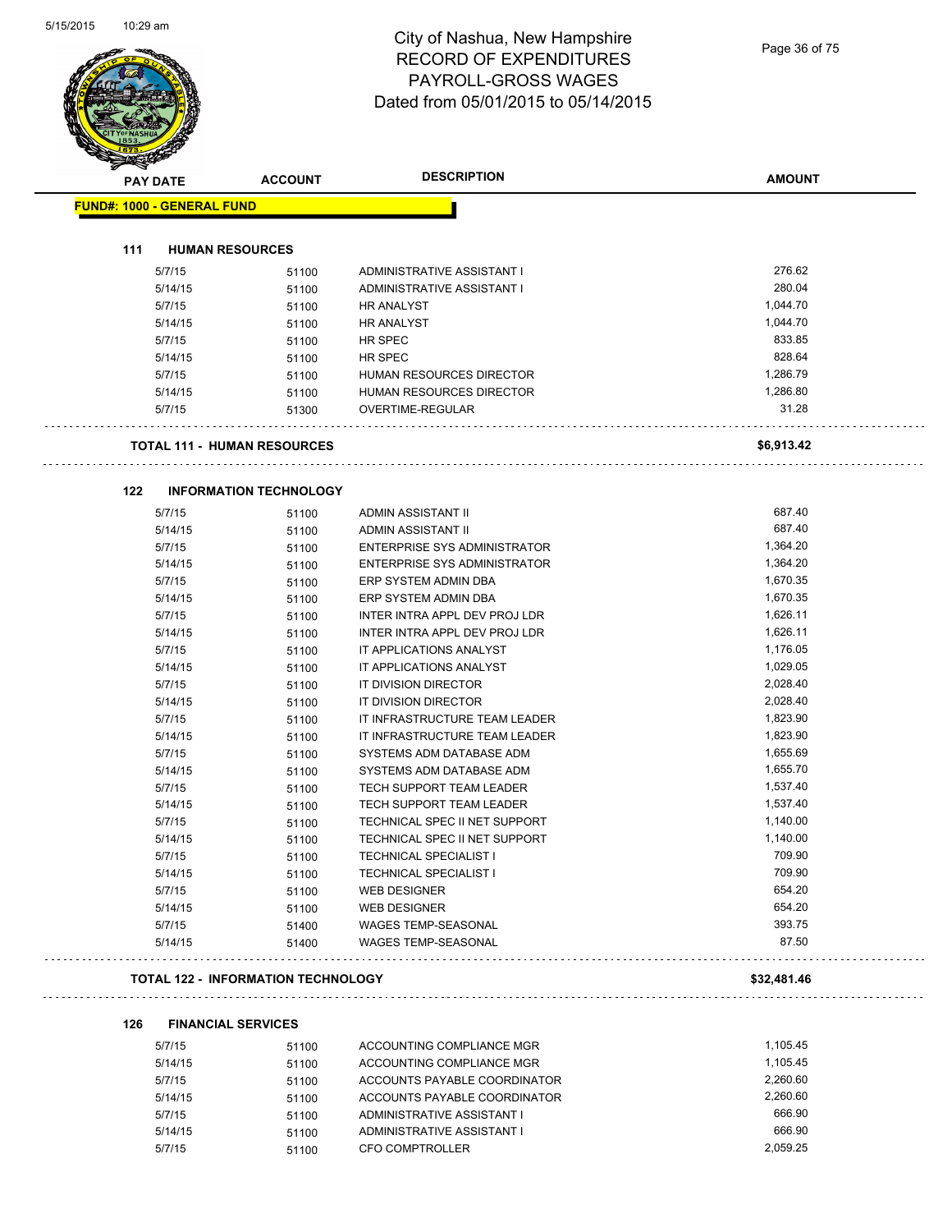#### City of Nashua, New Hampshire RECORD OF EXPENDITURES PAYROLL-GROSS WAGES Dated from 05/01/2015 to 05/14/2015

Page 36 of 75

| <b>PAY DATE</b>                   | <b>ACCOUNT</b>                            | <b>DESCRIPTION</b>              | <b>AMOUNT</b> |
|-----------------------------------|-------------------------------------------|---------------------------------|---------------|
| <b>FUND#: 1000 - GENERAL FUND</b> |                                           |                                 |               |
|                                   |                                           |                                 |               |
| 111                               | <b>HUMAN RESOURCES</b>                    |                                 |               |
| 5/7/15                            | 51100                                     | ADMINISTRATIVE ASSISTANT I      | 276.62        |
| 5/14/15                           | 51100                                     | ADMINISTRATIVE ASSISTANT I      | 280.04        |
| 5/7/15                            | 51100                                     | <b>HR ANALYST</b>               | 1.044.70      |
| 5/14/15                           | 51100                                     | <b>HR ANALYST</b>               | 1.044.70      |
| 5/7/15                            | 51100                                     | HR SPEC                         | 833.85        |
| 5/14/15                           | 51100                                     | <b>HR SPEC</b>                  | 828.64        |
| 5/7/15                            | 51100                                     | HUMAN RESOURCES DIRECTOR        | 1,286.79      |
| 5/14/15                           | 51100                                     | HUMAN RESOURCES DIRECTOR        | 1,286.80      |
| 5/7/15                            | 51300                                     | OVERTIME-REGULAR                | 31.28         |
|                                   | <b>TOTAL 111 - HUMAN RESOURCES</b>        |                                 | \$6,913.42    |
| 122                               | <b>INFORMATION TECHNOLOGY</b>             |                                 |               |
| 5/7/15                            | 51100                                     | ADMIN ASSISTANT II              | 687.40        |
| 5/14/15                           | 51100                                     | ADMIN ASSISTANT II              | 687.40        |
| 5/7/15                            | 51100                                     | ENTERPRISE SYS ADMINISTRATOR    | 1,364.20      |
| 5/14/15                           | 51100                                     | ENTERPRISE SYS ADMINISTRATOR    | 1,364.20      |
| 5/7/15                            | 51100                                     | ERP SYSTEM ADMIN DBA            | 1,670.35      |
| 5/14/15                           | 51100                                     | ERP SYSTEM ADMIN DBA            | 1,670.35      |
| 5/7/15                            | 51100                                     | INTER INTRA APPL DEV PROJ LDR   | 1,626.11      |
| 5/14/15                           | 51100                                     | INTER INTRA APPL DEV PROJ LDR   | 1,626.11      |
| 5/7/15                            | 51100                                     | IT APPLICATIONS ANALYST         | 1,176.05      |
| 5/14/15                           | 51100                                     | IT APPLICATIONS ANALYST         | 1,029.05      |
| 5/7/15                            | 51100                                     | IT DIVISION DIRECTOR            | 2,028.40      |
| 5/14/15                           | 51100                                     | IT DIVISION DIRECTOR            | 2,028.40      |
| 5/7/15                            | 51100                                     | IT INFRASTRUCTURE TEAM LEADER   | 1,823.90      |
| 5/14/15                           | 51100                                     | IT INFRASTRUCTURE TEAM LEADER   | 1,823.90      |
| 5/7/15                            | 51100                                     | SYSTEMS ADM DATABASE ADM        | 1,655.69      |
| 5/14/15                           | 51100                                     | SYSTEMS ADM DATABASE ADM        | 1,655.70      |
| 5/7/15                            | 51100                                     | <b>TECH SUPPORT TEAM LEADER</b> | 1,537.40      |
| 5/14/15                           | 51100                                     | TECH SUPPORT TEAM LEADER        | 1,537.40      |
| 5/7/15                            | 51100                                     | TECHNICAL SPEC II NET SUPPORT   | 1,140.00      |
| 5/14/15                           | 51100                                     | TECHNICAL SPEC II NET SUPPORT   | 1,140.00      |
| 5/7/15                            | 51100                                     | TECHNICAL SPECIALIST I          | 709.90        |
| 5/14/15                           | 51100                                     | TECHNICAL SPECIALIST I          | 709.90        |
| 5/7/15                            | 51100                                     | <b>WEB DESIGNER</b>             | 654.20        |
| 5/14/15                           | 51100                                     | <b>WEB DESIGNER</b>             | 654.20        |
| 5/7/15                            | 51400                                     | WAGES TEMP-SEASONAL             | 393.75        |
| 5/14/15                           | 51400                                     | <b>WAGES TEMP-SEASONAL</b>      | 87.50         |
|                                   | <b>TOTAL 122 - INFORMATION TECHNOLOGY</b> |                                 | \$32,481.46   |
| 126                               | <b>FINANCIAL SERVICES</b>                 |                                 |               |
| 5/7/15                            | 51100                                     | ACCOUNTING COMPLIANCE MGR       | 1,105.45      |
| 5/14/15                           | 51100                                     | ACCOUNTING COMPLIANCE MGR       | 1,105.45      |
|                                   |                                           |                                 |               |

| <u>.</u> | <u>JIJU</u> |                              | .        |
|----------|-------------|------------------------------|----------|
| 5/7/15   | 51100       | ACCOUNTS PAYABLE COORDINATOR | 2.260.60 |
| 5/14/15  | 51100       | ACCOUNTS PAYABLE COORDINATOR | 2,260.60 |
| 5/7/15   | 51100       | ADMINISTRATIVE ASSISTANT I   | 666.90   |
| 5/14/15  | 51100       | ADMINISTRATIVE ASSISTANT I   | 666.90   |
| 5/7/15   | 51100       | CFO COMPTROLLER              | 2,059.25 |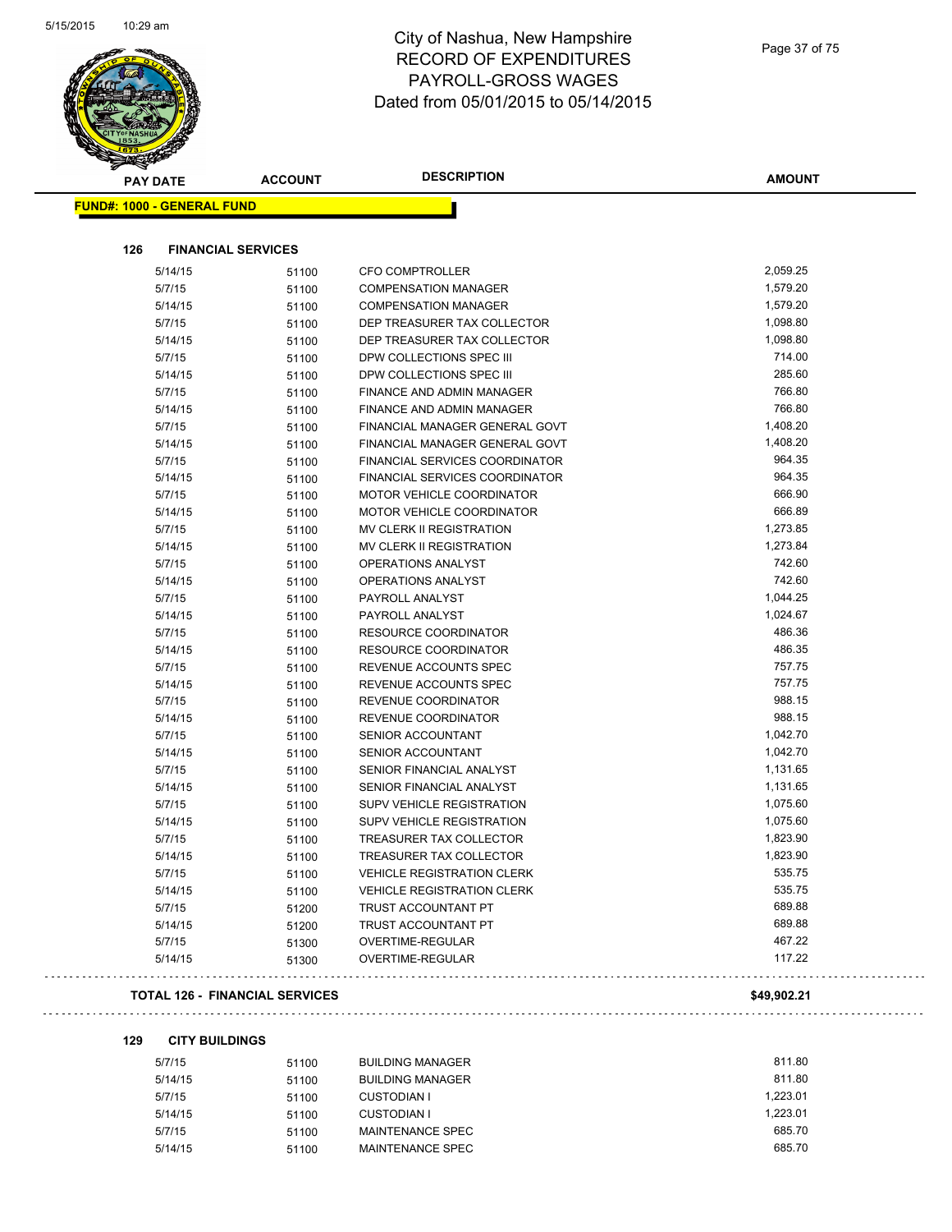**FUND#: 1** 



# City of Nashua, New Hampshire RECORD OF EXPENDITURES PAYROLL-GROSS WAGES Dated from 05/01/2015 to 05/14/2015

|     | <b>PAY DATE</b>     | <b>ACCOUNT</b>            | <b>DESCRIPTION</b>                    | <b>AMOUNT</b> |
|-----|---------------------|---------------------------|---------------------------------------|---------------|
|     | 1000 - GENERAL FUND |                           |                                       |               |
|     |                     |                           |                                       |               |
| 126 |                     | <b>FINANCIAL SERVICES</b> |                                       |               |
|     | 5/14/15             | 51100                     | <b>CFO COMPTROLLER</b>                | 2,059.25      |
|     | 5/7/15              | 51100                     | <b>COMPENSATION MANAGER</b>           | 1,579.20      |
|     | 5/14/15             | 51100                     | <b>COMPENSATION MANAGER</b>           | 1,579.20      |
|     | 5/7/15              | 51100                     | DEP TREASURER TAX COLLECTOR           | 1,098.80      |
|     | 5/14/15             | 51100                     | DEP TREASURER TAX COLLECTOR           | 1,098.80      |
|     | 5/7/15              | 51100                     | DPW COLLECTIONS SPEC III              | 714.00        |
|     | 5/14/15             | 51100                     | DPW COLLECTIONS SPEC III              | 285.60        |
|     | 5/7/15              | 51100                     | FINANCE AND ADMIN MANAGER             | 766.80        |
|     | 5/14/15             | 51100                     | FINANCE AND ADMIN MANAGER             | 766.80        |
|     | 5/7/15              | 51100                     | FINANCIAL MANAGER GENERAL GOVT        | 1,408.20      |
|     | 5/14/15             | 51100                     | FINANCIAL MANAGER GENERAL GOVT        | 1,408.20      |
|     | 5/7/15              | 51100                     | <b>FINANCIAL SERVICES COORDINATOR</b> | 964.35        |
|     | 5/14/15             | 51100                     | FINANCIAL SERVICES COORDINATOR        | 964.35        |
|     | 5/7/15              | 51100                     | <b>MOTOR VEHICLE COORDINATOR</b>      | 666.90        |
|     | 5/14/15             | 51100                     | MOTOR VEHICLE COORDINATOR             | 666.89        |
|     | 5/7/15              | 51100                     | <b>MV CLERK II REGISTRATION</b>       | 1,273.85      |
|     | 5/14/15             | 51100                     | MV CLERK II REGISTRATION              | 1,273.84      |
|     | 5/7/15              | 51100                     | OPERATIONS ANALYST                    | 742.60        |
|     | 5/14/15             | 51100                     | <b>OPERATIONS ANALYST</b>             | 742.60        |
|     | 5/7/15              | 51100                     | PAYROLL ANALYST                       | 1,044.25      |
|     | 5/14/15             | 51100                     | PAYROLL ANALYST                       | 1,024.67      |
|     | 5/7/15              | 51100                     | <b>RESOURCE COORDINATOR</b>           | 486.36        |
|     | 5/14/15             | 51100                     | <b>RESOURCE COORDINATOR</b>           | 486.35        |
|     | 5/7/15              | 51100                     | REVENUE ACCOUNTS SPEC                 | 757.75        |
|     | 5/14/15             | 51100                     | REVENUE ACCOUNTS SPEC                 | 757.75        |
|     | 5/7/15              | 51100                     | REVENUE COORDINATOR                   | 988.15        |
|     | 5/14/15             | 51100                     | REVENUE COORDINATOR                   | 988.15        |
|     | 5/7/15              | 51100                     | <b>SENIOR ACCOUNTANT</b>              | 1,042.70      |
|     | 5/14/15             | 51100                     | SENIOR ACCOUNTANT                     | 1,042.70      |
|     | 5/7/15              | 51100                     | SENIOR FINANCIAL ANALYST              | 1,131.65      |
|     | 5/14/15             | 51100                     | SENIOR FINANCIAL ANALYST              | 1,131.65      |
|     | 5/7/15              | 51100                     | SUPV VEHICLE REGISTRATION             | 1,075.60      |
|     | 5/14/15             | 51100                     | SUPV VEHICLE REGISTRATION             | 1,075.60      |
|     | 5/7/15              | 51100                     | TREASURER TAX COLLECTOR               | 1,823.90      |
|     | 5/14/15             | 51100                     | <b>TREASURER TAX COLLECTOR</b>        | 1,823.90      |
|     | 5/7/15              | 51100                     | <b>VEHICLE REGISTRATION CLERK</b>     | 535.75        |
|     | 5/14/15             | 51100                     | <b>VEHICLE REGISTRATION CLERK</b>     | 535.75        |
|     | 5/7/15              | 51200                     | TRUST ACCOUNTANT PT                   | 689.88        |
|     | 5/14/15             | 51200                     | TRUST ACCOUNTANT PT                   | 689.88        |

# 

### **TOTAL 126 - FINANCIAL SERVICES \$49,902.21**

#### **129 CITY BUILDINGS**

| 5/7/15  | 51100 | <b>BUILDING MANAGER</b> | 811.80   |
|---------|-------|-------------------------|----------|
| 5/14/15 | 51100 | <b>BUILDING MANAGER</b> | 811.80   |
| 5/7/15  | 51100 | <b>CUSTODIAN I</b>      | 1.223.01 |
| 5/14/15 | 51100 | <b>CUSTODIAN I</b>      | 1.223.01 |
| 5/7/15  | 51100 | MAINTENANCE SPEC        | 685.70   |
| 5/14/15 | 51100 | MAINTENANCE SPEC        | 685.70   |
|         |       |                         |          |

5/7/15 51300 OVERTIME-REGULAR 467.22 5/14/15 51300 OVERTIME-REGULAR 117.22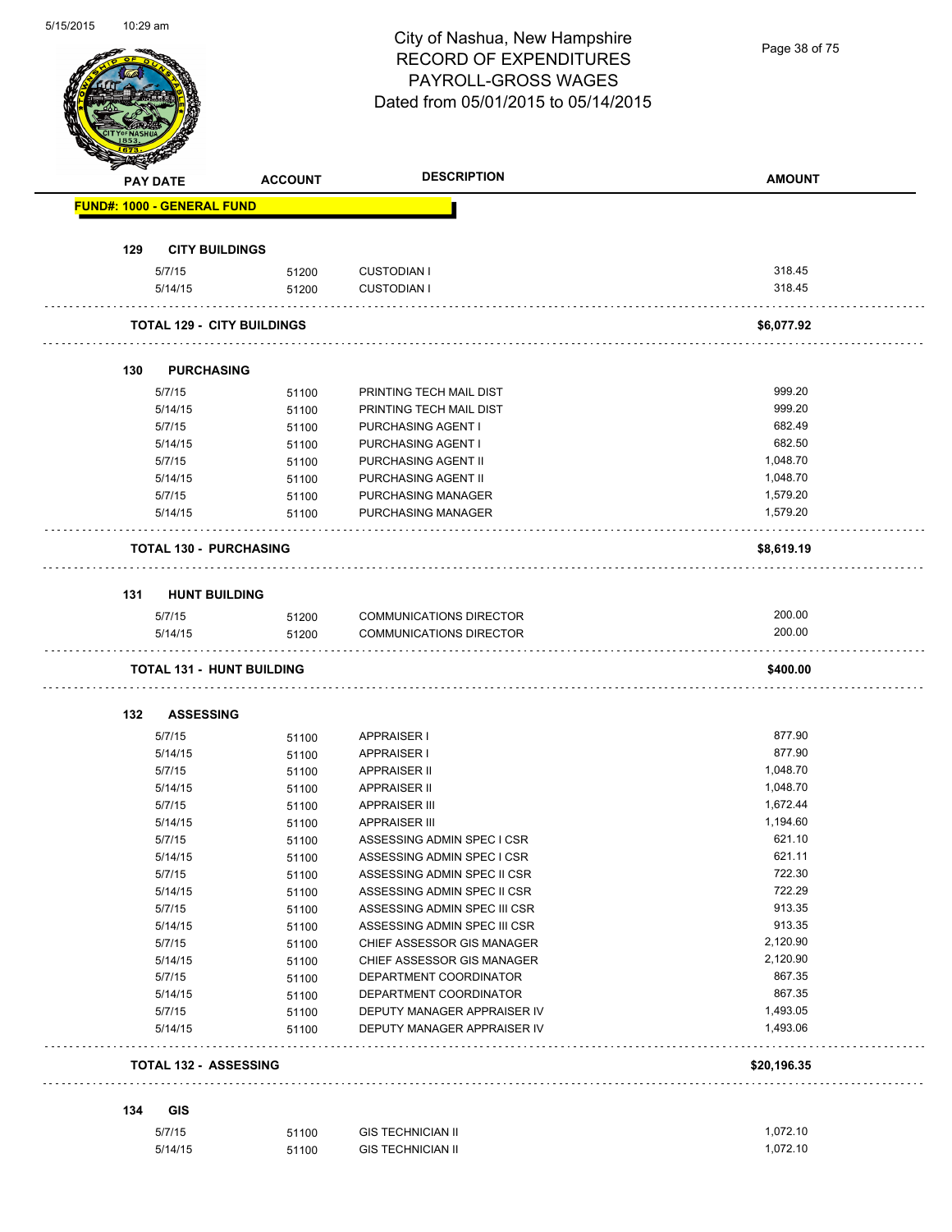|     | <b>PAY DATE</b>                   | <b>ACCOUNT</b> | <b>DESCRIPTION</b>                                        | <b>AMOUNT</b>    |
|-----|-----------------------------------|----------------|-----------------------------------------------------------|------------------|
|     | <b>FUND#: 1000 - GENERAL FUND</b> |                |                                                           |                  |
| 129 | <b>CITY BUILDINGS</b>             |                |                                                           |                  |
|     | 5/7/15                            | 51200          | <b>CUSTODIAN I</b>                                        | 318.45           |
|     | 5/14/15                           | 51200          | <b>CUSTODIAN I</b>                                        | 318.45           |
|     | <b>TOTAL 129 - CITY BUILDINGS</b> |                |                                                           | \$6,077.92       |
| 130 | <b>PURCHASING</b>                 |                |                                                           |                  |
|     | 5/7/15                            | 51100          | PRINTING TECH MAIL DIST                                   | 999.20           |
|     | 5/14/15                           | 51100          | PRINTING TECH MAIL DIST                                   | 999.20           |
|     | 5/7/15                            | 51100          | PURCHASING AGENT I                                        | 682.49           |
|     | 5/14/15                           | 51100          | PURCHASING AGENT I                                        | 682.50           |
|     | 5/7/15                            | 51100          | PURCHASING AGENT II                                       | 1,048.70         |
|     | 5/14/15                           | 51100          | PURCHASING AGENT II                                       | 1,048.70         |
|     | 5/7/15                            | 51100          | PURCHASING MANAGER                                        | 1,579.20         |
|     | 5/14/15                           | 51100          | PURCHASING MANAGER                                        | 1,579.20         |
|     | <b>TOTAL 130 - PURCHASING</b>     |                |                                                           | \$8,619.19       |
| 131 | <b>HUNT BUILDING</b>              |                |                                                           |                  |
|     |                                   |                |                                                           |                  |
|     | 5/7/15<br>5/14/15                 | 51200          | <b>COMMUNICATIONS DIRECTOR</b><br>COMMUNICATIONS DIRECTOR | 200.00<br>200.00 |
|     |                                   | 51200          |                                                           |                  |
|     | <b>TOTAL 131 - HUNT BUILDING</b>  |                |                                                           | \$400.00         |
| 132 | <b>ASSESSING</b>                  |                |                                                           |                  |
|     | 5/7/15                            | 51100          | APPRAISER I                                               | 877.90           |
|     | 5/14/15                           | 51100          | APPRAISER I                                               | 877.90           |
|     | 5/7/15                            | 51100          | <b>APPRAISER II</b>                                       | 1,048.70         |
|     | 5/14/15                           | 51100          | <b>APPRAISER II</b>                                       | 1,048.70         |
|     | 5/7/15                            | 51100          | <b>APPRAISER III</b>                                      | 1.672.44         |
|     | 5/14/15                           | 51100          | <b>APPRAISER III</b>                                      | 1,194.60         |
|     | 5/7/15                            | 51100          | ASSESSING ADMIN SPEC I CSR                                | 621.10           |
|     | 5/14/15                           | 51100          | ASSESSING ADMIN SPEC I CSR                                | 621.11           |
|     | 5/7/15                            | 51100          | ASSESSING ADMIN SPEC II CSR                               | 722.30           |
|     | 5/14/15                           | 51100          | ASSESSING ADMIN SPEC II CSR                               | 722.29           |
|     | 5/7/15                            | 51100          | ASSESSING ADMIN SPEC III CSR                              | 913.35           |
|     | 5/14/15                           | 51100          | ASSESSING ADMIN SPEC III CSR                              | 913.35           |
|     | 5/7/15                            | 51100          | CHIEF ASSESSOR GIS MANAGER                                | 2,120.90         |
|     | 5/14/15                           | 51100          | CHIEF ASSESSOR GIS MANAGER                                | 2,120.90         |
|     | 5/7/15                            | 51100          | DEPARTMENT COORDINATOR                                    | 867.35           |
|     | 5/14/15                           | 51100          | DEPARTMENT COORDINATOR                                    | 867.35           |
|     | 5/7/15                            | 51100          | DEPUTY MANAGER APPRAISER IV                               | 1,493.05         |
|     | 5/14/15                           | 51100          | DEPUTY MANAGER APPRAISER IV                               | 1,493.06         |
|     | <b>TOTAL 132 - ASSESSING</b>      |                |                                                           | \$20,196.35      |
| 134 | GIS                               |                |                                                           |                  |
|     |                                   |                |                                                           |                  |
|     | 5/7/15                            | 51100          | <b>GIS TECHNICIAN II</b>                                  | 1,072.10         |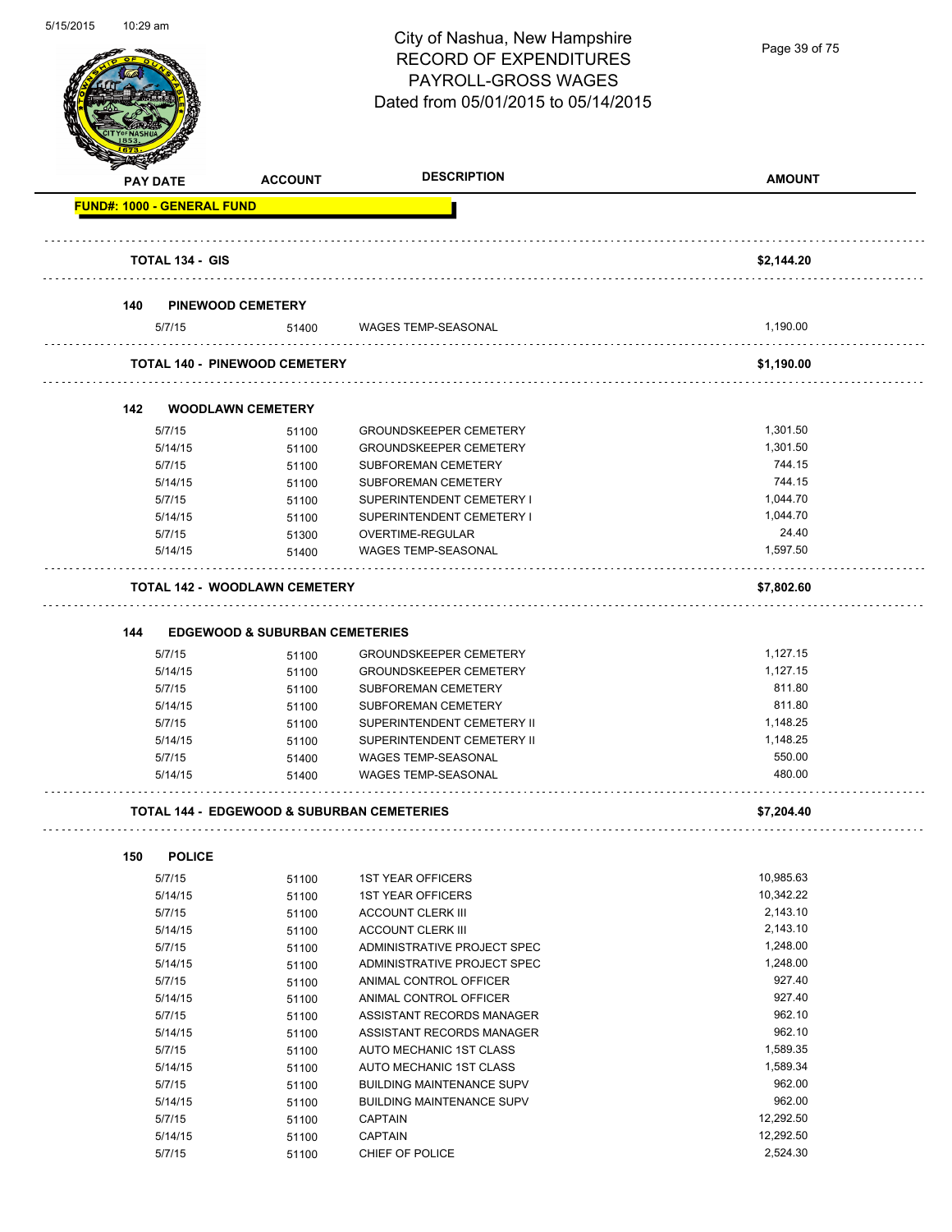

| <b>STARBAN</b><br><b>PAY DATE</b> | <b>ACCOUNT</b>                                        | <b>DESCRIPTION</b>                                       | <b>AMOUNT</b>    |
|-----------------------------------|-------------------------------------------------------|----------------------------------------------------------|------------------|
| <b>FUND#: 1000 - GENERAL FUND</b> |                                                       |                                                          |                  |
| <b>TOTAL 134 - GIS</b>            |                                                       |                                                          | \$2,144.20       |
|                                   |                                                       |                                                          |                  |
| 140                               | <b>PINEWOOD CEMETERY</b>                              |                                                          |                  |
| 5/7/15                            | 51400                                                 | <b>WAGES TEMP-SEASONAL</b>                               | 1,190.00         |
|                                   | <b>TOTAL 140 - PINEWOOD CEMETERY</b>                  |                                                          | \$1,190.00       |
| 142                               | <b>WOODLAWN CEMETERY</b>                              |                                                          |                  |
| 5/7/15                            | 51100                                                 | <b>GROUNDSKEEPER CEMETERY</b>                            | 1,301.50         |
| 5/14/15                           | 51100                                                 | <b>GROUNDSKEEPER CEMETERY</b>                            | 1,301.50         |
| 5/7/15                            | 51100                                                 | <b>SUBFOREMAN CEMETERY</b>                               | 744.15           |
| 5/14/15                           | 51100                                                 | SUBFOREMAN CEMETERY                                      | 744.15           |
| 5/7/15                            | 51100                                                 | SUPERINTENDENT CEMETERY I                                | 1,044.70         |
| 5/14/15                           | 51100                                                 | SUPERINTENDENT CEMETERY I                                | 1,044.70         |
| 5/7/15                            | 51300                                                 | OVERTIME-REGULAR                                         | 24.40            |
| 5/14/15                           | 51400                                                 | <b>WAGES TEMP-SEASONAL</b>                               | 1,597.50         |
|                                   | <b>TOTAL 142 - WOODLAWN CEMETERY</b>                  |                                                          | \$7,802.60       |
|                                   |                                                       |                                                          |                  |
| 144                               | <b>EDGEWOOD &amp; SUBURBAN CEMETERIES</b>             |                                                          |                  |
| 5/7/15                            | 51100                                                 | <b>GROUNDSKEEPER CEMETERY</b>                            | 1,127.15         |
| 5/14/15                           | 51100                                                 | <b>GROUNDSKEEPER CEMETERY</b>                            | 1,127.15         |
| 5/7/15                            | 51100                                                 | <b>SUBFOREMAN CEMETERY</b>                               | 811.80           |
| 5/14/15                           | 51100                                                 | <b>SUBFOREMAN CEMETERY</b>                               | 811.80           |
| 5/7/15                            | 51100                                                 | SUPERINTENDENT CEMETERY II                               | 1,148.25         |
| 5/14/15                           | 51100                                                 | SUPERINTENDENT CEMETERY II                               | 1,148.25         |
| 5/7/15<br>5/14/15                 | 51400                                                 | <b>WAGES TEMP-SEASONAL</b><br><b>WAGES TEMP-SEASONAL</b> | 550.00<br>480.00 |
|                                   | 51400                                                 |                                                          |                  |
|                                   | <b>TOTAL 144 - EDGEWOOD &amp; SUBURBAN CEMETERIES</b> |                                                          | \$7,204.40       |
| <b>POLICE</b><br>150              |                                                       |                                                          |                  |
| 5/7/15                            | 51100                                                 | <b>1ST YEAR OFFICERS</b>                                 | 10,985.63        |
| 5/14/15                           | 51100                                                 | <b>1ST YEAR OFFICERS</b>                                 | 10,342.22        |
| 5/7/15                            | 51100                                                 | <b>ACCOUNT CLERK III</b>                                 | 2,143.10         |
| 5/14/15                           | 51100                                                 | <b>ACCOUNT CLERK III</b>                                 | 2,143.10         |
| 5/7/15                            | 51100                                                 | ADMINISTRATIVE PROJECT SPEC                              | 1,248.00         |
| 5/14/15                           | 51100                                                 | ADMINISTRATIVE PROJECT SPEC                              | 1,248.00         |
| 5/7/15                            | 51100                                                 | ANIMAL CONTROL OFFICER                                   | 927.40           |
| 5/14/15                           | 51100                                                 | ANIMAL CONTROL OFFICER                                   | 927.40           |
| 5/7/15                            | 51100                                                 | ASSISTANT RECORDS MANAGER                                | 962.10           |
| 5/14/15                           | 51100                                                 | ASSISTANT RECORDS MANAGER                                | 962.10           |
| 5/7/15                            | 51100                                                 | AUTO MECHANIC 1ST CLASS                                  | 1,589.35         |
| 5/14/15                           | 51100                                                 | AUTO MECHANIC 1ST CLASS                                  | 1,589.34         |
| 5/7/15                            | 51100                                                 | <b>BUILDING MAINTENANCE SUPV</b>                         | 962.00           |
| 5/14/15                           | 51100                                                 | <b>BUILDING MAINTENANCE SUPV</b>                         | 962.00           |
| 5/7/15                            | 51100                                                 | <b>CAPTAIN</b>                                           | 12,292.50        |
| 5/14/15                           | 51100                                                 | CAPTAIN                                                  | 12,292.50        |
| 5/7/15                            | 51100                                                 | CHIEF OF POLICE                                          | 2,524.30         |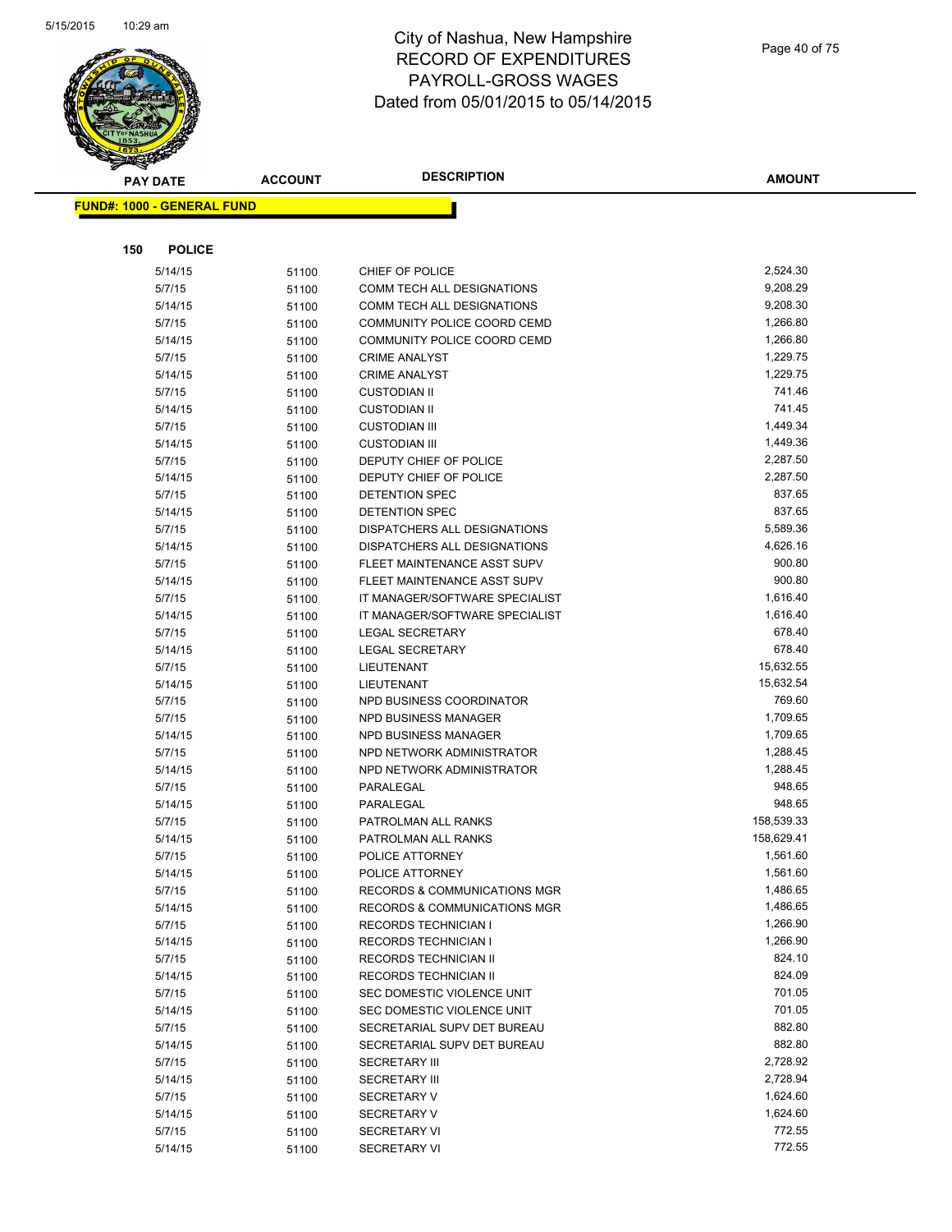

| <b>PAY DATE</b>                   | <b>ACCOUNT</b> | <b>DESCRIPTION</b>                                   | <b>AMOUNT</b>        |
|-----------------------------------|----------------|------------------------------------------------------|----------------------|
| <b>FUND#: 1000 - GENERAL FUND</b> |                |                                                      |                      |
|                                   |                |                                                      |                      |
|                                   |                |                                                      |                      |
| 150<br><b>POLICE</b>              |                |                                                      |                      |
| 5/14/15                           | 51100          | CHIEF OF POLICE                                      | 2,524.30             |
| 5/7/15                            | 51100          | COMM TECH ALL DESIGNATIONS                           | 9,208.29             |
| 5/14/15                           | 51100          | COMM TECH ALL DESIGNATIONS                           | 9,208.30             |
| 5/7/15                            | 51100          | COMMUNITY POLICE COORD CEMD                          | 1,266.80             |
| 5/14/15                           | 51100          | COMMUNITY POLICE COORD CEMD                          | 1,266.80             |
| 5/7/15                            | 51100          | <b>CRIME ANALYST</b>                                 | 1,229.75             |
| 5/14/15                           | 51100          | <b>CRIME ANALYST</b>                                 | 1,229.75             |
| 5/7/15                            | 51100          | <b>CUSTODIAN II</b>                                  | 741.46               |
| 5/14/15                           | 51100          | <b>CUSTODIAN II</b>                                  | 741.45               |
| 5/7/15                            | 51100          | <b>CUSTODIAN III</b>                                 | 1,449.34             |
| 5/14/15                           | 51100          | <b>CUSTODIAN III</b>                                 | 1,449.36             |
| 5/7/15                            | 51100          | DEPUTY CHIEF OF POLICE                               | 2,287.50             |
| 5/14/15                           | 51100          | DEPUTY CHIEF OF POLICE                               | 2,287.50             |
| 5/7/15                            | 51100          | DETENTION SPEC                                       | 837.65               |
| 5/14/15                           | 51100          | DETENTION SPEC                                       | 837.65               |
| 5/7/15                            | 51100          | DISPATCHERS ALL DESIGNATIONS                         | 5,589.36             |
| 5/14/15                           | 51100          | DISPATCHERS ALL DESIGNATIONS                         | 4,626.16             |
| 5/7/15                            | 51100          | FLEET MAINTENANCE ASST SUPV                          | 900.80               |
| 5/14/15                           | 51100          | FLEET MAINTENANCE ASST SUPV                          | 900.80               |
| 5/7/15                            | 51100          | IT MANAGER/SOFTWARE SPECIALIST                       | 1,616.40             |
| 5/14/15                           | 51100          | IT MANAGER/SOFTWARE SPECIALIST                       | 1,616.40             |
| 5/7/15                            | 51100          | <b>LEGAL SECRETARY</b>                               | 678.40               |
| 5/14/15                           | 51100          | <b>LEGAL SECRETARY</b>                               | 678.40               |
| 5/7/15                            | 51100          | LIEUTENANT                                           | 15,632.55            |
| 5/14/15                           | 51100          | LIEUTENANT                                           | 15,632.54            |
| 5/7/15                            | 51100          | NPD BUSINESS COORDINATOR                             | 769.60               |
| 5/7/15                            | 51100          | <b>NPD BUSINESS MANAGER</b>                          | 1,709.65             |
| 5/14/15                           | 51100          | NPD BUSINESS MANAGER                                 | 1,709.65             |
| 5/7/15                            | 51100          | NPD NETWORK ADMINISTRATOR                            | 1,288.45             |
| 5/14/15                           | 51100          | NPD NETWORK ADMINISTRATOR                            | 1,288.45             |
| 5/7/15                            | 51100          | PARALEGAL                                            | 948.65               |
| 5/14/15                           | 51100          | PARALEGAL                                            | 948.65               |
| 5/7/15                            | 51100          | PATROLMAN ALL RANKS                                  | 158,539.33           |
| 5/14/15                           | 51100          | PATROLMAN ALL RANKS                                  | 158,629.41           |
| 5/7/15                            | 51100          | POLICE ATTORNEY                                      | 1,561.60             |
| 5/14/15                           | 51100          | POLICE ATTORNEY                                      | 1,561.60             |
| 5/7/15                            | 51100          | RECORDS & COMMUNICATIONS MGR                         | 1,486.65             |
| 5/14/15                           | 51100          | <b>RECORDS &amp; COMMUNICATIONS MGR</b>              | 1,486.65             |
| 5/7/15                            | 51100          | <b>RECORDS TECHNICIAN I</b>                          | 1,266.90<br>1,266.90 |
| 5/14/15<br>5/7/15                 | 51100          | <b>RECORDS TECHNICIAN I</b><br>RECORDS TECHNICIAN II | 824.10               |
|                                   | 51100          |                                                      | 824.09               |
| 5/14/15<br>5/7/15                 | 51100          | RECORDS TECHNICIAN II<br>SEC DOMESTIC VIOLENCE UNIT  | 701.05               |
| 5/14/15                           | 51100          | SEC DOMESTIC VIOLENCE UNIT                           | 701.05               |
| 5/7/15                            | 51100          | SECRETARIAL SUPV DET BUREAU                          | 882.80               |
| 5/14/15                           | 51100          | SECRETARIAL SUPV DET BUREAU                          | 882.80               |
| 5/7/15                            | 51100          | <b>SECRETARY III</b>                                 | 2,728.92             |
| 5/14/15                           | 51100<br>51100 | <b>SECRETARY III</b>                                 | 2,728.94             |
| 5/7/15                            |                | <b>SECRETARY V</b>                                   | 1,624.60             |
| 5/14/15                           | 51100<br>51100 | <b>SECRETARY V</b>                                   | 1,624.60             |
| 5/7/15                            | 51100          | <b>SECRETARY VI</b>                                  | 772.55               |
| 5/14/15                           | 51100          | <b>SECRETARY VI</b>                                  | 772.55               |
|                                   |                |                                                      |                      |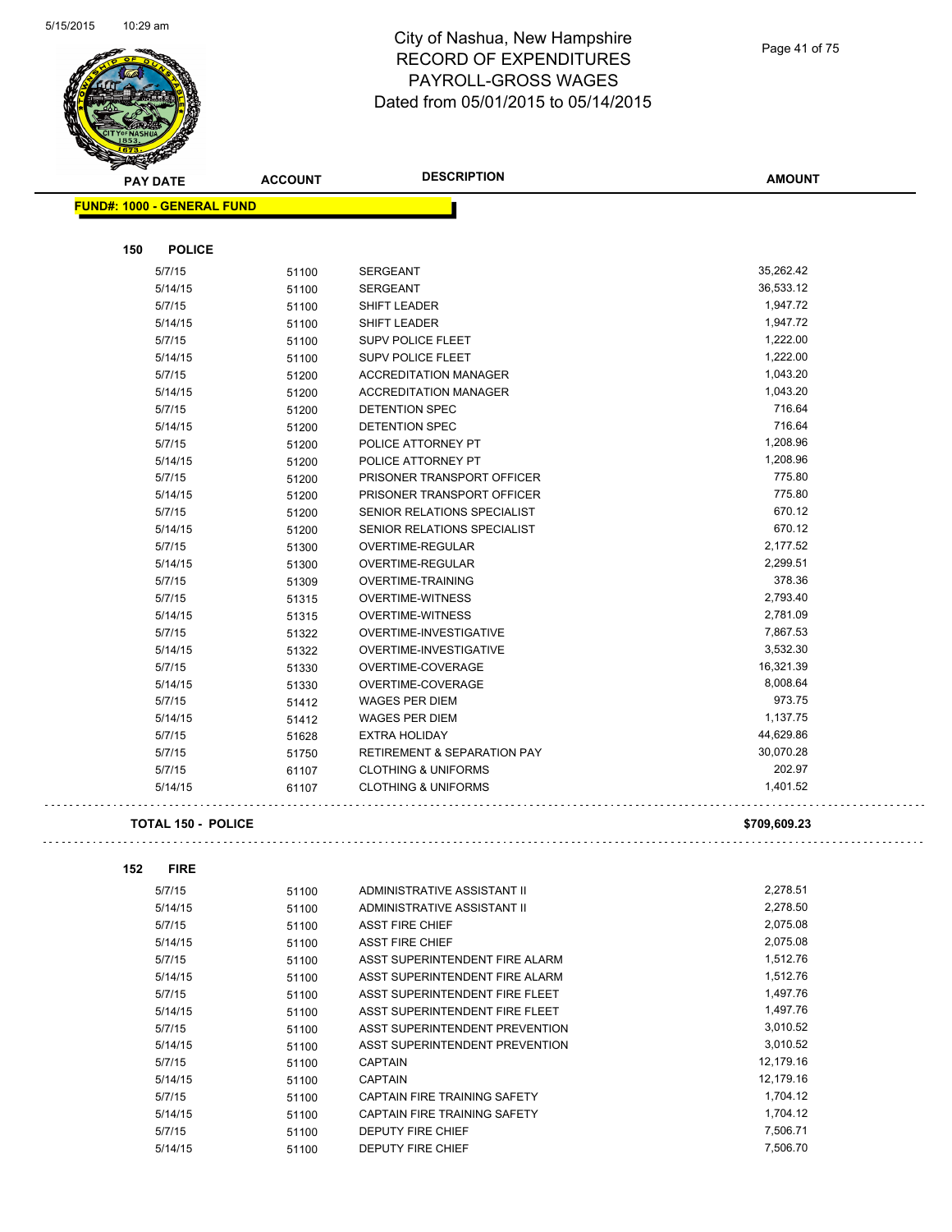l,



# City of Nashua, New Hampshire RECORD OF EXPENDITURES PAYROLL-GROSS WAGES Dated from 05/01/2015 to 05/14/2015

 $\Box$  .

| Ð   | A.                                |                |                                        |               |
|-----|-----------------------------------|----------------|----------------------------------------|---------------|
|     | <b>PAY DATE</b>                   | <b>ACCOUNT</b> | <b>DESCRIPTION</b>                     | <b>AMOUNT</b> |
|     | <b>FUND#: 1000 - GENERAL FUND</b> |                |                                        |               |
|     |                                   |                |                                        |               |
| 150 | <b>POLICE</b>                     |                |                                        |               |
|     | 5/7/15                            | 51100          | SERGEANT                               | 35,262.42     |
|     | 5/14/15                           | 51100          | <b>SERGEANT</b>                        | 36,533.12     |
|     | 5/7/15                            | 51100          | <b>SHIFT LEADER</b>                    | 1,947.72      |
|     | 5/14/15                           | 51100          | SHIFT LEADER                           | 1,947.72      |
|     | 5/7/15                            | 51100          | <b>SUPV POLICE FLEET</b>               | 1,222.00      |
|     | 5/14/15                           | 51100          | <b>SUPV POLICE FLEET</b>               | 1,222.00      |
|     | 5/7/15                            | 51200          | <b>ACCREDITATION MANAGER</b>           | 1,043.20      |
|     | 5/14/15                           | 51200          | <b>ACCREDITATION MANAGER</b>           | 1,043.20      |
|     | 5/7/15                            | 51200          | DETENTION SPEC                         | 716.64        |
|     | 5/14/15                           | 51200          | <b>DETENTION SPEC</b>                  | 716.64        |
|     | 5/7/15                            | 51200          | POLICE ATTORNEY PT                     | 1,208.96      |
|     | 5/14/15                           | 51200          | POLICE ATTORNEY PT                     | 1,208.96      |
|     | 5/7/15                            | 51200          | PRISONER TRANSPORT OFFICER             | 775.80        |
|     | 5/14/15                           | 51200          | PRISONER TRANSPORT OFFICER             | 775.80        |
|     | 5/7/15                            | 51200          | SENIOR RELATIONS SPECIALIST            | 670.12        |
|     | 5/14/15                           | 51200          | SENIOR RELATIONS SPECIALIST            | 670.12        |
|     | 5/7/15                            | 51300          | <b>OVERTIME-REGULAR</b>                | 2,177.52      |
|     | 5/14/15                           | 51300          | OVERTIME-REGULAR                       | 2,299.51      |
|     | 5/7/15                            | 51309          | <b>OVERTIME-TRAINING</b>               | 378.36        |
|     | 5/7/15                            | 51315          | <b>OVERTIME-WITNESS</b>                | 2,793.40      |
|     | 5/14/15                           | 51315          | <b>OVERTIME-WITNESS</b>                | 2,781.09      |
|     | 5/7/15                            | 51322          | OVERTIME-INVESTIGATIVE                 | 7,867.53      |
|     | 5/14/15                           | 51322          | OVERTIME-INVESTIGATIVE                 | 3,532.30      |
|     | 5/7/15                            | 51330          | OVERTIME-COVERAGE                      | 16,321.39     |
|     | 5/14/15                           | 51330          | OVERTIME-COVERAGE                      | 8,008.64      |
|     | 5/7/15                            | 51412          | WAGES PER DIEM                         | 973.75        |
|     | 5/14/15                           | 51412          | <b>WAGES PER DIEM</b>                  | 1,137.75      |
|     | 5/7/15                            | 51628          | <b>EXTRA HOLIDAY</b>                   | 44,629.86     |
|     | 5/7/15                            | 51750          | <b>RETIREMENT &amp; SEPARATION PAY</b> | 30,070.28     |
|     | 5/7/15                            | 61107          | <b>CLOTHING &amp; UNIFORMS</b>         | 202.97        |
|     | 5/14/15                           | 61107          | <b>CLOTHING &amp; UNIFORMS</b>         | 1,401.52      |
|     |                                   |                |                                        |               |
|     | <b>TOTAL 150 - POLICE</b>         |                |                                        | \$709,609.23  |
| 152 | <b>FIRE</b>                       |                |                                        |               |
|     | 5/7/15                            | 51100          | ADMINISTRATIVE ASSISTANT II            | 2,278.51      |
|     | 5/14/15                           | 51100          | ADMINISTRATIVE ASSISTANT II            | 2,278.50      |
|     | 5/7/15                            | 51100          | <b>ASST FIRE CHIEF</b>                 | 2,075.08      |
|     | T/A AIAF                          | 54400          | ACCT FIDE CUIFF                        | 2.075.00      |

| <u>ນ/ 14/ Iນ</u> | <b>PHIC</b> | ADIVIINISTRATIVE ASSISTANT II       | 2, 2, 0.00 |
|------------------|-------------|-------------------------------------|------------|
| 5/7/15           | 51100       | <b>ASST FIRE CHIEF</b>              | 2,075.08   |
| 5/14/15          | 51100       | <b>ASST FIRE CHIEF</b>              | 2,075.08   |
| 5/7/15           | 51100       | ASST SUPERINTENDENT FIRE ALARM      | 1,512.76   |
| 5/14/15          | 51100       | ASST SUPERINTENDENT FIRE ALARM      | 1.512.76   |
| 5/7/15           | 51100       | ASST SUPERINTENDENT FIRE FLEET      | 1,497.76   |
| 5/14/15          | 51100       | ASST SUPERINTENDENT FIRE FLEET      | 1,497.76   |
| 5/7/15           | 51100       | ASST SUPERINTENDENT PREVENTION      | 3,010.52   |
| 5/14/15          | 51100       | ASST SUPERINTENDENT PREVENTION      | 3.010.52   |
| 5/7/15           | 51100       | <b>CAPTAIN</b>                      | 12.179.16  |
| 5/14/15          | 51100       | <b>CAPTAIN</b>                      | 12,179.16  |
| 5/7/15           | 51100       | CAPTAIN FIRE TRAINING SAFETY        | 1,704.12   |
| 5/14/15          | 51100       | <b>CAPTAIN FIRE TRAINING SAFETY</b> | 1,704.12   |
| 5/7/15           | 51100       | <b>DEPUTY FIRE CHIEF</b>            | 7,506.71   |
| 5/14/15          | 51100       | DEPUTY FIRE CHIEF                   | 7.506.70   |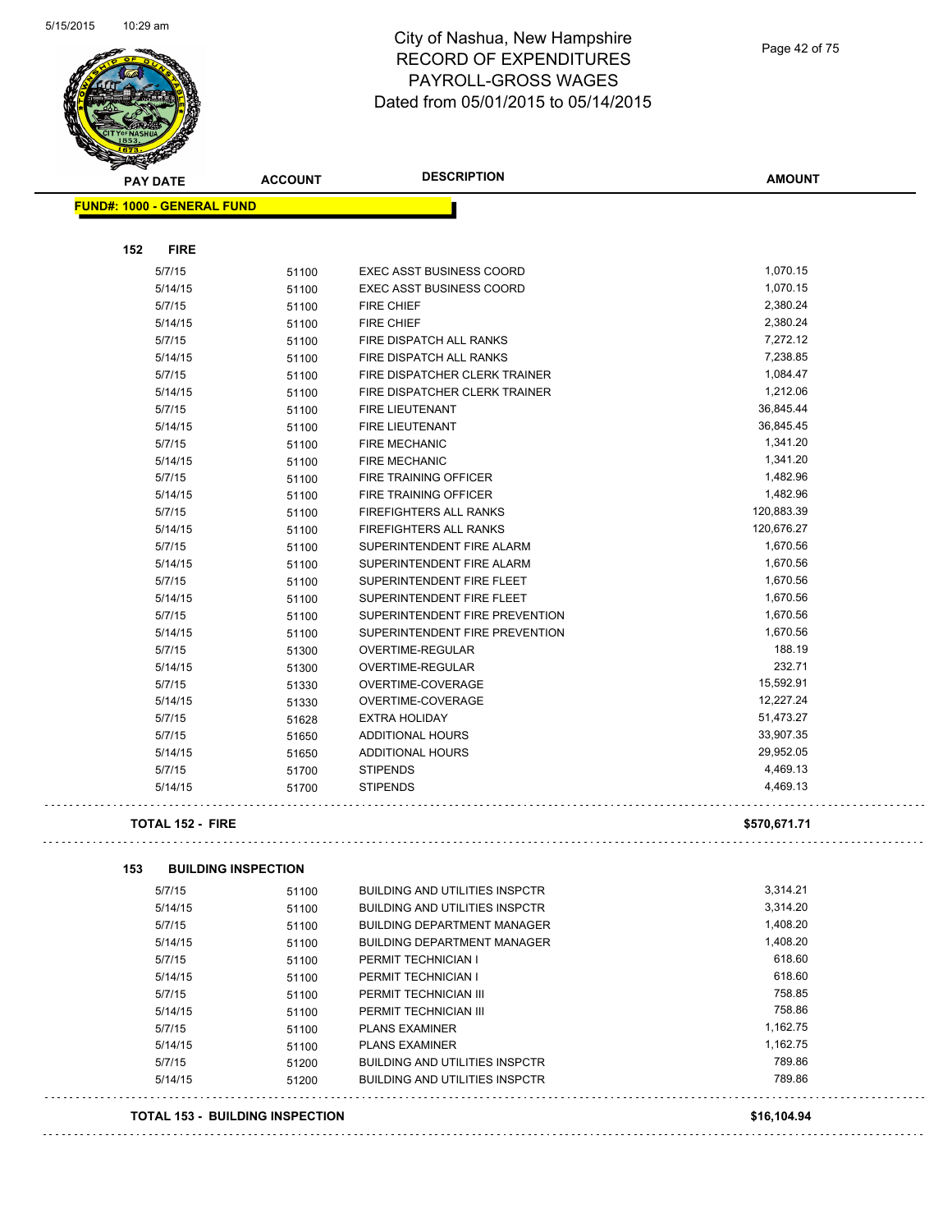

| <b>PAY DATE</b>                        | <b>ACCOUNT</b> | <b>DESCRIPTION</b>                    | <b>AMOUNT</b> |
|----------------------------------------|----------------|---------------------------------------|---------------|
| <b>FUND#: 1000 - GENERAL FUND</b>      |                |                                       |               |
|                                        |                |                                       |               |
| 152<br><b>FIRE</b>                     |                |                                       |               |
| 5/7/15                                 | 51100          | <b>EXEC ASST BUSINESS COORD</b>       | 1,070.15      |
| 5/14/15                                | 51100          | <b>EXEC ASST BUSINESS COORD</b>       | 1,070.15      |
| 5/7/15                                 | 51100          | <b>FIRE CHIEF</b>                     | 2,380.24      |
| 5/14/15                                | 51100          | FIRE CHIEF                            | 2,380.24      |
| 5/7/15                                 | 51100          | FIRE DISPATCH ALL RANKS               | 7,272.12      |
| 5/14/15                                | 51100          | FIRE DISPATCH ALL RANKS               | 7,238.85      |
| 5/7/15                                 | 51100          | FIRE DISPATCHER CLERK TRAINER         | 1,084.47      |
| 5/14/15                                | 51100          | FIRE DISPATCHER CLERK TRAINER         | 1,212.06      |
| 5/7/15                                 | 51100          | <b>FIRE LIEUTENANT</b>                | 36,845.44     |
| 5/14/15                                | 51100          | FIRE LIEUTENANT                       | 36,845.45     |
| 5/7/15                                 | 51100          | <b>FIRE MECHANIC</b>                  | 1,341.20      |
| 5/14/15                                | 51100          | <b>FIRE MECHANIC</b>                  | 1,341.20      |
| 5/7/15                                 | 51100          | FIRE TRAINING OFFICER                 | 1,482.96      |
| 5/14/15                                | 51100          | FIRE TRAINING OFFICER                 | 1,482.96      |
| 5/7/15                                 | 51100          | <b>FIREFIGHTERS ALL RANKS</b>         | 120,883.39    |
| 5/14/15                                | 51100          | <b>FIREFIGHTERS ALL RANKS</b>         | 120,676.27    |
| 5/7/15                                 | 51100          | SUPERINTENDENT FIRE ALARM             | 1,670.56      |
| 5/14/15                                | 51100          | SUPERINTENDENT FIRE ALARM             | 1,670.56      |
| 5/7/15                                 | 51100          | SUPERINTENDENT FIRE FLEET             | 1,670.56      |
| 5/14/15                                | 51100          | SUPERINTENDENT FIRE FLEET             | 1,670.56      |
| 5/7/15                                 | 51100          | SUPERINTENDENT FIRE PREVENTION        | 1,670.56      |
| 5/14/15                                | 51100          | SUPERINTENDENT FIRE PREVENTION        | 1,670.56      |
| 5/7/15                                 | 51300          | OVERTIME-REGULAR                      | 188.19        |
| 5/14/15                                | 51300          | OVERTIME-REGULAR                      | 232.71        |
| 5/7/15                                 | 51330          | OVERTIME-COVERAGE                     | 15,592.91     |
| 5/14/15                                | 51330          | OVERTIME-COVERAGE                     | 12,227.24     |
| 5/7/15                                 | 51628          | <b>EXTRA HOLIDAY</b>                  | 51,473.27     |
| 5/7/15                                 | 51650          | <b>ADDITIONAL HOURS</b>               | 33,907.35     |
| 5/14/15                                | 51650          | ADDITIONAL HOURS                      | 29,952.05     |
| 5/7/15                                 | 51700          | <b>STIPENDS</b>                       | 4,469.13      |
| 5/14/15                                | 51700          | <b>STIPENDS</b>                       | 4,469.13      |
| <b>TOTAL 152 - FIRE</b>                |                |                                       | \$570,671.71  |
| 153<br><b>BUILDING INSPECTION</b>      |                |                                       |               |
| 5/7/15                                 | 51100          | <b>BUILDING AND UTILITIES INSPCTR</b> | 3,314.21      |
| 5/14/15                                | 51100          | <b>BUILDING AND UTILITIES INSPCTR</b> | 3,314.20      |
| 5/7/15                                 | 51100          | <b>BUILDING DEPARTMENT MANAGER</b>    | 1,408.20      |
| 5/14/15                                | 51100          | <b>BUILDING DEPARTMENT MANAGER</b>    | 1,408.20      |
| 5/7/15                                 | 51100          | PERMIT TECHNICIAN I                   | 618.60        |
| 5/14/15                                | 51100          | PERMIT TECHNICIAN I                   | 618.60        |
| 5/7/15                                 | 51100          | PERMIT TECHNICIAN III                 | 758.85        |
| 5/14/15                                | 51100          | PERMIT TECHNICIAN III                 | 758.86        |
| 5/7/15                                 | 51100          | <b>PLANS EXAMINER</b>                 | 1,162.75      |
| 5/14/15                                | 51100          | <b>PLANS EXAMINER</b>                 | 1,162.75      |
| 5/7/15                                 | 51200          | <b>BUILDING AND UTILITIES INSPCTR</b> | 789.86        |
| 5/14/15                                | 51200          | <b>BUILDING AND UTILITIES INSPCTR</b> | 789.86        |
| <b>TOTAL 153 - BUILDING INSPECTION</b> |                |                                       | \$16,104.94   |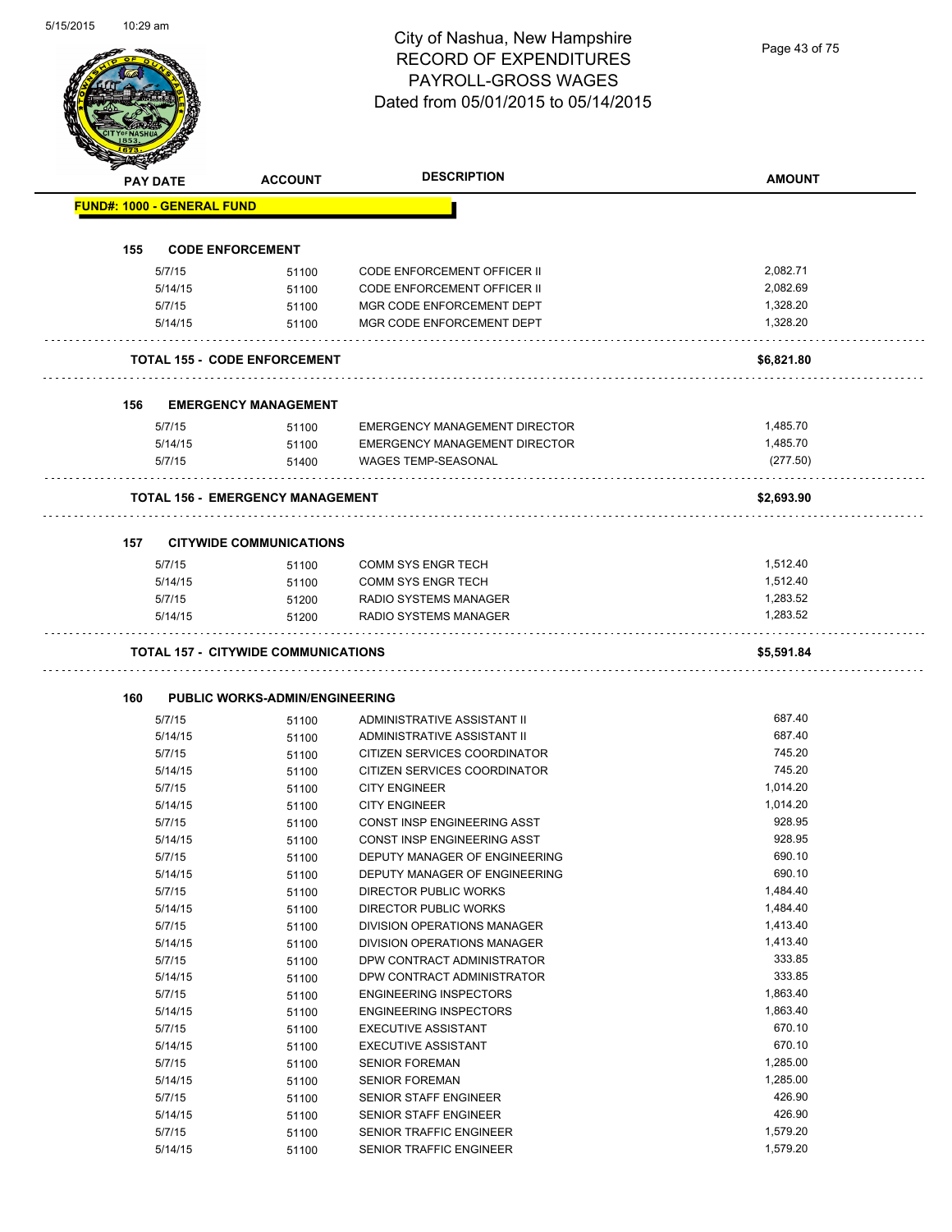|     | <b>PAY DATE</b>                   | <b>ACCOUNT</b>                             | <b>DESCRIPTION</b>                   | <b>AMOUNT</b>      |
|-----|-----------------------------------|--------------------------------------------|--------------------------------------|--------------------|
|     | <b>FUND#: 1000 - GENERAL FUND</b> |                                            |                                      |                    |
|     |                                   |                                            |                                      |                    |
| 155 |                                   | <b>CODE ENFORCEMENT</b>                    |                                      |                    |
|     | 5/7/15                            | 51100                                      | <b>CODE ENFORCEMENT OFFICER II</b>   | 2,082.71           |
|     | 5/14/15                           | 51100                                      | CODE ENFORCEMENT OFFICER II          | 2,082.69           |
|     | 5/7/15                            | 51100                                      | MGR CODE ENFORCEMENT DEPT            | 1,328.20           |
|     | 5/14/15                           | 51100                                      | MGR CODE ENFORCEMENT DEPT            | 1,328.20           |
|     |                                   | <b>TOTAL 155 - CODE ENFORCEMENT</b>        |                                      | \$6,821.80         |
| 156 |                                   | <b>EMERGENCY MANAGEMENT</b>                |                                      |                    |
|     | 5/7/15                            | 51100                                      | <b>EMERGENCY MANAGEMENT DIRECTOR</b> | 1,485.70           |
|     | 5/14/15                           | 51100                                      | EMERGENCY MANAGEMENT DIRECTOR        | 1,485.70           |
|     | 5/7/15                            | 51400                                      | <b>WAGES TEMP-SEASONAL</b>           | (277.50)           |
|     |                                   | <b>TOTAL 156 - EMERGENCY MANAGEMENT</b>    | .                                    | \$2,693.90         |
|     |                                   |                                            |                                      |                    |
| 157 | 5/7/15                            | <b>CITYWIDE COMMUNICATIONS</b><br>51100    | <b>COMM SYS ENGR TECH</b>            | 1,512.40           |
|     | 5/14/15                           | 51100                                      | <b>COMM SYS ENGR TECH</b>            | 1,512.40           |
|     | 5/7/15                            | 51200                                      | RADIO SYSTEMS MANAGER                | 1,283.52           |
|     | 5/14/15                           | 51200                                      | RADIO SYSTEMS MANAGER                | 1,283.52           |
|     |                                   |                                            |                                      |                    |
|     |                                   | <b>TOTAL 157 - CITYWIDE COMMUNICATIONS</b> |                                      | \$5,591.84         |
|     |                                   |                                            |                                      |                    |
| 160 |                                   | <b>PUBLIC WORKS-ADMIN/ENGINEERING</b>      |                                      |                    |
|     | 5/7/15                            | 51100                                      | ADMINISTRATIVE ASSISTANT II          | 687.40             |
|     | 5/14/15                           | 51100                                      | ADMINISTRATIVE ASSISTANT II          | 687.40             |
|     | 5/7/15                            | 51100                                      | CITIZEN SERVICES COORDINATOR         | 745.20             |
|     | 5/14/15                           | 51100                                      | CITIZEN SERVICES COORDINATOR         | 745.20             |
|     | 5/7/15                            | 51100                                      | <b>CITY ENGINEER</b>                 | 1.014.20           |
|     | 5/14/15                           | 51100                                      | <b>CITY ENGINEER</b>                 | 1,014.20           |
|     | 5/7/15                            | 51100                                      | CONST INSP ENGINEERING ASST          | 928.95             |
|     | 5/14/15                           | 51100                                      | CONST INSP ENGINEERING ASST          | 928.95             |
|     | 5/7/15                            | 51100                                      | DEPUTY MANAGER OF ENGINEERING        | 690.10             |
|     | 5/14/15                           | 51100                                      | DEPUTY MANAGER OF ENGINEERING        | 690.10             |
|     | 5/7/15                            | 51100                                      | DIRECTOR PUBLIC WORKS                | 1,484.40           |
|     | 5/14/15                           | 51100                                      | DIRECTOR PUBLIC WORKS                | 1,484.40           |
|     | 5/7/15                            | 51100                                      | DIVISION OPERATIONS MANAGER          | 1,413.40           |
|     | 5/14/15                           | 51100                                      | DIVISION OPERATIONS MANAGER          | 1,413.40           |
|     | 5/7/15                            | 51100                                      | DPW CONTRACT ADMINISTRATOR           | 333.85             |
|     | 5/14/15                           | 51100                                      | DPW CONTRACT ADMINISTRATOR           | 333.85             |
|     | 5/7/15                            | 51100                                      | <b>ENGINEERING INSPECTORS</b>        | 1,863.40           |
|     | 5/14/15                           | 51100                                      | <b>ENGINEERING INSPECTORS</b>        | 1,863.40           |
|     | 5/7/15                            | 51100                                      | <b>EXECUTIVE ASSISTANT</b>           | 670.10             |
|     | 5/14/15                           | 51100                                      | <b>EXECUTIVE ASSISTANT</b>           | 670.10             |
|     | 5/7/15                            | 51100                                      | <b>SENIOR FOREMAN</b>                | 1,285.00           |
|     | 5/14/15                           | 51100                                      | <b>SENIOR FOREMAN</b>                | 1,285.00           |
|     | 5/7/15                            | 51100                                      | SENIOR STAFF ENGINEER                | 426.90             |
|     | 5/14/15                           | 51100                                      | SENIOR STAFF ENGINEER                | 426.90<br>1,579.20 |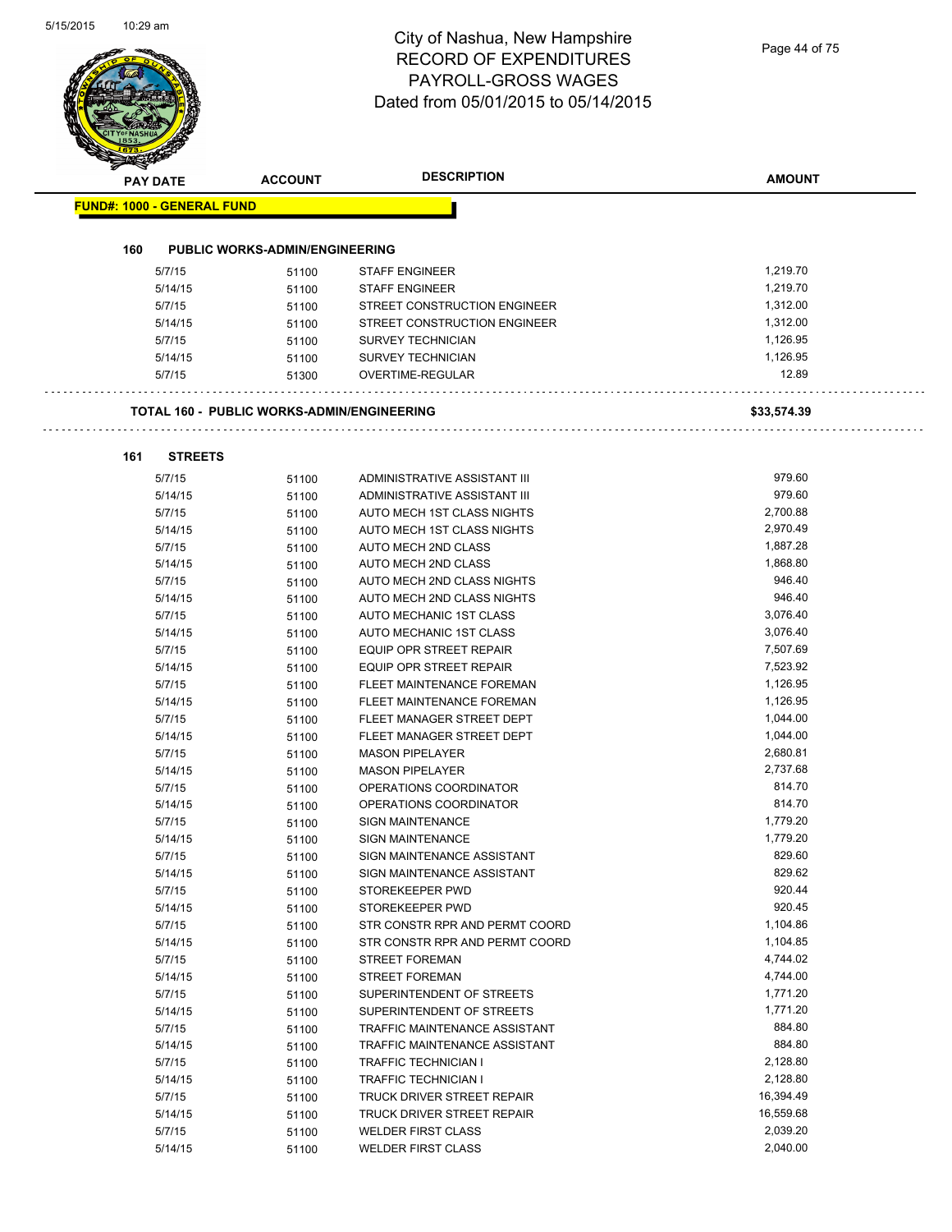ò,

|                                   |                                                   | Dated from 05/0 1/2015 to 05/14/2015                 |                      |
|-----------------------------------|---------------------------------------------------|------------------------------------------------------|----------------------|
| <b>PAY DATE</b>                   | <b>ACCOUNT</b>                                    | <b>DESCRIPTION</b>                                   | <b>AMOUNT</b>        |
| <b>FUND#: 1000 - GENERAL FUND</b> |                                                   |                                                      |                      |
|                                   |                                                   |                                                      |                      |
| 160                               | <b>PUBLIC WORKS-ADMIN/ENGINEERING</b>             |                                                      |                      |
| 5/7/15                            | 51100                                             | <b>STAFF ENGINEER</b>                                | 1,219.70             |
| 5/14/15                           | 51100                                             | <b>STAFF ENGINEER</b>                                | 1,219.70             |
| 5/7/15                            | 51100                                             | STREET CONSTRUCTION ENGINEER                         | 1,312.00             |
| 5/14/15                           | 51100                                             | STREET CONSTRUCTION ENGINEER                         | 1,312.00<br>1,126.95 |
| 5/7/15<br>5/14/15                 | 51100                                             | <b>SURVEY TECHNICIAN</b><br><b>SURVEY TECHNICIAN</b> | 1,126.95             |
| 5/7/15                            | 51100<br>51300                                    | OVERTIME-REGULAR                                     | 12.89                |
|                                   |                                                   |                                                      |                      |
|                                   | <b>TOTAL 160 - PUBLIC WORKS-ADMIN/ENGINEERING</b> |                                                      | \$33,574.39          |
| 161<br><b>STREETS</b>             |                                                   |                                                      |                      |
| 5/7/15                            | 51100                                             | ADMINISTRATIVE ASSISTANT III                         | 979.60               |
| 5/14/15                           | 51100                                             | ADMINISTRATIVE ASSISTANT III                         | 979.60               |
| 5/7/15                            | 51100                                             | AUTO MECH 1ST CLASS NIGHTS                           | 2,700.88             |
| 5/14/15                           | 51100                                             | AUTO MECH 1ST CLASS NIGHTS                           | 2,970.49             |
| 5/7/15                            | 51100                                             | <b>AUTO MECH 2ND CLASS</b>                           | 1,887.28             |
| 5/14/15                           | 51100                                             | AUTO MECH 2ND CLASS                                  | 1,868.80             |
| 5/7/15                            | 51100                                             | AUTO MECH 2ND CLASS NIGHTS                           | 946.40               |
| 5/14/15                           | 51100                                             | AUTO MECH 2ND CLASS NIGHTS                           | 946.40               |
| 5/7/15                            | 51100                                             | AUTO MECHANIC 1ST CLASS                              | 3,076.40             |
| 5/14/15                           | 51100                                             | AUTO MECHANIC 1ST CLASS                              | 3,076.40             |
| 5/7/15                            | 51100                                             | EQUIP OPR STREET REPAIR                              | 7,507.69             |
| 5/14/15                           | 51100                                             | EQUIP OPR STREET REPAIR                              | 7,523.92             |
| 5/7/15                            | 51100                                             | FLEET MAINTENANCE FOREMAN                            | 1,126.95             |
| 5/14/15                           | 51100                                             | FLEET MAINTENANCE FOREMAN                            | 1,126.95             |
| 5/7/15                            | 51100                                             | FLEET MANAGER STREET DEPT                            | 1,044.00             |
| 5/14/15                           | 51100                                             | FLEET MANAGER STREET DEPT                            | 1,044.00             |
| 5/7/15                            | 51100                                             | <b>MASON PIPELAYER</b>                               | 2,680.81             |
| 5/14/15                           | 51100                                             | <b>MASON PIPELAYER</b>                               | 2,737.68             |
| 5/7/15                            | 51100                                             | OPERATIONS COORDINATOR                               | 814.70               |
| 5/14/15                           | 51100                                             | OPERATIONS COORDINATOR                               | 814.70               |
| 5/7/15                            | 51100                                             | SIGN MAINTENANCE                                     | 1,779.20             |
| 5/14/15                           | 51100                                             | <b>SIGN MAINTENANCE</b>                              | 1,779.20             |
| 5/7/15                            | 51100                                             | SIGN MAINTENANCE ASSISTANT                           | 829.60               |
| 5/14/15                           | 51100                                             | SIGN MAINTENANCE ASSISTANT                           | 829.62               |
| 5/7/15                            | 51100                                             | STOREKEEPER PWD                                      | 920.44<br>920.45     |
| 5/14/15<br>5/7/15                 | 51100                                             | STOREKEEPER PWD<br>STR CONSTR RPR AND PERMT COORD    | 1,104.86             |
| 5/14/15                           | 51100<br>51100                                    | STR CONSTR RPR AND PERMT COORD                       | 1,104.85             |
| 5/7/15                            |                                                   | <b>STREET FOREMAN</b>                                | 4,744.02             |
| 5/14/15                           | 51100<br>51100                                    | <b>STREET FOREMAN</b>                                | 4,744.00             |
| 5/7/15                            | 51100                                             | SUPERINTENDENT OF STREETS                            | 1,771.20             |
| 5/14/15                           | 51100                                             | SUPERINTENDENT OF STREETS                            | 1,771.20             |
| 5/7/15                            | 51100                                             | TRAFFIC MAINTENANCE ASSISTANT                        | 884.80               |
| 5/14/15                           | 51100                                             | TRAFFIC MAINTENANCE ASSISTANT                        | 884.80               |
| 5/7/15                            | 51100                                             | <b>TRAFFIC TECHNICIAN I</b>                          | 2,128.80             |
| 5/14/15                           | 51100                                             | <b>TRAFFIC TECHNICIAN I</b>                          | 2,128.80             |
| 5/7/15                            | 51100                                             | TRUCK DRIVER STREET REPAIR                           | 16,394.49            |
| 5/14/15                           | 51100                                             | TRUCK DRIVER STREET REPAIR                           | 16,559.68            |
| 5/7/15                            | 51100                                             | <b>WELDER FIRST CLASS</b>                            | 2,039.20             |
| 5/14/15                           | 51100                                             | <b>WELDER FIRST CLASS</b>                            | 2,040.00             |
|                                   |                                                   |                                                      |                      |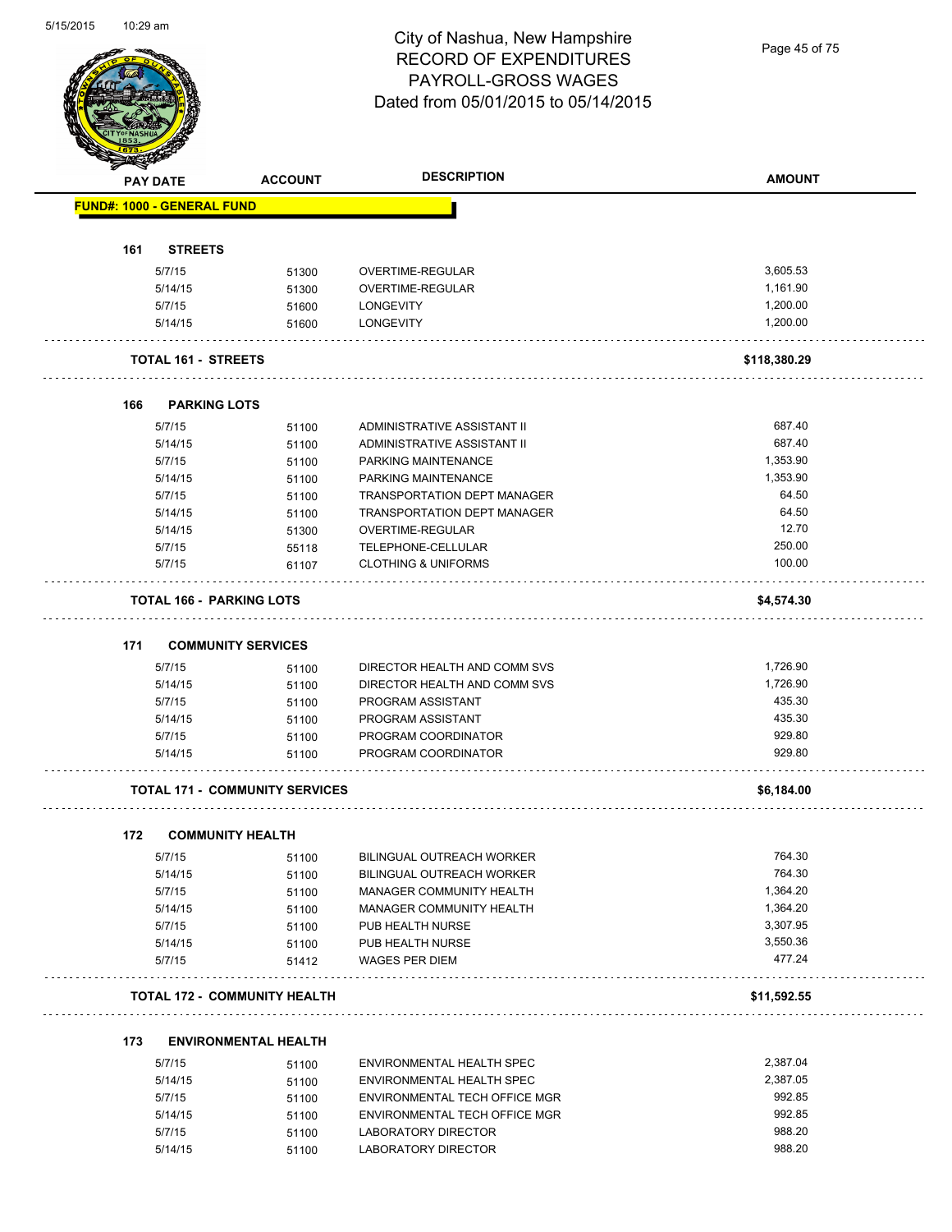

Page 45 of 75

|     | PAY DATE                          | <b>ACCOUNT</b>                        | <b>DESCRIPTION</b>             | <b>AMOUNT</b> |
|-----|-----------------------------------|---------------------------------------|--------------------------------|---------------|
|     | <b>FUND#: 1000 - GENERAL FUND</b> |                                       |                                |               |
| 161 | <b>STREETS</b>                    |                                       |                                |               |
|     | 5/7/15                            | 51300                                 | OVERTIME-REGULAR               | 3,605.53      |
|     | 5/14/15                           |                                       | OVERTIME-REGULAR               | 1,161.90      |
|     |                                   | 51300                                 |                                | 1,200.00      |
|     | 5/7/15<br>5/14/15                 | 51600<br>51600                        | LONGEVITY<br><b>LONGEVITY</b>  | 1,200.00      |
|     |                                   |                                       |                                |               |
|     | <b>TOTAL 161 - STREETS</b>        |                                       |                                | \$118,380.29  |
| 166 | <b>PARKING LOTS</b>               |                                       |                                |               |
|     | 5/7/15                            | 51100                                 | ADMINISTRATIVE ASSISTANT II    | 687.40        |
|     | 5/14/15                           | 51100                                 | ADMINISTRATIVE ASSISTANT II    | 687.40        |
|     | 5/7/15                            | 51100                                 | PARKING MAINTENANCE            | 1,353.90      |
|     | 5/14/15                           | 51100                                 | PARKING MAINTENANCE            | 1,353.90      |
|     | 5/7/15                            | 51100                                 | TRANSPORTATION DEPT MANAGER    | 64.50         |
|     | 5/14/15                           | 51100                                 | TRANSPORTATION DEPT MANAGER    | 64.50         |
|     | 5/14/15                           | 51300                                 | OVERTIME-REGULAR               | 12.70         |
|     | 5/7/15                            | 55118                                 | TELEPHONE-CELLULAR             | 250.00        |
|     | 5/7/15                            | 61107                                 | <b>CLOTHING &amp; UNIFORMS</b> | 100.00        |
|     | <b>TOTAL 166 - PARKING LOTS</b>   |                                       |                                | \$4,574.30    |
| 171 |                                   | <b>COMMUNITY SERVICES</b>             |                                |               |
|     | 5/7/15                            | 51100                                 | DIRECTOR HEALTH AND COMM SVS   | 1,726.90      |
|     | 5/14/15                           | 51100                                 | DIRECTOR HEALTH AND COMM SVS   | 1,726.90      |
|     | 5/7/15                            | 51100                                 | PROGRAM ASSISTANT              | 435.30        |
|     | 5/14/15                           |                                       | PROGRAM ASSISTANT              | 435.30        |
|     | 5/7/15                            | 51100                                 | PROGRAM COORDINATOR            | 929.80        |
|     | 5/14/15                           | 51100<br>51100                        | PROGRAM COORDINATOR            | 929.80        |
|     |                                   | <b>TOTAL 171 - COMMUNITY SERVICES</b> |                                | \$6,184.00    |
|     |                                   |                                       |                                |               |
| 172 |                                   | <b>COMMUNITY HEALTH</b>               |                                |               |
|     | 5/7/15                            | 51100                                 | BILINGUAL OUTREACH WORKER      | 764.30        |
|     | 5/14/15                           | 51100                                 | BILINGUAL OUTREACH WORKER      | 764.30        |
|     | 5/7/15                            | 51100                                 | MANAGER COMMUNITY HEALTH       | 1,364.20      |
|     | 5/14/15                           | 51100                                 | MANAGER COMMUNITY HEALTH       | 1,364.20      |
|     | 5/7/15                            | 51100                                 | PUB HEALTH NURSE               | 3,307.95      |
|     | 5/14/15                           | 51100                                 | PUB HEALTH NURSE               | 3,550.36      |
|     | 5/7/15                            | 51412                                 | <b>WAGES PER DIEM</b>          | 477.24        |
|     |                                   | <b>TOTAL 172 - COMMUNITY HEALTH</b>   |                                | \$11,592.55   |
| 173 |                                   | <b>ENVIRONMENTAL HEALTH</b>           |                                |               |
|     | 5/7/15                            | 51100                                 | ENVIRONMENTAL HEALTH SPEC      | 2,387.04      |
|     | 5/14/15                           | 51100                                 | ENVIRONMENTAL HEALTH SPEC      | 2,387.05      |
|     | 5/7/15                            | 51100                                 | ENVIRONMENTAL TECH OFFICE MGR  | 992.85        |
|     |                                   |                                       |                                |               |

| <u>JIII J</u> | <b>31100</b> | LIVILOIVILIVIALIILALIITUI LU  | $-0.001.07$ |
|---------------|--------------|-------------------------------|-------------|
| 5/14/15       | 51100        | ENVIRONMENTAL HEALTH SPEC     | 2.387.05    |
| 5/7/15        | 51100        | ENVIRONMENTAL TECH OFFICE MGR | 992.85      |
| 5/14/15       | 51100        | ENVIRONMENTAL TECH OFFICE MGR | 992.85      |
| 5/7/15        | 51100        | LABORATORY DIRECTOR           | 988.20      |
| 5/14/15       | 51100        | LABORATORY DIRECTOR           | 988.20      |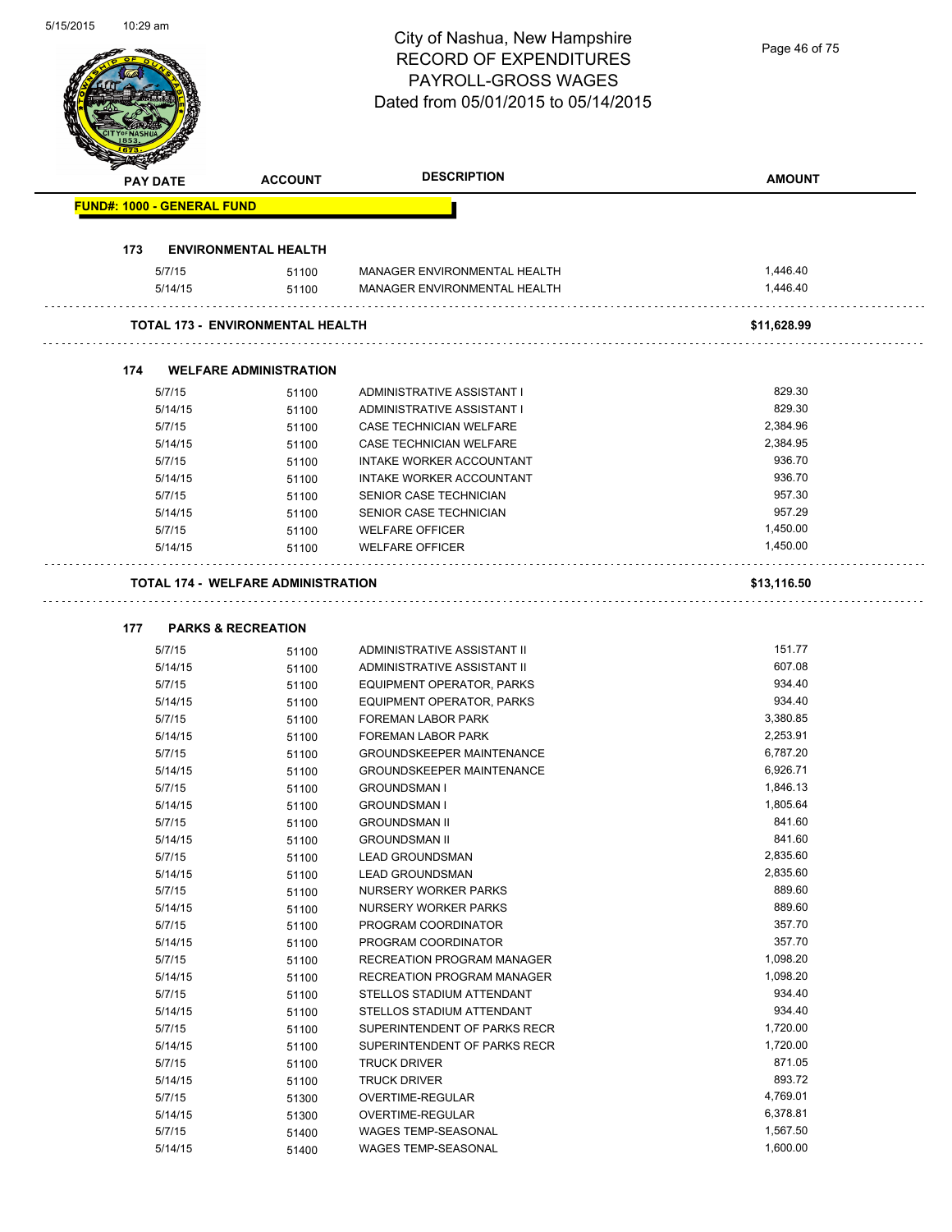# City of Nashua, New Hampshire RECORD OF EXPENDITURES PAYROLL-GROSS WAGES

|     |                                   |                                                                            | <b>PAYROLL-GROSS WAGES</b><br>Dated from 05/01/2015 to 05/14/2015 |               |
|-----|-----------------------------------|----------------------------------------------------------------------------|-------------------------------------------------------------------|---------------|
|     | PAY DATE                          | <b>ACCOUNT</b>                                                             | <b>DESCRIPTION</b>                                                | <b>AMOUNT</b> |
|     | <b>FUND#: 1000 - GENERAL FUND</b> |                                                                            |                                                                   |               |
| 173 |                                   | <b>ENVIRONMENTAL HEALTH</b>                                                |                                                                   |               |
|     | 5/7/15                            | 51100                                                                      | MANAGER ENVIRONMENTAL HEALTH                                      | 1,446.40      |
|     | 5/14/15                           | 51100                                                                      | MANAGER ENVIRONMENTAL HEALTH                                      | 1,446.40      |
|     |                                   | <b>TOTAL 173 - ENVIRONMENTAL HEALTH</b>                                    |                                                                   | \$11,628.99   |
| 174 |                                   | <b>WELFARE ADMINISTRATION</b>                                              |                                                                   |               |
|     | 5/7/15                            | 51100                                                                      | ADMINISTRATIVE ASSISTANT I                                        | 829.30        |
|     | 5/14/15                           | 51100                                                                      | ADMINISTRATIVE ASSISTANT I                                        | 829.30        |
|     | 5/7/15                            | 51100                                                                      | CASE TECHNICIAN WELFARE                                           | 2,384.96      |
|     | 5/14/15                           | 51100                                                                      | CASE TECHNICIAN WELFARE                                           | 2,384.95      |
|     | 5/7/15                            | 51100                                                                      | INTAKE WORKER ACCOUNTANT                                          | 936.70        |
|     | 5/14/15                           | 51100                                                                      | <b>INTAKE WORKER ACCOUNTANT</b>                                   | 936.70        |
|     | 5/7/15                            | 51100                                                                      | SENIOR CASE TECHNICIAN                                            | 957.30        |
|     | 5/14/15                           | 51100                                                                      | SENIOR CASE TECHNICIAN                                            | 957.29        |
|     | 5/7/15                            | 51100                                                                      | <b>WELFARE OFFICER</b>                                            | 1,450.00      |
|     | 5/14/15                           | 51100                                                                      | <b>WELFARE OFFICER</b>                                            | 1,450.00      |
| 177 |                                   | <b>TOTAL 174 - WELFARE ADMINISTRATION</b><br><b>PARKS &amp; RECREATION</b> |                                                                   | \$13,116.50   |
|     | 5/7/15                            | 51100                                                                      | ADMINISTRATIVE ASSISTANT II                                       | 151.77        |
|     | 5/14/15                           | 51100                                                                      | ADMINISTRATIVE ASSISTANT II                                       | 607.08        |
|     | 5/7/15                            | 51100                                                                      | EQUIPMENT OPERATOR, PARKS                                         | 934.40        |
|     | 5/14/15                           | 51100                                                                      | EQUIPMENT OPERATOR, PARKS                                         | 934.40        |
|     | 5/7/15                            | 51100                                                                      | <b>FOREMAN LABOR PARK</b>                                         | 3,380.85      |
|     | 5/14/15                           | 51100                                                                      | <b>FOREMAN LABOR PARK</b>                                         | 2,253.91      |
|     | 5/7/15                            | 51100                                                                      | <b>GROUNDSKEEPER MAINTENANCE</b>                                  | 6,787.20      |
|     | 5/14/15                           | 51100                                                                      | <b>GROUNDSKEEPER MAINTENANCE</b>                                  | 6,926.71      |
|     | 5/7/15                            | 51100                                                                      | <b>GROUNDSMAN I</b>                                               | 1,846.13      |
|     | 5/14/15                           | 51100                                                                      | <b>GROUNDSMAN I</b>                                               | 1,805.64      |
|     | 5/7/15                            | 51100                                                                      | <b>GROUNDSMAN II</b>                                              | 841.60        |
|     | 5/14/15                           | 51100                                                                      | <b>GROUNDSMAN II</b>                                              | 841.60        |
|     | 5/7/15                            | 51100                                                                      | <b>LEAD GROUNDSMAN</b>                                            | 2,835.60      |
|     | 5/14/15                           | 51100                                                                      | <b>LEAD GROUNDSMAN</b>                                            | 2,835.60      |
|     | 5/7/15                            | 51100                                                                      | NURSERY WORKER PARKS                                              | 889.60        |
|     | 5/14/15                           | 51100                                                                      | <b>NURSERY WORKER PARKS</b>                                       | 889.60        |
|     | 5/7/15                            | 51100                                                                      | PROGRAM COORDINATOR                                               | 357.70        |
|     | 5/14/15                           | 51100                                                                      | PROGRAM COORDINATOR                                               | 357.70        |
|     | 5/7/15                            | 51100                                                                      | RECREATION PROGRAM MANAGER                                        | 1,098.20      |
|     | 5/14/15                           | 51100                                                                      | RECREATION PROGRAM MANAGER                                        | 1,098.20      |
|     | 5/7/15                            | 51100                                                                      | STELLOS STADIUM ATTENDANT                                         | 934.40        |
|     | 5/14/15                           | 51100                                                                      | STELLOS STADIUM ATTENDANT                                         | 934.40        |
|     | 5/7/15                            | 51100                                                                      | SUPERINTENDENT OF PARKS RECR                                      | 1,720.00      |
|     | 5/14/15                           | 51100                                                                      | SUPERINTENDENT OF PARKS RECR                                      | 1,720.00      |
|     | 5/7/15                            | 51100                                                                      | <b>TRUCK DRIVER</b>                                               | 871.05        |
|     | 5/14/15                           | 51100                                                                      | <b>TRUCK DRIVER</b>                                               | 893.72        |
|     | 5/7/15                            | 51300                                                                      | OVERTIME-REGULAR                                                  | 4,769.01      |
|     | 5/14/15                           | 51300                                                                      | OVERTIME-REGULAR                                                  | 6,378.81      |
|     | 5/7/15                            | 51400                                                                      | WAGES TEMP-SEASONAL                                               | 1,567.50      |
|     | 5/14/15                           | 51400                                                                      | WAGES TEMP-SEASONAL                                               | 1,600.00      |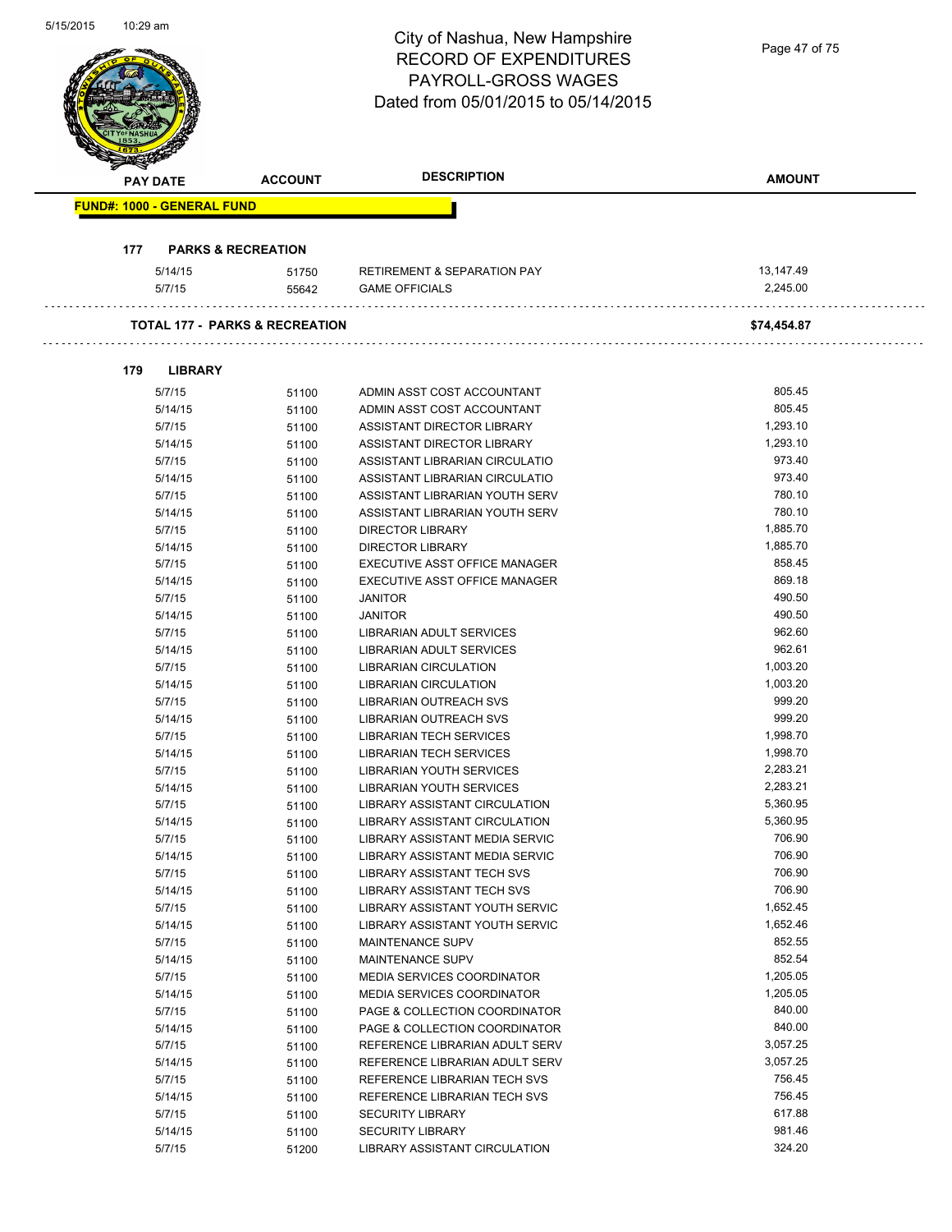$\bar{z}$ 

L,

| <b>PAY DATE</b><br><b>FUND#: 1000 - GENERAL FUND</b><br>177<br>5/14/15<br>5/7/15 | <b>ACCOUNT</b><br><b>PARKS &amp; RECREATION</b> | <b>DESCRIPTION</b>                     | <b>AMOUNT</b>    |
|----------------------------------------------------------------------------------|-------------------------------------------------|----------------------------------------|------------------|
|                                                                                  |                                                 |                                        |                  |
|                                                                                  |                                                 |                                        |                  |
|                                                                                  |                                                 |                                        |                  |
|                                                                                  | 51750                                           | <b>RETIREMENT &amp; SEPARATION PAY</b> | 13,147.49        |
|                                                                                  | 55642                                           | <b>GAME OFFICIALS</b>                  | 2,245.00         |
|                                                                                  | <b>TOTAL 177 - PARKS &amp; RECREATION</b>       |                                        | \$74,454.87      |
| 179<br><b>LIBRARY</b>                                                            |                                                 |                                        |                  |
| 5/7/15                                                                           | 51100                                           | ADMIN ASST COST ACCOUNTANT             | 805.45           |
| 5/14/15                                                                          | 51100                                           | ADMIN ASST COST ACCOUNTANT             | 805.45           |
| 5/7/15                                                                           | 51100                                           | ASSISTANT DIRECTOR LIBRARY             | 1,293.10         |
| 5/14/15                                                                          | 51100                                           | ASSISTANT DIRECTOR LIBRARY             | 1,293.10         |
| 5/7/15                                                                           | 51100                                           | ASSISTANT LIBRARIAN CIRCULATIO         | 973.40           |
| 5/14/15                                                                          | 51100                                           | ASSISTANT LIBRARIAN CIRCULATIO         | 973.40           |
| 5/7/15                                                                           | 51100                                           | ASSISTANT LIBRARIAN YOUTH SERV         | 780.10           |
| 5/14/15                                                                          | 51100                                           | ASSISTANT LIBRARIAN YOUTH SERV         | 780.10           |
| 5/7/15                                                                           | 51100                                           | <b>DIRECTOR LIBRARY</b>                | 1,885.70         |
| 5/14/15                                                                          | 51100                                           | <b>DIRECTOR LIBRARY</b>                | 1,885.70         |
| 5/7/15                                                                           | 51100                                           | EXECUTIVE ASST OFFICE MANAGER          | 858.45           |
| 5/14/15                                                                          | 51100                                           | EXECUTIVE ASST OFFICE MANAGER          | 869.18           |
| 5/7/15                                                                           | 51100                                           | <b>JANITOR</b>                         | 490.50           |
| 5/14/15                                                                          | 51100                                           | <b>JANITOR</b>                         | 490.50           |
| 5/7/15                                                                           | 51100                                           | LIBRARIAN ADULT SERVICES               | 962.60           |
| 5/14/15                                                                          | 51100                                           | LIBRARIAN ADULT SERVICES               | 962.61           |
| 5/7/15                                                                           | 51100                                           | <b>LIBRARIAN CIRCULATION</b>           | 1,003.20         |
| 5/14/15                                                                          | 51100                                           | <b>LIBRARIAN CIRCULATION</b>           | 1,003.20         |
| 5/7/15                                                                           | 51100                                           | LIBRARIAN OUTREACH SVS                 | 999.20           |
| 5/14/15                                                                          | 51100                                           | LIBRARIAN OUTREACH SVS                 | 999.20           |
| 5/7/15                                                                           | 51100                                           | LIBRARIAN TECH SERVICES                | 1,998.70         |
| 5/14/15                                                                          | 51100                                           | LIBRARIAN TECH SERVICES                | 1,998.70         |
| 5/7/15                                                                           | 51100                                           | <b>LIBRARIAN YOUTH SERVICES</b>        | 2,283.21         |
| 5/14/15                                                                          | 51100                                           | <b>LIBRARIAN YOUTH SERVICES</b>        | 2,283.21         |
| 5/7/15                                                                           | 51100                                           | LIBRARY ASSISTANT CIRCULATION          | 5,360.95         |
| 5/14/15                                                                          | 51100                                           | LIBRARY ASSISTANT CIRCULATION          | 5,360.95         |
| 5/7/15                                                                           | 51100                                           | LIBRARY ASSISTANT MEDIA SERVIC         | 706.90           |
| 5/14/15                                                                          | 51100                                           | LIBRARY ASSISTANT MEDIA SERVIC         | 706.90           |
| 5/7/15                                                                           | 51100                                           | LIBRARY ASSISTANT TECH SVS             | 706.90           |
| 5/14/15                                                                          | 51100                                           | LIBRARY ASSISTANT TECH SVS             | 706.90           |
| 5/7/15                                                                           | 51100                                           | LIBRARY ASSISTANT YOUTH SERVIC         | 1,652.45         |
| 5/14/15                                                                          | 51100                                           | LIBRARY ASSISTANT YOUTH SERVIC         | 1,652.46         |
| 5/7/15                                                                           | 51100                                           | MAINTENANCE SUPV                       | 852.55           |
| 5/14/15                                                                          | 51100                                           | MAINTENANCE SUPV                       | 852.54           |
| 5/7/15                                                                           | 51100                                           | MEDIA SERVICES COORDINATOR             | 1,205.05         |
| 5/14/15                                                                          | 51100                                           | <b>MEDIA SERVICES COORDINATOR</b>      | 1,205.05         |
| 5/7/15                                                                           | 51100                                           | PAGE & COLLECTION COORDINATOR          | 840.00           |
| 5/14/15                                                                          | 51100                                           | PAGE & COLLECTION COORDINATOR          | 840.00           |
| 5/7/15                                                                           | 51100                                           | REFERENCE LIBRARIAN ADULT SERV         | 3,057.25         |
| 5/14/15                                                                          | 51100                                           | REFERENCE LIBRARIAN ADULT SERV         | 3,057.25         |
| 5/7/15                                                                           | 51100                                           | REFERENCE LIBRARIAN TECH SVS           | 756.45           |
| 5/14/15                                                                          | 51100                                           | REFERENCE LIBRARIAN TECH SVS           | 756.45           |
| 5/7/15                                                                           | 51100                                           | <b>SECURITY LIBRARY</b>                | 617.88           |
| 5/14/15                                                                          | 51100                                           | <b>SECURITY LIBRARY</b>                | 981.46<br>324.20 |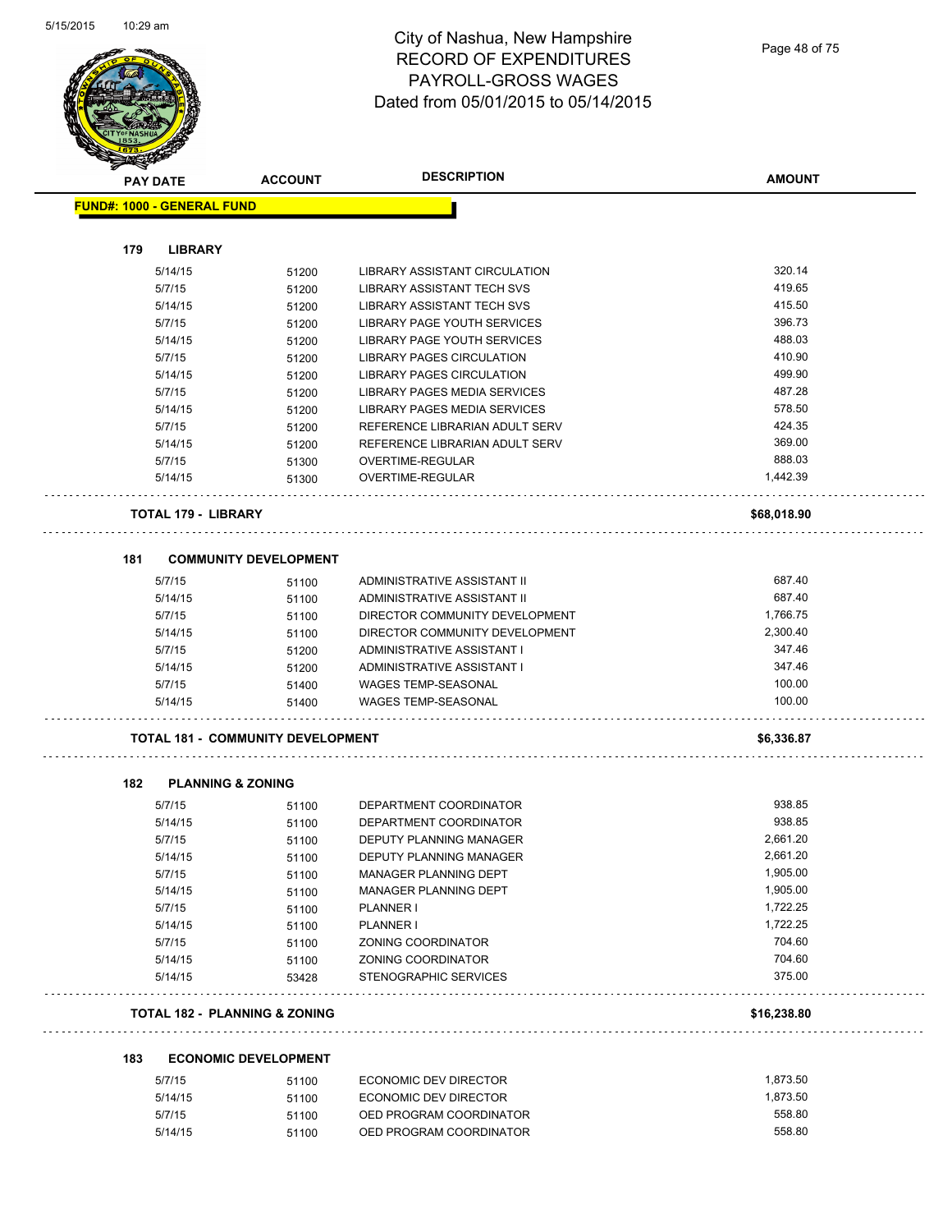

| $\tilde{\phantom{a}}$<br><b>PAY DATE</b> | <b>ACCOUNT</b>                           | <b>DESCRIPTION</b>                  | <b>AMOUNT</b> |
|------------------------------------------|------------------------------------------|-------------------------------------|---------------|
| <b>FUND#: 1000 - GENERAL FUND</b>        |                                          |                                     |               |
|                                          |                                          |                                     |               |
| 179<br><b>LIBRARY</b>                    |                                          |                                     |               |
| 5/14/15                                  | 51200                                    | LIBRARY ASSISTANT CIRCULATION       | 320.14        |
| 5/7/15                                   | 51200                                    | LIBRARY ASSISTANT TECH SVS          | 419.65        |
| 5/14/15                                  | 51200                                    | LIBRARY ASSISTANT TECH SVS          | 415.50        |
| 5/7/15                                   | 51200                                    | LIBRARY PAGE YOUTH SERVICES         | 396.73        |
| 5/14/15                                  | 51200                                    | LIBRARY PAGE YOUTH SERVICES         | 488.03        |
| 5/7/15                                   | 51200                                    | LIBRARY PAGES CIRCULATION           | 410.90        |
| 5/14/15                                  | 51200                                    | <b>LIBRARY PAGES CIRCULATION</b>    | 499.90        |
| 5/7/15                                   | 51200                                    | <b>LIBRARY PAGES MEDIA SERVICES</b> | 487.28        |
| 5/14/15                                  | 51200                                    | LIBRARY PAGES MEDIA SERVICES        | 578.50        |
| 5/7/15                                   | 51200                                    | REFERENCE LIBRARIAN ADULT SERV      | 424.35        |
| 5/14/15                                  | 51200                                    | REFERENCE LIBRARIAN ADULT SERV      | 369.00        |
| 5/7/15                                   | 51300                                    | OVERTIME-REGULAR                    | 888.03        |
| 5/14/15                                  | 51300                                    | <b>OVERTIME-REGULAR</b>             | 1,442.39      |
| <b>TOTAL 179 - LIBRARY</b>               |                                          |                                     | \$68,018.90   |
| 181                                      | <b>COMMUNITY DEVELOPMENT</b>             |                                     |               |
| 5/7/15                                   | 51100                                    | ADMINISTRATIVE ASSISTANT II         | 687.40        |
| 5/14/15                                  | 51100                                    | ADMINISTRATIVE ASSISTANT II         | 687.40        |
| 5/7/15                                   | 51100                                    | DIRECTOR COMMUNITY DEVELOPMENT      | 1,766.75      |
| 5/14/15                                  | 51100                                    | DIRECTOR COMMUNITY DEVELOPMENT      | 2,300.40      |
| 5/7/15                                   | 51200                                    | ADMINISTRATIVE ASSISTANT I          | 347.46        |
| 5/14/15                                  | 51200                                    | ADMINISTRATIVE ASSISTANT I          | 347.46        |
| 5/7/15                                   | 51400                                    | WAGES TEMP-SEASONAL                 | 100.00        |
| 5/14/15                                  | 51400                                    | <b>WAGES TEMP-SEASONAL</b>          | 100.00        |
|                                          | <b>TOTAL 181 - COMMUNITY DEVELOPMENT</b> |                                     | \$6,336.87    |
|                                          |                                          |                                     |               |
| 182                                      | <b>PLANNING &amp; ZONING</b>             |                                     |               |
| 5/7/15                                   | 51100                                    | DEPARTMENT COORDINATOR              | 938.85        |
| 5/14/15                                  | 51100                                    | DEPARTMENT COORDINATOR              | 938.85        |
| 5/7/15                                   | 51100                                    | DEPUTY PLANNING MANAGER             | 2,661.20      |
| 5/14/15                                  | 51100                                    | DEPUTY PLANNING MANAGER             | 2,661.20      |
| 5/7/15                                   | 51100                                    | MANAGER PLANNING DEPT               | 1,905.00      |
| 5/14/15                                  | 51100                                    | <b>MANAGER PLANNING DEPT</b>        | 1,905.00      |
| 5/7/15                                   | 51100                                    | PLANNER I                           | 1,722.25      |
| 5/14/15                                  | 51100                                    | <b>PLANNER I</b>                    | 1,722.25      |
| 5/7/15                                   | 51100                                    | ZONING COORDINATOR                  | 704.60        |
| 5/14/15                                  | 51100                                    | ZONING COORDINATOR                  | 704.60        |
| 5/14/15                                  | 53428                                    | <b>STENOGRAPHIC SERVICES</b>        | 375.00        |
|                                          | <b>TOTAL 182 - PLANNING &amp; ZONING</b> |                                     | \$16,238.80   |
| 183                                      | <b>ECONOMIC DEVELOPMENT</b>              |                                     |               |
| 5/7/15                                   | 51100                                    | ECONOMIC DEV DIRECTOR               | 1,873.50      |
| 5/14/15                                  | 51100                                    | ECONOMIC DEV DIRECTOR               | 1,873.50      |
| 5/7/15                                   | 51100                                    | OED PROGRAM COORDINATOR             | 558.80        |
| 5/14/15                                  | 51100                                    | OED PROGRAM COORDINATOR             | 558.80        |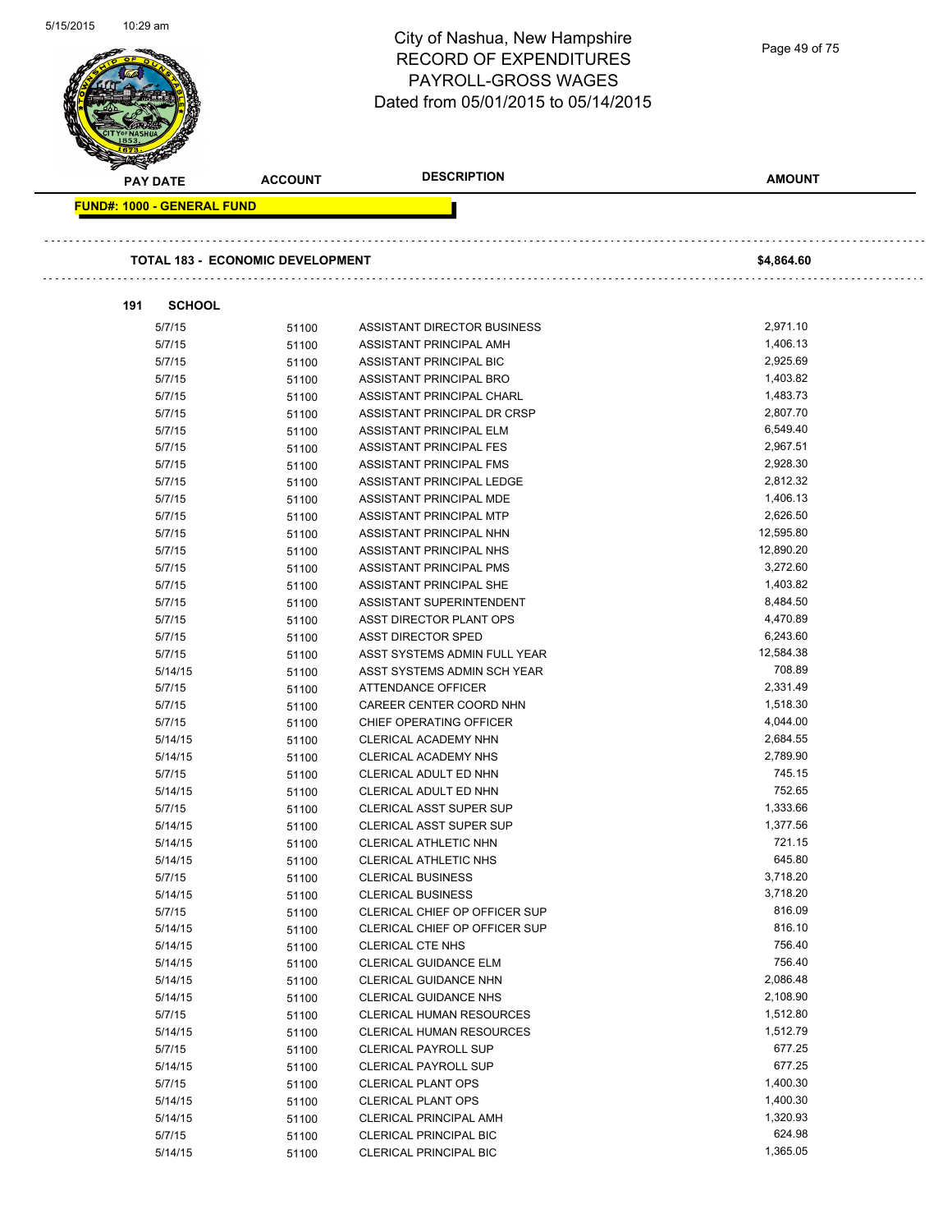| טו ט∠וכו וכ<br>TU.Z9 dili         |                                         | City of Nashua, New Hampshire<br><b>RECORD OF EXPENDITURES</b><br>PAYROLL-GROSS WAGES<br>Dated from 05/01/2015 to 05/14/2015 | Page 49 of 75        |  |
|-----------------------------------|-----------------------------------------|------------------------------------------------------------------------------------------------------------------------------|----------------------|--|
| <b>PAY DATE</b>                   | <b>ACCOUNT</b>                          | <b>DESCRIPTION</b>                                                                                                           | <b>AMOUNT</b>        |  |
| <b>FUND#: 1000 - GENERAL FUND</b> |                                         |                                                                                                                              |                      |  |
|                                   | <b>TOTAL 183 - ECONOMIC DEVELOPMENT</b> |                                                                                                                              | \$4,864.60           |  |
| 191                               | <b>SCHOOL</b>                           |                                                                                                                              |                      |  |
| 5/7/15                            | 51100                                   | ASSISTANT DIRECTOR BUSINESS                                                                                                  | 2,971.10             |  |
| 5/7/15                            | 51100                                   | ASSISTANT PRINCIPAL AMH                                                                                                      | 1,406.13             |  |
| 5/7/15                            | 51100                                   | ASSISTANT PRINCIPAL BIC                                                                                                      | 2,925.69             |  |
| 5/7/15                            | 51100                                   | ASSISTANT PRINCIPAL BRO                                                                                                      | 1,403.82             |  |
| 5/7/15                            | 51100                                   | ASSISTANT PRINCIPAL CHARL                                                                                                    | 1,483.73             |  |
| 5/7/15                            | 51100                                   | ASSISTANT PRINCIPAL DR CRSP                                                                                                  | 2,807.70             |  |
| 5/7/15                            | 51100                                   | ASSISTANT PRINCIPAL ELM                                                                                                      | 6,549.40             |  |
| 5/7/15                            | 51100                                   | <b>ASSISTANT PRINCIPAL FES</b>                                                                                               | 2,967.51             |  |
| 5/7/15                            | 51100                                   | ASSISTANT PRINCIPAL FMS                                                                                                      | 2,928.30             |  |
| 5/7/15                            | 51100                                   | ASSISTANT PRINCIPAL LEDGE                                                                                                    | 2,812.32             |  |
| 5/7/15                            | 51100                                   | ASSISTANT PRINCIPAL MDE                                                                                                      | 1,406.13             |  |
| 5/7/15                            | 51100                                   | ASSISTANT PRINCIPAL MTP                                                                                                      | 2,626.50             |  |
| 5/7/15                            | 51100                                   | ASSISTANT PRINCIPAL NHN                                                                                                      | 12,595.80            |  |
| 5/7/15                            | 51100                                   | ASSISTANT PRINCIPAL NHS                                                                                                      | 12,890.20            |  |
| 5/7/15                            | 51100                                   | ASSISTANT PRINCIPAL PMS                                                                                                      | 3,272.60             |  |
| 5/7/15                            | 51100                                   | ASSISTANT PRINCIPAL SHE                                                                                                      | 1,403.82             |  |
| 5/7/15                            | 51100                                   | ASSISTANT SUPERINTENDENT                                                                                                     | 8,484.50             |  |
| 5/7/15                            | 51100                                   | ASST DIRECTOR PLANT OPS                                                                                                      | 4,470.89             |  |
| 5/7/15                            | 51100                                   | <b>ASST DIRECTOR SPED</b>                                                                                                    | 6,243.60             |  |
| 5/7/15                            | 51100                                   | ASST SYSTEMS ADMIN FULL YEAR                                                                                                 | 12,584.38            |  |
| 5/14/15                           | 51100                                   | ASST SYSTEMS ADMIN SCH YEAR                                                                                                  | 708.89               |  |
| 5/7/15                            | 51100                                   | ATTENDANCE OFFICER                                                                                                           | 2,331.49             |  |
| 5/7/15                            | 51100                                   | CAREER CENTER COORD NHN                                                                                                      | 1,518.30             |  |
| 5/7/15                            | 51100                                   | CHIEF OPERATING OFFICER                                                                                                      | 4.044.00             |  |
| 5/14/15                           | 51100                                   | CLERICAL ACADEMY NHN                                                                                                         | 2,684.55             |  |
| 5/14/15                           | 51100                                   | CLERICAL ACADEMY NHS                                                                                                         | 2,789.90             |  |
| 5/7/15                            | 51100                                   | CLERICAL ADULT ED NHN                                                                                                        | 745.15               |  |
| 5/14/15                           | 51100                                   | CLERICAL ADULT ED NHN                                                                                                        | 752.65               |  |
| 5/7/15                            | 51100                                   | <b>CLERICAL ASST SUPER SUP</b>                                                                                               | 1,333.66<br>1,377.56 |  |
| 5/14/15                           | 51100                                   | CLERICAL ASST SUPER SUP                                                                                                      | 721.15               |  |
| 5/14/15                           | 51100                                   | CLERICAL ATHLETIC NHN                                                                                                        | 645.80               |  |
| 5/14/15                           | 51100                                   | CLERICAL ATHLETIC NHS                                                                                                        | 3,718.20             |  |
| 5/7/15                            | 51100                                   | <b>CLERICAL BUSINESS</b><br><b>CLERICAL BUSINESS</b>                                                                         | 3,718.20             |  |
| 5/14/15<br>5/7/15                 | 51100                                   | CLERICAL CHIEF OP OFFICER SUP                                                                                                | 816.09               |  |
| 5/14/15                           | 51100                                   | CLERICAL CHIEF OP OFFICER SUP                                                                                                | 816.10               |  |
| 5/14/15                           | 51100                                   | <b>CLERICAL CTE NHS</b>                                                                                                      | 756.40               |  |
| 5/14/15                           | 51100<br>51100                          | <b>CLERICAL GUIDANCE ELM</b>                                                                                                 | 756.40               |  |
| 5/14/15                           | 51100                                   | CLERICAL GUIDANCE NHN                                                                                                        | 2,086.48             |  |
| 5/14/15                           | 51100                                   | <b>CLERICAL GUIDANCE NHS</b>                                                                                                 | 2,108.90             |  |
| 5/7/15                            | 51100                                   | CLERICAL HUMAN RESOURCES                                                                                                     | 1,512.80             |  |
| 5/14/15                           | 51100                                   | <b>CLERICAL HUMAN RESOURCES</b>                                                                                              | 1,512.79             |  |
| 5/7/15                            | 51100                                   | <b>CLERICAL PAYROLL SUP</b>                                                                                                  | 677.25               |  |
| 5/14/15                           | 51100                                   | <b>CLERICAL PAYROLL SUP</b>                                                                                                  | 677.25               |  |
| 5/7/15                            | 51100                                   | <b>CLERICAL PLANT OPS</b>                                                                                                    | 1,400.30             |  |
| 5/14/15                           | 51100                                   | <b>CLERICAL PLANT OPS</b>                                                                                                    | 1,400.30             |  |
| 5/14/15                           | 51100                                   | <b>CLERICAL PRINCIPAL AMH</b>                                                                                                | 1,320.93             |  |
| 5/7/15                            | 51100                                   | <b>CLERICAL PRINCIPAL BIC</b>                                                                                                | 624.98               |  |
| 5/14/15                           | 51100                                   | <b>CLERICAL PRINCIPAL BIC</b>                                                                                                | 1,365.05             |  |
|                                   |                                         |                                                                                                                              |                      |  |

5/15/2015 10:29 am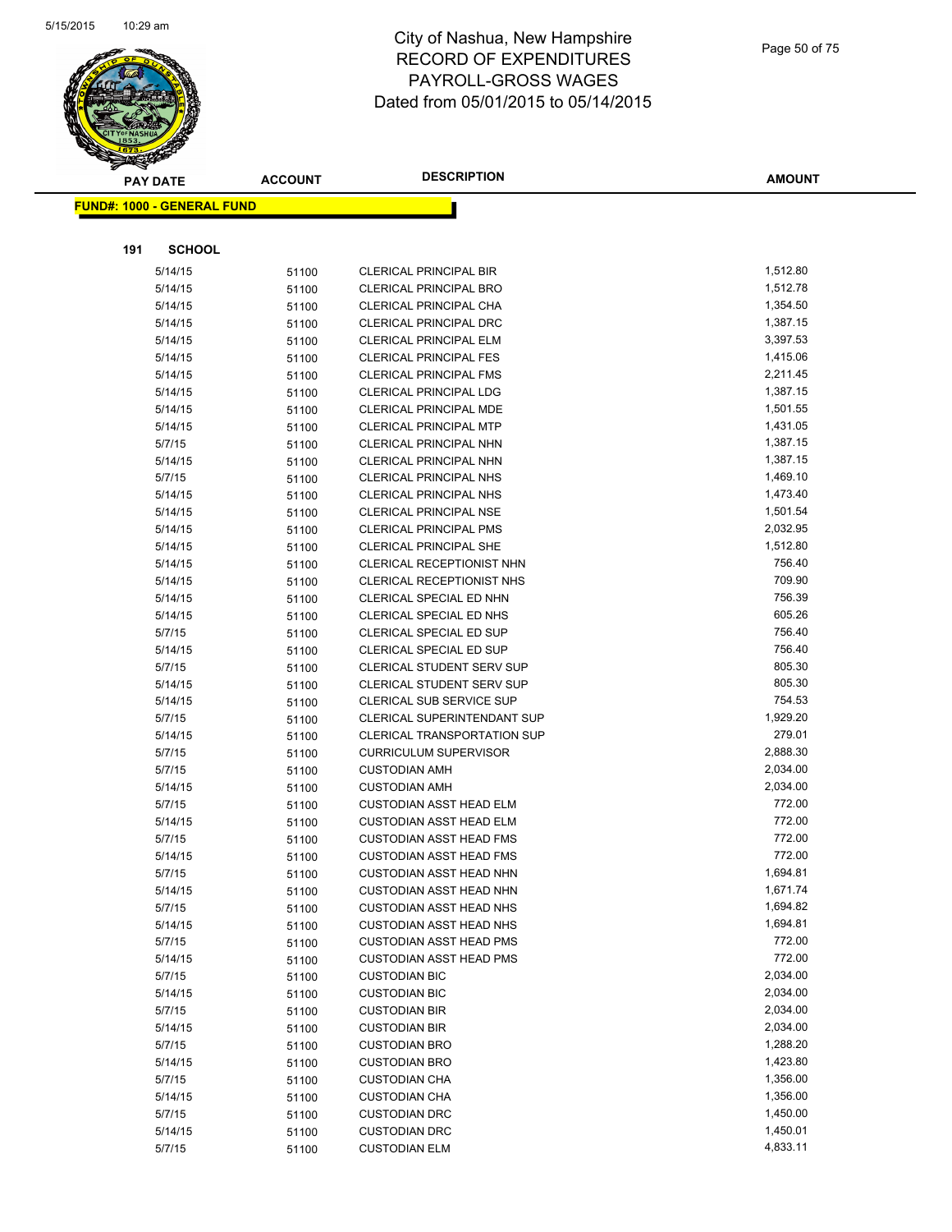

|     | <b>PAY DATE</b>                   | <b>ACCOUNT</b> | <b>DESCRIPTION</b>                                      | <b>AMOUNT</b>        |
|-----|-----------------------------------|----------------|---------------------------------------------------------|----------------------|
|     | <b>FUND#: 1000 - GENERAL FUND</b> |                |                                                         |                      |
|     |                                   |                |                                                         |                      |
|     | <b>SCHOOL</b>                     |                |                                                         |                      |
| 191 |                                   |                |                                                         |                      |
|     | 5/14/15                           | 51100          | <b>CLERICAL PRINCIPAL BIR</b>                           | 1,512.80             |
|     | 5/14/15                           | 51100          | <b>CLERICAL PRINCIPAL BRO</b>                           | 1,512.78             |
|     | 5/14/15                           | 51100          | CLERICAL PRINCIPAL CHA                                  | 1,354.50             |
|     | 5/14/15                           | 51100          | <b>CLERICAL PRINCIPAL DRC</b>                           | 1,387.15             |
|     | 5/14/15                           | 51100          | CLERICAL PRINCIPAL ELM                                  | 3,397.53             |
|     | 5/14/15                           | 51100          | <b>CLERICAL PRINCIPAL FES</b>                           | 1,415.06             |
|     | 5/14/15                           | 51100          | <b>CLERICAL PRINCIPAL FMS</b>                           | 2,211.45             |
|     | 5/14/15                           | 51100          | <b>CLERICAL PRINCIPAL LDG</b>                           | 1,387.15             |
|     | 5/14/15                           | 51100          | <b>CLERICAL PRINCIPAL MDE</b>                           | 1,501.55<br>1,431.05 |
|     | 5/14/15<br>5/7/15                 | 51100          | <b>CLERICAL PRINCIPAL MTP</b><br>CLERICAL PRINCIPAL NHN | 1,387.15             |
|     | 5/14/15                           | 51100          | <b>CLERICAL PRINCIPAL NHN</b>                           | 1,387.15             |
|     | 5/7/15                            | 51100          | <b>CLERICAL PRINCIPAL NHS</b>                           | 1,469.10             |
|     | 5/14/15                           | 51100<br>51100 | <b>CLERICAL PRINCIPAL NHS</b>                           | 1,473.40             |
|     | 5/14/15                           |                | <b>CLERICAL PRINCIPAL NSE</b>                           | 1,501.54             |
|     | 5/14/15                           | 51100<br>51100 | <b>CLERICAL PRINCIPAL PMS</b>                           | 2,032.95             |
|     | 5/14/15                           | 51100          | <b>CLERICAL PRINCIPAL SHE</b>                           | 1,512.80             |
|     | 5/14/15                           | 51100          | CLERICAL RECEPTIONIST NHN                               | 756.40               |
|     | 5/14/15                           | 51100          | CLERICAL RECEPTIONIST NHS                               | 709.90               |
|     | 5/14/15                           | 51100          | CLERICAL SPECIAL ED NHN                                 | 756.39               |
|     | 5/14/15                           | 51100          | CLERICAL SPECIAL ED NHS                                 | 605.26               |
|     | 5/7/15                            | 51100          | CLERICAL SPECIAL ED SUP                                 | 756.40               |
|     | 5/14/15                           | 51100          | CLERICAL SPECIAL ED SUP                                 | 756.40               |
|     | 5/7/15                            | 51100          | <b>CLERICAL STUDENT SERV SUP</b>                        | 805.30               |
|     | 5/14/15                           | 51100          | CLERICAL STUDENT SERV SUP                               | 805.30               |
|     | 5/14/15                           | 51100          | <b>CLERICAL SUB SERVICE SUP</b>                         | 754.53               |
|     | 5/7/15                            | 51100          | <b>CLERICAL SUPERINTENDANT SUP</b>                      | 1,929.20             |
|     | 5/14/15                           | 51100          | <b>CLERICAL TRANSPORTATION SUP</b>                      | 279.01               |
|     | 5/7/15                            | 51100          | <b>CURRICULUM SUPERVISOR</b>                            | 2,888.30             |
|     | 5/7/15                            | 51100          | <b>CUSTODIAN AMH</b>                                    | 2,034.00             |
|     | 5/14/15                           | 51100          | <b>CUSTODIAN AMH</b>                                    | 2,034.00             |
|     | 5/7/15                            | 51100          | <b>CUSTODIAN ASST HEAD ELM</b>                          | 772.00               |
|     | 5/14/15                           | 51100          | <b>CUSTODIAN ASST HEAD ELM</b>                          | 772.00               |
|     | 5/7/15                            | 51100          | <b>CUSTODIAN ASST HEAD FMS</b>                          | 772.00               |
|     | 5/14/15                           | 51100          | <b>CUSTODIAN ASST HEAD FMS</b>                          | 772.00               |
|     | 5/7/15                            | 51100          | CUSTODIAN ASST HEAD NHN                                 | 1,694.81             |
|     | 5/14/15                           | 51100          | <b>CUSTODIAN ASST HEAD NHN</b>                          | 1,671.74             |
|     | 5/7/15                            | 51100          | <b>CUSTODIAN ASST HEAD NHS</b>                          | 1,694.82             |
|     | 5/14/15                           | 51100          | <b>CUSTODIAN ASST HEAD NHS</b>                          | 1,694.81             |
|     | 5/7/15                            | 51100          | <b>CUSTODIAN ASST HEAD PMS</b>                          | 772.00               |
|     | 5/14/15                           | 51100          | <b>CUSTODIAN ASST HEAD PMS</b>                          | 772.00               |
|     | 5/7/15                            | 51100          | <b>CUSTODIAN BIC</b>                                    | 2,034.00             |
|     | 5/14/15                           | 51100          | <b>CUSTODIAN BIC</b>                                    | 2,034.00             |
|     | 5/7/15                            | 51100          | <b>CUSTODIAN BIR</b>                                    | 2,034.00             |
|     | 5/14/15                           | 51100          | <b>CUSTODIAN BIR</b>                                    | 2,034.00             |
|     | 5/7/15                            | 51100          | <b>CUSTODIAN BRO</b>                                    | 1,288.20             |
|     | 5/14/15                           | 51100          | <b>CUSTODIAN BRO</b>                                    | 1,423.80             |
|     | 5/7/15                            | 51100          | <b>CUSTODIAN CHA</b>                                    | 1,356.00             |
|     | 5/14/15                           | 51100          | <b>CUSTODIAN CHA</b>                                    | 1,356.00             |
|     | 5/7/15                            | 51100          | <b>CUSTODIAN DRC</b>                                    | 1,450.00             |
|     | 5/14/15                           | 51100          | <b>CUSTODIAN DRC</b>                                    | 1,450.01             |
|     | 5/7/15                            | 51100          | <b>CUSTODIAN ELM</b>                                    | 4,833.11             |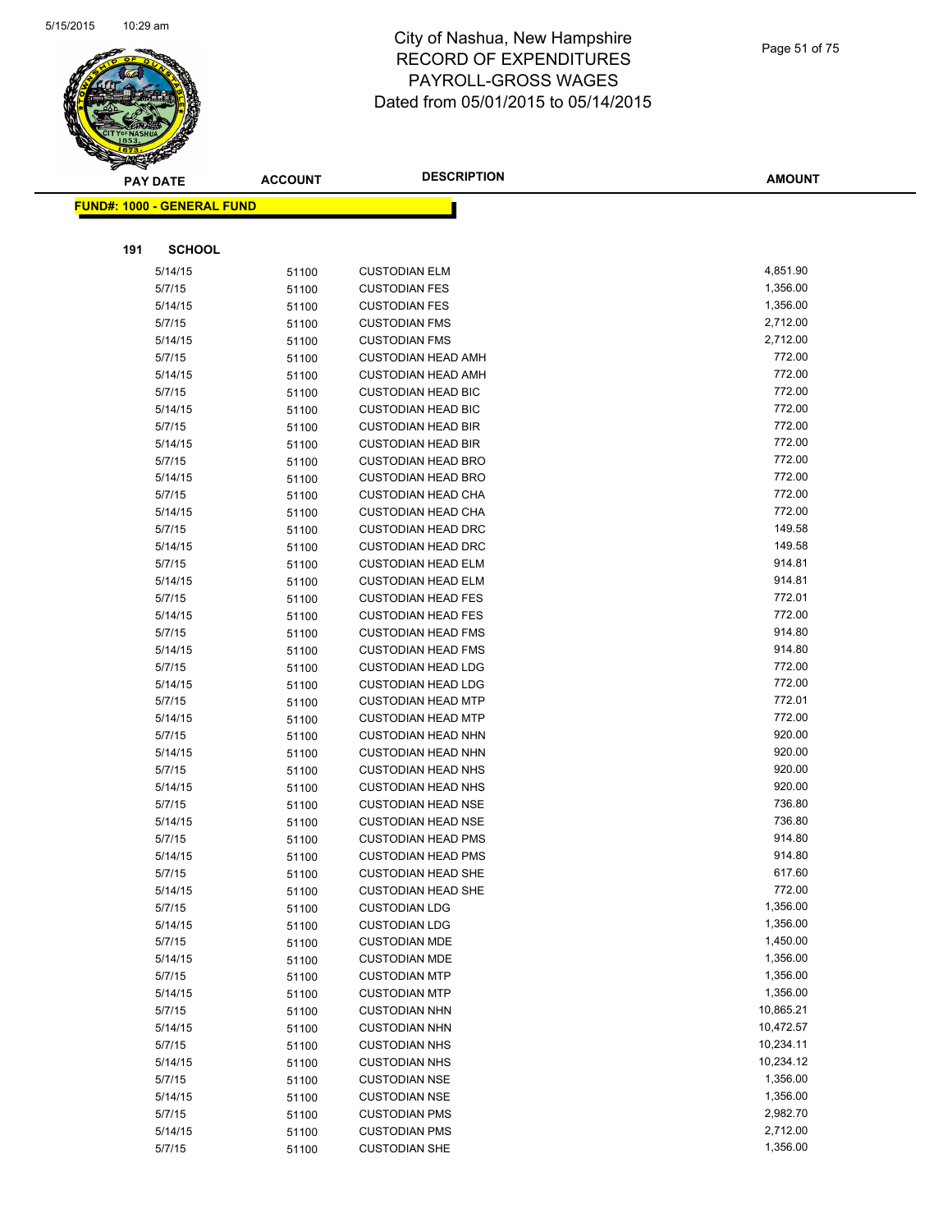

|     | <b>PAY DATE</b>                   | <b>ACCOUNT</b> | <b>DESCRIPTION</b>                                     | <b>AMOUNT</b>    |
|-----|-----------------------------------|----------------|--------------------------------------------------------|------------------|
|     | <b>FUND#: 1000 - GENERAL FUND</b> |                |                                                        |                  |
|     |                                   |                |                                                        |                  |
|     |                                   |                |                                                        |                  |
| 191 | <b>SCHOOL</b>                     |                |                                                        |                  |
|     | 5/14/15                           | 51100          | <b>CUSTODIAN ELM</b>                                   | 4,851.90         |
|     | 5/7/15                            | 51100          | <b>CUSTODIAN FES</b>                                   | 1,356.00         |
|     | 5/14/15                           | 51100          | <b>CUSTODIAN FES</b>                                   | 1,356.00         |
|     | 5/7/15                            | 51100          | <b>CUSTODIAN FMS</b>                                   | 2,712.00         |
|     | 5/14/15                           | 51100          | <b>CUSTODIAN FMS</b>                                   | 2,712.00         |
|     | 5/7/15                            | 51100          | <b>CUSTODIAN HEAD AMH</b>                              | 772.00           |
|     | 5/14/15                           | 51100          | <b>CUSTODIAN HEAD AMH</b>                              | 772.00           |
|     | 5/7/15                            | 51100          | <b>CUSTODIAN HEAD BIC</b>                              | 772.00           |
|     | 5/14/15                           | 51100          | <b>CUSTODIAN HEAD BIC</b>                              | 772.00           |
|     | 5/7/15                            | 51100          | <b>CUSTODIAN HEAD BIR</b>                              | 772.00           |
|     | 5/14/15                           | 51100          | <b>CUSTODIAN HEAD BIR</b>                              | 772.00           |
|     | 5/7/15                            | 51100          | <b>CUSTODIAN HEAD BRO</b>                              | 772.00           |
|     | 5/14/15                           | 51100          | <b>CUSTODIAN HEAD BRO</b>                              | 772.00<br>772.00 |
|     | 5/7/15                            | 51100          | <b>CUSTODIAN HEAD CHA</b>                              | 772.00           |
|     | 5/14/15                           | 51100          | <b>CUSTODIAN HEAD CHA</b>                              | 149.58           |
|     | 5/7/15                            | 51100          | <b>CUSTODIAN HEAD DRC</b>                              | 149.58           |
|     | 5/14/15                           | 51100          | <b>CUSTODIAN HEAD DRC</b>                              | 914.81           |
|     | 5/7/15<br>5/14/15                 | 51100          | <b>CUSTODIAN HEAD ELM</b><br><b>CUSTODIAN HEAD ELM</b> | 914.81           |
|     | 5/7/15                            | 51100          | <b>CUSTODIAN HEAD FES</b>                              | 772.01           |
|     | 5/14/15                           | 51100          | <b>CUSTODIAN HEAD FES</b>                              | 772.00           |
|     | 5/7/15                            | 51100<br>51100 | <b>CUSTODIAN HEAD FMS</b>                              | 914.80           |
|     | 5/14/15                           | 51100          | <b>CUSTODIAN HEAD FMS</b>                              | 914.80           |
|     | 5/7/15                            | 51100          | <b>CUSTODIAN HEAD LDG</b>                              | 772.00           |
|     | 5/14/15                           | 51100          | <b>CUSTODIAN HEAD LDG</b>                              | 772.00           |
|     | 5/7/15                            | 51100          | <b>CUSTODIAN HEAD MTP</b>                              | 772.01           |
|     | 5/14/15                           | 51100          | <b>CUSTODIAN HEAD MTP</b>                              | 772.00           |
|     | 5/7/15                            | 51100          | <b>CUSTODIAN HEAD NHN</b>                              | 920.00           |
|     | 5/14/15                           | 51100          | <b>CUSTODIAN HEAD NHN</b>                              | 920.00           |
|     | 5/7/15                            | 51100          | <b>CUSTODIAN HEAD NHS</b>                              | 920.00           |
|     | 5/14/15                           | 51100          | <b>CUSTODIAN HEAD NHS</b>                              | 920.00           |
|     | 5/7/15                            | 51100          | <b>CUSTODIAN HEAD NSE</b>                              | 736.80           |
|     | 5/14/15                           | 51100          | <b>CUSTODIAN HEAD NSE</b>                              | 736.80           |
|     | 5/7/15                            | 51100          | <b>CUSTODIAN HEAD PMS</b>                              | 914.80           |
|     | 5/14/15                           | 51100          | <b>CUSTODIAN HEAD PMS</b>                              | 914.80           |
|     | 5/7/15                            | 51100          | <b>CUSTODIAN HEAD SHE</b>                              | 617.60           |
|     | 5/14/15                           | 51100          | <b>CUSTODIAN HEAD SHE</b>                              | 772.00           |
|     | 5/7/15                            | 51100          | <b>CUSTODIAN LDG</b>                                   | 1,356.00         |
|     | 5/14/15                           | 51100          | <b>CUSTODIAN LDG</b>                                   | 1,356.00         |
|     | 5/7/15                            | 51100          | <b>CUSTODIAN MDE</b>                                   | 1,450.00         |
|     | 5/14/15                           | 51100          | <b>CUSTODIAN MDE</b>                                   | 1,356.00         |
|     | 5/7/15                            | 51100          | <b>CUSTODIAN MTP</b>                                   | 1,356.00         |
|     | 5/14/15                           | 51100          | <b>CUSTODIAN MTP</b>                                   | 1,356.00         |
|     | 5/7/15                            | 51100          | <b>CUSTODIAN NHN</b>                                   | 10,865.21        |
|     | 5/14/15                           | 51100          | <b>CUSTODIAN NHN</b>                                   | 10,472.57        |
|     | 5/7/15                            | 51100          | <b>CUSTODIAN NHS</b>                                   | 10,234.11        |
|     | 5/14/15                           | 51100          | <b>CUSTODIAN NHS</b>                                   | 10,234.12        |
|     | 5/7/15                            | 51100          | <b>CUSTODIAN NSE</b>                                   | 1,356.00         |
|     | 5/14/15                           | 51100          | <b>CUSTODIAN NSE</b>                                   | 1,356.00         |
|     | 5/7/15                            | 51100          | <b>CUSTODIAN PMS</b>                                   | 2,982.70         |
|     | 5/14/15                           | 51100          | <b>CUSTODIAN PMS</b>                                   | 2,712.00         |
|     | 5/7/15                            | 51100          | <b>CUSTODIAN SHE</b>                                   | 1,356.00         |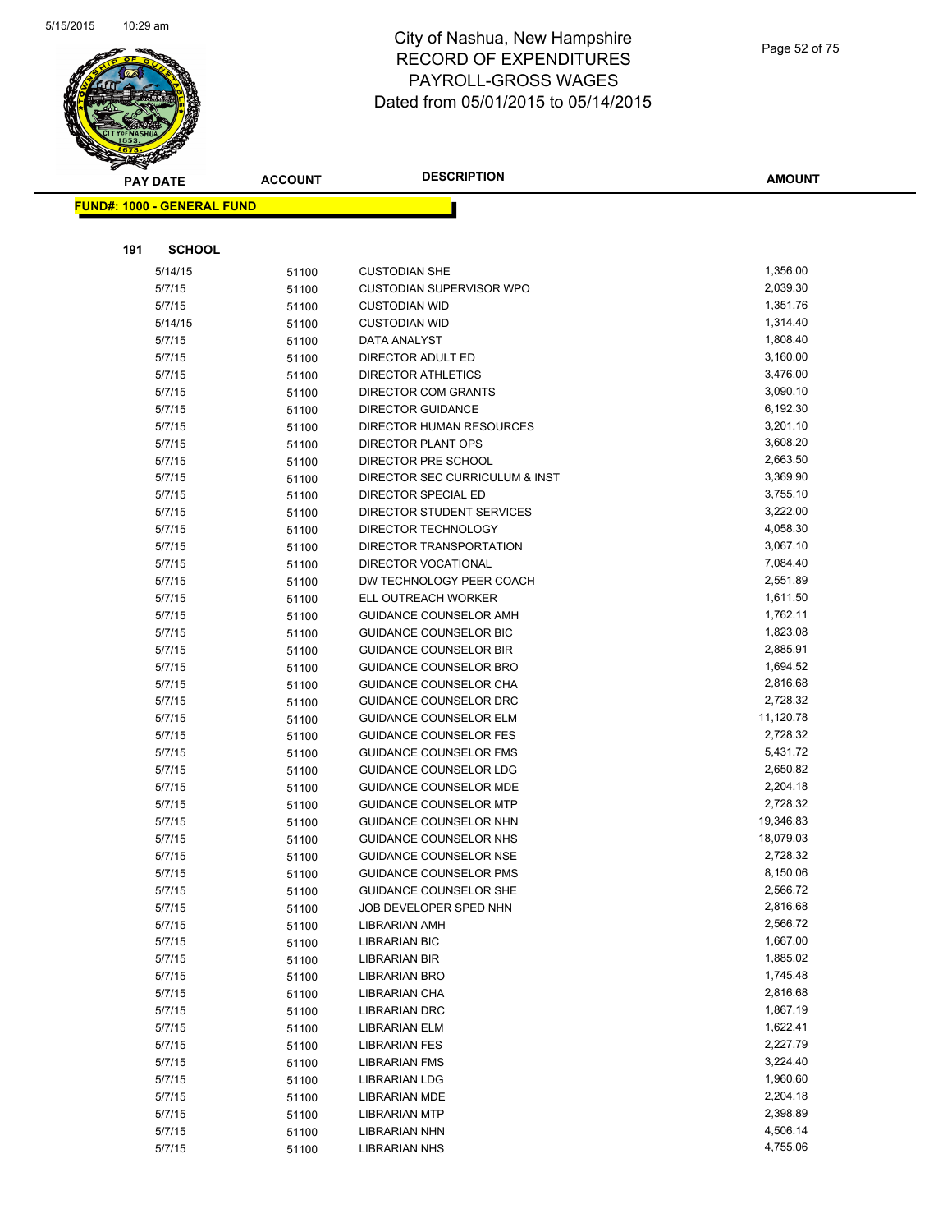

**FUND#: 1000 - GEN** 

# City of Nashua, New Hampshire RECORD OF EXPENDITURES PAYROLL-GROSS WAGES Dated from 05/01/2015 to 05/14/2015

|     | <b>PAY DATE</b>     | <b>ACCOUNT</b> | <b>DESCRIPTION</b>                                    | <b>AMOUNT</b>        |
|-----|---------------------|----------------|-------------------------------------------------------|----------------------|
|     | 1000 - GENERAL FUND |                |                                                       |                      |
|     |                     |                |                                                       |                      |
| 191 | <b>SCHOOL</b>       |                |                                                       |                      |
|     | 5/14/15             | 51100          | <b>CUSTODIAN SHE</b>                                  | 1,356.00             |
|     | 5/7/15              | 51100          | CUSTODIAN SUPERVISOR WPO                              | 2,039.30             |
|     | 5/7/15              | 51100          | <b>CUSTODIAN WID</b>                                  | 1,351.76             |
|     | 5/14/15             | 51100          | <b>CUSTODIAN WID</b>                                  | 1,314.40             |
|     | 5/7/15              | 51100          | DATA ANALYST                                          | 1,808.40             |
|     | 5/7/15              | 51100          | DIRECTOR ADULT ED                                     | 3,160.00             |
|     | 5/7/15              | 51100          | <b>DIRECTOR ATHLETICS</b>                             | 3,476.00             |
|     | 5/7/15              | 51100          | DIRECTOR COM GRANTS                                   | 3,090.10             |
|     | 5/7/15              | 51100          | <b>DIRECTOR GUIDANCE</b>                              | 6,192.30             |
|     | 5/7/15              | 51100          | DIRECTOR HUMAN RESOURCES                              | 3,201.10             |
|     | 5/7/15              | 51100          | DIRECTOR PLANT OPS                                    | 3,608.20             |
|     | 5/7/15              | 51100          | DIRECTOR PRE SCHOOL                                   | 2,663.50             |
|     | 5/7/15              | 51100          | DIRECTOR SEC CURRICULUM & INST                        | 3,369.90             |
|     | 5/7/15              | 51100          | DIRECTOR SPECIAL ED                                   | 3,755.10             |
|     | 5/7/15              | 51100          | DIRECTOR STUDENT SERVICES                             | 3,222.00             |
|     | 5/7/15              | 51100          | DIRECTOR TECHNOLOGY                                   | 4,058.30             |
|     | 5/7/15              | 51100          | DIRECTOR TRANSPORTATION<br><b>DIRECTOR VOCATIONAL</b> | 3,067.10<br>7,084.40 |
|     | 5/7/15<br>5/7/15    | 51100          | DW TECHNOLOGY PEER COACH                              | 2,551.89             |
|     | 5/7/15              | 51100          |                                                       | 1,611.50             |
|     | 5/7/15              | 51100          | ELL OUTREACH WORKER<br>GUIDANCE COUNSELOR AMH         | 1,762.11             |
|     | 5/7/15              | 51100<br>51100 | <b>GUIDANCE COUNSELOR BIC</b>                         | 1,823.08             |
|     | 5/7/15              | 51100          | <b>GUIDANCE COUNSELOR BIR</b>                         | 2,885.91             |
|     | 5/7/15              | 51100          | <b>GUIDANCE COUNSELOR BRO</b>                         | 1,694.52             |
|     | 5/7/15              | 51100          | GUIDANCE COUNSELOR CHA                                | 2,816.68             |
|     | 5/7/15              | 51100          | GUIDANCE COUNSELOR DRC                                | 2,728.32             |
|     | 5/7/15              | 51100          | <b>GUIDANCE COUNSELOR ELM</b>                         | 11,120.78            |
|     | 5/7/15              | 51100          | <b>GUIDANCE COUNSELOR FES</b>                         | 2,728.32             |
|     | 5/7/15              | 51100          | <b>GUIDANCE COUNSELOR FMS</b>                         | 5,431.72             |
|     | 5/7/15              | 51100          | <b>GUIDANCE COUNSELOR LDG</b>                         | 2,650.82             |
|     | 5/7/15              | 51100          | <b>GUIDANCE COUNSELOR MDE</b>                         | 2,204.18             |
|     | 5/7/15              | 51100          | <b>GUIDANCE COUNSELOR MTP</b>                         | 2,728.32             |
|     | 5/7/15              | 51100          | GUIDANCE COUNSELOR NHN                                | 19,346.83            |
|     | 5/7/15              | 51100          | GUIDANCE COUNSELOR NHS                                | 18,079.03            |
|     | 5/7/15              | 51100          | GUIDANCE COUNSELOR NSE                                | 2,728.32             |
|     | 5/7/15              | 51100          | <b>GUIDANCE COUNSELOR PMS</b>                         | 8,150.06             |
|     | 5/7/15              | 51100          | GUIDANCE COUNSELOR SHE                                | 2,566.72             |
|     | 5/7/15              | 51100          | JOB DEVELOPER SPED NHN                                | 2,816.68             |
|     | 5/7/15              | 51100          | <b>LIBRARIAN AMH</b>                                  | 2,566.72             |
|     | 5/7/15              | 51100          | <b>LIBRARIAN BIC</b>                                  | 1,667.00             |
|     | 5/7/15              | 51100          | <b>LIBRARIAN BIR</b>                                  | 1,885.02             |
|     | 5/7/15              | 51100          | <b>LIBRARIAN BRO</b>                                  | 1,745.48             |
|     | 5/7/15              | 51100          | LIBRARIAN CHA                                         | 2,816.68             |
|     | 5/7/15              | 51100          | <b>LIBRARIAN DRC</b>                                  | 1,867.19             |
|     | 5/7/15              | 51100          | <b>LIBRARIAN ELM</b>                                  | 1,622.41             |
|     | 5/7/15              | 51100          | <b>LIBRARIAN FES</b>                                  | 2,227.79             |
|     | 5/7/15              | 51100          | <b>LIBRARIAN FMS</b>                                  | 3,224.40             |
|     | 5/7/15              | 51100          | <b>LIBRARIAN LDG</b>                                  | 1,960.60             |
|     | 5/7/15              | 51100          | <b>LIBRARIAN MDE</b>                                  | 2,204.18             |
|     | 5/7/15              | 51100          | <b>LIBRARIAN MTP</b>                                  | 2,398.89             |
|     | 5/7/15              | 51100          | <b>LIBRARIAN NHN</b>                                  | 4,506.14             |
|     | 5/7/15              | 51100          | <b>LIBRARIAN NHS</b>                                  | 4,755.06             |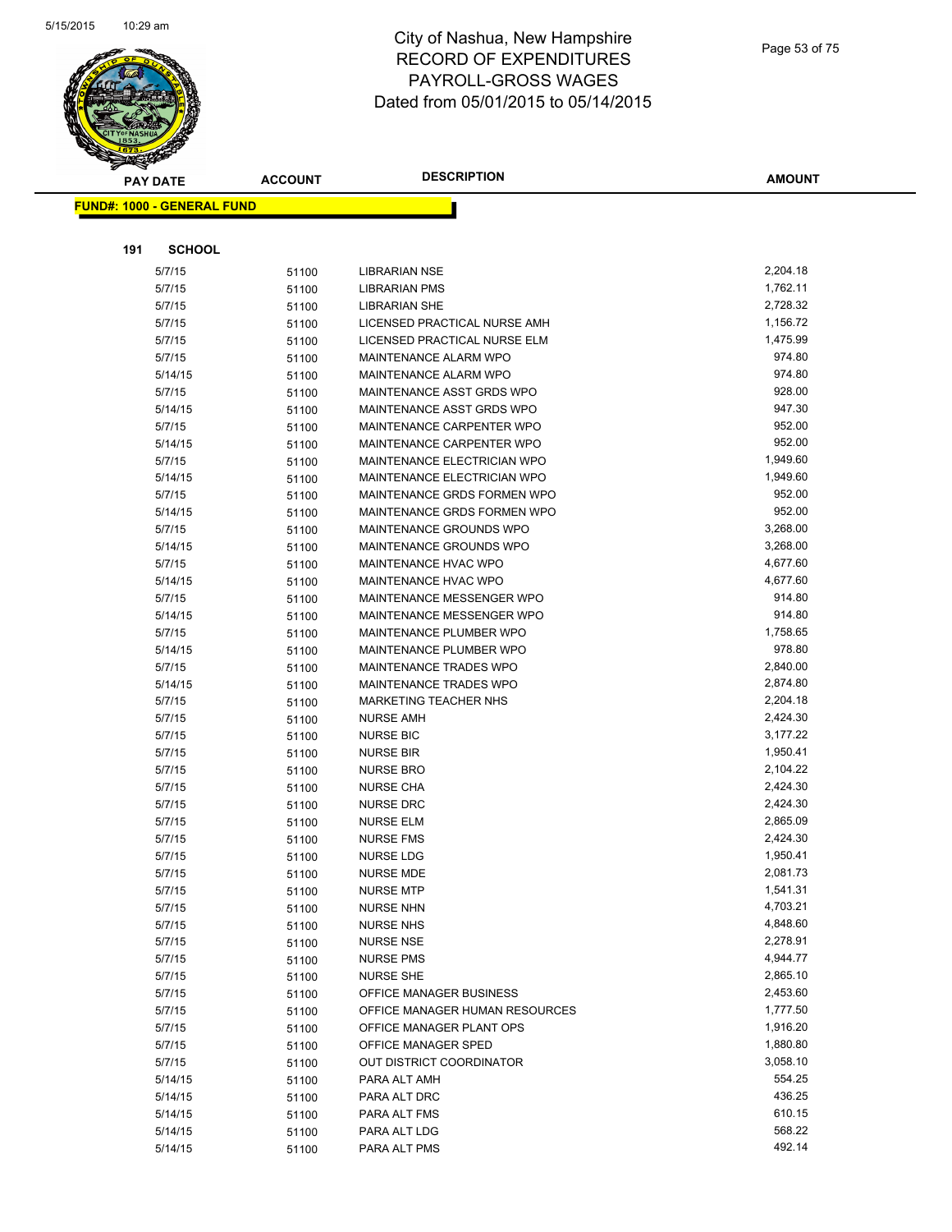

| <b>PAY DATE</b>                   | <b>ACCOUNT</b> | <b>DESCRIPTION</b>                   | <b>AMOUNT</b> |
|-----------------------------------|----------------|--------------------------------------|---------------|
| <b>FUND#: 1000 - GENERAL FUND</b> |                |                                      |               |
|                                   |                |                                      |               |
|                                   |                |                                      |               |
| <b>SCHOOL</b><br>191              |                |                                      |               |
| 5/7/15                            | 51100          | <b>LIBRARIAN NSE</b>                 | 2,204.18      |
| 5/7/15                            | 51100          | <b>LIBRARIAN PMS</b>                 | 1,762.11      |
| 5/7/15                            | 51100          | <b>LIBRARIAN SHE</b>                 | 2,728.32      |
| 5/7/15                            | 51100          | LICENSED PRACTICAL NURSE AMH         | 1,156.72      |
| 5/7/15                            | 51100          | LICENSED PRACTICAL NURSE ELM         | 1,475.99      |
| 5/7/15                            | 51100          | <b>MAINTENANCE ALARM WPO</b>         | 974.80        |
| 5/14/15                           | 51100          | <b>MAINTENANCE ALARM WPO</b>         | 974.80        |
| 5/7/15                            | 51100          | MAINTENANCE ASST GRDS WPO            | 928.00        |
| 5/14/15                           | 51100          | MAINTENANCE ASST GRDS WPO            | 947.30        |
| 5/7/15                            | 51100          | MAINTENANCE CARPENTER WPO            | 952.00        |
| 5/14/15                           | 51100          | MAINTENANCE CARPENTER WPO            | 952.00        |
| 5/7/15                            | 51100          | MAINTENANCE ELECTRICIAN WPO          | 1,949.60      |
| 5/14/15                           | 51100          | MAINTENANCE ELECTRICIAN WPO          | 1,949.60      |
| 5/7/15                            | 51100          | MAINTENANCE GRDS FORMEN WPO          | 952.00        |
| 5/14/15                           | 51100          | MAINTENANCE GRDS FORMEN WPO          | 952.00        |
| 5/7/15                            | 51100          | MAINTENANCE GROUNDS WPO              | 3,268.00      |
| 5/14/15                           | 51100          | MAINTENANCE GROUNDS WPO              | 3,268.00      |
| 5/7/15                            | 51100          | <b>MAINTENANCE HVAC WPO</b>          | 4,677.60      |
| 5/14/15                           | 51100          | <b>MAINTENANCE HVAC WPO</b>          | 4,677.60      |
| 5/7/15                            |                | <b>MAINTENANCE MESSENGER WPO</b>     | 914.80        |
| 5/14/15                           | 51100          | MAINTENANCE MESSENGER WPO            | 914.80        |
| 5/7/15                            | 51100          | MAINTENANCE PLUMBER WPO              | 1,758.65      |
| 5/14/15                           | 51100          | MAINTENANCE PLUMBER WPO              | 978.80        |
| 5/7/15                            | 51100          | MAINTENANCE TRADES WPO               | 2,840.00      |
| 5/14/15                           | 51100          | MAINTENANCE TRADES WPO               | 2,874.80      |
| 5/7/15                            | 51100          | MARKETING TEACHER NHS                | 2,204.18      |
| 5/7/15                            | 51100          | <b>NURSE AMH</b>                     | 2,424.30      |
| 5/7/15                            | 51100          | <b>NURSE BIC</b>                     | 3,177.22      |
| 5/7/15                            | 51100          | <b>NURSE BIR</b>                     | 1,950.41      |
| 5/7/15                            | 51100          | <b>NURSE BRO</b>                     | 2,104.22      |
| 5/7/15                            | 51100          | <b>NURSE CHA</b>                     | 2,424.30      |
| 5/7/15                            | 51100          | <b>NURSE DRC</b>                     | 2,424.30      |
|                                   | 51100          |                                      | 2,865.09      |
| 5/7/15                            | 51100          | <b>NURSE ELM</b>                     | 2,424.30      |
| 5/7/15                            | 51100          | <b>NURSE FMS</b><br>NURSE LDG        | 1,950.41      |
| 5/7/15                            | 51100          | NURSE MDE                            | 2,081.73      |
| 5/7/15                            | 51100          |                                      | 1,541.31      |
| 5/7/15<br>5/7/15                  | 51100          | <b>NURSE MTP</b><br><b>NURSE NHN</b> | 4,703.21      |
|                                   | 51100          | <b>NURSE NHS</b>                     | 4,848.60      |
| 5/7/15<br>5/7/15                  | 51100          | <b>NURSE NSE</b>                     | 2,278.91      |
| 5/7/15                            | 51100          | <b>NURSE PMS</b>                     | 4,944.77      |
| 5/7/15                            | 51100          | <b>NURSE SHE</b>                     | 2,865.10      |
| 5/7/15                            | 51100          | OFFICE MANAGER BUSINESS              | 2,453.60      |
| 5/7/15                            | 51100          | OFFICE MANAGER HUMAN RESOURCES       | 1,777.50      |
| 5/7/15                            | 51100          | OFFICE MANAGER PLANT OPS             | 1,916.20      |
|                                   | 51100          | OFFICE MANAGER SPED                  | 1,880.80      |
| 5/7/15                            | 51100          | OUT DISTRICT COORDINATOR             | 3,058.10      |
| 5/7/15                            | 51100          |                                      | 554.25        |
| 5/14/15                           | 51100          | PARA ALT AMH                         |               |
| 5/14/15                           | 51100          | PARA ALT DRC                         | 436.25        |
| 5/14/15                           | 51100          | PARA ALT FMS                         | 610.15        |
| 5/14/15                           | 51100          | PARA ALT LDG                         | 568.22        |
| 5/14/15                           | 51100          | PARA ALT PMS                         | 492.14        |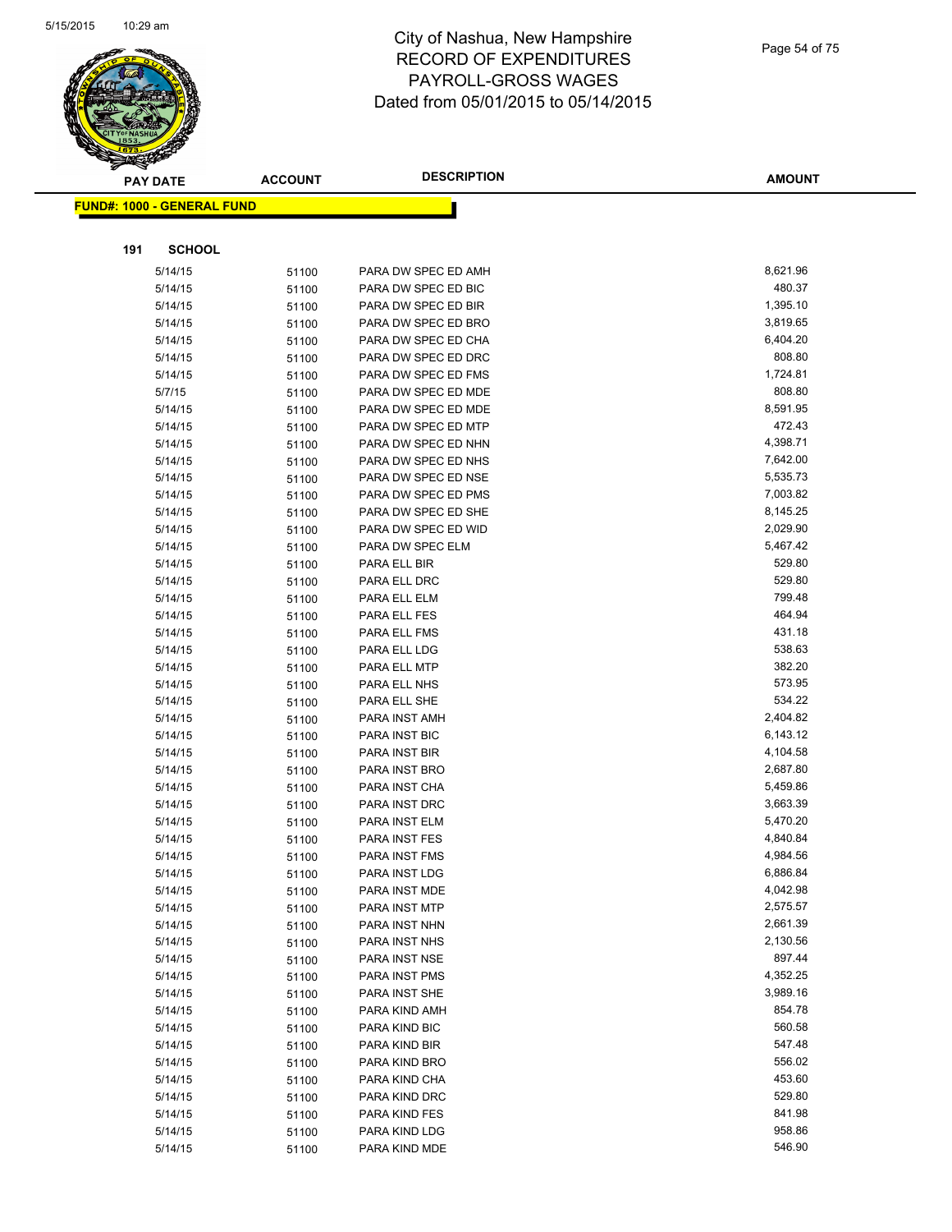

| $\tilde{\phantom{a}}$ | <b>PAY DATE</b>                   | <b>ACCOUNT</b> | <b>DESCRIPTION</b>                         | <b>AMOUNT</b>        |
|-----------------------|-----------------------------------|----------------|--------------------------------------------|----------------------|
|                       | <b>FUND#: 1000 - GENERAL FUND</b> |                |                                            |                      |
|                       |                                   |                |                                            |                      |
|                       |                                   |                |                                            |                      |
| 191                   | <b>SCHOOL</b>                     |                |                                            |                      |
|                       | 5/14/15                           | 51100          | PARA DW SPEC ED AMH                        | 8,621.96             |
|                       | 5/14/15                           | 51100          | PARA DW SPEC ED BIC                        | 480.37               |
|                       | 5/14/15                           | 51100          | PARA DW SPEC ED BIR                        | 1,395.10             |
|                       | 5/14/15                           | 51100          | PARA DW SPEC ED BRO                        | 3,819.65             |
|                       | 5/14/15                           | 51100          | PARA DW SPEC ED CHA                        | 6,404.20             |
|                       | 5/14/15                           | 51100          | PARA DW SPEC ED DRC                        | 808.80               |
|                       | 5/14/15                           | 51100          | PARA DW SPEC ED FMS                        | 1,724.81             |
|                       | 5/7/15                            | 51100          | PARA DW SPEC ED MDE                        | 808.80               |
|                       | 5/14/15                           | 51100          | PARA DW SPEC ED MDE                        | 8,591.95             |
|                       | 5/14/15                           | 51100          | PARA DW SPEC ED MTP                        | 472.43               |
|                       | 5/14/15                           | 51100          | PARA DW SPEC ED NHN                        | 4,398.71             |
|                       | 5/14/15                           | 51100          | PARA DW SPEC ED NHS                        | 7,642.00             |
|                       | 5/14/15                           | 51100          | PARA DW SPEC ED NSE                        | 5,535.73             |
|                       | 5/14/15                           | 51100          | PARA DW SPEC ED PMS                        | 7,003.82             |
|                       | 5/14/15                           | 51100          | PARA DW SPEC ED SHE<br>PARA DW SPEC ED WID | 8,145.25<br>2,029.90 |
|                       | 5/14/15                           | 51100          | PARA DW SPEC ELM                           |                      |
|                       | 5/14/15                           | 51100          |                                            | 5,467.42<br>529.80   |
|                       | 5/14/15                           | 51100          | PARA ELL BIR<br>PARA ELL DRC               | 529.80               |
|                       | 5/14/15                           | 51100          |                                            | 799.48               |
|                       | 5/14/15<br>5/14/15                | 51100          | PARA ELL ELM<br>PARA ELL FES               | 464.94               |
|                       | 5/14/15                           | 51100<br>51100 | PARA ELL FMS                               | 431.18               |
|                       | 5/14/15                           | 51100          | PARA ELL LDG                               | 538.63               |
|                       | 5/14/15                           | 51100          | PARA ELL MTP                               | 382.20               |
|                       | 5/14/15                           | 51100          | PARA ELL NHS                               | 573.95               |
|                       | 5/14/15                           | 51100          | PARA ELL SHE                               | 534.22               |
|                       | 5/14/15                           | 51100          | PARA INST AMH                              | 2,404.82             |
|                       | 5/14/15                           | 51100          | PARA INST BIC                              | 6,143.12             |
|                       | 5/14/15                           | 51100          | PARA INST BIR                              | 4,104.58             |
|                       | 5/14/15                           | 51100          | PARA INST BRO                              | 2,687.80             |
|                       | 5/14/15                           | 51100          | PARA INST CHA                              | 5,459.86             |
|                       | 5/14/15                           | 51100          | PARA INST DRC                              | 3,663.39             |
|                       | 5/14/15                           | 51100          | PARA INST ELM                              | 5,470.20             |
|                       | 5/14/15                           | 51100          | PARA INST FES                              | 4,840.84             |
|                       | 5/14/15                           | 51100          | PARA INST FMS                              | 4,984.56             |
|                       | 5/14/15                           | 51100          | PARA INST LDG                              | 6,886.84             |
|                       | 5/14/15                           | 51100          | PARA INST MDE                              | 4,042.98             |
|                       | 5/14/15                           | 51100          | PARA INST MTP                              | 2,575.57             |
|                       | 5/14/15                           | 51100          | PARA INST NHN                              | 2,661.39             |
|                       | 5/14/15                           | 51100          | PARA INST NHS                              | 2,130.56             |
|                       | 5/14/15                           | 51100          | PARA INST NSE                              | 897.44               |
|                       | 5/14/15                           | 51100          | PARA INST PMS                              | 4,352.25             |
|                       | 5/14/15                           | 51100          | PARA INST SHE                              | 3,989.16             |
|                       | 5/14/15                           | 51100          | PARA KIND AMH                              | 854.78               |
|                       | 5/14/15                           | 51100          | PARA KIND BIC                              | 560.58               |
|                       | 5/14/15                           | 51100          | PARA KIND BIR                              | 547.48               |
|                       | 5/14/15                           | 51100          | PARA KIND BRO                              | 556.02               |
|                       | 5/14/15                           | 51100          | PARA KIND CHA                              | 453.60               |
|                       | 5/14/15                           | 51100          | PARA KIND DRC                              | 529.80               |
|                       | 5/14/15                           | 51100          | PARA KIND FES                              | 841.98               |
|                       | 5/14/15                           | 51100          | PARA KIND LDG                              | 958.86               |
|                       | 5/14/15                           | 51100          | PARA KIND MDE                              | 546.90               |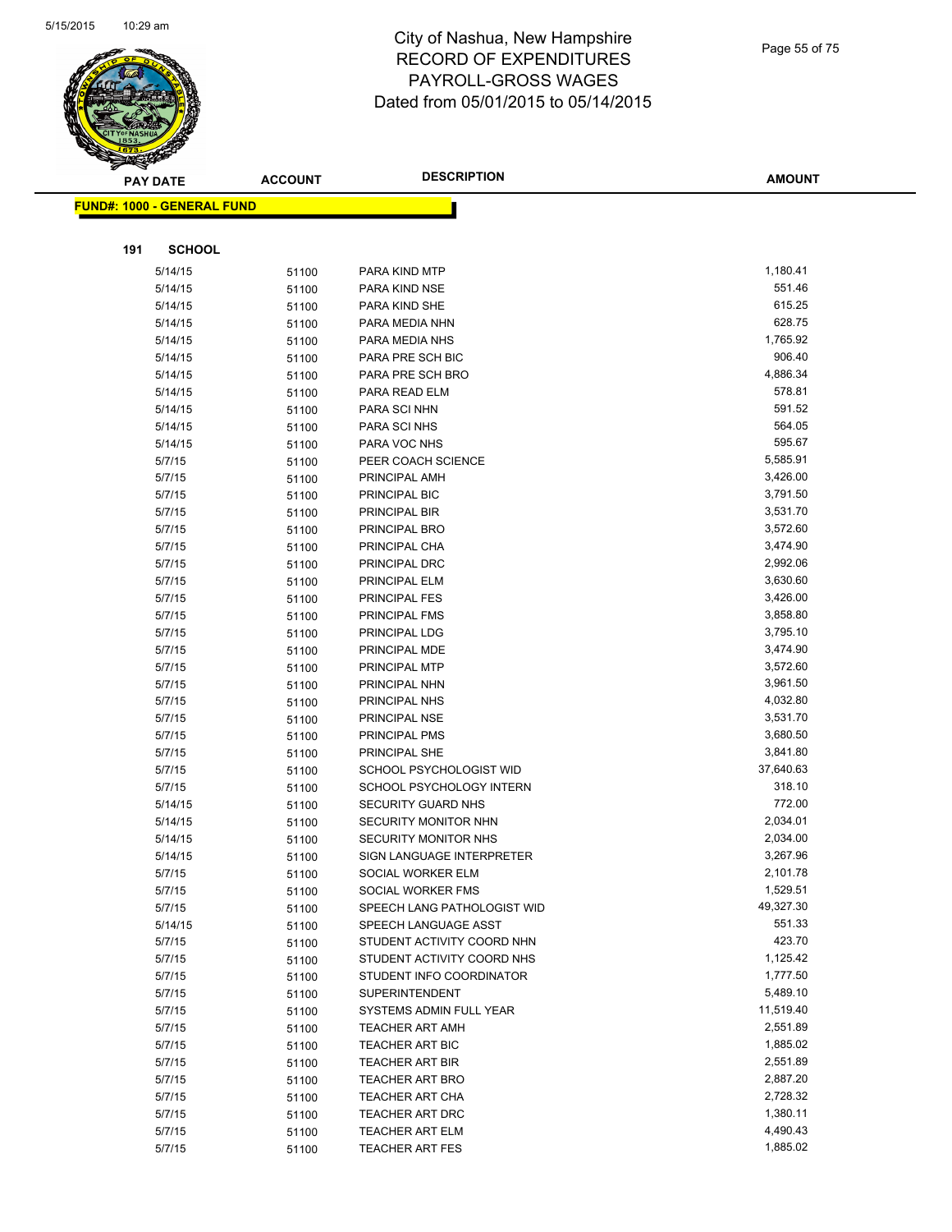

|     | <b>PAY DATE</b>                   | <b>ACCOUNT</b> | <b>DESCRIPTION</b>             | <b>AMOUNT</b>        |
|-----|-----------------------------------|----------------|--------------------------------|----------------------|
|     | <b>FUND#: 1000 - GENERAL FUND</b> |                |                                |                      |
|     |                                   |                |                                |                      |
|     |                                   |                |                                |                      |
| 191 | <b>SCHOOL</b>                     |                |                                |                      |
|     | 5/14/15                           | 51100          | PARA KIND MTP                  | 1,180.41             |
|     | 5/14/15                           | 51100          | PARA KIND NSE                  | 551.46               |
|     | 5/14/15                           | 51100          | PARA KIND SHE                  | 615.25               |
|     | 5/14/15                           | 51100          | PARA MEDIA NHN                 | 628.75               |
|     | 5/14/15                           | 51100          | PARA MEDIA NHS                 | 1,765.92             |
|     | 5/14/15                           | 51100          | PARA PRE SCH BIC               | 906.40               |
|     | 5/14/15                           | 51100          | PARA PRE SCH BRO               | 4,886.34             |
|     | 5/14/15                           | 51100          | PARA READ ELM                  | 578.81               |
|     | 5/14/15                           | 51100          | PARA SCI NHN                   | 591.52               |
|     | 5/14/15                           | 51100          | PARA SCI NHS                   | 564.05               |
|     | 5/14/15                           | 51100          | PARA VOC NHS                   | 595.67               |
|     | 5/7/15                            | 51100          | PEER COACH SCIENCE             | 5,585.91             |
|     | 5/7/15                            | 51100          | PRINCIPAL AMH                  | 3,426.00             |
|     | 5/7/15                            | 51100          | PRINCIPAL BIC                  | 3,791.50             |
|     | 5/7/15                            | 51100          | PRINCIPAL BIR                  | 3,531.70             |
|     | 5/7/15                            | 51100          | PRINCIPAL BRO                  | 3,572.60             |
|     | 5/7/15                            | 51100          | PRINCIPAL CHA                  | 3,474.90<br>2,992.06 |
|     | 5/7/15<br>5/7/15                  | 51100          | PRINCIPAL DRC<br>PRINCIPAL ELM | 3,630.60             |
|     | 5/7/15                            | 51100          | PRINCIPAL FES                  | 3,426.00             |
|     | 5/7/15                            | 51100          | PRINCIPAL FMS                  | 3,858.80             |
|     | 5/7/15                            | 51100<br>51100 | PRINCIPAL LDG                  | 3,795.10             |
|     | 5/7/15                            | 51100          | PRINCIPAL MDE                  | 3,474.90             |
|     | 5/7/15                            | 51100          | PRINCIPAL MTP                  | 3,572.60             |
|     | 5/7/15                            | 51100          | PRINCIPAL NHN                  | 3,961.50             |
|     | 5/7/15                            | 51100          | PRINCIPAL NHS                  | 4,032.80             |
|     | 5/7/15                            | 51100          | PRINCIPAL NSE                  | 3,531.70             |
|     | 5/7/15                            | 51100          | PRINCIPAL PMS                  | 3,680.50             |
|     | 5/7/15                            | 51100          | PRINCIPAL SHE                  | 3,841.80             |
|     | 5/7/15                            | 51100          | SCHOOL PSYCHOLOGIST WID        | 37,640.63            |
|     | 5/7/15                            | 51100          | SCHOOL PSYCHOLOGY INTERN       | 318.10               |
|     | 5/14/15                           | 51100          | SECURITY GUARD NHS             | 772.00               |
|     | 5/14/15                           | 51100          | SECURITY MONITOR NHN           | 2,034.01             |
|     | 5/14/15                           | 51100          | SECURITY MONITOR NHS           | 2,034.00             |
|     | 5/14/15                           | 51100          | SIGN LANGUAGE INTERPRETER      | 3,267.96             |
|     | 5/7/15                            | 51100          | SOCIAL WORKER ELM              | 2,101.78             |
|     | 5/7/15                            | 51100          | SOCIAL WORKER FMS              | 1,529.51             |
|     | 5/7/15                            | 51100          | SPEECH LANG PATHOLOGIST WID    | 49,327.30            |
|     | 5/14/15                           | 51100          | SPEECH LANGUAGE ASST           | 551.33               |
|     | 5/7/15                            | 51100          | STUDENT ACTIVITY COORD NHN     | 423.70               |
|     | 5/7/15                            | 51100          | STUDENT ACTIVITY COORD NHS     | 1,125.42             |
|     | 5/7/15                            | 51100          | STUDENT INFO COORDINATOR       | 1,777.50             |
|     | 5/7/15                            | 51100          | <b>SUPERINTENDENT</b>          | 5,489.10             |
|     | 5/7/15                            | 51100          | SYSTEMS ADMIN FULL YEAR        | 11,519.40            |
|     | 5/7/15                            | 51100          | <b>TEACHER ART AMH</b>         | 2,551.89             |
|     | 5/7/15                            | 51100          | <b>TEACHER ART BIC</b>         | 1,885.02             |
|     | 5/7/15                            | 51100          | <b>TEACHER ART BIR</b>         | 2,551.89             |
|     | 5/7/15                            | 51100          | <b>TEACHER ART BRO</b>         | 2,887.20             |
|     | 5/7/15                            | 51100          | <b>TEACHER ART CHA</b>         | 2,728.32             |
|     | 5/7/15                            | 51100          | TEACHER ART DRC                | 1,380.11             |
|     | 5/7/15                            | 51100          | <b>TEACHER ART ELM</b>         | 4,490.43             |
|     | 5/7/15                            | 51100          | <b>TEACHER ART FES</b>         | 1,885.02             |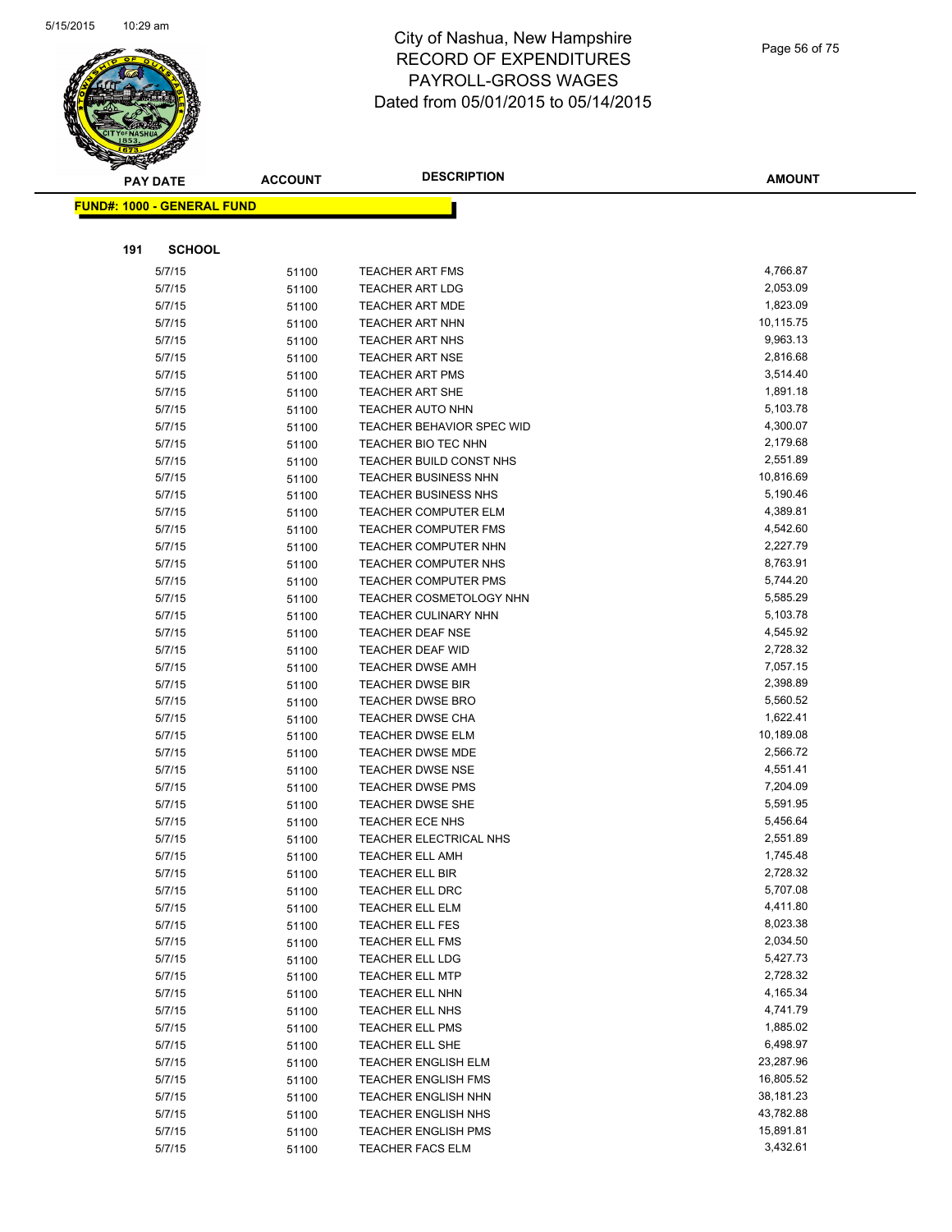

| <b>PAY DATE</b>                   | <b>ACCOUNT</b> | <b>DESCRIPTION</b>                          | <b>AMOUNT</b>        |
|-----------------------------------|----------------|---------------------------------------------|----------------------|
| <b>FUND#: 1000 - GENERAL FUND</b> |                |                                             |                      |
|                                   |                |                                             |                      |
|                                   |                |                                             |                      |
| 191<br><b>SCHOOL</b>              |                |                                             |                      |
| 5/7/15                            | 51100          | <b>TEACHER ART FMS</b>                      | 4,766.87             |
| 5/7/15                            | 51100          | <b>TEACHER ART LDG</b>                      | 2,053.09             |
| 5/7/15                            | 51100          | <b>TEACHER ART MDE</b>                      | 1,823.09             |
| 5/7/15                            | 51100          | <b>TEACHER ART NHN</b>                      | 10,115.75            |
| 5/7/15                            | 51100          | <b>TEACHER ART NHS</b>                      | 9,963.13             |
| 5/7/15                            | 51100          | <b>TEACHER ART NSE</b>                      | 2,816.68             |
| 5/7/15                            | 51100          | <b>TEACHER ART PMS</b>                      | 3,514.40             |
| 5/7/15                            | 51100          | <b>TEACHER ART SHE</b>                      | 1,891.18             |
| 5/7/15                            | 51100          | <b>TEACHER AUTO NHN</b>                     | 5,103.78             |
| 5/7/15                            | 51100          | TEACHER BEHAVIOR SPEC WID                   | 4,300.07             |
| 5/7/15                            | 51100          | TEACHER BIO TEC NHN                         | 2,179.68             |
| 5/7/15                            | 51100          | TEACHER BUILD CONST NHS                     | 2,551.89             |
| 5/7/15                            | 51100          | TEACHER BUSINESS NHN                        | 10,816.69            |
| 5/7/15                            | 51100          | <b>TEACHER BUSINESS NHS</b>                 | 5,190.46             |
| 5/7/15                            | 51100          | <b>TEACHER COMPUTER ELM</b>                 | 4,389.81             |
| 5/7/15                            | 51100          | TEACHER COMPUTER FMS                        | 4,542.60             |
| 5/7/15                            | 51100          | <b>TEACHER COMPUTER NHN</b>                 | 2,227.79             |
| 5/7/15                            | 51100          | TEACHER COMPUTER NHS                        | 8,763.91             |
| 5/7/15                            | 51100          | <b>TEACHER COMPUTER PMS</b>                 | 5,744.20             |
| 5/7/15                            | 51100          | TEACHER COSMETOLOGY NHN                     | 5,585.29             |
| 5/7/15                            | 51100          | TEACHER CULINARY NHN                        | 5,103.78             |
| 5/7/15                            | 51100          | <b>TEACHER DEAF NSE</b>                     | 4,545.92             |
| 5/7/15                            | 51100          | TEACHER DEAF WID                            | 2,728.32             |
| 5/7/15                            | 51100          | <b>TEACHER DWSE AMH</b>                     | 7,057.15             |
| 5/7/15                            | 51100          | <b>TEACHER DWSE BIR</b>                     | 2,398.89             |
| 5/7/15                            | 51100          | <b>TEACHER DWSE BRO</b>                     | 5,560.52<br>1,622.41 |
| 5/7/15<br>5/7/15                  | 51100          | <b>TEACHER DWSE CHA</b>                     | 10,189.08            |
| 5/7/15                            | 51100          | <b>TEACHER DWSE ELM</b><br>TEACHER DWSE MDE | 2,566.72             |
| 5/7/15                            | 51100          | TEACHER DWSE NSE                            | 4,551.41             |
| 5/7/15                            | 51100<br>51100 | <b>TEACHER DWSE PMS</b>                     | 7,204.09             |
| 5/7/15                            | 51100          | TEACHER DWSE SHE                            | 5,591.95             |
| 5/7/15                            | 51100          | TEACHER ECE NHS                             | 5,456.64             |
| 5/7/15                            | 51100          | TEACHER ELECTRICAL NHS                      | 2,551.89             |
| 5/7/15                            | 51100          | <b>TEACHER ELL AMH</b>                      | 1,745.48             |
| 5/7/15                            | 51100          | <b>TEACHER ELL BIR</b>                      | 2,728.32             |
| 5/7/15                            | 51100          | <b>TEACHER ELL DRC</b>                      | 5,707.08             |
| 5/7/15                            | 51100          | TEACHER ELL ELM                             | 4,411.80             |
| 5/7/15                            | 51100          | TEACHER ELL FES                             | 8,023.38             |
| 5/7/15                            | 51100          | TEACHER ELL FMS                             | 2,034.50             |
| 5/7/15                            | 51100          | TEACHER ELL LDG                             | 5,427.73             |
| 5/7/15                            | 51100          | <b>TEACHER ELL MTP</b>                      | 2,728.32             |
| 5/7/15                            | 51100          | TEACHER ELL NHN                             | 4,165.34             |
| 5/7/15                            | 51100          | TEACHER ELL NHS                             | 4,741.79             |
| 5/7/15                            | 51100          | TEACHER ELL PMS                             | 1,885.02             |
| 5/7/15                            | 51100          | TEACHER ELL SHE                             | 6,498.97             |
| 5/7/15                            | 51100          | <b>TEACHER ENGLISH ELM</b>                  | 23,287.96            |
| 5/7/15                            | 51100          | <b>TEACHER ENGLISH FMS</b>                  | 16,805.52            |
| 5/7/15                            | 51100          | TEACHER ENGLISH NHN                         | 38,181.23            |
| 5/7/15                            | 51100          | TEACHER ENGLISH NHS                         | 43,782.88            |
| 5/7/15                            | 51100          | TEACHER ENGLISH PMS                         | 15,891.81            |
| 5/7/15                            | 51100          | TEACHER FACS ELM                            | 3,432.61             |
|                                   |                |                                             |                      |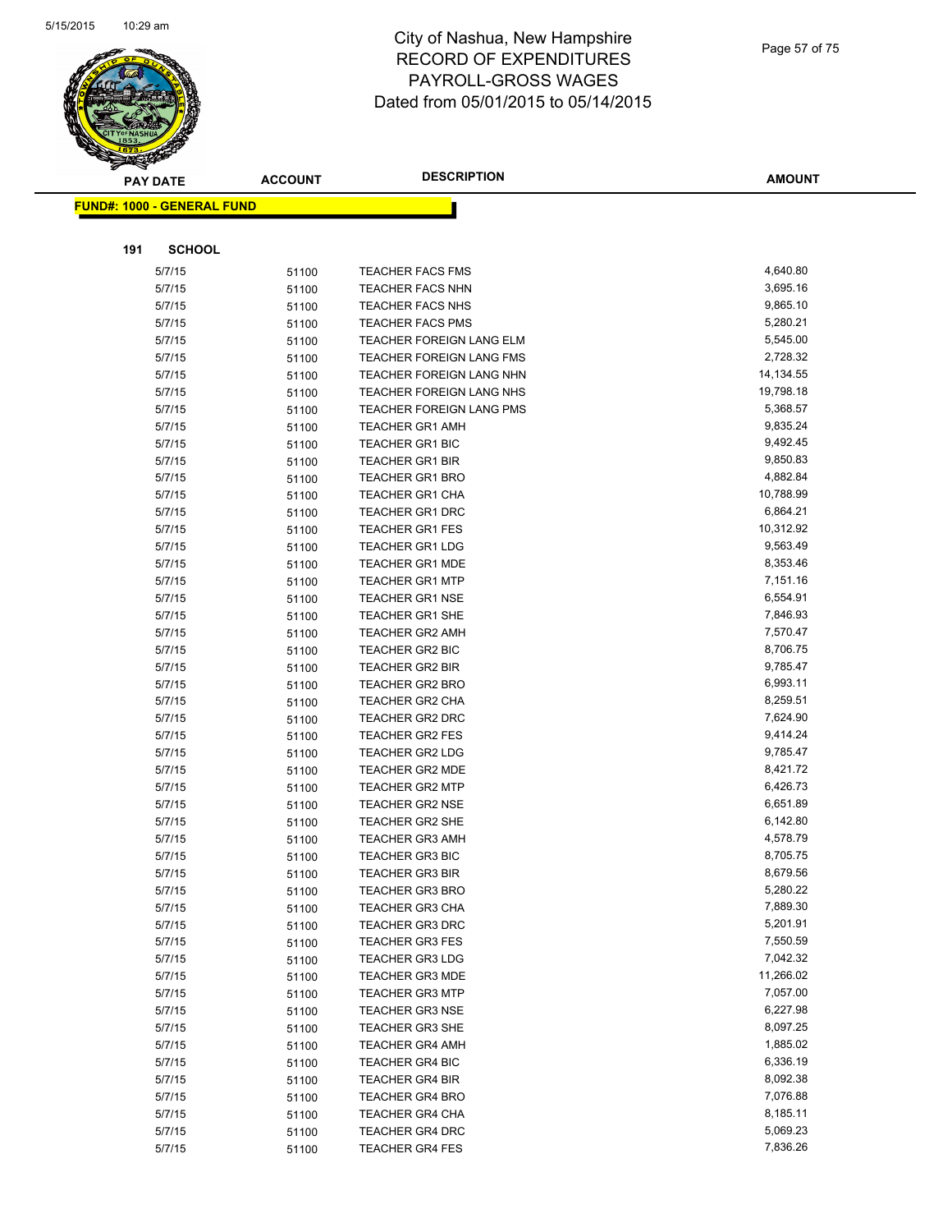

|     | <b>PAY DATE</b>                    | <b>ACCOUNT</b> | <b>DESCRIPTION</b>              | <b>AMOUNT</b> |
|-----|------------------------------------|----------------|---------------------------------|---------------|
|     | <u> FUND#: 1000 - GENERAL FUND</u> |                |                                 |               |
|     |                                    |                |                                 |               |
|     |                                    |                |                                 |               |
| 191 | <b>SCHOOL</b>                      |                |                                 |               |
|     | 5/7/15                             | 51100          | <b>TEACHER FACS FMS</b>         | 4,640.80      |
|     | 5/7/15                             | 51100          | <b>TEACHER FACS NHN</b>         | 3,695.16      |
|     | 5/7/15                             | 51100          | TEACHER FACS NHS                | 9,865.10      |
|     | 5/7/15                             | 51100          | <b>TEACHER FACS PMS</b>         | 5,280.21      |
|     | 5/7/15                             | 51100          | TEACHER FOREIGN LANG ELM        | 5,545.00      |
|     | 5/7/15                             | 51100          | TEACHER FOREIGN LANG FMS        | 2,728.32      |
|     | 5/7/15                             | 51100          | TEACHER FOREIGN LANG NHN        | 14,134.55     |
|     | 5/7/15                             | 51100          | TEACHER FOREIGN LANG NHS        | 19,798.18     |
|     | 5/7/15                             | 51100          | <b>TEACHER FOREIGN LANG PMS</b> | 5,368.57      |
|     | 5/7/15                             | 51100          | <b>TEACHER GR1 AMH</b>          | 9,835.24      |
|     | 5/7/15                             | 51100          | <b>TEACHER GR1 BIC</b>          | 9,492.45      |
|     | 5/7/15                             | 51100          | <b>TEACHER GR1 BIR</b>          | 9,850.83      |
|     | 5/7/15                             | 51100          | <b>TEACHER GR1 BRO</b>          | 4,882.84      |
|     | 5/7/15                             | 51100          | <b>TEACHER GR1 CHA</b>          | 10,788.99     |
|     | 5/7/15                             | 51100          | <b>TEACHER GR1 DRC</b>          | 6,864.21      |
|     | 5/7/15                             | 51100          | <b>TEACHER GR1 FES</b>          | 10,312.92     |
|     | 5/7/15                             | 51100          | <b>TEACHER GR1 LDG</b>          | 9,563.49      |
|     | 5/7/15                             | 51100          | <b>TEACHER GR1 MDE</b>          | 8,353.46      |
|     | 5/7/15                             | 51100          | <b>TEACHER GR1 MTP</b>          | 7,151.16      |
|     | 5/7/15                             | 51100          | <b>TEACHER GR1 NSE</b>          | 6,554.91      |
|     | 5/7/15                             | 51100          | <b>TEACHER GR1 SHE</b>          | 7,846.93      |
|     | 5/7/15                             | 51100          | <b>TEACHER GR2 AMH</b>          | 7,570.47      |
|     | 5/7/15                             | 51100          | <b>TEACHER GR2 BIC</b>          | 8,706.75      |
|     | 5/7/15                             | 51100          | <b>TEACHER GR2 BIR</b>          | 9,785.47      |
|     | 5/7/15                             | 51100          | <b>TEACHER GR2 BRO</b>          | 6,993.11      |
|     | 5/7/15                             | 51100          | <b>TEACHER GR2 CHA</b>          | 8,259.51      |
|     | 5/7/15                             | 51100          | <b>TEACHER GR2 DRC</b>          | 7,624.90      |
|     | 5/7/15                             | 51100          | <b>TEACHER GR2 FES</b>          | 9,414.24      |
|     | 5/7/15                             | 51100          | <b>TEACHER GR2 LDG</b>          | 9,785.47      |
|     | 5/7/15                             | 51100          | <b>TEACHER GR2 MDE</b>          | 8,421.72      |
|     | 5/7/15                             | 51100          | <b>TEACHER GR2 MTP</b>          | 6,426.73      |
|     | 5/7/15                             | 51100          | <b>TEACHER GR2 NSE</b>          | 6,651.89      |
|     | 5/7/15                             | 51100          | TEACHER GR2 SHE                 | 6,142.80      |
|     | 5/7/15                             | 51100          | <b>TEACHER GR3 AMH</b>          | 4,578.79      |
|     | 5/7/15                             | 51100          | <b>TEACHER GR3 BIC</b>          | 8,705.75      |
|     | 5/7/15                             | 51100          | TEACHER GR3 BIR                 | 8,679.56      |
|     | 5/7/15                             | 51100          | <b>TEACHER GR3 BRO</b>          | 5,280.22      |
|     | 5/7/15                             | 51100          | <b>TEACHER GR3 CHA</b>          | 7,889.30      |
|     | 5/7/15                             | 51100          | <b>TEACHER GR3 DRC</b>          | 5,201.91      |
|     | 5/7/15                             | 51100          | <b>TEACHER GR3 FES</b>          | 7,550.59      |
|     | 5/7/15                             | 51100          | <b>TEACHER GR3 LDG</b>          | 7,042.32      |
|     | 5/7/15                             | 51100          | <b>TEACHER GR3 MDE</b>          | 11,266.02     |
|     | 5/7/15                             | 51100          | <b>TEACHER GR3 MTP</b>          | 7,057.00      |
|     | 5/7/15                             | 51100          | <b>TEACHER GR3 NSE</b>          | 6,227.98      |
|     | 5/7/15                             | 51100          | <b>TEACHER GR3 SHE</b>          | 8,097.25      |
|     | 5/7/15                             | 51100          | <b>TEACHER GR4 AMH</b>          | 1,885.02      |
|     | 5/7/15                             | 51100          | TEACHER GR4 BIC                 | 6,336.19      |
|     | 5/7/15                             | 51100          | <b>TEACHER GR4 BIR</b>          | 8,092.38      |
|     | 5/7/15                             | 51100          | <b>TEACHER GR4 BRO</b>          | 7,076.88      |
|     | 5/7/15                             | 51100          | <b>TEACHER GR4 CHA</b>          | 8,185.11      |
|     | 5/7/15                             | 51100          | TEACHER GR4 DRC                 | 5,069.23      |
|     | 5/7/15                             | 51100          | <b>TEACHER GR4 FES</b>          | 7,836.26      |
|     |                                    |                |                                 |               |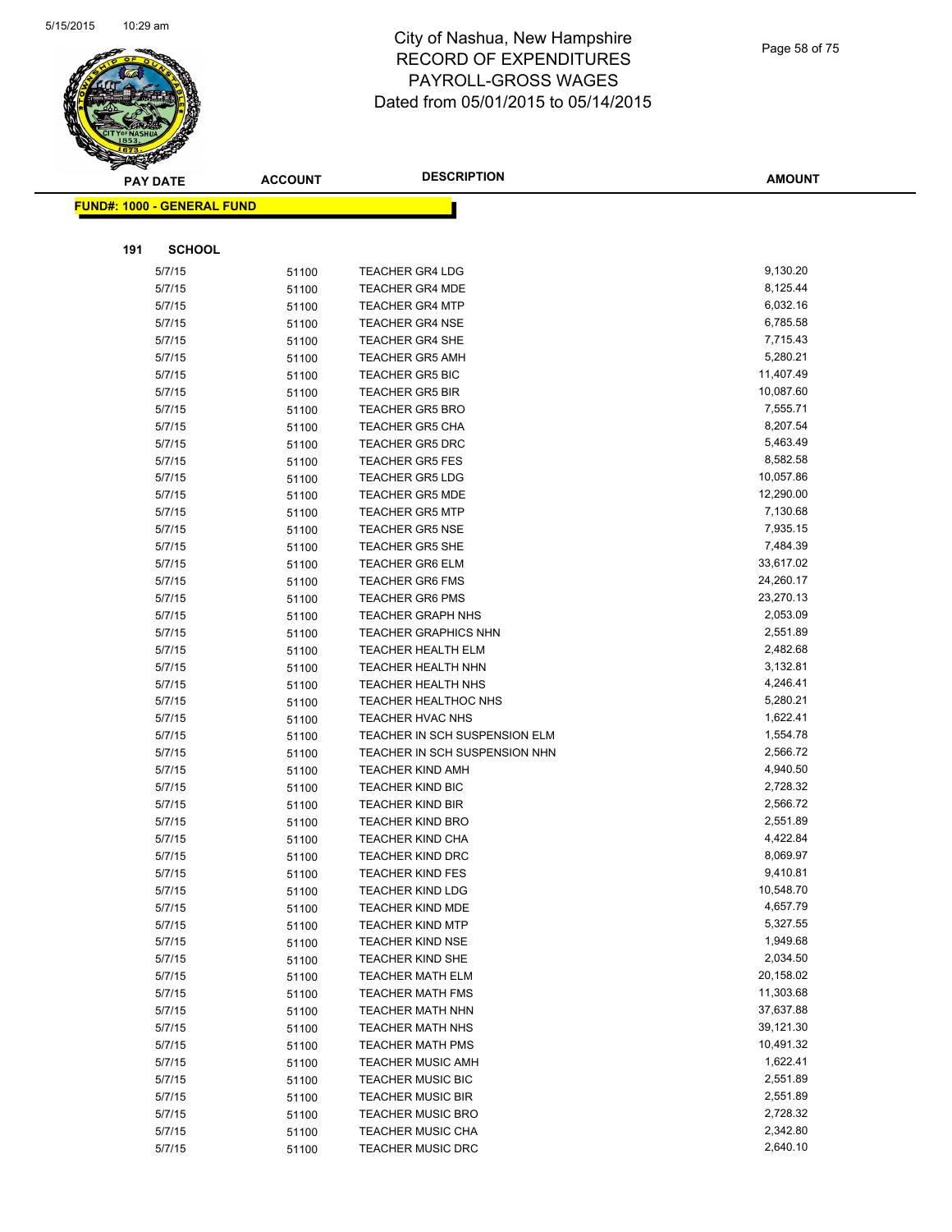

|     | <b>PAY DATE</b>                    | <b>ACCOUNT</b> | <b>DESCRIPTION</b>            | <b>AMOUNT</b> |
|-----|------------------------------------|----------------|-------------------------------|---------------|
|     | <u> FUND#: 1000 - GENERAL FUND</u> |                |                               |               |
|     |                                    |                |                               |               |
|     |                                    |                |                               |               |
| 191 | <b>SCHOOL</b>                      |                |                               |               |
|     | 5/7/15                             | 51100          | <b>TEACHER GR4 LDG</b>        | 9,130.20      |
|     | 5/7/15                             | 51100          | <b>TEACHER GR4 MDE</b>        | 8,125.44      |
|     | 5/7/15                             | 51100          | <b>TEACHER GR4 MTP</b>        | 6,032.16      |
|     | 5/7/15                             | 51100          | <b>TEACHER GR4 NSE</b>        | 6,785.58      |
|     | 5/7/15                             | 51100          | <b>TEACHER GR4 SHE</b>        | 7,715.43      |
|     | 5/7/15                             | 51100          | <b>TEACHER GR5 AMH</b>        | 5,280.21      |
|     | 5/7/15                             | 51100          | <b>TEACHER GR5 BIC</b>        | 11,407.49     |
|     | 5/7/15                             | 51100          | <b>TEACHER GR5 BIR</b>        | 10,087.60     |
|     | 5/7/15                             | 51100          | <b>TEACHER GR5 BRO</b>        | 7,555.71      |
|     | 5/7/15                             | 51100          | <b>TEACHER GR5 CHA</b>        | 8,207.54      |
|     | 5/7/15                             | 51100          | <b>TEACHER GR5 DRC</b>        | 5,463.49      |
|     | 5/7/15                             | 51100          | <b>TEACHER GR5 FES</b>        | 8,582.58      |
|     | 5/7/15                             | 51100          | <b>TEACHER GR5 LDG</b>        | 10,057.86     |
|     | 5/7/15                             | 51100          | <b>TEACHER GR5 MDE</b>        | 12,290.00     |
|     | 5/7/15                             | 51100          | <b>TEACHER GR5 MTP</b>        | 7,130.68      |
|     | 5/7/15                             | 51100          | <b>TEACHER GR5 NSE</b>        | 7,935.15      |
|     | 5/7/15                             | 51100          | <b>TEACHER GR5 SHE</b>        | 7,484.39      |
|     | 5/7/15                             | 51100          | <b>TEACHER GR6 ELM</b>        | 33,617.02     |
|     | 5/7/15                             | 51100          | <b>TEACHER GR6 FMS</b>        | 24,260.17     |
|     | 5/7/15                             | 51100          | <b>TEACHER GR6 PMS</b>        | 23,270.13     |
|     | 5/7/15                             | 51100          | <b>TEACHER GRAPH NHS</b>      | 2,053.09      |
|     | 5/7/15                             | 51100          | <b>TEACHER GRAPHICS NHN</b>   | 2,551.89      |
|     | 5/7/15                             | 51100          | <b>TEACHER HEALTH ELM</b>     | 2,482.68      |
|     | 5/7/15                             | 51100          | TEACHER HEALTH NHN            | 3,132.81      |
|     | 5/7/15                             | 51100          | <b>TEACHER HEALTH NHS</b>     | 4,246.41      |
|     | 5/7/15                             | 51100          | <b>TEACHER HEALTHOC NHS</b>   | 5,280.21      |
|     | 5/7/15                             | 51100          | <b>TEACHER HVAC NHS</b>       | 1,622.41      |
|     | 5/7/15                             | 51100          | TEACHER IN SCH SUSPENSION ELM | 1,554.78      |
|     | 5/7/15                             | 51100          | TEACHER IN SCH SUSPENSION NHN | 2,566.72      |
|     | 5/7/15                             | 51100          | <b>TEACHER KIND AMH</b>       | 4,940.50      |
|     | 5/7/15                             | 51100          | <b>TEACHER KIND BIC</b>       | 2,728.32      |
|     | 5/7/15                             | 51100          | <b>TEACHER KIND BIR</b>       | 2,566.72      |
|     | 5/7/15                             | 51100          | <b>TEACHER KIND BRO</b>       | 2,551.89      |
|     | 5/7/15                             | 51100          | <b>TEACHER KIND CHA</b>       | 4,422.84      |
|     | 5/7/15                             | 51100          | <b>TEACHER KIND DRC</b>       | 8,069.97      |
|     | 5/7/15                             | 51100          | TEACHER KIND FES              | 9,410.81      |
|     | 5/7/15                             | 51100          | <b>TEACHER KIND LDG</b>       | 10,548.70     |
|     | 5/7/15                             | 51100          | <b>TEACHER KIND MDE</b>       | 4,657.79      |
|     | 5/7/15                             | 51100          | <b>TEACHER KIND MTP</b>       | 5,327.55      |
|     | 5/7/15                             | 51100          | <b>TEACHER KIND NSE</b>       | 1,949.68      |
|     | 5/7/15                             | 51100          | <b>TEACHER KIND SHE</b>       | 2,034.50      |
|     | 5/7/15                             | 51100          | <b>TEACHER MATH ELM</b>       | 20,158.02     |
|     | 5/7/15                             | 51100          | <b>TEACHER MATH FMS</b>       | 11,303.68     |
|     | 5/7/15                             | 51100          | <b>TEACHER MATH NHN</b>       | 37,637.88     |
|     | 5/7/15                             | 51100          | <b>TEACHER MATH NHS</b>       | 39,121.30     |
|     | 5/7/15                             | 51100          | <b>TEACHER MATH PMS</b>       | 10,491.32     |
|     | 5/7/15                             | 51100          | <b>TEACHER MUSIC AMH</b>      | 1,622.41      |
|     | 5/7/15                             | 51100          | <b>TEACHER MUSIC BIC</b>      | 2,551.89      |
|     | 5/7/15                             | 51100          | <b>TEACHER MUSIC BIR</b>      | 2,551.89      |
|     | 5/7/15                             | 51100          | <b>TEACHER MUSIC BRO</b>      | 2,728.32      |
|     | 5/7/15                             | 51100          | <b>TEACHER MUSIC CHA</b>      | 2,342.80      |
|     | 5/7/15                             | 51100          | <b>TEACHER MUSIC DRC</b>      | 2,640.10      |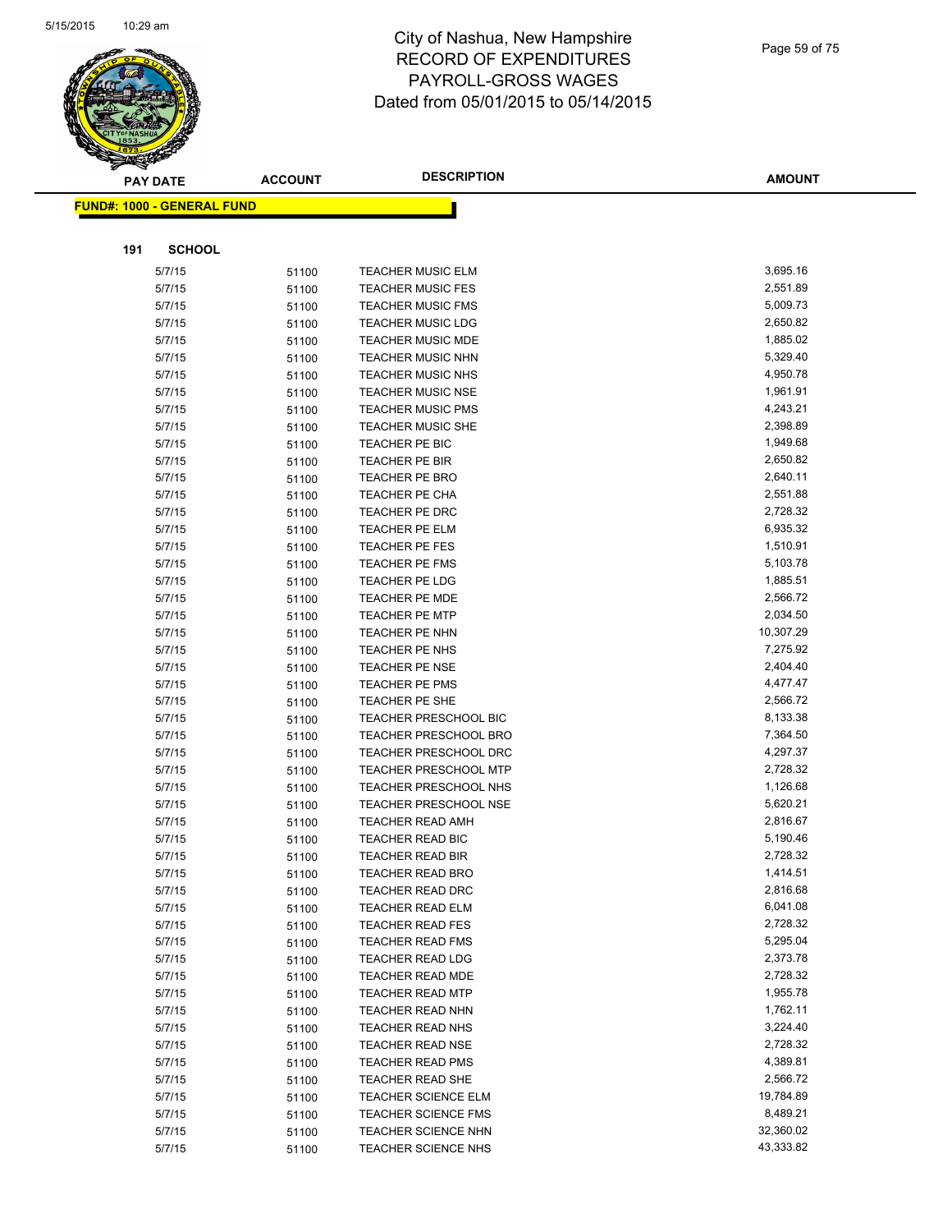

|     | <b>PAY DATE</b>                    | <b>ACCOUNT</b> | <b>DESCRIPTION</b>           | <b>AMOUNT</b> |
|-----|------------------------------------|----------------|------------------------------|---------------|
|     | <u> FUND#: 1000 - GENERAL FUND</u> |                |                              |               |
|     |                                    |                |                              |               |
|     |                                    |                |                              |               |
| 191 | <b>SCHOOL</b>                      |                |                              |               |
|     | 5/7/15                             | 51100          | <b>TEACHER MUSIC ELM</b>     | 3,695.16      |
|     | 5/7/15                             | 51100          | <b>TEACHER MUSIC FES</b>     | 2,551.89      |
|     | 5/7/15                             | 51100          | <b>TEACHER MUSIC FMS</b>     | 5,009.73      |
|     | 5/7/15                             | 51100          | <b>TEACHER MUSIC LDG</b>     | 2,650.82      |
|     | 5/7/15                             | 51100          | TEACHER MUSIC MDE            | 1,885.02      |
|     | 5/7/15                             | 51100          | <b>TEACHER MUSIC NHN</b>     | 5,329.40      |
|     | 5/7/15                             | 51100          | <b>TEACHER MUSIC NHS</b>     | 4,950.78      |
|     | 5/7/15                             | 51100          | <b>TEACHER MUSIC NSE</b>     | 1,961.91      |
|     | 5/7/15                             | 51100          | <b>TEACHER MUSIC PMS</b>     | 4,243.21      |
|     | 5/7/15                             | 51100          | <b>TEACHER MUSIC SHE</b>     | 2,398.89      |
|     | 5/7/15                             | 51100          | TEACHER PE BIC               | 1,949.68      |
|     | 5/7/15                             | 51100          | TEACHER PE BIR               | 2,650.82      |
|     | 5/7/15                             | 51100          | <b>TEACHER PE BRO</b>        | 2,640.11      |
|     | 5/7/15                             | 51100          | TEACHER PE CHA               | 2,551.88      |
|     | 5/7/15                             | 51100          | TEACHER PE DRC               | 2,728.32      |
|     | 5/7/15                             | 51100          | <b>TEACHER PE ELM</b>        | 6,935.32      |
|     | 5/7/15                             | 51100          | TEACHER PE FES               | 1,510.91      |
|     | 5/7/15                             | 51100          | TEACHER PE FMS               | 5,103.78      |
|     | 5/7/15                             | 51100          | <b>TEACHER PE LDG</b>        | 1,885.51      |
|     | 5/7/15                             | 51100          | <b>TEACHER PE MDE</b>        | 2,566.72      |
|     | 5/7/15                             | 51100          | <b>TEACHER PE MTP</b>        | 2,034.50      |
|     | 5/7/15                             | 51100          | TEACHER PE NHN               | 10,307.29     |
|     | 5/7/15                             | 51100          | TEACHER PE NHS               | 7,275.92      |
|     | 5/7/15                             | 51100          | TEACHER PE NSE               | 2,404.40      |
|     | 5/7/15                             | 51100          | TEACHER PE PMS               | 4,477.47      |
|     | 5/7/15                             | 51100          | TEACHER PE SHE               | 2,566.72      |
|     | 5/7/15                             | 51100          | <b>TEACHER PRESCHOOL BIC</b> | 8,133.38      |
|     | 5/7/15                             | 51100          | <b>TEACHER PRESCHOOL BRO</b> | 7,364.50      |
|     | 5/7/15                             | 51100          | TEACHER PRESCHOOL DRC        | 4,297.37      |
|     | 5/7/15                             | 51100          | <b>TEACHER PRESCHOOL MTP</b> | 2,728.32      |
|     | 5/7/15                             | 51100          | TEACHER PRESCHOOL NHS        | 1,126.68      |
|     | 5/7/15                             | 51100          | <b>TEACHER PRESCHOOL NSE</b> | 5,620.21      |
|     | 5/7/15                             | 51100          | <b>TEACHER READ AMH</b>      | 2,816.67      |
|     | 5/7/15                             | 51100          | TEACHER READ BIC             | 5,190.46      |
|     | 5/7/15                             | 51100          | <b>TEACHER READ BIR</b>      | 2,728.32      |
|     | 5/7/15                             | 51100          | TEACHER READ BRO             | 1,414.51      |
|     | 5/7/15                             | 51100          | <b>TEACHER READ DRC</b>      | 2,816.68      |
|     | 5/7/15                             | 51100          | <b>TEACHER READ ELM</b>      | 6,041.08      |
|     | 5/7/15                             | 51100          | <b>TEACHER READ FES</b>      | 2,728.32      |
|     | 5/7/15                             | 51100          | <b>TEACHER READ FMS</b>      | 5,295.04      |
|     | 5/7/15                             | 51100          | <b>TEACHER READ LDG</b>      | 2,373.78      |
|     | 5/7/15                             | 51100          | TEACHER READ MDE             | 2,728.32      |
|     | 5/7/15                             | 51100          | <b>TEACHER READ MTP</b>      | 1,955.78      |
|     | 5/7/15                             | 51100          | TEACHER READ NHN             | 1,762.11      |
|     | 5/7/15                             | 51100          | TEACHER READ NHS             | 3,224.40      |
|     | 5/7/15                             | 51100          | <b>TEACHER READ NSE</b>      | 2,728.32      |
|     | 5/7/15                             | 51100          | <b>TEACHER READ PMS</b>      | 4,389.81      |
|     | 5/7/15                             | 51100          | TEACHER READ SHE             | 2,566.72      |
|     | 5/7/15                             | 51100          | TEACHER SCIENCE ELM          | 19,784.89     |
|     | 5/7/15                             | 51100          | <b>TEACHER SCIENCE FMS</b>   | 8,489.21      |
|     | 5/7/15                             | 51100          | <b>TEACHER SCIENCE NHN</b>   | 32,360.02     |
|     | 5/7/15                             | 51100          | TEACHER SCIENCE NHS          | 43,333.82     |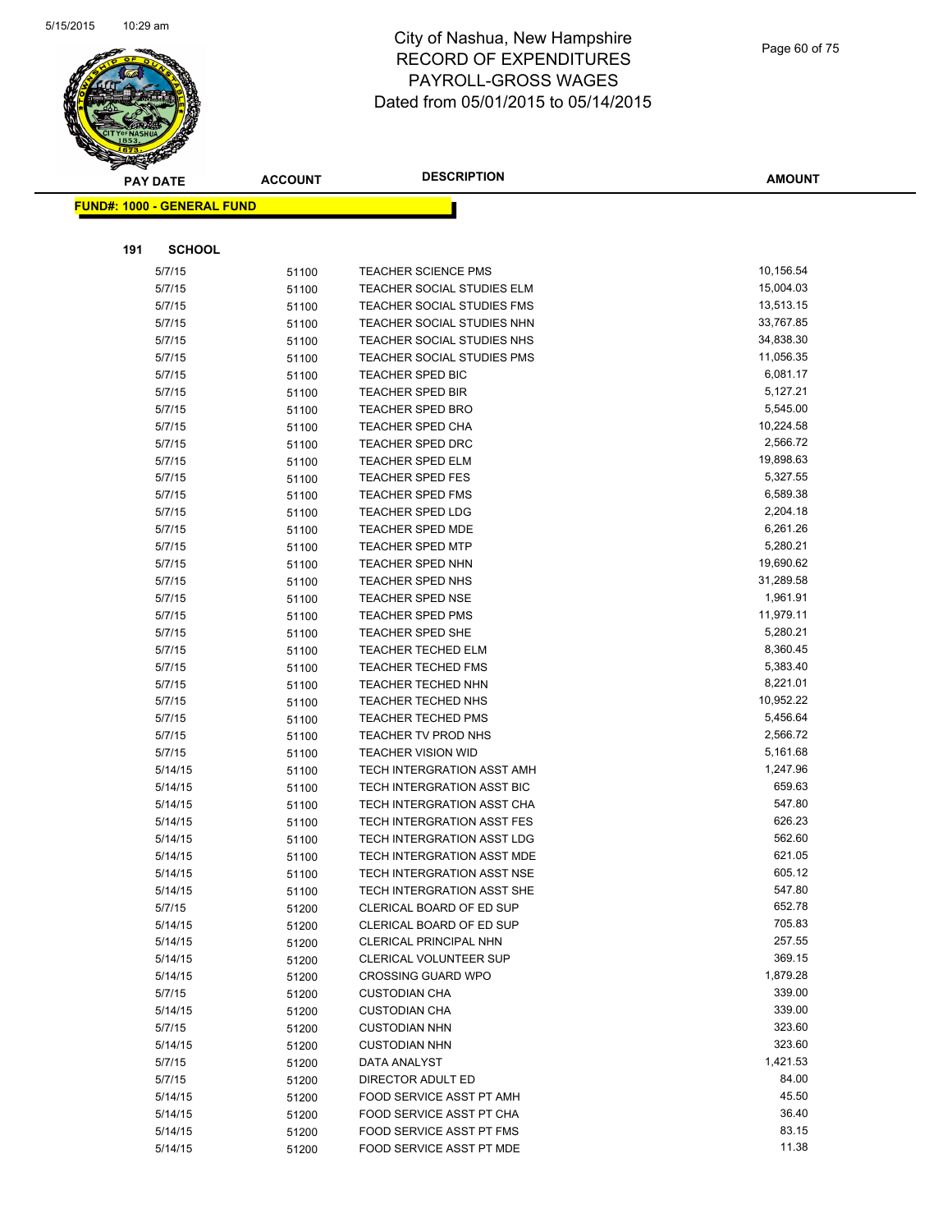

|     | <b>PAY DATE</b>                   | <b>ACCOUNT</b> | <b>DESCRIPTION</b>                                | <b>AMOUNT</b>      |
|-----|-----------------------------------|----------------|---------------------------------------------------|--------------------|
|     | <b>FUND#: 1000 - GENERAL FUND</b> |                |                                                   |                    |
|     |                                   |                |                                                   |                    |
| 191 | <b>SCHOOL</b>                     |                |                                                   |                    |
|     | 5/7/15                            | 51100          | <b>TEACHER SCIENCE PMS</b>                        | 10,156.54          |
|     | 5/7/15                            | 51100          | TEACHER SOCIAL STUDIES ELM                        | 15,004.03          |
|     | 5/7/15                            | 51100          | TEACHER SOCIAL STUDIES FMS                        | 13,513.15          |
|     | 5/7/15                            | 51100          | TEACHER SOCIAL STUDIES NHN                        | 33,767.85          |
|     | 5/7/15                            | 51100          | TEACHER SOCIAL STUDIES NHS                        | 34,838.30          |
|     | 5/7/15                            | 51100          | TEACHER SOCIAL STUDIES PMS                        | 11,056.35          |
|     | 5/7/15                            | 51100          | <b>TEACHER SPED BIC</b>                           | 6,081.17           |
|     | 5/7/15                            | 51100          | <b>TEACHER SPED BIR</b>                           | 5,127.21           |
|     | 5/7/15                            | 51100          | <b>TEACHER SPED BRO</b>                           | 5,545.00           |
|     | 5/7/15                            | 51100          | <b>TEACHER SPED CHA</b>                           | 10,224.58          |
|     | 5/7/15                            | 51100          | <b>TEACHER SPED DRC</b>                           | 2,566.72           |
|     | 5/7/15                            | 51100          | <b>TEACHER SPED ELM</b>                           | 19,898.63          |
|     | 5/7/15                            | 51100          | <b>TEACHER SPED FES</b>                           | 5,327.55           |
|     | 5/7/15                            | 51100          | <b>TEACHER SPED FMS</b>                           | 6,589.38           |
|     | 5/7/15                            | 51100          | <b>TEACHER SPED LDG</b>                           | 2,204.18           |
|     | 5/7/15                            | 51100          | <b>TEACHER SPED MDE</b>                           | 6,261.26           |
|     | 5/7/15                            | 51100          | <b>TEACHER SPED MTP</b>                           | 5,280.21           |
|     | 5/7/15                            | 51100          | <b>TEACHER SPED NHN</b>                           | 19,690.62          |
|     | 5/7/15                            | 51100          | <b>TEACHER SPED NHS</b>                           | 31,289.58          |
|     | 5/7/15                            | 51100          | TEACHER SPED NSE                                  | 1,961.91           |
|     | 5/7/15                            | 51100          | <b>TEACHER SPED PMS</b>                           | 11,979.11          |
|     | 5/7/15                            | 51100          | <b>TEACHER SPED SHE</b>                           | 5,280.21           |
|     | 5/7/15                            | 51100          | <b>TEACHER TECHED ELM</b>                         | 8,360.45           |
|     | 5/7/15                            | 51100          | <b>TEACHER TECHED FMS</b>                         | 5,383.40           |
|     | 5/7/15                            | 51100          | <b>TEACHER TECHED NHN</b>                         | 8,221.01           |
|     | 5/7/15                            | 51100          | <b>TEACHER TECHED NHS</b>                         | 10,952.22          |
|     | 5/7/15                            | 51100          | <b>TEACHER TECHED PMS</b>                         | 5,456.64           |
|     | 5/7/15                            | 51100          | TEACHER TV PROD NHS                               | 2,566.72           |
|     | 5/7/15                            | 51100          | <b>TEACHER VISION WID</b>                         | 5,161.68           |
|     | 5/14/15                           | 51100          | TECH INTERGRATION ASST AMH                        | 1,247.96           |
|     | 5/14/15                           | 51100          | TECH INTERGRATION ASST BIC                        | 659.63             |
|     | 5/14/15                           | 51100          | TECH INTERGRATION ASST CHA                        | 547.80             |
|     | 5/14/15                           | 51100          | TECH INTERGRATION ASST FES                        | 626.23             |
|     | 5/14/15                           | 51100          | TECH INTERGRATION ASST LDG                        | 562.60             |
|     | 5/14/15                           | 51100          | TECH INTERGRATION ASST MDE                        | 621.05             |
|     | 5/14/15                           | 51100          | TECH INTERGRATION ASST NSE                        | 605.12             |
|     | 5/14/15                           | 51100          | TECH INTERGRATION ASST SHE                        | 547.80             |
|     | 5/7/15                            | 51200          | CLERICAL BOARD OF ED SUP                          | 652.78             |
|     | 5/14/15                           | 51200          | CLERICAL BOARD OF ED SUP                          | 705.83             |
|     | 5/14/15                           | 51200          | CLERICAL PRINCIPAL NHN                            | 257.55             |
|     | 5/14/15                           | 51200          | CLERICAL VOLUNTEER SUP                            | 369.15             |
|     | 5/14/15                           | 51200          | <b>CROSSING GUARD WPO</b><br><b>CUSTODIAN CHA</b> | 1,879.28<br>339.00 |
|     | 5/7/15                            | 51200          |                                                   | 339.00             |
|     | 5/14/15                           | 51200          | <b>CUSTODIAN CHA</b>                              | 323.60             |
|     | 5/7/15                            | 51200          | <b>CUSTODIAN NHN</b>                              | 323.60             |
|     | 5/14/15<br>5/7/15                 | 51200          | <b>CUSTODIAN NHN</b><br>DATA ANALYST              | 1,421.53           |
|     | 5/7/15                            | 51200          | DIRECTOR ADULT ED                                 | 84.00              |
|     | 5/14/15                           | 51200          | FOOD SERVICE ASST PT AMH                          | 45.50              |
|     | 5/14/15                           | 51200<br>51200 | FOOD SERVICE ASST PT CHA                          | 36.40              |
|     | 5/14/15                           | 51200          | FOOD SERVICE ASST PT FMS                          | 83.15              |
|     | 5/14/15                           | 51200          | FOOD SERVICE ASST PT MDE                          | 11.38              |
|     |                                   |                |                                                   |                    |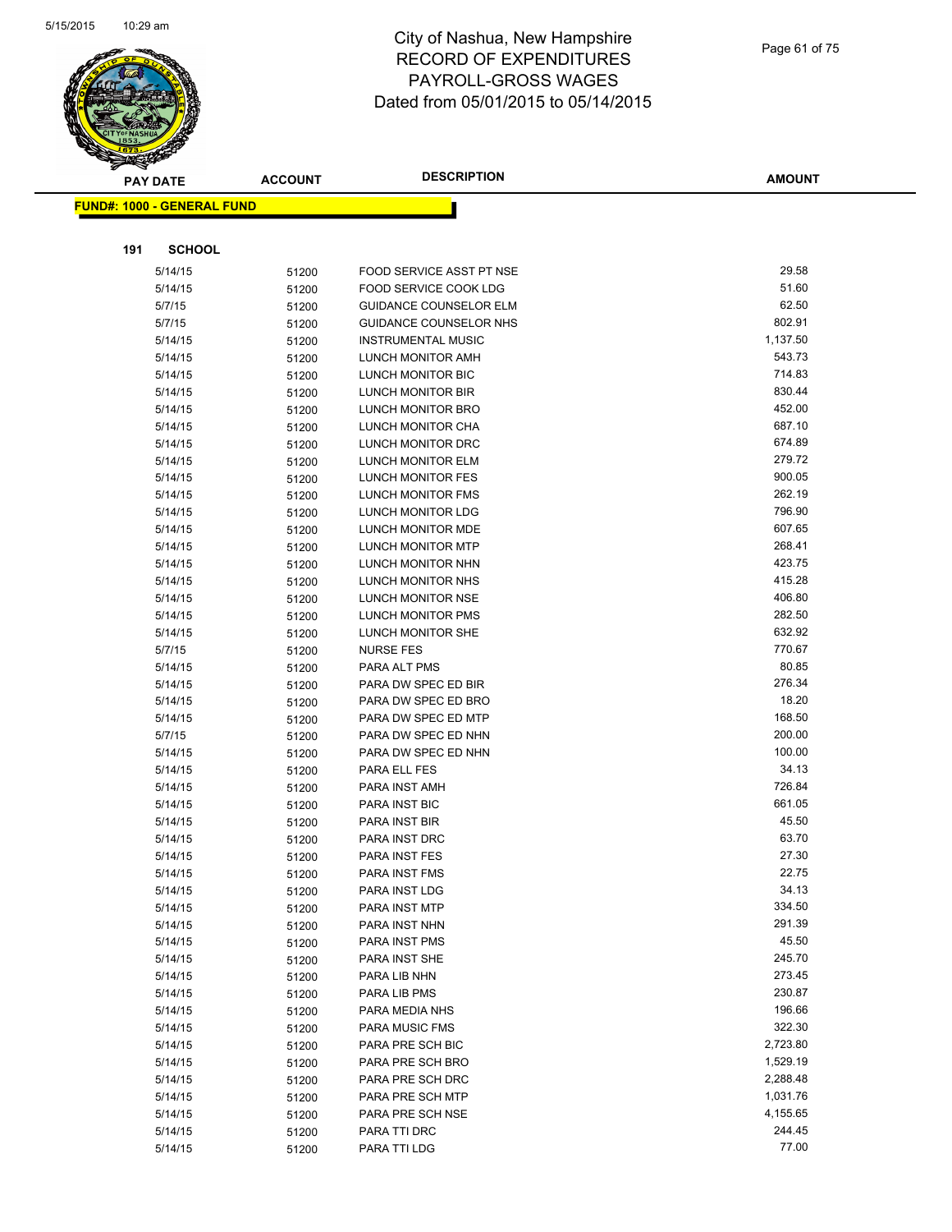

|     | <b>PAY DATE</b>                   | <b>ACCOUNT</b> | <b>DESCRIPTION</b>                  | <b>AMOUNT</b>    |
|-----|-----------------------------------|----------------|-------------------------------------|------------------|
|     | <b>FUND#: 1000 - GENERAL FUND</b> |                |                                     |                  |
|     |                                   |                |                                     |                  |
|     |                                   |                |                                     |                  |
| 191 | <b>SCHOOL</b>                     |                |                                     |                  |
|     | 5/14/15                           | 51200          | FOOD SERVICE ASST PT NSE            | 29.58            |
|     | 5/14/15                           | 51200          | FOOD SERVICE COOK LDG               | 51.60            |
|     | 5/7/15                            | 51200          | <b>GUIDANCE COUNSELOR ELM</b>       | 62.50            |
|     | 5/7/15                            | 51200          | GUIDANCE COUNSELOR NHS              | 802.91           |
|     | 5/14/15                           | 51200          | <b>INSTRUMENTAL MUSIC</b>           | 1,137.50         |
|     | 5/14/15                           | 51200          | LUNCH MONITOR AMH                   | 543.73           |
|     | 5/14/15                           | 51200          | LUNCH MONITOR BIC                   | 714.83           |
|     | 5/14/15                           | 51200          | LUNCH MONITOR BIR                   | 830.44           |
|     | 5/14/15                           | 51200          | LUNCH MONITOR BRO                   | 452.00           |
|     | 5/14/15                           | 51200          | LUNCH MONITOR CHA                   | 687.10           |
|     | 5/14/15                           | 51200          | LUNCH MONITOR DRC                   | 674.89           |
|     | 5/14/15                           | 51200          | LUNCH MONITOR ELM                   | 279.72           |
|     | 5/14/15                           | 51200          | LUNCH MONITOR FES                   | 900.05           |
|     | 5/14/15                           | 51200          | LUNCH MONITOR FMS                   | 262.19           |
|     | 5/14/15                           | 51200          | LUNCH MONITOR LDG                   | 796.90           |
|     | 5/14/15                           | 51200          | LUNCH MONITOR MDE                   | 607.65           |
|     | 5/14/15                           | 51200          | LUNCH MONITOR MTP                   | 268.41           |
|     | 5/14/15                           | 51200          | LUNCH MONITOR NHN                   | 423.75           |
|     | 5/14/15                           | 51200          | LUNCH MONITOR NHS                   | 415.28<br>406.80 |
|     | 5/14/15                           | 51200          | LUNCH MONITOR NSE                   | 282.50           |
|     | 5/14/15                           | 51200          | LUNCH MONITOR PMS                   | 632.92           |
|     | 5/14/15                           | 51200          | LUNCH MONITOR SHE                   | 770.67           |
|     | 5/7/15                            | 51200          | <b>NURSE FES</b>                    | 80.85            |
|     | 5/14/15<br>5/14/15                | 51200          | PARA ALT PMS<br>PARA DW SPEC ED BIR | 276.34           |
|     | 5/14/15                           | 51200          | PARA DW SPEC ED BRO                 | 18.20            |
|     | 5/14/15                           | 51200          | PARA DW SPEC ED MTP                 | 168.50           |
|     | 5/7/15                            | 51200          | PARA DW SPEC ED NHN                 | 200.00           |
|     | 5/14/15                           | 51200<br>51200 | PARA DW SPEC ED NHN                 | 100.00           |
|     | 5/14/15                           | 51200          | PARA ELL FES                        | 34.13            |
|     | 5/14/15                           | 51200          | PARA INST AMH                       | 726.84           |
|     | 5/14/15                           | 51200          | PARA INST BIC                       | 661.05           |
|     | 5/14/15                           | 51200          | PARA INST BIR                       | 45.50            |
|     | 5/14/15                           | 51200          | PARA INST DRC                       | 63.70            |
|     | 5/14/15                           | 51200          | <b>PARA INST FES</b>                | 27.30            |
|     | 5/14/15                           | 51200          | PARA INST FMS                       | 22.75            |
|     | 5/14/15                           | 51200          | PARA INST LDG                       | 34.13            |
|     | 5/14/15                           | 51200          | PARA INST MTP                       | 334.50           |
|     | 5/14/15                           | 51200          | PARA INST NHN                       | 291.39           |
|     | 5/14/15                           | 51200          | <b>PARA INST PMS</b>                | 45.50            |
|     | 5/14/15                           | 51200          | PARA INST SHE                       | 245.70           |
|     | 5/14/15                           | 51200          | PARA LIB NHN                        | 273.45           |
|     | 5/14/15                           | 51200          | PARA LIB PMS                        | 230.87           |
|     | 5/14/15                           | 51200          | PARA MEDIA NHS                      | 196.66           |
|     | 5/14/15                           | 51200          | PARA MUSIC FMS                      | 322.30           |
|     | 5/14/15                           | 51200          | PARA PRE SCH BIC                    | 2,723.80         |
|     | 5/14/15                           | 51200          | PARA PRE SCH BRO                    | 1,529.19         |
|     | 5/14/15                           | 51200          | PARA PRE SCH DRC                    | 2,288.48         |
|     | 5/14/15                           | 51200          | PARA PRE SCH MTP                    | 1,031.76         |
|     | 5/14/15                           | 51200          | PARA PRE SCH NSE                    | 4,155.65         |
|     | 5/14/15                           | 51200          | PARA TTI DRC                        | 244.45           |
|     | 5/14/15                           | 51200          | PARA TTI LDG                        | 77.00            |
|     |                                   |                |                                     |                  |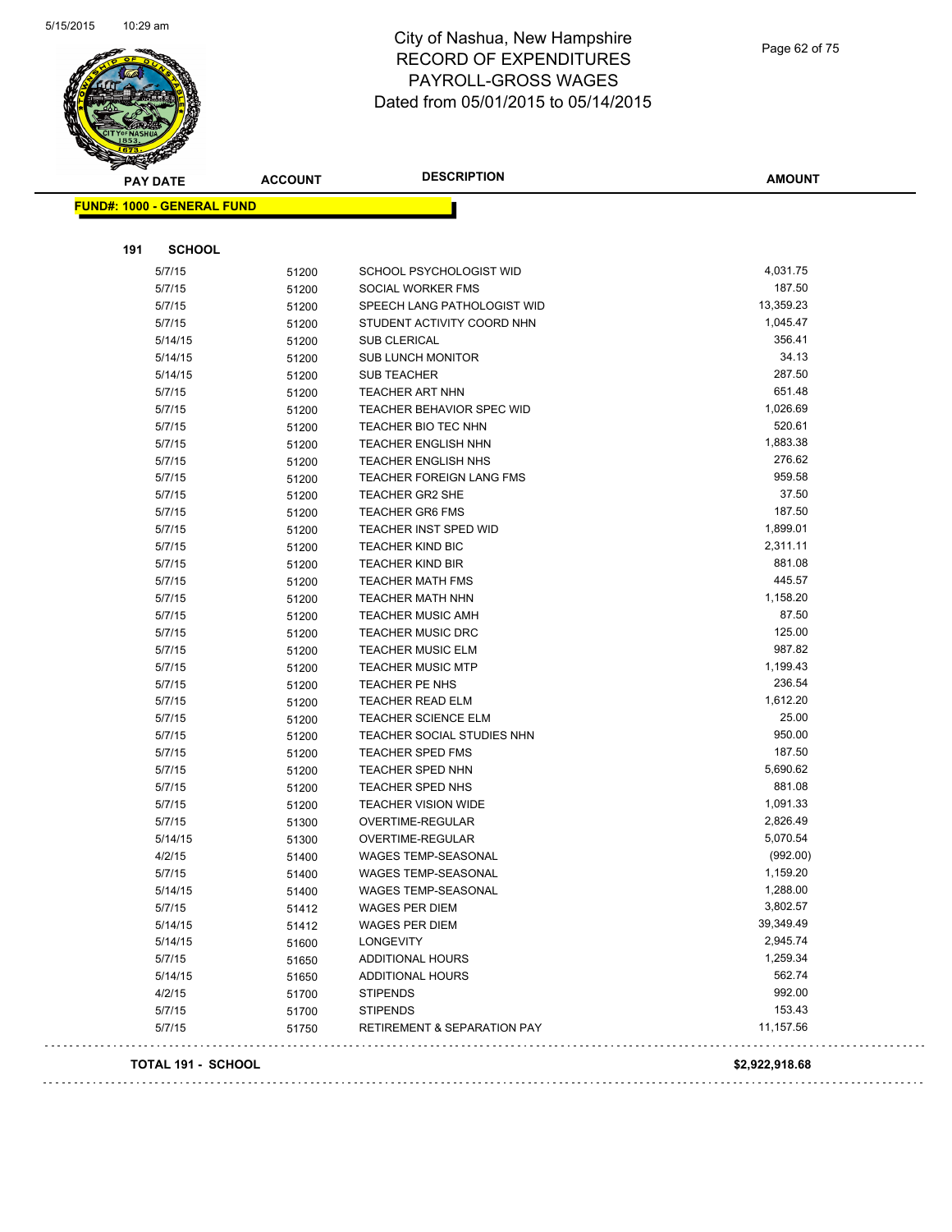

|                                   | <b>ACCOUNT</b> | <b>DESCRIPTION</b>                     | <b>AMOUNT</b> |
|-----------------------------------|----------------|----------------------------------------|---------------|
| <b>FUND#: 1000 - GENERAL FUND</b> |                |                                        |               |
|                                   |                |                                        |               |
| 191<br><b>SCHOOL</b>              |                |                                        |               |
| 5/7/15                            | 51200          | SCHOOL PSYCHOLOGIST WID                | 4,031.75      |
| 5/7/15                            | 51200          | SOCIAL WORKER FMS                      | 187.50        |
| 5/7/15                            | 51200          | SPEECH LANG PATHOLOGIST WID            | 13,359.23     |
| 5/7/15                            | 51200          | STUDENT ACTIVITY COORD NHN             | 1,045.47      |
| 5/14/15                           | 51200          | <b>SUB CLERICAL</b>                    | 356.41        |
| 5/14/15                           | 51200          | <b>SUB LUNCH MONITOR</b>               | 34.13         |
| 5/14/15                           | 51200          | <b>SUB TEACHER</b>                     | 287.50        |
| 5/7/15                            | 51200          | TEACHER ART NHN                        | 651.48        |
| 5/7/15                            | 51200          | TEACHER BEHAVIOR SPEC WID              | 1,026.69      |
| 5/7/15                            | 51200          | TEACHER BIO TEC NHN                    | 520.61        |
| 5/7/15                            | 51200          | <b>TEACHER ENGLISH NHN</b>             | 1,883.38      |
| 5/7/15                            | 51200          | TEACHER ENGLISH NHS                    | 276.62        |
| 5/7/15                            | 51200          | <b>TEACHER FOREIGN LANG FMS</b>        | 959.58        |
| 5/7/15                            | 51200          | TEACHER GR2 SHE                        | 37.50         |
| 5/7/15                            | 51200          | <b>TEACHER GR6 FMS</b>                 | 187.50        |
| 5/7/15                            | 51200          | TEACHER INST SPED WID                  | 1,899.01      |
| 5/7/15                            | 51200          | <b>TEACHER KIND BIC</b>                | 2,311.11      |
| 5/7/15                            | 51200          | <b>TEACHER KIND BIR</b>                | 881.08        |
| 5/7/15                            | 51200          | <b>TEACHER MATH FMS</b>                | 445.57        |
| 5/7/15                            | 51200          | <b>TEACHER MATH NHN</b>                | 1,158.20      |
| 5/7/15                            | 51200          | <b>TEACHER MUSIC AMH</b>               | 87.50         |
| 5/7/15                            | 51200          | <b>TEACHER MUSIC DRC</b>               | 125.00        |
| 5/7/15                            | 51200          | <b>TEACHER MUSIC ELM</b>               | 987.82        |
| 5/7/15                            | 51200          | <b>TEACHER MUSIC MTP</b>               | 1,199.43      |
| 5/7/15                            | 51200          | <b>TEACHER PE NHS</b>                  | 236.54        |
| 5/7/15                            | 51200          | <b>TEACHER READ ELM</b>                | 1,612.20      |
| 5/7/15                            | 51200          | <b>TEACHER SCIENCE ELM</b>             | 25.00         |
| 5/7/15                            | 51200          | TEACHER SOCIAL STUDIES NHN             | 950.00        |
| 5/7/15                            | 51200          | TEACHER SPED FMS                       | 187.50        |
| 5/7/15                            | 51200          | TEACHER SPED NHN                       | 5,690.62      |
| 5/7/15                            | 51200          | TEACHER SPED NHS                       | 881.08        |
| 5/7/15                            | 51200          | <b>TEACHER VISION WIDE</b>             | 1,091.33      |
| 5/7/15                            | 51300          | OVERTIME-REGULAR                       | 2,826.49      |
| 5/14/15                           | 51300          | OVERTIME-REGULAR                       | 5,070.54      |
| 4/2/15                            | 51400          | <b>WAGES TEMP-SEASONAL</b>             | (992.00)      |
| 5/7/15                            | 51400          | WAGES TEMP-SEASONAL                    | 1,159.20      |
| 5/14/15                           | 51400          | <b>WAGES TEMP-SEASONAL</b>             | 1,288.00      |
| 5/7/15                            | 51412          | WAGES PER DIEM                         | 3,802.57      |
| 5/14/15                           | 51412          | <b>WAGES PER DIEM</b>                  | 39,349.49     |
| 5/14/15                           | 51600          | <b>LONGEVITY</b>                       | 2,945.74      |
| 5/7/15                            | 51650          | <b>ADDITIONAL HOURS</b>                | 1,259.34      |
| 5/14/15                           | 51650          | ADDITIONAL HOURS                       | 562.74        |
| 4/2/15                            | 51700          | <b>STIPENDS</b>                        | 992.00        |
| 5/7/15                            | 51700          | <b>STIPENDS</b>                        | 153.43        |
|                                   |                | <b>RETIREMENT &amp; SEPARATION PAY</b> | 11,157.56     |
| 5/7/15                            | 51750          |                                        |               |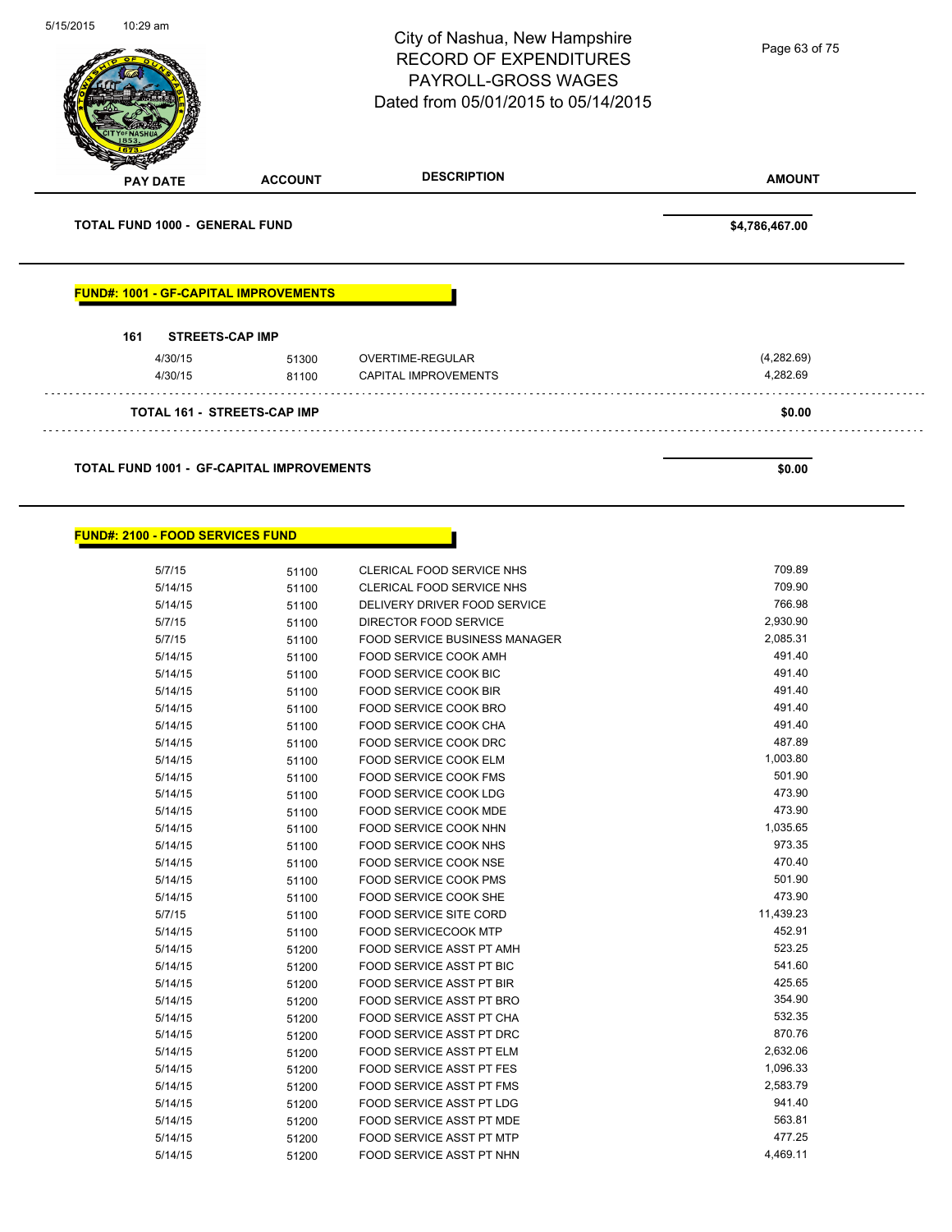| 5/15/2015 | 10:29 am                                         |                | City of Nashua, New Hampshire<br><b>RECORD OF EXPENDITURES</b><br>PAYROLL-GROSS WAGES<br>Dated from 05/01/2015 to 05/14/2015 | Page 63 of 75          |
|-----------|--------------------------------------------------|----------------|------------------------------------------------------------------------------------------------------------------------------|------------------------|
|           | <b>PAY DATE</b>                                  | <b>ACCOUNT</b> | <b>DESCRIPTION</b>                                                                                                           | <b>AMOUNT</b>          |
|           | TOTAL FUND 1000 - GENERAL FUND                   |                |                                                                                                                              | \$4,786,467.00         |
|           | <b>FUND#: 1001 - GF-CAPITAL IMPROVEMENTS</b>     |                |                                                                                                                              |                        |
|           |                                                  |                |                                                                                                                              |                        |
|           | 161<br><b>STREETS-CAP IMP</b>                    |                |                                                                                                                              |                        |
|           | 4/30/15<br>4/30/15                               | 51300<br>81100 | OVERTIME-REGULAR<br>CAPITAL IMPROVEMENTS                                                                                     | (4,282.69)<br>4,282.69 |
|           | <b>TOTAL 161 - STREETS-CAP IMP</b>               |                |                                                                                                                              | \$0.00                 |
|           | <b>TOTAL FUND 1001 - GF-CAPITAL IMPROVEMENTS</b> |                |                                                                                                                              | \$0.00                 |
|           | <b>FUND#: 2100 - FOOD SERVICES FUND</b>          |                |                                                                                                                              |                        |
|           | 5/7/15                                           | 51100          | CLERICAL FOOD SERVICE NHS                                                                                                    | 709.89                 |
|           | 5/14/15                                          | 51100          | CLERICAL FOOD SERVICE NHS                                                                                                    | 709.90                 |
|           | 5/14/15                                          | 51100          | DELIVERY DRIVER FOOD SERVICE                                                                                                 | 766.98                 |
|           | 5/7/15                                           | 51100          | DIRECTOR FOOD SERVICE                                                                                                        | 2,930.90               |
|           | 5/7/15<br>5/14/15                                | 51100<br>51100 | FOOD SERVICE BUSINESS MANAGER<br><b>FOOD SERVICE COOK AMH</b>                                                                | 2,085.31<br>491.40     |

| 5/7/15  | 51100 | <b>FOOD SERVICE BUSINESS MANAGER</b> | 2,085.31  |
|---------|-------|--------------------------------------|-----------|
| 5/14/15 | 51100 | FOOD SERVICE COOK AMH                | 491.40    |
| 5/14/15 | 51100 | <b>FOOD SERVICE COOK BIC</b>         | 491.40    |
| 5/14/15 | 51100 | <b>FOOD SERVICE COOK BIR</b>         | 491.40    |
| 5/14/15 | 51100 | FOOD SERVICE COOK BRO                | 491.40    |
| 5/14/15 | 51100 | FOOD SERVICE COOK CHA                | 491.40    |
| 5/14/15 | 51100 | FOOD SERVICE COOK DRC                | 487.89    |
| 5/14/15 | 51100 | <b>FOOD SERVICE COOK ELM</b>         | 1,003.80  |
| 5/14/15 | 51100 | FOOD SERVICE COOK FMS                | 501.90    |
| 5/14/15 | 51100 | <b>FOOD SERVICE COOK LDG</b>         | 473.90    |
| 5/14/15 | 51100 | FOOD SERVICE COOK MDE                | 473.90    |
| 5/14/15 | 51100 | FOOD SERVICE COOK NHN                | 1,035.65  |
| 5/14/15 | 51100 | <b>FOOD SERVICE COOK NHS</b>         | 973.35    |
| 5/14/15 | 51100 | <b>FOOD SERVICE COOK NSE</b>         | 470.40    |
| 5/14/15 | 51100 | <b>FOOD SERVICE COOK PMS</b>         | 501.90    |
| 5/14/15 | 51100 | FOOD SERVICE COOK SHE                | 473.90    |
| 5/7/15  | 51100 | <b>FOOD SERVICE SITE CORD</b>        | 11,439.23 |
| 5/14/15 | 51100 | <b>FOOD SERVICECOOK MTP</b>          | 452.91    |
| 5/14/15 | 51200 | FOOD SERVICE ASST PT AMH             | 523.25    |
| 5/14/15 | 51200 | <b>FOOD SERVICE ASST PT BIC</b>      | 541.60    |
| 5/14/15 | 51200 | <b>FOOD SERVICE ASST PT BIR</b>      | 425.65    |
| 5/14/15 | 51200 | FOOD SERVICE ASST PT BRO             | 354.90    |
| 5/14/15 | 51200 | FOOD SERVICE ASST PT CHA             | 532.35    |
| 5/14/15 | 51200 | FOOD SERVICE ASST PT DRC             | 870.76    |
| 5/14/15 | 51200 | <b>FOOD SERVICE ASST PT ELM</b>      | 2,632.06  |
| 5/14/15 | 51200 | <b>FOOD SERVICE ASST PT FES</b>      | 1,096.33  |
| 5/14/15 | 51200 | <b>FOOD SERVICE ASST PT FMS</b>      | 2,583.79  |
| 5/14/15 | 51200 | FOOD SERVICE ASST PT LDG             | 941.40    |
| 5/14/15 | 51200 | FOOD SERVICE ASST PT MDE             | 563.81    |
| 5/14/15 | 51200 | <b>FOOD SERVICE ASST PT MTP</b>      | 477.25    |
| 5/14/15 | 51200 | FOOD SERVICE ASST PT NHN             | 4,469.11  |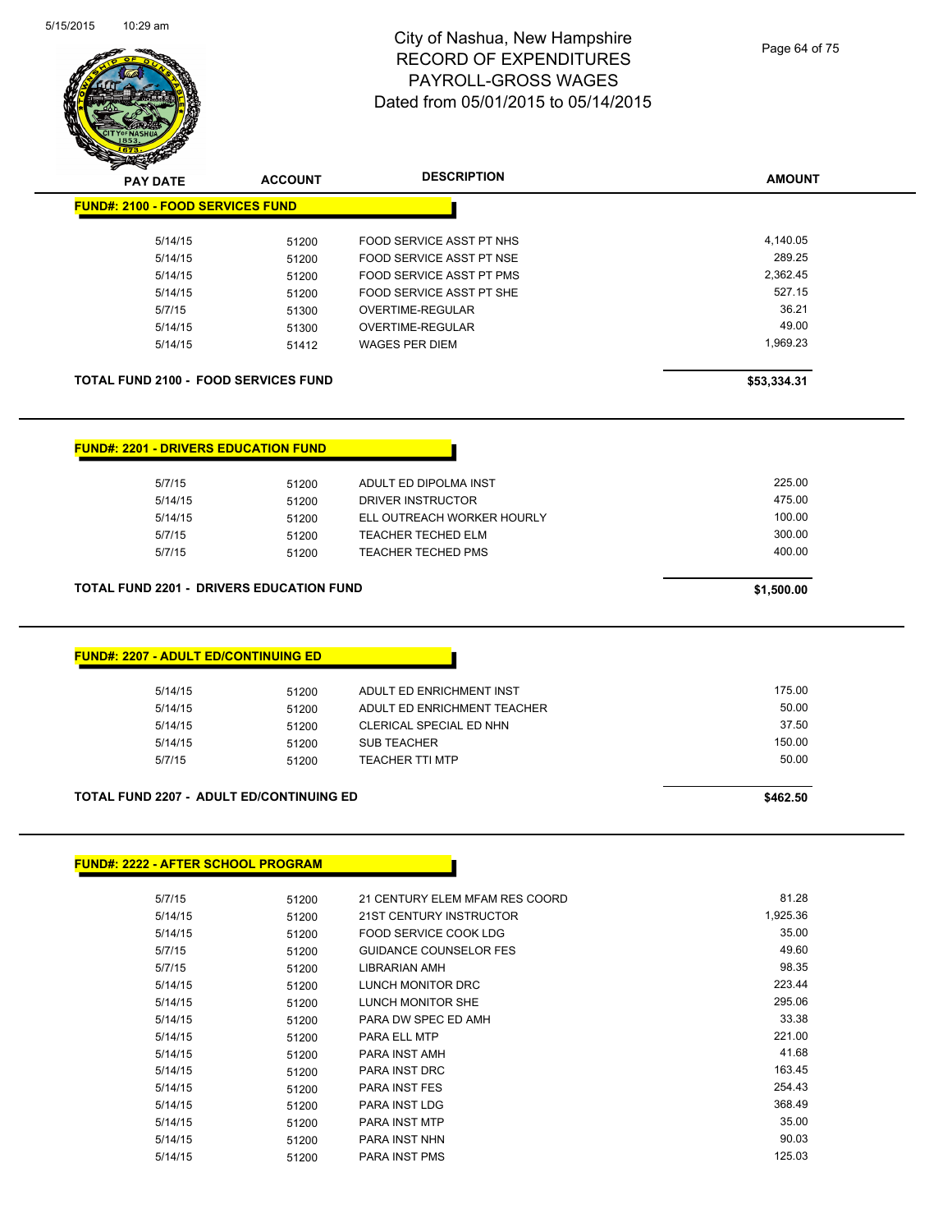

| <b>PAY DATE</b>                                                                                        | <b>ACCOUNT</b> | <b>DESCRIPTION</b>              | <b>AMOUNT</b> |
|--------------------------------------------------------------------------------------------------------|----------------|---------------------------------|---------------|
| <b>FUND#: 2100 - FOOD SERVICES FUND</b>                                                                |                |                                 |               |
| 5/14/15                                                                                                | 51200          | FOOD SERVICE ASST PT NHS        | 4,140.05      |
| 5/14/15                                                                                                | 51200          | FOOD SERVICE ASST PT NSE        | 289.25        |
| 5/14/15                                                                                                | 51200          | <b>FOOD SERVICE ASST PT PMS</b> | 2,362.45      |
| 5/14/15                                                                                                | 51200          | FOOD SERVICE ASST PT SHE        | 527.15        |
| 5/7/15                                                                                                 | 51300          | OVERTIME-REGULAR                | 36.21         |
| 5/14/15                                                                                                | 51300          | OVERTIME-REGULAR                | 49.00         |
| 5/14/15                                                                                                | 51412          | <b>WAGES PER DIEM</b>           | 1,969.23      |
| <b>TOTAL FUND 2100 - FOOD SERVICES FUND</b>                                                            |                |                                 | \$53,334.31   |
| <b>FUND#: 2201 - DRIVERS EDUCATION FUND</b>                                                            |                |                                 |               |
| 5/7/15                                                                                                 | 51200          | ADULT ED DIPOLMA INST           | 225.00        |
| 5/14/15                                                                                                | 51200          | <b>DRIVER INSTRUCTOR</b>        | 475.00        |
|                                                                                                        |                | ELL OUTREACH WORKER HOURLY      | 100.00        |
| 5/14/15                                                                                                | 51200          |                                 |               |
| 5/7/15                                                                                                 | 51200          | TEACHER TECHED ELM              | 300.00        |
| 5/7/15                                                                                                 | 51200          | <b>TEACHER TECHED PMS</b>       | 400.00        |
|                                                                                                        |                |                                 | \$1,500.00    |
| <b>TOTAL FUND 2201 - DRIVERS EDUCATION FUND</b><br><b>FUND#: 2207 - ADULT ED/CONTINUING ED</b>         |                |                                 |               |
| 5/14/15                                                                                                |                | ADULT ED ENRICHMENT INST        | 175.00        |
| 5/14/15                                                                                                | 51200<br>51200 | ADULT ED ENRICHMENT TEACHER     | 50.00         |
| 5/14/15                                                                                                | 51200          | CLERICAL SPECIAL ED NHN         | 37.50         |
| 5/14/15                                                                                                |                | <b>SUB TEACHER</b>              | 150.00        |
| 5/7/15                                                                                                 | 51200<br>51200 | <b>TEACHER TTI MTP</b>          | 50.00         |
|                                                                                                        |                |                                 | \$462.50      |
|                                                                                                        |                |                                 |               |
| <b>TOTAL FUND 2207 - ADULT ED/CONTINUING ED</b><br><b>FUND#: 2222 - AFTER SCHOOL PROGRAM</b><br>5/7/15 | 51200          | 21 CENTURY ELEM MFAM RES COORD  | 81.28         |

| 5/7/15  | 51200 | 21 CENTURY ELEM MFAM RES COORD | 81.ZO    |
|---------|-------|--------------------------------|----------|
| 5/14/15 | 51200 | 21ST CENTURY INSTRUCTOR        | 1,925.36 |
| 5/14/15 | 51200 | FOOD SERVICE COOK LDG          | 35.00    |
| 5/7/15  | 51200 | <b>GUIDANCE COUNSELOR FES</b>  | 49.60    |
| 5/7/15  | 51200 | LIBRARIAN AMH                  | 98.35    |
| 5/14/15 | 51200 | LUNCH MONITOR DRC              | 223.44   |
| 5/14/15 | 51200 | LUNCH MONITOR SHE              | 295.06   |
| 5/14/15 | 51200 | PARA DW SPEC ED AMH            | 33.38    |
| 5/14/15 | 51200 | <b>PARA ELL MTP</b>            | 221.00   |
| 5/14/15 | 51200 | PARA INST AMH                  | 41.68    |
| 5/14/15 | 51200 | <b>PARA INST DRC</b>           | 163.45   |
| 5/14/15 | 51200 | <b>PARA INST FES</b>           | 254.43   |
| 5/14/15 | 51200 | <b>PARA INST LDG</b>           | 368.49   |
| 5/14/15 | 51200 | <b>PARA INST MTP</b>           | 35.00    |
| 5/14/15 | 51200 | <b>PARA INST NHN</b>           | 90.03    |
| 5/14/15 | 51200 | <b>PARA INST PMS</b>           | 125.03   |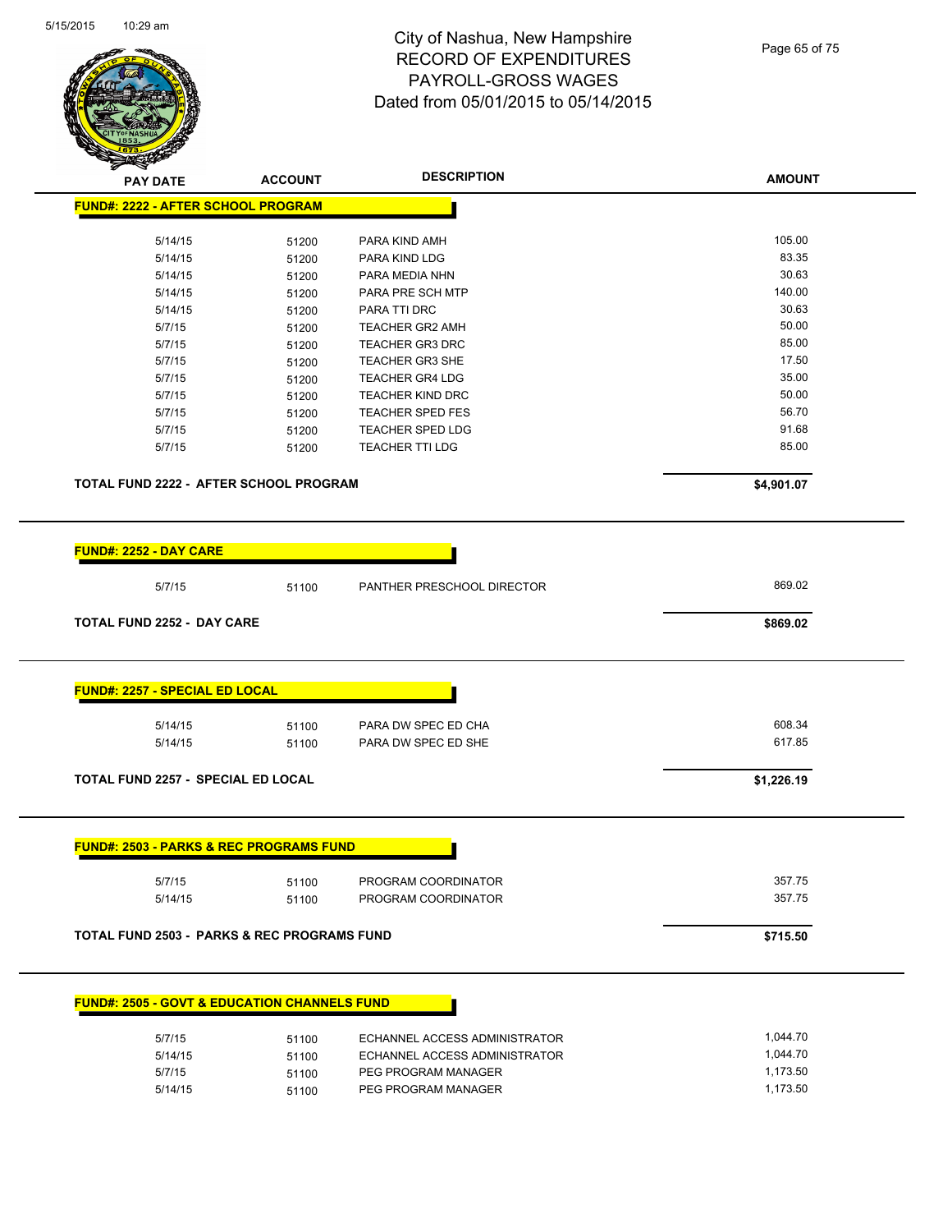

| <b>PAY DATE</b>                                         | <b>ACCOUNT</b> | <b>DESCRIPTION</b>         | <b>AMOUNT</b> |
|---------------------------------------------------------|----------------|----------------------------|---------------|
| <b>FUND#: 2222 - AFTER SCHOOL PROGRAM</b>               |                |                            |               |
| 5/14/15                                                 | 51200          | PARA KIND AMH              | 105.00        |
| 5/14/15                                                 | 51200          | PARA KIND LDG              | 83.35         |
| 5/14/15                                                 | 51200          | PARA MEDIA NHN             | 30.63         |
| 5/14/15                                                 | 51200          | PARA PRE SCH MTP           | 140.00        |
| 5/14/15                                                 | 51200          | PARA TTI DRC               | 30.63         |
| 5/7/15                                                  | 51200          | <b>TEACHER GR2 AMH</b>     | 50.00         |
| 5/7/15                                                  | 51200          | <b>TEACHER GR3 DRC</b>     | 85.00         |
| 5/7/15                                                  | 51200          | <b>TEACHER GR3 SHE</b>     | 17.50         |
| 5/7/15                                                  | 51200          | <b>TEACHER GR4 LDG</b>     | 35.00         |
| 5/7/15                                                  | 51200          | <b>TEACHER KIND DRC</b>    | 50.00         |
| 5/7/15                                                  | 51200          | TEACHER SPED FES           | 56.70         |
| 5/7/15                                                  | 51200          | <b>TEACHER SPED LDG</b>    | 91.68         |
| 5/7/15                                                  | 51200          | <b>TEACHER TTI LDG</b>     | 85.00         |
| <b>TOTAL FUND 2222 - AFTER SCHOOL PROGRAM</b>           |                |                            | \$4,901.07    |
| <b>FUND#: 2252 - DAY CARE</b>                           |                |                            |               |
| 5/7/15                                                  | 51100          | PANTHER PRESCHOOL DIRECTOR | 869.02        |
| <b>TOTAL FUND 2252 - DAY CARE</b>                       |                |                            | \$869.02      |
| <b>FUND#: 2257 - SPECIAL ED LOCAL</b>                   |                |                            |               |
| 5/14/15                                                 | 51100          | PARA DW SPEC ED CHA        | 608.34        |
| 5/14/15                                                 | 51100          | PARA DW SPEC ED SHE        | 617.85        |
| TOTAL FUND 2257 - SPECIAL ED LOCAL                      |                |                            | \$1,226.19    |
| <b>FUND#: 2503 - PARKS &amp; REC PROGRAMS FUND</b>      |                |                            |               |
| 5/7/15                                                  | 51100          | PROGRAM COORDINATOR        | 357.75        |
| 5/14/15                                                 | 51100          | PROGRAM COORDINATOR        | 357.75        |
| <b>TOTAL FUND 2503 - PARKS &amp; REC PROGRAMS FUND</b>  |                |                            | \$715.50      |
| <b>FUND#: 2505 - GOVT &amp; EDUCATION CHANNELS FUND</b> |                |                            |               |
|                                                         |                |                            |               |

| 5/7/15  | 51100 | ECHANNEL ACCESS ADMINISTRATOR | 1.044.70 |
|---------|-------|-------------------------------|----------|
| 5/14/15 | 51100 | ECHANNEL ACCESS ADMINISTRATOR | 1.044.70 |
| 5/7/15  | 51100 | PEG PROGRAM MANAGER           | 1.173.50 |
| 5/14/15 | 51100 | PEG PROGRAM MANAGER           | 1.173.50 |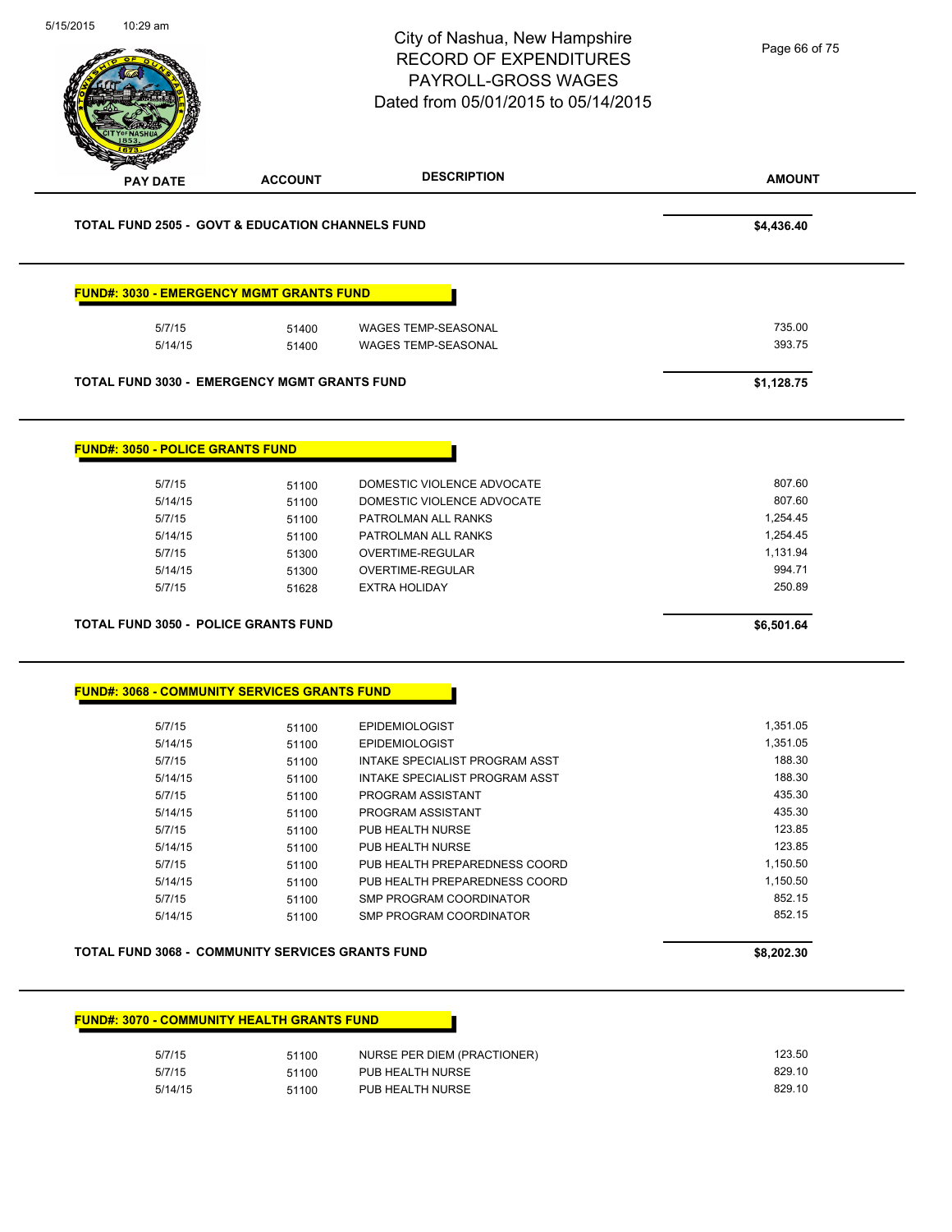|                                                             |                | City of Nashua, New Hampshire<br><b>RECORD OF EXPENDITURES</b><br><b>PAYROLL-GROSS WAGES</b><br>Dated from 05/01/2015 to 05/14/2015 | Page 66 of 75    |
|-------------------------------------------------------------|----------------|-------------------------------------------------------------------------------------------------------------------------------------|------------------|
| <b>PAY DATE</b>                                             | <b>ACCOUNT</b> | <b>DESCRIPTION</b>                                                                                                                  | <b>AMOUNT</b>    |
| <b>TOTAL FUND 2505 - GOVT &amp; EDUCATION CHANNELS FUND</b> |                |                                                                                                                                     | \$4,436.40       |
| <b>FUND#: 3030 - EMERGENCY MGMT GRANTS FUND</b>             |                |                                                                                                                                     |                  |
| 5/7/15<br>5/14/15                                           | 51400<br>51400 | <b>WAGES TEMP-SEASONAL</b><br><b>WAGES TEMP-SEASONAL</b>                                                                            | 735.00<br>393.75 |
| <b>TOTAL FUND 3030 - EMERGENCY MGMT GRANTS FUND</b>         |                |                                                                                                                                     | \$1,128.75       |
| <b>FUND#: 3050 - POLICE GRANTS FUND</b>                     |                |                                                                                                                                     |                  |
| 5/7/15                                                      | 51100          | DOMESTIC VIOLENCE ADVOCATE                                                                                                          | 807.60           |
| 5/14/15                                                     | 51100          | DOMESTIC VIOLENCE ADVOCATE                                                                                                          | 807.60           |
| 5/7/15                                                      | 51100          | PATROLMAN ALL RANKS                                                                                                                 | 1,254.45         |
| 5/14/15                                                     | 51100          | PATROLMAN ALL RANKS                                                                                                                 | 1,254.45         |
| 5/7/15                                                      | 51300          | OVERTIME-REGULAR                                                                                                                    | 1,131.94         |
| 5/14/15                                                     | 51300          | OVERTIME-REGULAR                                                                                                                    | 994.71           |
| 5/7/15                                                      | 51628          | <b>EXTRA HOLIDAY</b>                                                                                                                | 250.89           |
| <b>TOTAL FUND 3050 - POLICE GRANTS FUND</b>                 |                |                                                                                                                                     | \$6,501.64       |
| <u> FUND#: 3068 - COMMUNITY SERVICES GRANTS FUND</u>        |                |                                                                                                                                     |                  |
| 5/7/15                                                      | 51100          | <b>EPIDEMIOLOGIST</b>                                                                                                               | 1,351.05         |
| 5/14/15                                                     | 51100          | <b>EPIDEMIOLOGIST</b>                                                                                                               | 1,351.05         |
| 5/7/15                                                      | 51100          | INTAKE SPECIALIST PROGRAM ASST                                                                                                      | 188.30           |
| 5/14/15                                                     | 51100          | INTAKE SPECIALIST PROGRAM ASST                                                                                                      | 188.30           |
| 5/7/15                                                      | 51100          | PROGRAM ASSISTANT                                                                                                                   | 435.30           |
| 5/14/15                                                     | 51100          | PROGRAM ASSISTANT                                                                                                                   | 435.30           |
| 5/7/15                                                      | 51100          | PUB HEALTH NURSE                                                                                                                    | 123.85           |
| 5/14/15                                                     | 51100          | PUB HEALTH NURSE                                                                                                                    | 123.85           |
| 5/7/15                                                      | 51100          | PUB HEALTH PREPAREDNESS COORD                                                                                                       | 1,150.50         |
| 5/14/15                                                     | 51100          | PUB HEALTH PREPAREDNESS COORD                                                                                                       | 1,150.50         |
| 5/7/15                                                      | 51100          | SMP PROGRAM COORDINATOR                                                                                                             | 852.15           |
| 5/14/15                                                     | 51100          | SMP PROGRAM COORDINATOR                                                                                                             | 852.15           |
|                                                             |                |                                                                                                                                     | \$8,202.30       |
| TOTAL FUND 3068 - COMMUNITY SERVICES GRANTS FUND            |                |                                                                                                                                     |                  |

5/7/15 51100 NURSE PER DIEM (PRACTIONER) 123.50 5/7/15 51100 PUB HEALTH NURSE 507/15 829.10 5/14/15 51100 PUB HEALTH NURSE 829.10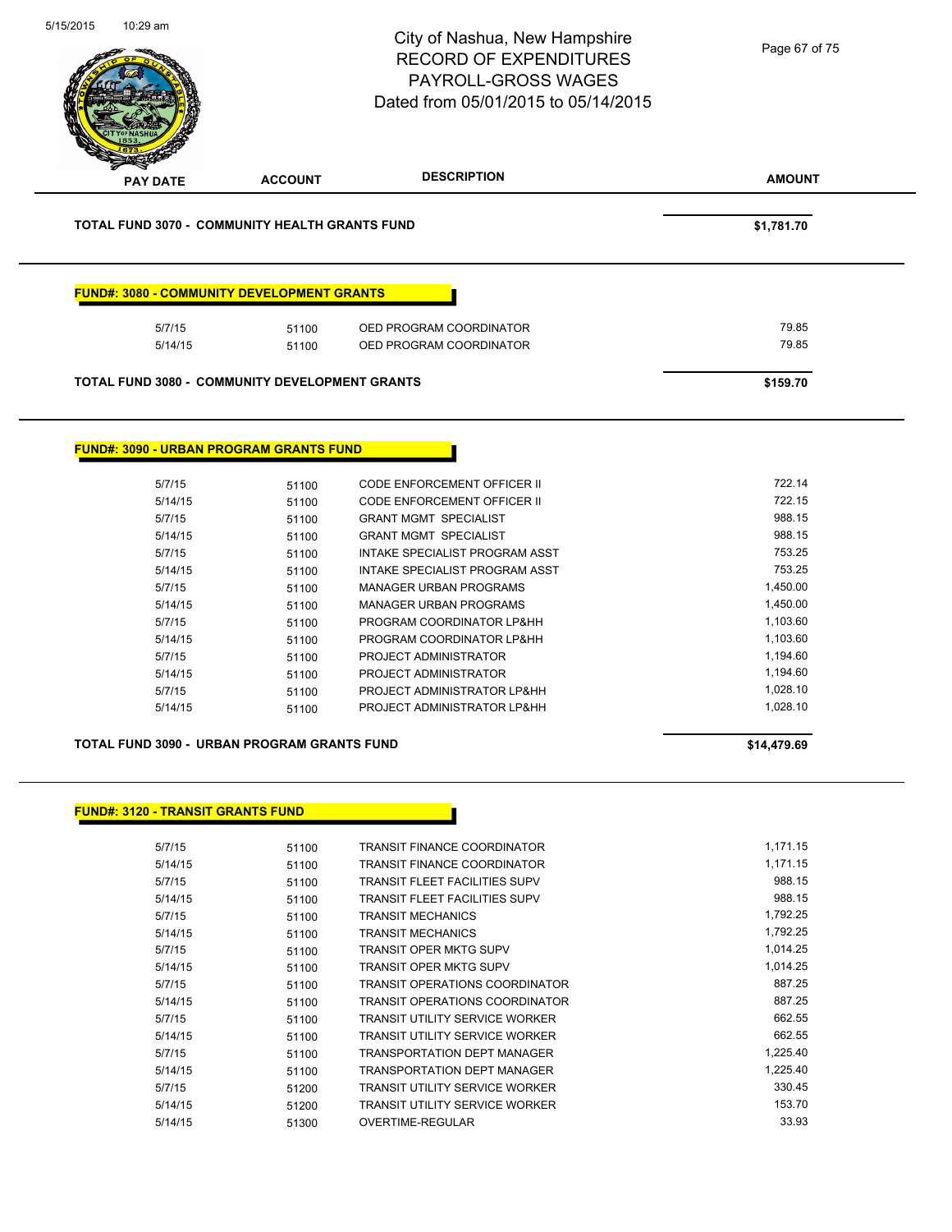| 5/15/2015 | 10:29 am                                 |                                                       | City of Nashua, New Hampshire<br><b>RECORD OF EXPENDITURES</b><br><b>PAYROLL-GROSS WAGES</b><br>Dated from 05/01/2015 to 05/14/2015 | Page 67 of 75 |
|-----------|------------------------------------------|-------------------------------------------------------|-------------------------------------------------------------------------------------------------------------------------------------|---------------|
|           | <b>PAY DATE</b>                          | <b>ACCOUNT</b>                                        | <b>DESCRIPTION</b>                                                                                                                  | <b>AMOUNT</b> |
|           |                                          | <b>TOTAL FUND 3070 - COMMUNITY HEALTH GRANTS FUND</b> |                                                                                                                                     | \$1,781.70    |
|           |                                          | <b>FUND#: 3080 - COMMUNITY DEVELOPMENT GRANTS</b>     |                                                                                                                                     |               |
|           | 5/7/15                                   | 51100                                                 | OED PROGRAM COORDINATOR                                                                                                             | 79.85         |
|           | 5/14/15                                  | 51100                                                 | OED PROGRAM COORDINATOR                                                                                                             | 79.85         |
|           |                                          |                                                       |                                                                                                                                     |               |
|           |                                          | <b>TOTAL FUND 3080 - COMMUNITY DEVELOPMENT GRANTS</b> |                                                                                                                                     | \$159.70      |
|           |                                          |                                                       |                                                                                                                                     |               |
|           |                                          | <b>FUND#: 3090 - URBAN PROGRAM GRANTS FUND</b>        |                                                                                                                                     |               |
|           |                                          |                                                       |                                                                                                                                     | 722.14        |
|           | 5/7/15<br>5/14/15                        | 51100<br>51100                                        | CODE ENFORCEMENT OFFICER II<br>CODE ENFORCEMENT OFFICER II                                                                          | 722.15        |
|           | 5/7/15                                   | 51100                                                 | <b>GRANT MGMT SPECIALIST</b>                                                                                                        | 988.15        |
|           | 5/14/15                                  |                                                       | <b>GRANT MGMT SPECIALIST</b>                                                                                                        | 988.15        |
|           | 5/7/15                                   | 51100                                                 | INTAKE SPECIALIST PROGRAM ASST                                                                                                      | 753.25        |
|           | 5/14/15                                  | 51100                                                 | INTAKE SPECIALIST PROGRAM ASST                                                                                                      | 753.25        |
|           | 5/7/15                                   | 51100                                                 | <b>MANAGER URBAN PROGRAMS</b>                                                                                                       | 1,450.00      |
|           | 5/14/15                                  | 51100<br>51100                                        | <b>MANAGER URBAN PROGRAMS</b>                                                                                                       | 1,450.00      |
|           | 5/7/15                                   |                                                       | PROGRAM COORDINATOR LP&HH                                                                                                           | 1,103.60      |
|           | 5/14/15                                  | 51100                                                 | PROGRAM COORDINATOR LP&HH                                                                                                           | 1,103.60      |
|           | 5/7/15                                   | 51100                                                 | PROJECT ADMINISTRATOR                                                                                                               | 1,194.60      |
|           |                                          | 51100                                                 |                                                                                                                                     | 1,194.60      |
|           | 5/14/15<br>5/7/15                        | 51100<br>51100                                        | PROJECT ADMINISTRATOR<br>PROJECT ADMINISTRATOR LP&HH                                                                                | 1,028.10      |
|           | 5/14/15                                  | 51100                                                 | PROJECT ADMINISTRATOR LP&HH                                                                                                         | 1,028.10      |
|           |                                          |                                                       |                                                                                                                                     |               |
|           |                                          | <b>TOTAL FUND 3090 - URBAN PROGRAM GRANTS FUND</b>    |                                                                                                                                     | \$14,479.69   |
|           |                                          |                                                       |                                                                                                                                     |               |
|           | <b>FUND#: 3120 - TRANSIT GRANTS FUND</b> |                                                       |                                                                                                                                     |               |
|           | 5/7/15                                   | 51100                                                 | <b>TRANSIT FINANCE COORDINATOR</b>                                                                                                  | 1,171.15      |
|           | 5/14/15                                  | 51100                                                 | <b>TRANSIT FINANCE COORDINATOR</b>                                                                                                  | 1,171.15      |
|           | 5/7/15                                   | 51100                                                 | <b>TRANSIT FLEET FACILITIES SUPV</b>                                                                                                | 988.15        |
|           | 5/14/15                                  | 51100                                                 | <b>TRANSIT FLEET FACILITIES SUPV</b>                                                                                                | 988.15        |
|           | 5/7/15                                   | 51100                                                 | <b>TRANSIT MECHANICS</b>                                                                                                            | 1,792.25      |
|           | 5/14/15                                  | 51100                                                 | <b>TRANSIT MECHANICS</b>                                                                                                            | 1,792.25      |
|           | 5/7/15                                   | 51100                                                 | <b>TRANSIT OPER MKTG SUPV</b>                                                                                                       | 1,014.25      |
|           | 5/14/15                                  | 51100                                                 | <b>TRANSIT OPER MKTG SUPV</b>                                                                                                       | 1,014.25      |
|           | 5/7/15                                   | 51100                                                 | TRANSIT OPERATIONS COORDINATOR                                                                                                      | 887.25        |
|           | 5/14/15                                  | 51100                                                 | TRANSIT OPERATIONS COORDINATOR                                                                                                      | 887.25        |

5/7/15 51100 TRANSIT UTILITY SERVICE WORKER 5/7/15 5/14/15 51100 TRANSIT UTILITY SERVICE WORKER 662.55 5/7/15 51100 TRANSPORTATION DEPT MANAGER 1,225.40

5/7/15 51200 TRANSIT UTILITY SERVICE WORKER **1200** 330.45 5/14/15 51200 TRANSIT UTILITY SERVICE WORKER 153.70 5/14/15 51300 OVERTIME-REGULAR 33.93

5/14/15 51100 TRANSPORTATION DEPT MANAGER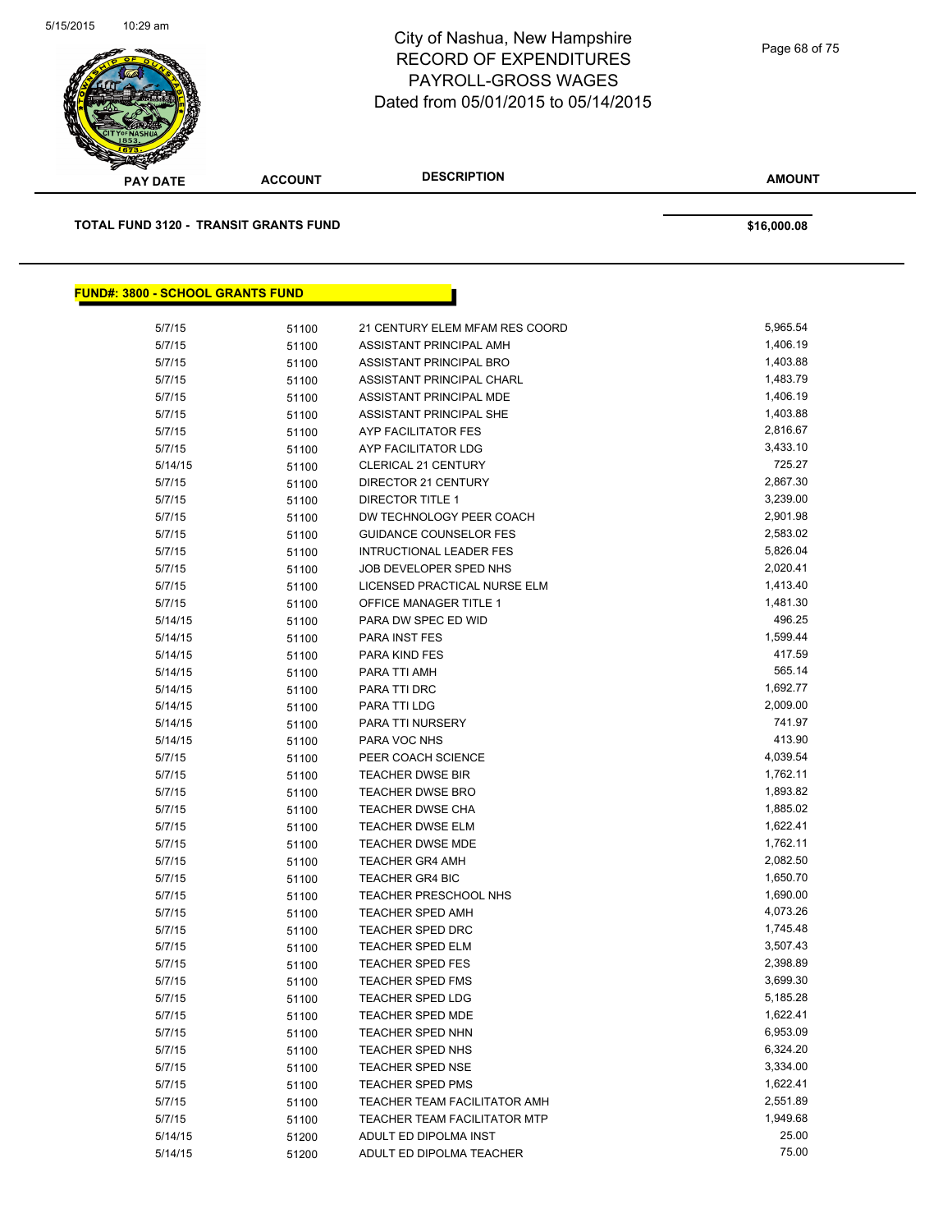

**AMOUNT PAY DATE ACCOUNT DESCRIPTION TOTAL FUND 3120 - TRANSIT GRANTS FUND \$16,000.08 FUND#: 3800 - SCHOOL GRANTS FUND**

| 5/7/15  | 51100 | 21 CENTURY ELEM MFAM RES COORD<br>ASSISTANT PRINCIPAL AMH | 5,965.54<br>1,406.19 |
|---------|-------|-----------------------------------------------------------|----------------------|
| 5/7/15  | 51100 | ASSISTANT PRINCIPAL BRO                                   | 1,403.88             |
| 5/7/15  | 51100 | ASSISTANT PRINCIPAL CHARL                                 | 1,483.79             |
| 5/7/15  | 51100 |                                                           | 1,406.19             |
| 5/7/15  | 51100 | ASSISTANT PRINCIPAL MDE                                   |                      |
| 5/7/15  | 51100 | ASSISTANT PRINCIPAL SHE                                   | 1,403.88             |
| 5/7/15  | 51100 | <b>AYP FACILITATOR FES</b>                                | 2,816.67             |
| 5/7/15  | 51100 | AYP FACILITATOR LDG                                       | 3,433.10             |
| 5/14/15 | 51100 | <b>CLERICAL 21 CENTURY</b>                                | 725.27               |
| 5/7/15  | 51100 | DIRECTOR 21 CENTURY                                       | 2,867.30             |
| 5/7/15  | 51100 | <b>DIRECTOR TITLE 1</b>                                   | 3,239.00             |
| 5/7/15  | 51100 | DW TECHNOLOGY PEER COACH                                  | 2,901.98             |
| 5/7/15  | 51100 | <b>GUIDANCE COUNSELOR FES</b>                             | 2,583.02             |
| 5/7/15  | 51100 | <b>INTRUCTIONAL LEADER FES</b>                            | 5,826.04             |
| 5/7/15  | 51100 | JOB DEVELOPER SPED NHS                                    | 2,020.41             |
| 5/7/15  | 51100 | LICENSED PRACTICAL NURSE ELM                              | 1,413.40             |
| 5/7/15  | 51100 | OFFICE MANAGER TITLE 1                                    | 1,481.30             |
| 5/14/15 | 51100 | PARA DW SPEC ED WID                                       | 496.25               |
| 5/14/15 | 51100 | PARA INST FES                                             | 1,599.44             |
| 5/14/15 | 51100 | PARA KIND FES                                             | 417.59               |
| 5/14/15 | 51100 | PARA TTI AMH                                              | 565.14               |
| 5/14/15 | 51100 | PARA TTI DRC                                              | 1,692.77             |
| 5/14/15 | 51100 | PARA TTI LDG                                              | 2,009.00             |
| 5/14/15 | 51100 | PARA TTI NURSERY                                          | 741.97               |
| 5/14/15 | 51100 | PARA VOC NHS                                              | 413.90               |
| 5/7/15  | 51100 | PEER COACH SCIENCE                                        | 4,039.54             |
| 5/7/15  | 51100 | <b>TEACHER DWSE BIR</b>                                   | 1,762.11             |
| 5/7/15  | 51100 | <b>TEACHER DWSE BRO</b>                                   | 1,893.82             |
| 5/7/15  | 51100 | <b>TEACHER DWSE CHA</b>                                   | 1,885.02             |
| 5/7/15  | 51100 | <b>TEACHER DWSE ELM</b>                                   | 1,622.41             |
| 5/7/15  | 51100 | <b>TEACHER DWSE MDE</b>                                   | 1,762.11             |
| 5/7/15  | 51100 | <b>TEACHER GR4 AMH</b>                                    | 2,082.50             |
| 5/7/15  | 51100 | <b>TEACHER GR4 BIC</b>                                    | 1,650.70             |
| 5/7/15  | 51100 | TEACHER PRESCHOOL NHS                                     | 1,690.00             |
| 5/7/15  | 51100 | <b>TEACHER SPED AMH</b>                                   | 4,073.26             |
| 5/7/15  | 51100 | <b>TEACHER SPED DRC</b>                                   | 1,745.48             |
| 5/7/15  | 51100 | <b>TEACHER SPED ELM</b>                                   | 3,507.43             |
| 5/7/15  | 51100 | <b>TEACHER SPED FES</b>                                   | 2,398.89             |
| 5/7/15  | 51100 | <b>TEACHER SPED FMS</b>                                   | 3,699.30             |
| 5/7/15  | 51100 | <b>TEACHER SPED LDG</b>                                   | 5,185.28             |
| 5/7/15  | 51100 | <b>TEACHER SPED MDE</b>                                   | 1,622.41             |
| 5/7/15  | 51100 | <b>TEACHER SPED NHN</b>                                   | 6,953.09             |
| 5/7/15  | 51100 | <b>TEACHER SPED NHS</b>                                   | 6,324.20             |
| 5/7/15  | 51100 | TEACHER SPED NSE                                          | 3,334.00             |
| 5/7/15  | 51100 | <b>TEACHER SPED PMS</b>                                   | 1,622.41             |
| 5/7/15  | 51100 | TEACHER TEAM FACILITATOR AMH                              | 2,551.89             |
| 5/7/15  | 51100 | TEACHER TEAM FACILITATOR MTP                              | 1,949.68             |
| 5/14/15 | 51200 | ADULT ED DIPOLMA INST                                     | 25.00                |
| 5/14/15 | 51200 | ADULT ED DIPOLMA TEACHER                                  | 75.00                |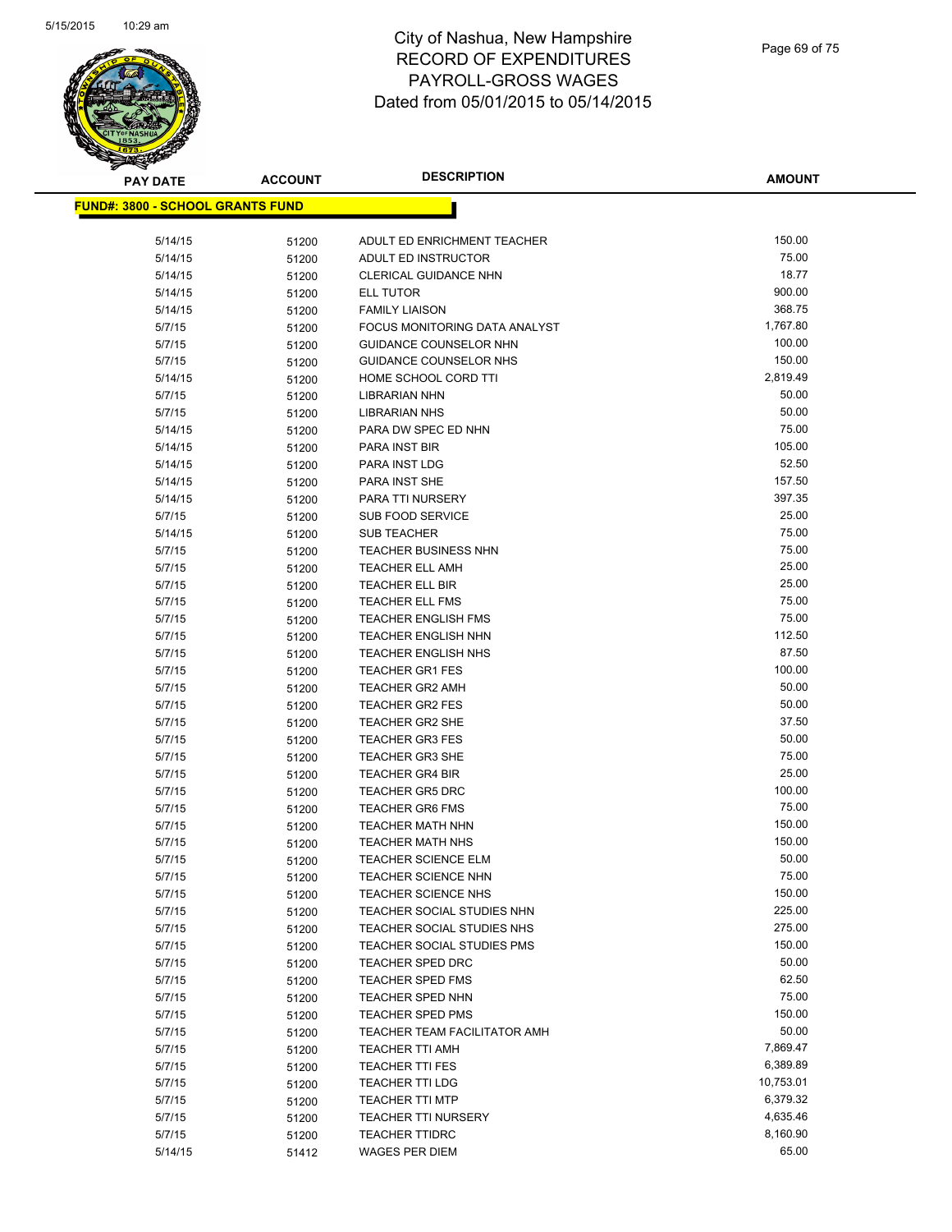

| <b>PAY DATE</b>                          | <b>ACCOUNT</b> | <b>DESCRIPTION</b>                               | <b>AMOUNT</b>  |
|------------------------------------------|----------------|--------------------------------------------------|----------------|
| <u> FUND#: 3800 - SCHOOL GRANTS FUND</u> |                |                                                  |                |
|                                          |                |                                                  |                |
| 5/14/15                                  | 51200          | ADULT ED ENRICHMENT TEACHER                      | 150.00         |
| 5/14/15                                  | 51200          | ADULT ED INSTRUCTOR                              | 75.00          |
| 5/14/15                                  | 51200          | CLERICAL GUIDANCE NHN                            | 18.77          |
| 5/14/15                                  | 51200          | ELL TUTOR                                        | 900.00         |
| 5/14/15                                  | 51200          | <b>FAMILY LIAISON</b>                            | 368.75         |
| 5/7/15                                   | 51200          | FOCUS MONITORING DATA ANALYST                    | 1,767.80       |
| 5/7/15                                   | 51200          | GUIDANCE COUNSELOR NHN                           | 100.00         |
| 5/7/15                                   | 51200          | <b>GUIDANCE COUNSELOR NHS</b>                    | 150.00         |
| 5/14/15                                  | 51200          | HOME SCHOOL CORD TTI                             | 2,819.49       |
| 5/7/15                                   | 51200          | LIBRARIAN NHN                                    | 50.00          |
| 5/7/15                                   | 51200          | LIBRARIAN NHS                                    | 50.00          |
| 5/14/15                                  | 51200          | PARA DW SPEC ED NHN                              | 75.00          |
| 5/14/15                                  | 51200          | PARA INST BIR                                    | 105.00         |
| 5/14/15                                  | 51200          | PARA INST LDG                                    | 52.50          |
| 5/14/15                                  | 51200          | PARA INST SHE                                    | 157.50         |
| 5/14/15                                  | 51200          | PARA TTI NURSERY                                 | 397.35         |
| 5/7/15                                   | 51200          | SUB FOOD SERVICE                                 | 25.00          |
| 5/14/15                                  | 51200          | <b>SUB TEACHER</b>                               | 75.00          |
| 5/7/15                                   | 51200          | <b>TEACHER BUSINESS NHN</b>                      | 75.00          |
| 5/7/15                                   | 51200          | <b>TEACHER ELL AMH</b>                           | 25.00          |
| 5/7/15                                   | 51200          | <b>TEACHER ELL BIR</b>                           | 25.00          |
| 5/7/15                                   | 51200          | <b>TEACHER ELL FMS</b>                           | 75.00          |
| 5/7/15                                   | 51200          | <b>TEACHER ENGLISH FMS</b>                       | 75.00          |
| 5/7/15                                   | 51200          | <b>TEACHER ENGLISH NHN</b>                       | 112.50         |
| 5/7/15                                   | 51200          | <b>TEACHER ENGLISH NHS</b>                       | 87.50          |
| 5/7/15                                   | 51200          | <b>TEACHER GR1 FES</b>                           | 100.00         |
| 5/7/15                                   | 51200          | <b>TEACHER GR2 AMH</b>                           | 50.00          |
| 5/7/15                                   | 51200          | <b>TEACHER GR2 FES</b>                           | 50.00          |
| 5/7/15                                   | 51200          | <b>TEACHER GR2 SHE</b>                           | 37.50<br>50.00 |
| 5/7/15                                   | 51200          | <b>TEACHER GR3 FES</b>                           | 75.00          |
| 5/7/15<br>5/7/15                         | 51200          | <b>TEACHER GR3 SHE</b><br><b>TEACHER GR4 BIR</b> | 25.00          |
| 5/7/15                                   | 51200<br>51200 | <b>TEACHER GR5 DRC</b>                           | 100.00         |
| 5/7/15                                   | 51200          | <b>TEACHER GR6 FMS</b>                           | 75.00          |
| 5/7/15                                   | 51200          | TEACHER MATH NHN                                 | 150.00         |
| 5/7/15                                   | 51200          | <b>TEACHER MATH NHS</b>                          | 150.00         |
| 5/7/15                                   | 51200          | <b>TEACHER SCIENCE ELM</b>                       | 50.00          |
| 5/7/15                                   | 51200          | <b>TEACHER SCIENCE NHN</b>                       | 75.00          |
| 5/7/15                                   | 51200          | <b>TEACHER SCIENCE NHS</b>                       | 150.00         |
| 5/7/15                                   | 51200          | TEACHER SOCIAL STUDIES NHN                       | 225.00         |
| 5/7/15                                   | 51200          | TEACHER SOCIAL STUDIES NHS                       | 275.00         |
| 5/7/15                                   | 51200          | TEACHER SOCIAL STUDIES PMS                       | 150.00         |
| 5/7/15                                   | 51200          | <b>TEACHER SPED DRC</b>                          | 50.00          |
| 5/7/15                                   | 51200          | <b>TEACHER SPED FMS</b>                          | 62.50          |
| 5/7/15                                   | 51200          | <b>TEACHER SPED NHN</b>                          | 75.00          |
| 5/7/15                                   | 51200          | <b>TEACHER SPED PMS</b>                          | 150.00         |
| 5/7/15                                   | 51200          | TEACHER TEAM FACILITATOR AMH                     | 50.00          |
| 5/7/15                                   | 51200          | <b>TEACHER TTI AMH</b>                           | 7,869.47       |
| 5/7/15                                   | 51200          | <b>TEACHER TTI FES</b>                           | 6,389.89       |
| 5/7/15                                   | 51200          | <b>TEACHER TTI LDG</b>                           | 10,753.01      |
| 5/7/15                                   | 51200          | <b>TEACHER TTI MTP</b>                           | 6,379.32       |
| 5/7/15                                   | 51200          | <b>TEACHER TTI NURSERY</b>                       | 4,635.46       |
| 5/7/15                                   | 51200          | <b>TEACHER TTIDRC</b>                            | 8,160.90       |
| 5/14/15                                  | 51412          | <b>WAGES PER DIEM</b>                            | 65.00          |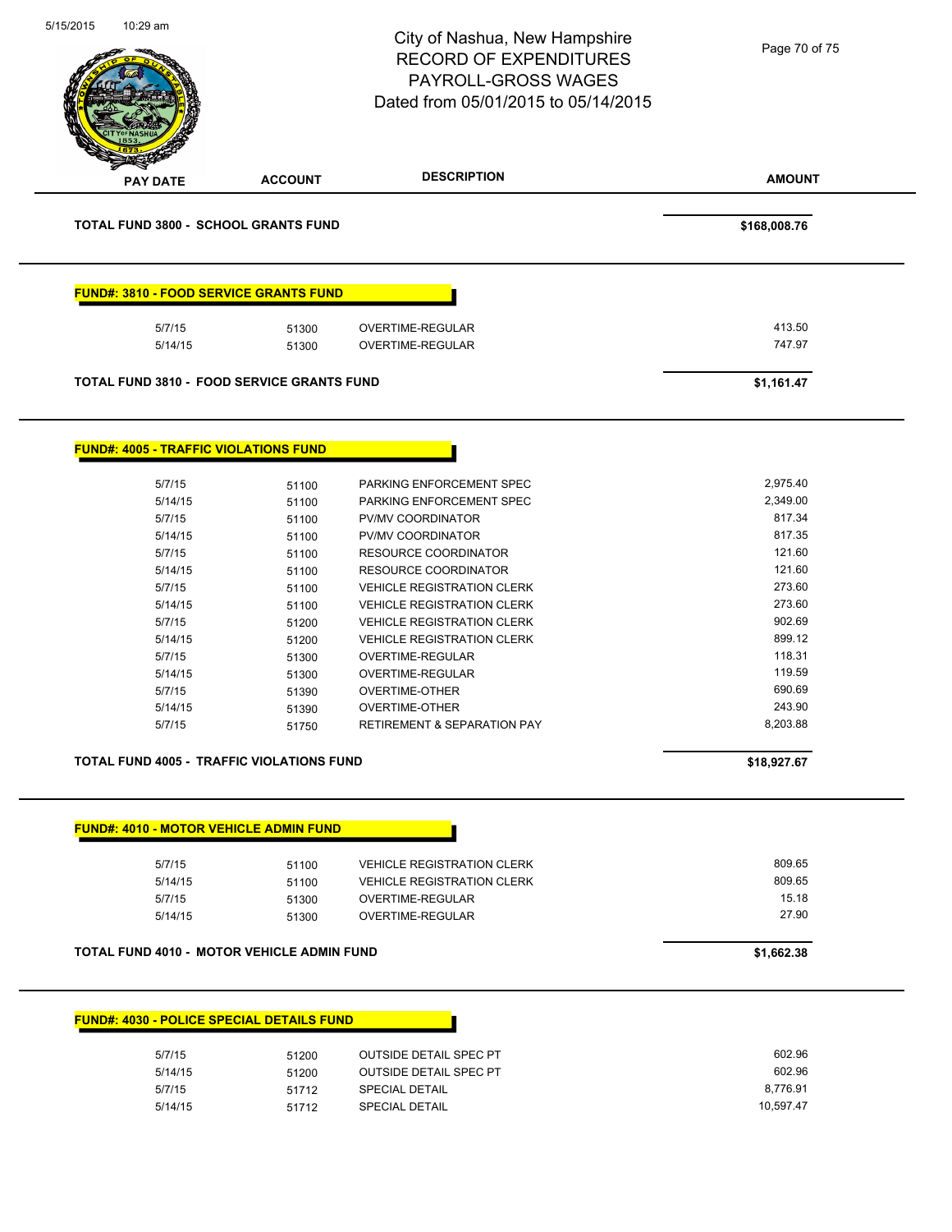| 10:29 am                                     |                                                   | City of Nashua, New Hampshire<br><b>RECORD OF EXPENDITURES</b><br><b>PAYROLL-GROSS WAGES</b><br>Dated from 05/01/2015 to 05/14/2015 | Page 70 of 75    |
|----------------------------------------------|---------------------------------------------------|-------------------------------------------------------------------------------------------------------------------------------------|------------------|
| <b>PAY DATE</b>                              | <b>ACCOUNT</b>                                    | <b>DESCRIPTION</b>                                                                                                                  | <b>AMOUNT</b>    |
|                                              | <b>TOTAL FUND 3800 - SCHOOL GRANTS FUND</b>       |                                                                                                                                     | \$168,008.76     |
|                                              | FUND#: 3810 - FOOD SERVICE GRANTS FUND            |                                                                                                                                     |                  |
| 5/7/15<br>5/14/15                            | 51300<br>51300                                    | OVERTIME-REGULAR<br><b>OVERTIME-REGULAR</b>                                                                                         | 413.50<br>747.97 |
|                                              |                                                   |                                                                                                                                     |                  |
|                                              | <b>TOTAL FUND 3810 - FOOD SERVICE GRANTS FUND</b> |                                                                                                                                     | \$1,161.47       |
|                                              |                                                   |                                                                                                                                     |                  |
| <b>FUND#: 4005 - TRAFFIC VIOLATIONS FUND</b> |                                                   |                                                                                                                                     |                  |
| 5/7/15                                       | 51100                                             | PARKING ENFORCEMENT SPEC                                                                                                            | 2,975.40         |
| 5/14/15                                      | 51100                                             | PARKING ENFORCEMENT SPEC                                                                                                            | 2,349.00         |
| 5/7/15                                       | 51100                                             | PV/MV COORDINATOR                                                                                                                   | 817.34           |
| 5/14/15                                      | 51100                                             | PV/MV COORDINATOR                                                                                                                   | 817.35           |
| 5/7/15                                       | 51100                                             | RESOURCE COORDINATOR                                                                                                                | 121.60           |
| 5/14/15                                      | 51100                                             | RESOURCE COORDINATOR                                                                                                                | 121.60           |
| 5/7/15                                       | 51100                                             | <b>VEHICLE REGISTRATION CLERK</b>                                                                                                   | 273.60           |
| 5/14/15                                      | 51100                                             | <b>VEHICLE REGISTRATION CLERK</b>                                                                                                   | 273.60           |
| 5/7/15                                       | 51200                                             | <b>VEHICLE REGISTRATION CLERK</b>                                                                                                   | 902.69           |
| 5/14/15                                      | 51200                                             | <b>VEHICLE REGISTRATION CLERK</b>                                                                                                   | 899.12           |
| 5/7/15                                       | 51300                                             | OVERTIME-REGULAR                                                                                                                    | 118.31           |
| 5/14/15                                      | 51300                                             | OVERTIME-REGULAR                                                                                                                    | 119.59           |
| 5/7/15                                       | 51390                                             | <b>OVERTIME-OTHER</b>                                                                                                               | 690.69           |
| 5/14/15                                      | 51390                                             | OVERTIME-OTHER                                                                                                                      | 243.90           |
| 5/7/15                                       | 51750                                             | RETIREMENT & SEPARATION PAY                                                                                                         | 8,203.88         |
|                                              | TOTAL FUND 4005 - TRAFFIC VIOLATIONS FUND         |                                                                                                                                     | \$18,927.67      |
|                                              |                                                   |                                                                                                                                     |                  |
|                                              | <b>FUND#: 4010 - MOTOR VEHICLE ADMIN FUND</b>     |                                                                                                                                     |                  |
| 5/7/15                                       | 51100                                             | <b>VEHICLE REGISTRATION CLERK</b>                                                                                                   | 809.65           |
| 5/14/15                                      | 51100                                             | <b>VEHICLE REGISTRATION CLERK</b>                                                                                                   | 809.65           |
| 5/7/15                                       | 51300                                             | OVERTIME-REGULAR                                                                                                                    | 15.18            |
| 5/14/15                                      | 51300                                             | OVERTIME-REGULAR                                                                                                                    | 27.90            |
|                                              | TOTAL FUND 4010 - MOTOR VEHICLE ADMIN FUND        |                                                                                                                                     | \$1,662.38       |
|                                              | <b>FUND#: 4030 - POLICE SPECIAL DETAILS FUND</b>  |                                                                                                                                     |                  |
|                                              |                                                   |                                                                                                                                     |                  |
| 5/7/15                                       | 51200                                             | <b>OUTSIDE DETAIL SPEC PT</b>                                                                                                       | 602.96           |
| 5/14/15                                      | 51200                                             | OUTSIDE DETAIL SPEC PT                                                                                                              | 602.96           |
|                                              |                                                   | <b>SPECIAL DETAIL</b>                                                                                                               | 8,776.91         |
| 5/7/15<br>5/14/15                            | 51712<br>51712                                    | <b>SPECIAL DETAIL</b>                                                                                                               | 10,597.47        |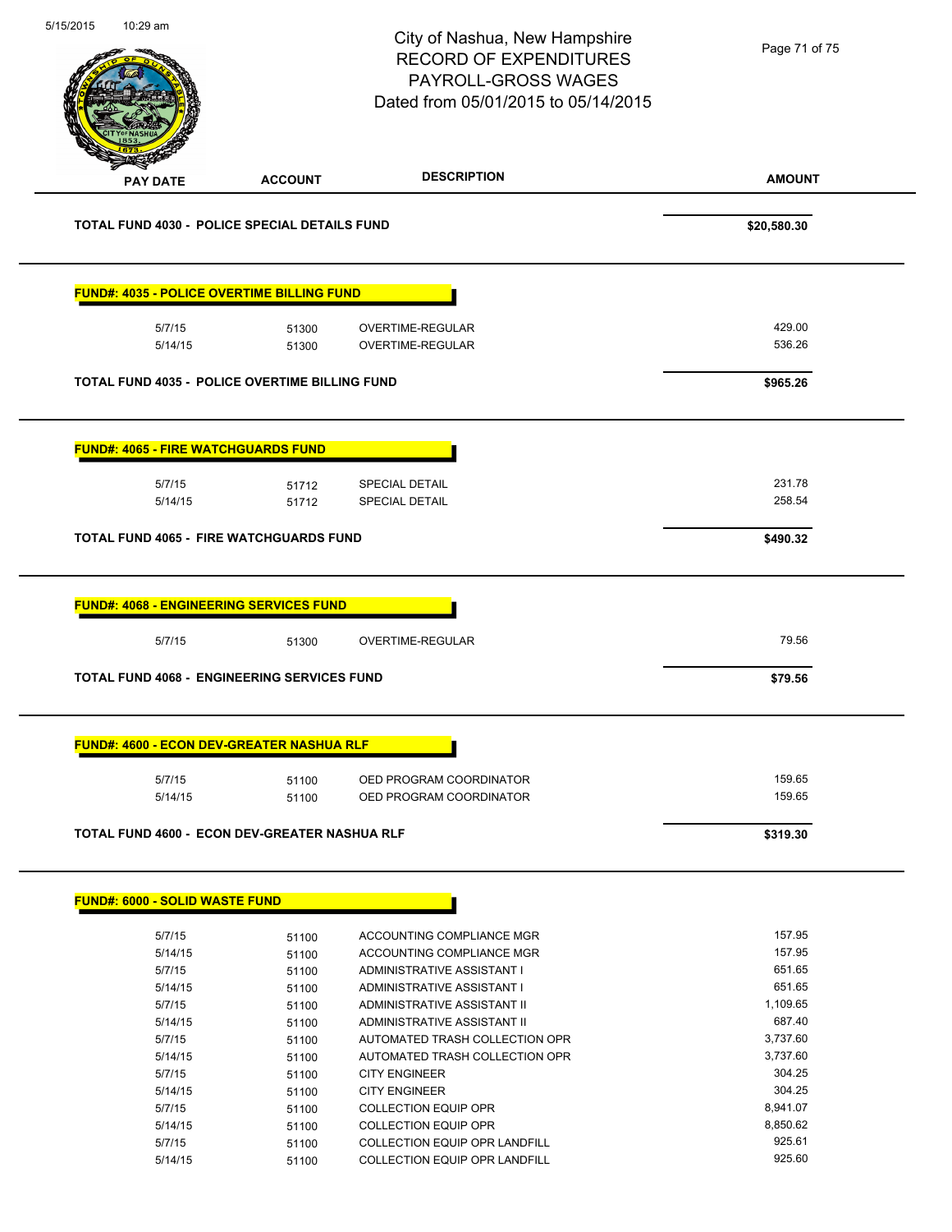| 5/15/2015 | 10:29 am                                             |                | City of Nashua, New Hampshire<br><b>RECORD OF EXPENDITURES</b><br>PAYROLL-GROSS WAGES<br>Dated from 05/01/2015 to 05/14/2015 | Page 71 of 75      |
|-----------|------------------------------------------------------|----------------|------------------------------------------------------------------------------------------------------------------------------|--------------------|
|           | <b>PAY DATE</b>                                      | <b>ACCOUNT</b> | <b>DESCRIPTION</b>                                                                                                           | <b>AMOUNT</b>      |
|           | <b>TOTAL FUND 4030 - POLICE SPECIAL DETAILS FUND</b> |                |                                                                                                                              | \$20,580.30        |
|           | <b>FUND#: 4035 - POLICE OVERTIME BILLING FUND</b>    |                |                                                                                                                              |                    |
|           | 5/7/15<br>5/14/15                                    | 51300<br>51300 | OVERTIME-REGULAR<br><b>OVERTIME-REGULAR</b>                                                                                  | 429.00<br>536.26   |
|           | TOTAL FUND 4035 - POLICE OVERTIME BILLING FUND       |                |                                                                                                                              | \$965.26           |
|           | <b>FUND#: 4065 - FIRE WATCHGUARDS FUND</b>           |                |                                                                                                                              |                    |
|           | 5/7/15<br>5/14/15                                    | 51712<br>51712 | SPECIAL DETAIL<br><b>SPECIAL DETAIL</b>                                                                                      | 231.78<br>258.54   |
|           | <b>TOTAL FUND 4065 - FIRE WATCHGUARDS FUND</b>       |                |                                                                                                                              | \$490.32           |
|           | <b>FUND#: 4068 - ENGINEERING SERVICES FUND</b>       |                |                                                                                                                              |                    |
|           | 5/7/15                                               | 51300          | OVERTIME-REGULAR                                                                                                             | 79.56              |
|           | <b>TOTAL FUND 4068 - ENGINEERING SERVICES FUND</b>   |                |                                                                                                                              | \$79.56            |
|           | <b>FUND#: 4600 - ECON DEV-GREATER NASHUA RLF</b>     |                |                                                                                                                              |                    |
|           | 5/7/15<br>5/14/15                                    | 51100<br>51100 | OED PROGRAM COORDINATOR<br>OED PROGRAM COORDINATOR                                                                           | 159.65<br>159.65   |
|           | TOTAL FUND 4600 - ECON DEV-GREATER NASHUA RLF        |                |                                                                                                                              | \$319.30           |
|           | <b>FUND#: 6000 - SOLID WASTE FUND</b>                |                |                                                                                                                              |                    |
|           | 5/7/15                                               | 51100          | ACCOUNTING COMPLIANCE MGR                                                                                                    | 157.95             |
|           | 5/14/15                                              | 51100          | ACCOUNTING COMPLIANCE MGR                                                                                                    | 157.95             |
|           | 5/7/15                                               | 51100          | ADMINISTRATIVE ASSISTANT I                                                                                                   | 651.65             |
|           | 5/14/15                                              | 51100          | ADMINISTRATIVE ASSISTANT I                                                                                                   | 651.65<br>1,109.65 |
|           | 5/7/15<br>5/14/15                                    | 51100<br>51100 | ADMINISTRATIVE ASSISTANT II<br>ADMINISTRATIVE ASSISTANT II                                                                   | 687.40             |
|           | 5/7/15                                               | 51100          | AUTOMATED TRASH COLLECTION OPR                                                                                               | 3,737.60           |
|           | 5/14/15                                              | 51100          | AUTOMATED TRASH COLLECTION OPR                                                                                               | 3,737.60           |
|           | 5/7/15                                               | 51100          | <b>CITY ENGINEER</b>                                                                                                         | 304.25             |
|           | 5/14/15                                              | 51100          | <b>CITY ENGINEER</b>                                                                                                         | 304.25             |
|           | 5/7/15                                               | 51100          | <b>COLLECTION EQUIP OPR</b>                                                                                                  | 8,941.07           |
|           | 5/14/15                                              | 51100          | <b>COLLECTION EQUIP OPR</b>                                                                                                  | 8,850.62           |
|           | 5/7/15                                               | 51100          | <b>COLLECTION EQUIP OPR LANDFILL</b>                                                                                         | 925.61             |
|           | 5/14/15                                              | 51100          | COLLECTION EQUIP OPR LANDFILL                                                                                                | 925.60             |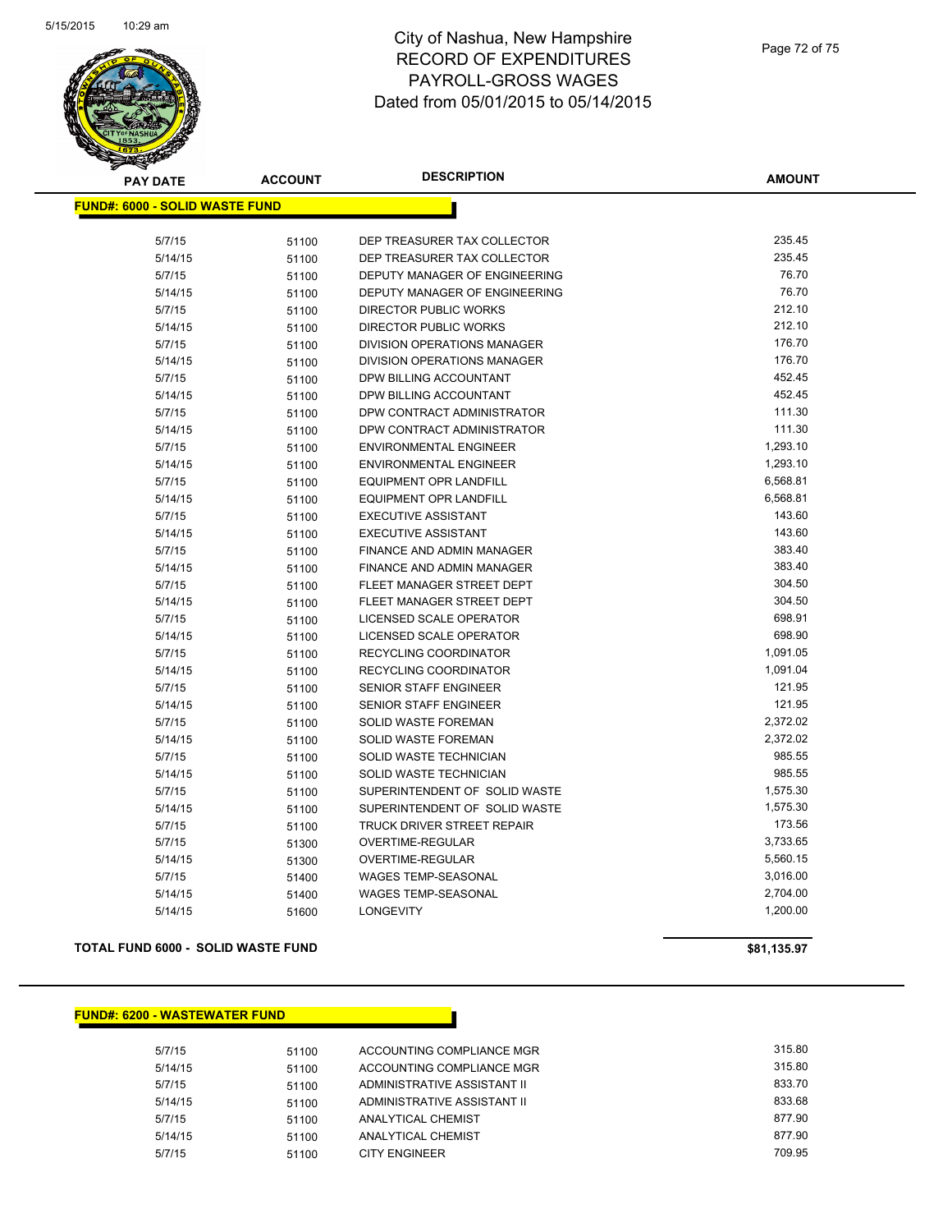

| <b>PAY DATE</b>                       | <b>ACCOUNT</b> | <b>DESCRIPTION</b>            | <b>AMOUNT</b> |
|---------------------------------------|----------------|-------------------------------|---------------|
| <b>FUND#: 6000 - SOLID WASTE FUND</b> |                |                               |               |
|                                       |                |                               |               |
| 5/7/15                                | 51100          | DEP TREASURER TAX COLLECTOR   | 235.45        |
| 5/14/15                               | 51100          | DEP TREASURER TAX COLLECTOR   | 235.45        |
| 5/7/15                                | 51100          | DEPUTY MANAGER OF ENGINEERING | 76.70         |
| 5/14/15                               | 51100          | DEPUTY MANAGER OF ENGINEERING | 76.70         |
| 5/7/15                                | 51100          | <b>DIRECTOR PUBLIC WORKS</b>  | 212.10        |
| 5/14/15                               | 51100          | <b>DIRECTOR PUBLIC WORKS</b>  | 212.10        |
| 5/7/15                                | 51100          | DIVISION OPERATIONS MANAGER   | 176.70        |
| 5/14/15                               | 51100          | DIVISION OPERATIONS MANAGER   | 176.70        |
| 5/7/15                                | 51100          | DPW BILLING ACCOUNTANT        | 452.45        |
| 5/14/15                               | 51100          | DPW BILLING ACCOUNTANT        | 452.45        |
| 5/7/15                                | 51100          | DPW CONTRACT ADMINISTRATOR    | 111.30        |
| 5/14/15                               | 51100          | DPW CONTRACT ADMINISTRATOR    | 111.30        |
| 5/7/15                                | 51100          | <b>ENVIRONMENTAL ENGINEER</b> | 1,293.10      |
| 5/14/15                               | 51100          | <b>ENVIRONMENTAL ENGINEER</b> | 1,293.10      |
| 5/7/15                                | 51100          | EQUIPMENT OPR LANDFILL        | 6,568.81      |
| 5/14/15                               | 51100          | EQUIPMENT OPR LANDFILL        | 6,568.81      |
| 5/7/15                                | 51100          | <b>EXECUTIVE ASSISTANT</b>    | 143.60        |
| 5/14/15                               | 51100          | <b>EXECUTIVE ASSISTANT</b>    | 143.60        |
| 5/7/15                                | 51100          | FINANCE AND ADMIN MANAGER     | 383.40        |
| 5/14/15                               | 51100          | FINANCE AND ADMIN MANAGER     | 383.40        |
| 5/7/15                                | 51100          | FLEET MANAGER STREET DEPT     | 304.50        |
| 5/14/15                               | 51100          | FLEET MANAGER STREET DEPT     | 304.50        |
| 5/7/15                                | 51100          | LICENSED SCALE OPERATOR       | 698.91        |
| 5/14/15                               | 51100          | LICENSED SCALE OPERATOR       | 698.90        |
| 5/7/15                                | 51100          | RECYCLING COORDINATOR         | 1,091.05      |
| 5/14/15                               | 51100          | RECYCLING COORDINATOR         | 1,091.04      |
| 5/7/15                                | 51100          | SENIOR STAFF ENGINEER         | 121.95        |
| 5/14/15                               | 51100          | SENIOR STAFF ENGINEER         | 121.95        |
| 5/7/15                                | 51100          | SOLID WASTE FOREMAN           | 2,372.02      |
| 5/14/15                               | 51100          | <b>SOLID WASTE FOREMAN</b>    | 2,372.02      |
| 5/7/15                                | 51100          | SOLID WASTE TECHNICIAN        | 985.55        |
| 5/14/15                               | 51100          | SOLID WASTE TECHNICIAN        | 985.55        |
| 5/7/15                                | 51100          | SUPERINTENDENT OF SOLID WASTE | 1,575.30      |
| 5/14/15                               | 51100          | SUPERINTENDENT OF SOLID WASTE | 1,575.30      |
| 5/7/15                                | 51100          | TRUCK DRIVER STREET REPAIR    | 173.56        |
| 5/7/15                                | 51300          | OVERTIME-REGULAR              | 3,733.65      |
| 5/14/15                               | 51300          | OVERTIME-REGULAR              | 5,560.15      |
| 5/7/15                                | 51400          | WAGES TEMP-SEASONAL           | 3,016.00      |
| 5/14/15                               | 51400          | <b>WAGES TEMP-SEASONAL</b>    | 2,704.00      |
| 5/14/15                               | 51600          | <b>LONGEVITY</b>              | 1,200.00      |
|                                       |                |                               |               |

**TOTAL FUND 6000 - SOLID WASTE FUND \$81,135.97** 

**FUND#: 6200 - WASTEWATER FUND**

| 5/7/15  | 51100 | ACCOUNTING COMPLIANCE MGR   | 315.80 |
|---------|-------|-----------------------------|--------|
| 5/14/15 | 51100 | ACCOUNTING COMPLIANCE MGR   | 315.80 |
| 5/7/15  | 51100 | ADMINISTRATIVE ASSISTANT II | 833.70 |
| 5/14/15 | 51100 | ADMINISTRATIVE ASSISTANT II | 833.68 |
| 5/7/15  | 51100 | ANALYTICAL CHEMIST          | 877.90 |
| 5/14/15 | 51100 | ANALYTICAL CHEMIST          | 877.90 |
| 5/7/15  | 51100 | <b>CITY ENGINEER</b>        | 709.95 |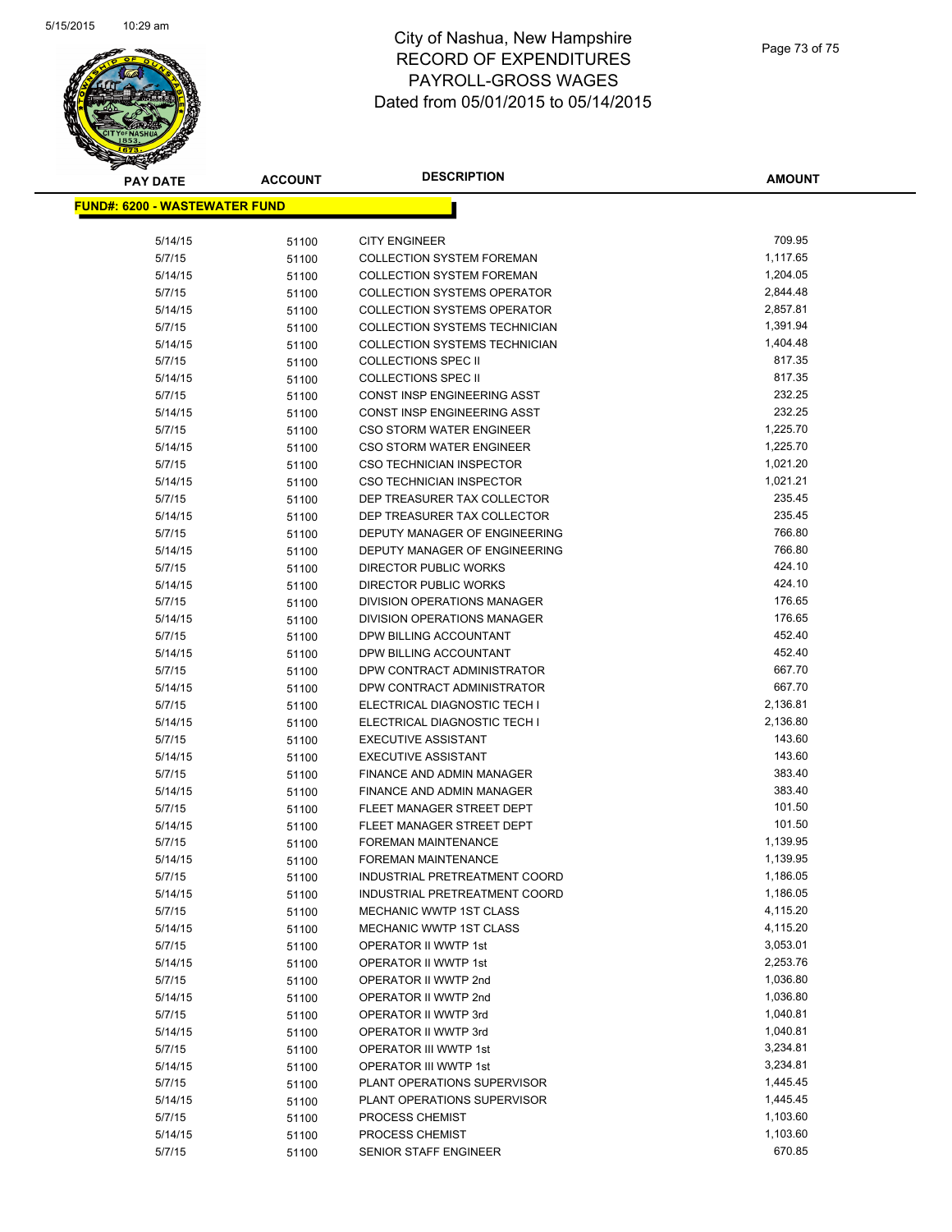

## City of Nashua, New Hampshire RECORD OF EXPENDITURES PAYROLL-GROSS WAGES Dated from 05/01/2015 to 05/14/2015

| <b>PAY DATE</b>                       | <b>ACCOUNT</b> | <b>DESCRIPTION</b>                                     | <b>AMOUNT</b>    |
|---------------------------------------|----------------|--------------------------------------------------------|------------------|
| <u> FUND#: 6200 - WASTEWATER FUND</u> |                |                                                        |                  |
|                                       |                |                                                        |                  |
| 5/14/15                               | 51100          | <b>CITY ENGINEER</b>                                   | 709.95           |
| 5/7/15                                | 51100          | <b>COLLECTION SYSTEM FOREMAN</b>                       | 1,117.65         |
| 5/14/15                               | 51100          | <b>COLLECTION SYSTEM FOREMAN</b>                       | 1,204.05         |
| 5/7/15                                | 51100          | <b>COLLECTION SYSTEMS OPERATOR</b>                     | 2,844.48         |
| 5/14/15                               | 51100          | <b>COLLECTION SYSTEMS OPERATOR</b>                     | 2,857.81         |
| 5/7/15                                | 51100          | COLLECTION SYSTEMS TECHNICIAN                          | 1,391.94         |
| 5/14/15                               | 51100          | <b>COLLECTION SYSTEMS TECHNICIAN</b>                   | 1,404.48         |
| 5/7/15                                | 51100          | <b>COLLECTIONS SPEC II</b>                             | 817.35           |
| 5/14/15                               | 51100          | <b>COLLECTIONS SPEC II</b>                             | 817.35           |
| 5/7/15                                | 51100          | CONST INSP ENGINEERING ASST                            | 232.25           |
| 5/14/15                               | 51100          | CONST INSP ENGINEERING ASST                            | 232.25           |
| 5/7/15                                | 51100          | CSO STORM WATER ENGINEER                               | 1,225.70         |
| 5/14/15                               | 51100          | CSO STORM WATER ENGINEER                               | 1,225.70         |
| 5/7/15                                | 51100          | <b>CSO TECHNICIAN INSPECTOR</b>                        | 1,021.20         |
| 5/14/15                               | 51100          | <b>CSO TECHNICIAN INSPECTOR</b>                        | 1,021.21         |
| 5/7/15                                | 51100          | DEP TREASURER TAX COLLECTOR                            | 235.45           |
| 5/14/15                               | 51100          | DEP TREASURER TAX COLLECTOR                            | 235.45           |
| 5/7/15                                | 51100          | DEPUTY MANAGER OF ENGINEERING                          | 766.80           |
| 5/14/15                               | 51100          | DEPUTY MANAGER OF ENGINEERING                          | 766.80           |
| 5/7/15                                | 51100          | DIRECTOR PUBLIC WORKS                                  | 424.10           |
| 5/14/15                               | 51100          | DIRECTOR PUBLIC WORKS                                  | 424.10           |
| 5/7/15                                | 51100          | DIVISION OPERATIONS MANAGER                            | 176.65           |
| 5/14/15                               | 51100          | DIVISION OPERATIONS MANAGER                            | 176.65           |
| 5/7/15                                | 51100          | DPW BILLING ACCOUNTANT                                 | 452.40           |
| 5/14/15                               | 51100          | DPW BILLING ACCOUNTANT                                 | 452.40           |
| 5/7/15                                | 51100          | DPW CONTRACT ADMINISTRATOR                             | 667.70           |
| 5/14/15                               | 51100          | DPW CONTRACT ADMINISTRATOR                             | 667.70           |
| 5/7/15                                | 51100          | ELECTRICAL DIAGNOSTIC TECH I                           | 2,136.81         |
| 5/14/15                               | 51100          | ELECTRICAL DIAGNOSTIC TECH I                           | 2,136.80         |
| 5/7/15                                | 51100          | <b>EXECUTIVE ASSISTANT</b>                             | 143.60           |
| 5/14/15                               | 51100          | <b>EXECUTIVE ASSISTANT</b>                             | 143.60<br>383.40 |
| 5/7/15                                | 51100          | FINANCE AND ADMIN MANAGER                              |                  |
| 5/14/15                               | 51100          | FINANCE AND ADMIN MANAGER<br>FLEET MANAGER STREET DEPT | 383.40<br>101.50 |
| 5/7/15<br>5/14/15                     | 51100          | FLEET MANAGER STREET DEPT                              | 101.50           |
| 5/7/15                                | 51100<br>51100 | <b>FOREMAN MAINTENANCE</b>                             | 1,139.95         |
| 5/14/15                               | 51100          | <b>FOREMAN MAINTENANCE</b>                             | 1,139.95         |
| 5/7/15                                | 51100          | INDUSTRIAL PRETREATMENT COORD                          | 1,186.05         |
| 5/14/15                               | 51100          | INDUSTRIAL PRETREATMENT COORD                          | 1,186.05         |
| 5/7/15                                | 51100          | MECHANIC WWTP 1ST CLASS                                | 4,115.20         |
| 5/14/15                               | 51100          | <b>MECHANIC WWTP 1ST CLASS</b>                         | 4,115.20         |
| 5/7/15                                | 51100          | OPERATOR II WWTP 1st                                   | 3,053.01         |
| 5/14/15                               | 51100          | OPERATOR II WWTP 1st                                   | 2,253.76         |
| 5/7/15                                | 51100          | OPERATOR II WWTP 2nd                                   | 1,036.80         |
| 5/14/15                               | 51100          | OPERATOR II WWTP 2nd                                   | 1,036.80         |
| 5/7/15                                | 51100          | OPERATOR II WWTP 3rd                                   | 1,040.81         |
| 5/14/15                               | 51100          | OPERATOR II WWTP 3rd                                   | 1,040.81         |
| 5/7/15                                | 51100          | OPERATOR III WWTP 1st                                  | 3,234.81         |
| 5/14/15                               | 51100          | OPERATOR III WWTP 1st                                  | 3,234.81         |
| 5/7/15                                | 51100          | PLANT OPERATIONS SUPERVISOR                            | 1,445.45         |
| 5/14/15                               | 51100          | PLANT OPERATIONS SUPERVISOR                            | 1,445.45         |
| 5/7/15                                | 51100          | PROCESS CHEMIST                                        | 1,103.60         |
| 5/14/15                               | 51100          | PROCESS CHEMIST                                        | 1,103.60         |
| 5/7/15                                | 51100          | SENIOR STAFF ENGINEER                                  | 670.85           |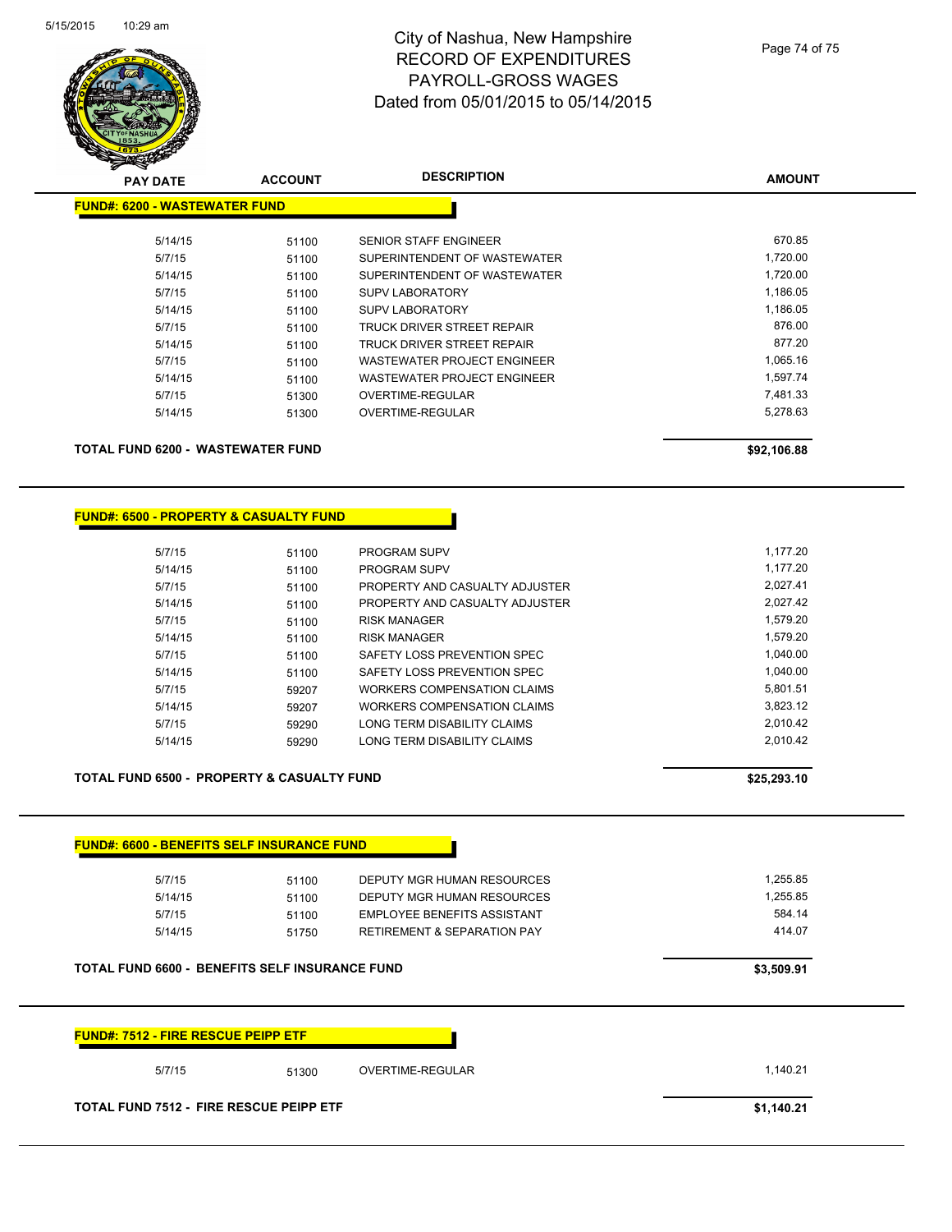| <b>FUND#: 6600 - BENEFITS SELF INSURANCE FUND</b>     |       |                                        |            |
|-------------------------------------------------------|-------|----------------------------------------|------------|
| 5/7/15                                                | 51100 | DEPUTY MGR HUMAN RESOURCES             | 1,255.85   |
| 5/14/15                                               | 51100 | DEPUTY MGR HUMAN RESOURCES             | 1,255.85   |
| 5/7/15                                                | 51100 | <b>EMPLOYEE BENEFITS ASSISTANT</b>     | 584.14     |
| 5/14/15                                               | 51750 | <b>RETIREMENT &amp; SEPARATION PAY</b> | 414.07     |
| <b>TOTAL FUND 6600 - BENEFITS SELF INSURANCE FUND</b> |       |                                        | \$3,509.91 |
| <b>FUND#: 7512 - FIRE RESCUE PEIPP ETF</b>            |       |                                        |            |

| TOTAL FUND 6200 -  WASTEWATER FUND |       |                                    | \$92,106.88 |
|------------------------------------|-------|------------------------------------|-------------|
|                                    | 51300 |                                    |             |
| 5/14/15                            |       | OVERTIME-REGULAR                   | 5,278.63    |
| 5/7/15                             | 51300 | OVERTIME-REGULAR                   | 7.481.33    |
| 5/14/15                            | 51100 | WASTEWATER PROJECT ENGINEER        | 1.597.74    |
| 5/7/15                             | 51100 | <b>WASTEWATER PROJECT ENGINEER</b> | 1.065.16    |
| 5/14/15                            | 51100 | TRUCK DRIVER STREET REPAIR         | 877.20      |
| 5/7/15                             | 51100 | TRUCK DRIVER STREET REPAIR         | 876.00      |
| 5/14/15                            | 51100 | <b>SUPV LABORATORY</b>             | 1.186.05    |
| 5/7/15                             | 51100 | <b>SUPV LABORATORY</b>             | 1,186.05    |
| 5/14/15                            | 51100 | SUPERINTENDENT OF WASTEWATER       | 1,720.00    |
| 5/7/15                             | 51100 | SUPERINTENDENT OF WASTEWATER       | 1,720.00    |
| 5/14/15                            | 51100 | <b>SENIOR STAFF ENGINEER</b>       | 670.85      |
|                                    |       |                                    |             |

5/7/15 5/7/15 51100 PROGRAM SUPV 1,177.20

5/7/15 59207 WORKERS COMPENSATION CLAIMS 5.801.51 5/14/15 59207 WORKERS COMPENSATION CLAIMS 3,823.12

**AMOUNT**

**FUND#: 6500 - PROPERTY & CASUALTY FUND**

5/7/15 5/1100 SAFETY LOSS PREVENTION SPEC 51/1040.00 5/14/15 51100 SAFETY LOSS PREVENTION SPEC 1,040.00

| 5/14/15 | 51100 | PROGRAM SUPV                   | 1.177.20 |
|---------|-------|--------------------------------|----------|
| 5/7/15  | 51100 | PROPERTY AND CASUALTY ADJUSTER | 2.027.41 |
| 5/14/15 | 51100 | PROPERTY AND CASUALTY ADJUSTER | 2.027.42 |
| 5/7/15  | 51100 | <b>RISK MANAGER</b>            | 1.579.20 |
| 5/14/15 | 51100 | RISK MANAGER                   | 1.579.20 |
|         |       |                                |          |

**PAY DATE ACCOUNT DESCRIPTION**

**FUND#: 6200 - WASTEWATER FUND**